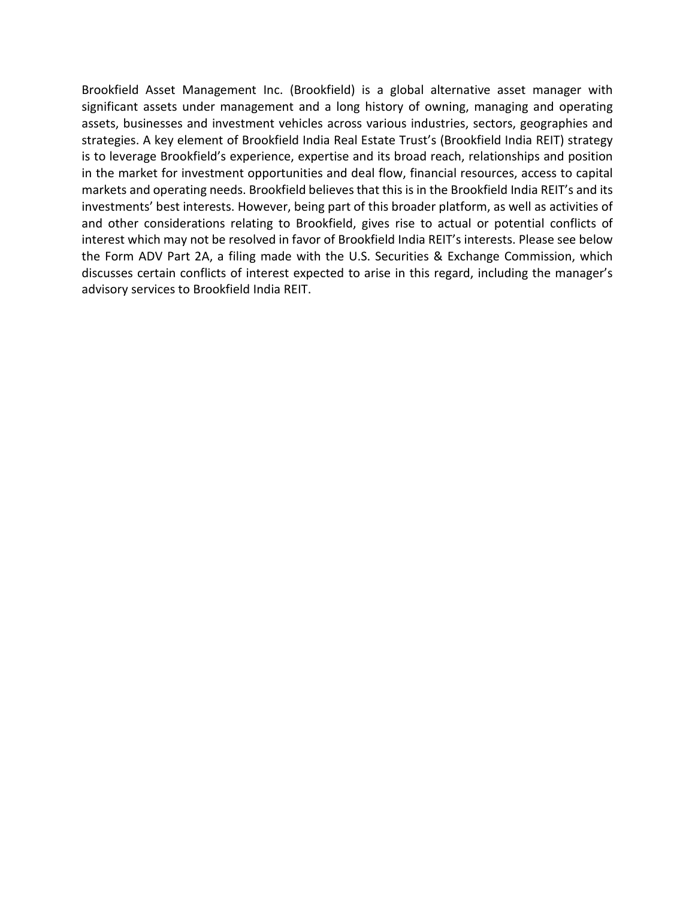Brookfield Asset Management Inc. (Brookfield) is a global alternative asset manager with significant assets under management and a long history of owning, managing and operating assets, businesses and investment vehicles across various industries, sectors, geographies and strategies. A key element of Brookfield India Real Estate Trust's (Brookfield India REIT) strategy is to leverage Brookfield's experience, expertise and its broad reach, relationships and position in the market for investment opportunities and deal flow, financial resources, access to capital markets and operating needs. Brookfield believes that this is in the Brookfield India REIT's and its investments' best interests. However, being part of this broader platform, as well as activities of and other considerations relating to Brookfield, gives rise to actual or potential conflicts of interest which may not be resolved in favor of Brookfield India REIT's interests. Please see below the Form ADV Part 2A, a filing made with the U.S. Securities & Exchange Commission, which discusses certain conflicts of interest expected to arise in this regard, including the manager's advisory services to Brookfield India REIT.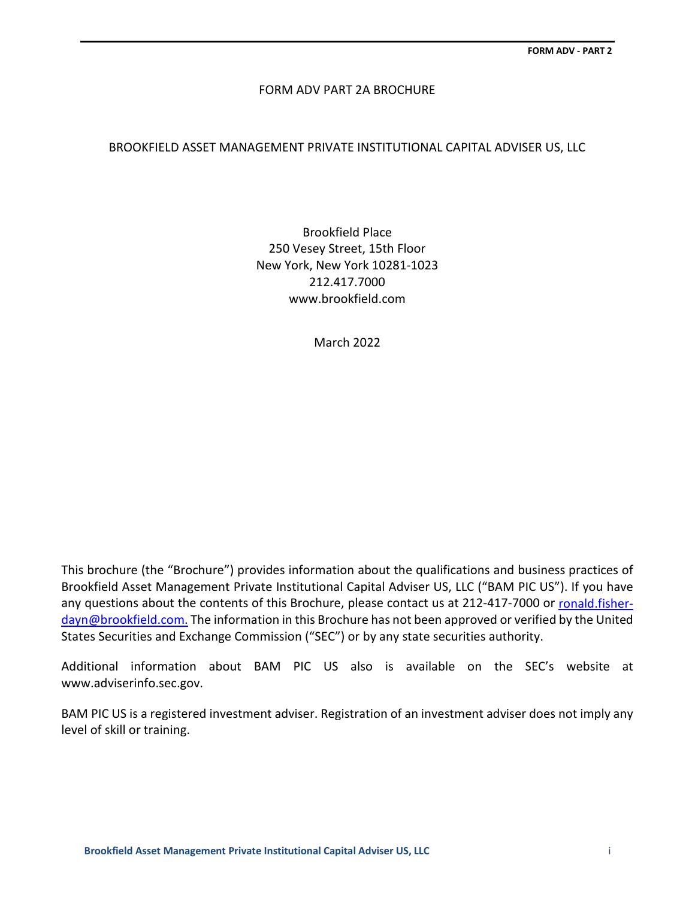## FORM ADV PART 2A BROCHURE

## BROOKFIELD ASSET MANAGEMENT PRIVATE INSTITUTIONAL CAPITAL ADVISER US, LLC

Brookfield Place 250 Vesey Street, 15th Floor New York, New York 10281-1023 212.417.7000 www.brookfield.com

March 2022

This brochure (the "Brochure") provides information about the qualifications and business practices of Brookfield Asset Management Private Institutional Capital Adviser US, LLC ("BAM PIC US"). If you have any questions about the contents of this Brochure, please contact us at 212-417-7000 or [ronald.fisher](mailto:ronald.fisher-dayn@brookfield.com.)[dayn@brookfield.com.](mailto:ronald.fisher-dayn@brookfield.com.) The information in this Brochure has not been approved or verified by the United States Securities and Exchange Commission ("SEC") or by any state securities authority.

Additional information about BAM PIC US also is available on the SEC's website at [www.adviserinfo.sec.gov.](http://www.adviserinfo.sec.gov/)

BAM PIC US is a registered investment adviser. Registration of an investment adviser does not imply any level of skill or training.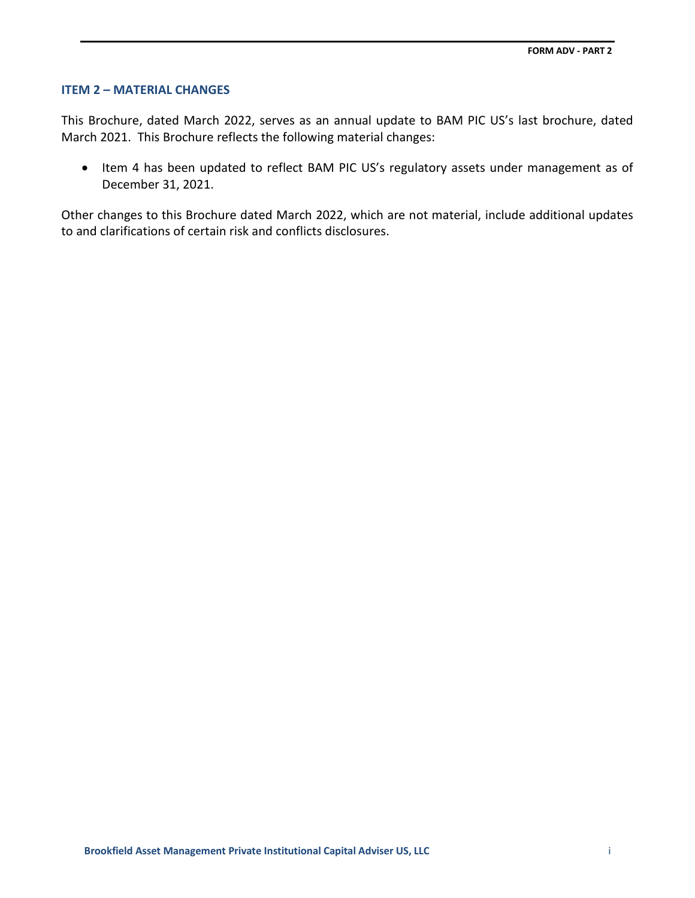### **ITEM 2 – MATERIAL CHANGES**

This Brochure, dated March 2022, serves as an annual update to BAM PIC US's last brochure, dated March 2021. This Brochure reflects the following material changes:

• Item 4 has been updated to reflect BAM PIC US's regulatory assets under management as of December 31, 2021.

Other changes to this Brochure dated March 2022, which are not material, include additional updates to and clarifications of certain risk and conflicts disclosures.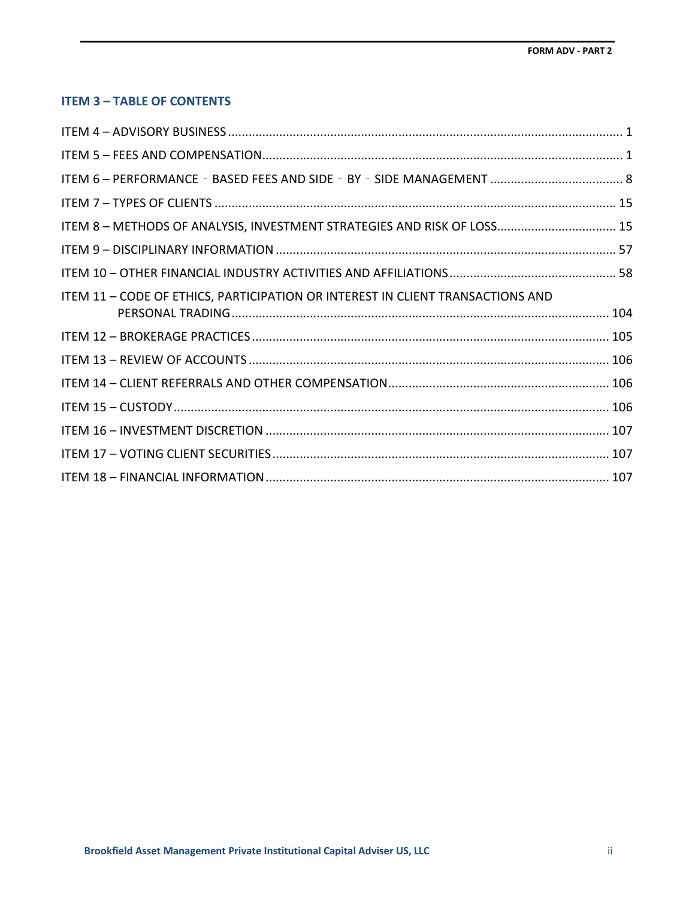# **ITEM 3 – TABLE OF CONTENTS**

| ITEM 8 - METHODS OF ANALYSIS, INVESTMENT STRATEGIES AND RISK OF LOSS 15        |  |
|--------------------------------------------------------------------------------|--|
|                                                                                |  |
|                                                                                |  |
| ITEM 11 - CODE OF ETHICS, PARTICIPATION OR INTEREST IN CLIENT TRANSACTIONS AND |  |
|                                                                                |  |
|                                                                                |  |
|                                                                                |  |
|                                                                                |  |
|                                                                                |  |
|                                                                                |  |
|                                                                                |  |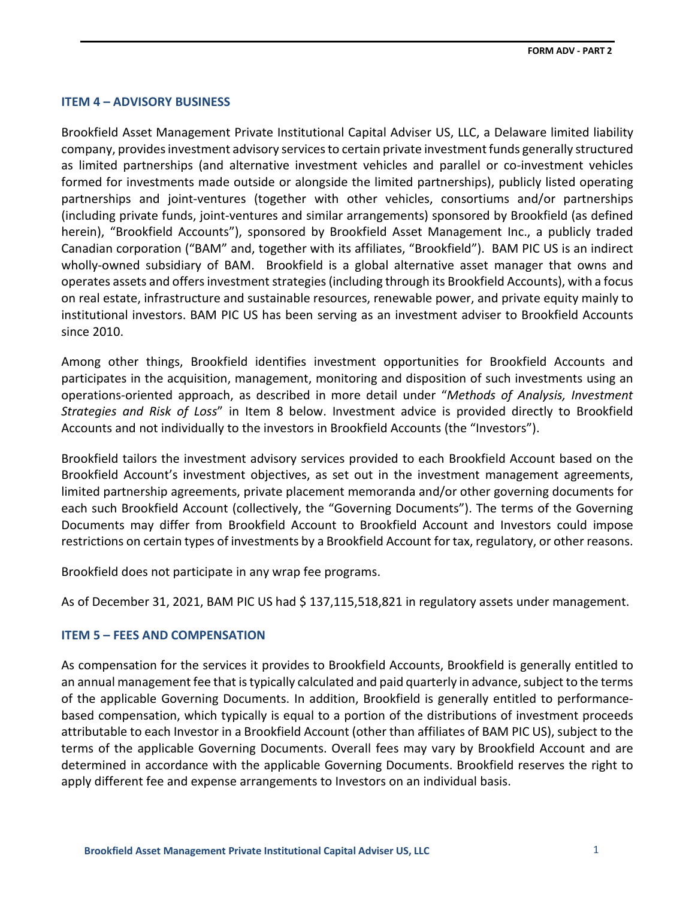## <span id="page-4-0"></span>**ITEM 4 – ADVISORY BUSINESS**

Brookfield Asset Management Private Institutional Capital Adviser US, LLC, a Delaware limited liability company, provides investment advisory services to certain private investment funds generally structured as limited partnerships (and alternative investment vehicles and parallel or co-investment vehicles formed for investments made outside or alongside the limited partnerships), publicly listed operating partnerships and joint-ventures (together with other vehicles, consortiums and/or partnerships (including private funds, joint-ventures and similar arrangements) sponsored by Brookfield (as defined herein), "Brookfield Accounts"), sponsored by Brookfield Asset Management Inc., a publicly traded Canadian corporation ("BAM" and, together with its affiliates, "Brookfield"). BAM PIC US is an indirect wholly-owned subsidiary of BAM. Brookfield is a global alternative asset manager that owns and operates assets and offers investment strategies (including through its Brookfield Accounts), with a focus on real estate, infrastructure and sustainable resources, renewable power, and private equity mainly to institutional investors. BAM PIC US has been serving as an investment adviser to Brookfield Accounts since 2010.

Among other things, Brookfield identifies investment opportunities for Brookfield Accounts and participates in the acquisition, management, monitoring and disposition of such investments using an operations-oriented approach, as described in more detail under "*Methods of Analysis, Investment Strategies and Risk of Loss*" in Item 8 below. Investment advice is provided directly to Brookfield Accounts and not individually to the investors in Brookfield Accounts (the "Investors").

Brookfield tailors the investment advisory services provided to each Brookfield Account based on the Brookfield Account's investment objectives, as set out in the investment management agreements, limited partnership agreements, private placement memoranda and/or other governing documents for each such Brookfield Account (collectively, the "Governing Documents"). The terms of the Governing Documents may differ from Brookfield Account to Brookfield Account and Investors could impose restrictions on certain types of investments by a Brookfield Account for tax, regulatory, or other reasons.

Brookfield does not participate in any wrap fee programs.

As of December 31, 2021, BAM PIC US had \$ 137,115,518,821 in regulatory assets under management.

## <span id="page-4-1"></span>**ITEM 5 – FEES AND COMPENSATION**

As compensation for the services it provides to Brookfield Accounts, Brookfield is generally entitled to an annual management fee that is typically calculated and paid quarterly in advance, subject to the terms of the applicable Governing Documents. In addition, Brookfield is generally entitled to performancebased compensation, which typically is equal to a portion of the distributions of investment proceeds attributable to each Investor in a Brookfield Account (other than affiliates of BAM PIC US), subject to the terms of the applicable Governing Documents. Overall fees may vary by Brookfield Account and are determined in accordance with the applicable Governing Documents. Brookfield reserves the right to apply different fee and expense arrangements to Investors on an individual basis.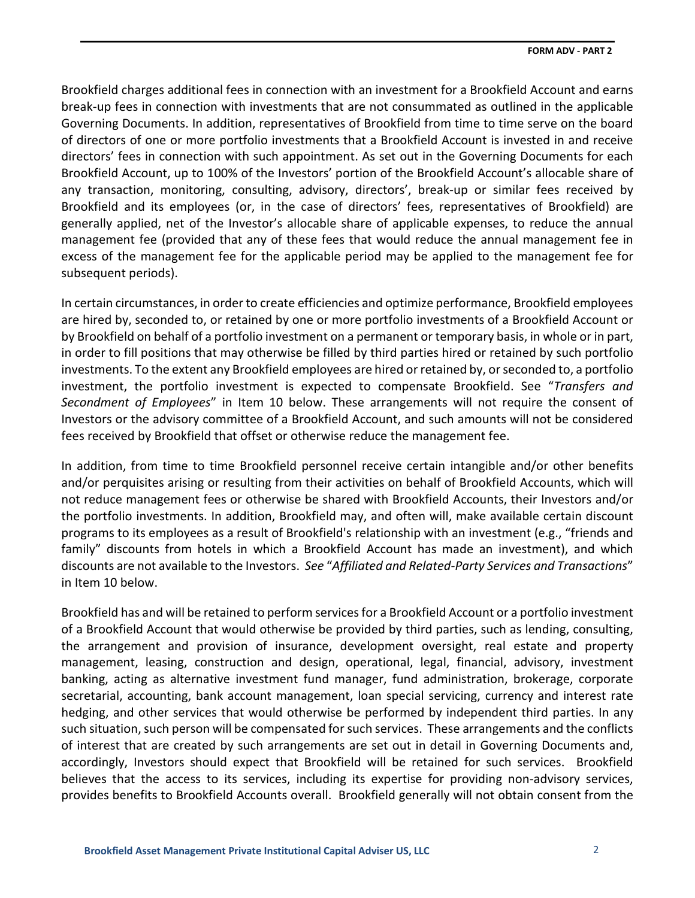Brookfield charges additional fees in connection with an investment for a Brookfield Account and earns break-up fees in connection with investments that are not consummated as outlined in the applicable Governing Documents. In addition, representatives of Brookfield from time to time serve on the board of directors of one or more portfolio investments that a Brookfield Account is invested in and receive directors' fees in connection with such appointment. As set out in the Governing Documents for each Brookfield Account, up to 100% of the Investors' portion of the Brookfield Account's allocable share of any transaction, monitoring, consulting, advisory, directors', break-up or similar fees received by Brookfield and its employees (or, in the case of directors' fees, representatives of Brookfield) are generally applied, net of the Investor's allocable share of applicable expenses, to reduce the annual management fee (provided that any of these fees that would reduce the annual management fee in excess of the management fee for the applicable period may be applied to the management fee for subsequent periods).

In certain circumstances, in order to create efficiencies and optimize performance, Brookfield employees are hired by, seconded to, or retained by one or more portfolio investments of a Brookfield Account or by Brookfield on behalf of a portfolio investment on a permanent or temporary basis, in whole or in part, in order to fill positions that may otherwise be filled by third parties hired or retained by such portfolio investments. To the extent any Brookfield employees are hired or retained by, or seconded to, a portfolio investment, the portfolio investment is expected to compensate Brookfield. See "*Transfers and Secondment of Employees*" in Item 10 below. These arrangements will not require the consent of Investors or the advisory committee of a Brookfield Account, and such amounts will not be considered fees received by Brookfield that offset or otherwise reduce the management fee.

In addition, from time to time Brookfield personnel receive certain intangible and/or other benefits and/or perquisites arising or resulting from their activities on behalf of Brookfield Accounts, which will not reduce management fees or otherwise be shared with Brookfield Accounts, their Investors and/or the portfolio investments. In addition, Brookfield may, and often will, make available certain discount programs to its employees as a result of Brookfield's relationship with an investment (e.g., "friends and family" discounts from hotels in which a Brookfield Account has made an investment), and which discounts are not available to the Investors. *See* "*Affiliated and Related-Party Services and Transactions*" in Item 10 below.

Brookfield has and will be retained to perform services for a Brookfield Account or a portfolio investment of a Brookfield Account that would otherwise be provided by third parties, such as lending, consulting, the arrangement and provision of insurance, development oversight, real estate and property management, leasing, construction and design, operational, legal, financial, advisory, investment banking, acting as alternative investment fund manager, fund administration, brokerage, corporate secretarial, accounting, bank account management, loan special servicing, currency and interest rate hedging, and other services that would otherwise be performed by independent third parties. In any such situation, such person will be compensated for such services. These arrangements and the conflicts of interest that are created by such arrangements are set out in detail in Governing Documents and, accordingly, Investors should expect that Brookfield will be retained for such services. Brookfield believes that the access to its services, including its expertise for providing non-advisory services, provides benefits to Brookfield Accounts overall. Brookfield generally will not obtain consent from the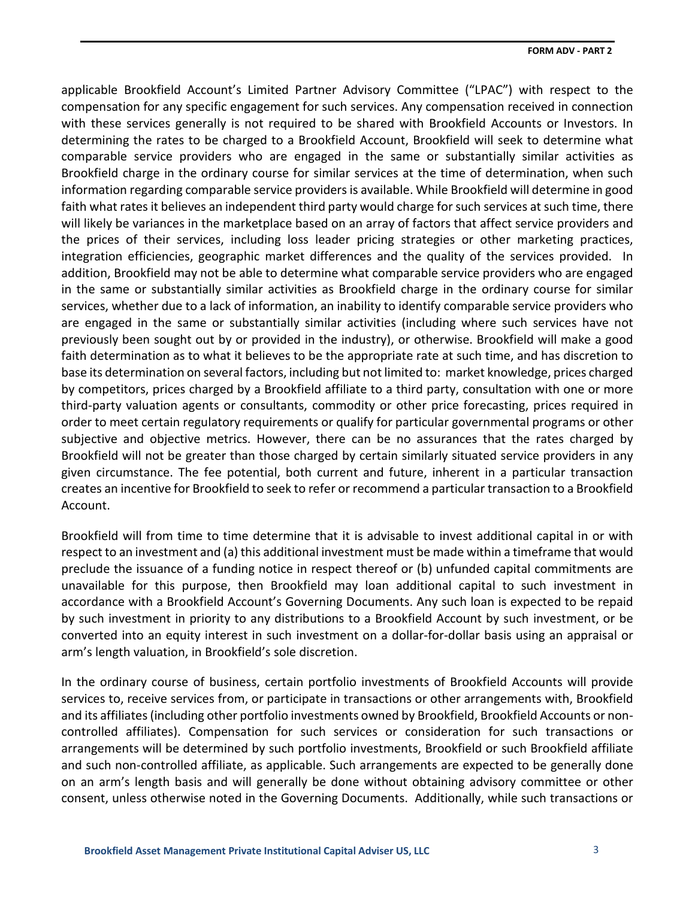applicable Brookfield Account's Limited Partner Advisory Committee ("LPAC") with respect to the compensation for any specific engagement for such services. Any compensation received in connection with these services generally is not required to be shared with Brookfield Accounts or Investors. In determining the rates to be charged to a Brookfield Account, Brookfield will seek to determine what comparable service providers who are engaged in the same or substantially similar activities as Brookfield charge in the ordinary course for similar services at the time of determination, when such information regarding comparable service providers is available. While Brookfield will determine in good faith what rates it believes an independent third party would charge for such services at such time, there will likely be variances in the marketplace based on an array of factors that affect service providers and the prices of their services, including loss leader pricing strategies or other marketing practices, integration efficiencies, geographic market differences and the quality of the services provided. In addition, Brookfield may not be able to determine what comparable service providers who are engaged in the same or substantially similar activities as Brookfield charge in the ordinary course for similar services, whether due to a lack of information, an inability to identify comparable service providers who are engaged in the same or substantially similar activities (including where such services have not previously been sought out by or provided in the industry), or otherwise. Brookfield will make a good faith determination as to what it believes to be the appropriate rate at such time, and has discretion to base its determination on several factors, including but not limited to: market knowledge, prices charged by competitors, prices charged by a Brookfield affiliate to a third party, consultation with one or more third-party valuation agents or consultants, commodity or other price forecasting, prices required in order to meet certain regulatory requirements or qualify for particular governmental programs or other subjective and objective metrics. However, there can be no assurances that the rates charged by Brookfield will not be greater than those charged by certain similarly situated service providers in any given circumstance. The fee potential, both current and future, inherent in a particular transaction creates an incentive for Brookfield to seek to refer or recommend a particular transaction to a Brookfield Account.

Brookfield will from time to time determine that it is advisable to invest additional capital in or with respect to an investment and (a) this additional investment must be made within a timeframe that would preclude the issuance of a funding notice in respect thereof or (b) unfunded capital commitments are unavailable for this purpose, then Brookfield may loan additional capital to such investment in accordance with a Brookfield Account's Governing Documents. Any such loan is expected to be repaid by such investment in priority to any distributions to a Brookfield Account by such investment, or be converted into an equity interest in such investment on a dollar-for-dollar basis using an appraisal or arm's length valuation, in Brookfield's sole discretion.

In the ordinary course of business, certain portfolio investments of Brookfield Accounts will provide services to, receive services from, or participate in transactions or other arrangements with, Brookfield and its affiliates (including other portfolio investments owned by Brookfield, Brookfield Accounts or noncontrolled affiliates). Compensation for such services or consideration for such transactions or arrangements will be determined by such portfolio investments, Brookfield or such Brookfield affiliate and such non-controlled affiliate, as applicable. Such arrangements are expected to be generally done on an arm's length basis and will generally be done without obtaining advisory committee or other consent, unless otherwise noted in the Governing Documents. Additionally, while such transactions or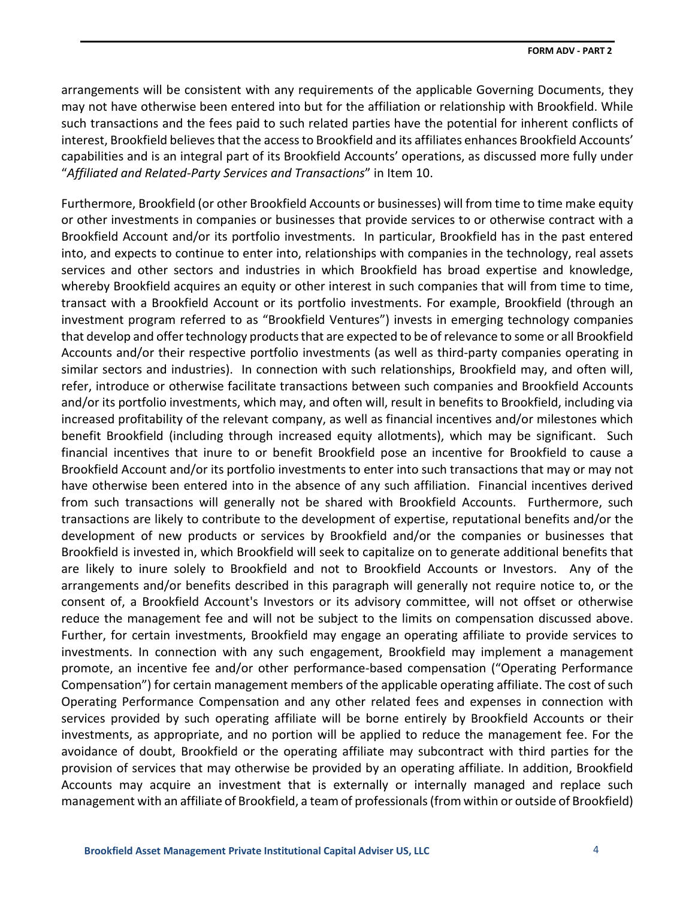arrangements will be consistent with any requirements of the applicable Governing Documents, they may not have otherwise been entered into but for the affiliation or relationship with Brookfield. While such transactions and the fees paid to such related parties have the potential for inherent conflicts of interest, Brookfield believes that the access to Brookfield and its affiliates enhances Brookfield Accounts' capabilities and is an integral part of its Brookfield Accounts' operations, as discussed more fully under "*Affiliated and Related-Party Services and Transactions*" in Item 10.

Furthermore, Brookfield (or other Brookfield Accounts or businesses) will from time to time make equity or other investments in companies or businesses that provide services to or otherwise contract with a Brookfield Account and/or its portfolio investments. In particular, Brookfield has in the past entered into, and expects to continue to enter into, relationships with companies in the technology, real assets services and other sectors and industries in which Brookfield has broad expertise and knowledge, whereby Brookfield acquires an equity or other interest in such companies that will from time to time, transact with a Brookfield Account or its portfolio investments. For example, Brookfield (through an investment program referred to as "Brookfield Ventures") invests in emerging technology companies that develop and offer technology products that are expected to be of relevance to some or all Brookfield Accounts and/or their respective portfolio investments (as well as third-party companies operating in similar sectors and industries). In connection with such relationships, Brookfield may, and often will, refer, introduce or otherwise facilitate transactions between such companies and Brookfield Accounts and/or its portfolio investments, which may, and often will, result in benefits to Brookfield, including via increased profitability of the relevant company, as well as financial incentives and/or milestones which benefit Brookfield (including through increased equity allotments), which may be significant. Such financial incentives that inure to or benefit Brookfield pose an incentive for Brookfield to cause a Brookfield Account and/or its portfolio investments to enter into such transactions that may or may not have otherwise been entered into in the absence of any such affiliation. Financial incentives derived from such transactions will generally not be shared with Brookfield Accounts. Furthermore, such transactions are likely to contribute to the development of expertise, reputational benefits and/or the development of new products or services by Brookfield and/or the companies or businesses that Brookfield is invested in, which Brookfield will seek to capitalize on to generate additional benefits that are likely to inure solely to Brookfield and not to Brookfield Accounts or Investors. Any of the arrangements and/or benefits described in this paragraph will generally not require notice to, or the consent of, a Brookfield Account's Investors or its advisory committee, will not offset or otherwise reduce the management fee and will not be subject to the limits on compensation discussed above. Further, for certain investments, Brookfield may engage an operating affiliate to provide services to investments. In connection with any such engagement, Brookfield may implement a management promote, an incentive fee and/or other performance-based compensation ("Operating Performance Compensation") for certain management members of the applicable operating affiliate. The cost of such Operating Performance Compensation and any other related fees and expenses in connection with services provided by such operating affiliate will be borne entirely by Brookfield Accounts or their investments, as appropriate, and no portion will be applied to reduce the management fee. For the avoidance of doubt, Brookfield or the operating affiliate may subcontract with third parties for the provision of services that may otherwise be provided by an operating affiliate. In addition, Brookfield Accounts may acquire an investment that is externally or internally managed and replace such management with an affiliate of Brookfield, a team of professionals (from within or outside of Brookfield)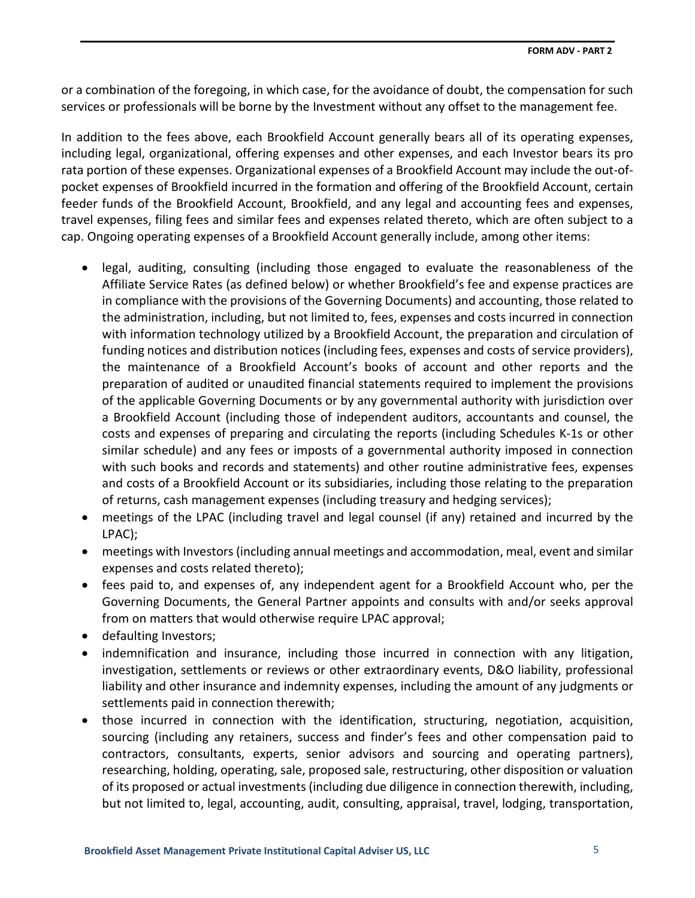or a combination of the foregoing, in which case, for the avoidance of doubt, the compensation for such services or professionals will be borne by the Investment without any offset to the management fee.

In addition to the fees above, each Brookfield Account generally bears all of its operating expenses, including legal, organizational, offering expenses and other expenses, and each Investor bears its pro rata portion of these expenses. Organizational expenses of a Brookfield Account may include the out-ofpocket expenses of Brookfield incurred in the formation and offering of the Brookfield Account, certain feeder funds of the Brookfield Account, Brookfield, and any legal and accounting fees and expenses, travel expenses, filing fees and similar fees and expenses related thereto, which are often subject to a cap. Ongoing operating expenses of a Brookfield Account generally include, among other items:

- legal, auditing, consulting (including those engaged to evaluate the reasonableness of the Affiliate Service Rates (as defined below) or whether Brookfield's fee and expense practices are in compliance with the provisions of the Governing Documents) and accounting, those related to the administration, including, but not limited to, fees, expenses and costs incurred in connection with information technology utilized by a Brookfield Account, the preparation and circulation of funding notices and distribution notices (including fees, expenses and costs of service providers), the maintenance of a Brookfield Account's books of account and other reports and the preparation of audited or unaudited financial statements required to implement the provisions of the applicable Governing Documents or by any governmental authority with jurisdiction over a Brookfield Account (including those of independent auditors, accountants and counsel, the costs and expenses of preparing and circulating the reports (including Schedules K-1s or other similar schedule) and any fees or imposts of a governmental authority imposed in connection with such books and records and statements) and other routine administrative fees, expenses and costs of a Brookfield Account or its subsidiaries, including those relating to the preparation of returns, cash management expenses (including treasury and hedging services);
- meetings of the LPAC (including travel and legal counsel (if any) retained and incurred by the LPAC);
- meetings with Investors (including annual meetings and accommodation, meal, event and similar expenses and costs related thereto);
- fees paid to, and expenses of, any independent agent for a Brookfield Account who, per the Governing Documents, the General Partner appoints and consults with and/or seeks approval from on matters that would otherwise require LPAC approval;
- defaulting Investors;
- indemnification and insurance, including those incurred in connection with any litigation, investigation, settlements or reviews or other extraordinary events, D&O liability, professional liability and other insurance and indemnity expenses, including the amount of any judgments or settlements paid in connection therewith;
- those incurred in connection with the identification, structuring, negotiation, acquisition, sourcing (including any retainers, success and finder's fees and other compensation paid to contractors, consultants, experts, senior advisors and sourcing and operating partners), researching, holding, operating, sale, proposed sale, restructuring, other disposition or valuation of its proposed or actual investments (including due diligence in connection therewith, including, but not limited to, legal, accounting, audit, consulting, appraisal, travel, lodging, transportation,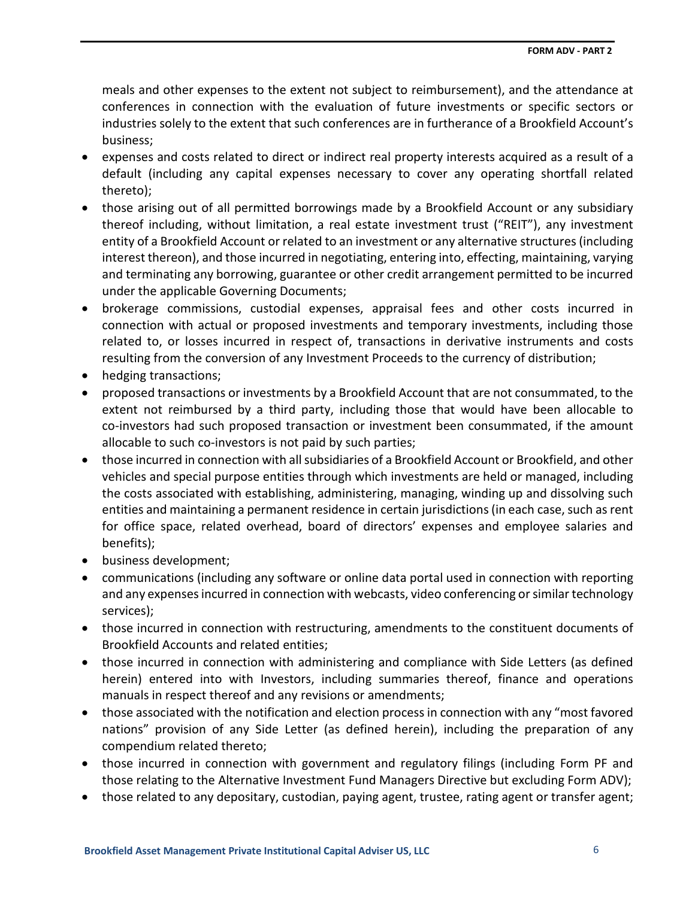meals and other expenses to the extent not subject to reimbursement), and the attendance at conferences in connection with the evaluation of future investments or specific sectors or industries solely to the extent that such conferences are in furtherance of a Brookfield Account's business;

- expenses and costs related to direct or indirect real property interests acquired as a result of a default (including any capital expenses necessary to cover any operating shortfall related thereto);
- those arising out of all permitted borrowings made by a Brookfield Account or any subsidiary thereof including, without limitation, a real estate investment trust ("REIT"), any investment entity of a Brookfield Account or related to an investment or any alternative structures (including interest thereon), and those incurred in negotiating, entering into, effecting, maintaining, varying and terminating any borrowing, guarantee or other credit arrangement permitted to be incurred under the applicable Governing Documents;
- brokerage commissions, custodial expenses, appraisal fees and other costs incurred in connection with actual or proposed investments and temporary investments, including those related to, or losses incurred in respect of, transactions in derivative instruments and costs resulting from the conversion of any Investment Proceeds to the currency of distribution;
- hedging transactions;
- proposed transactions or investments by a Brookfield Account that are not consummated, to the extent not reimbursed by a third party, including those that would have been allocable to co-investors had such proposed transaction or investment been consummated, if the amount allocable to such co-investors is not paid by such parties;
- those incurred in connection with all subsidiaries of a Brookfield Account or Brookfield, and other vehicles and special purpose entities through which investments are held or managed, including the costs associated with establishing, administering, managing, winding up and dissolving such entities and maintaining a permanent residence in certain jurisdictions (in each case, such as rent for office space, related overhead, board of directors' expenses and employee salaries and benefits);
- business development;
- communications (including any software or online data portal used in connection with reporting and any expenses incurred in connection with webcasts, video conferencing or similar technology services);
- those incurred in connection with restructuring, amendments to the constituent documents of Brookfield Accounts and related entities;
- those incurred in connection with administering and compliance with Side Letters (as defined herein) entered into with Investors, including summaries thereof, finance and operations manuals in respect thereof and any revisions or amendments;
- those associated with the notification and election process in connection with any "most favored" nations" provision of any Side Letter (as defined herein), including the preparation of any compendium related thereto;
- those incurred in connection with government and regulatory filings (including Form PF and those relating to the Alternative Investment Fund Managers Directive but excluding Form ADV);
- those related to any depositary, custodian, paying agent, trustee, rating agent or transfer agent;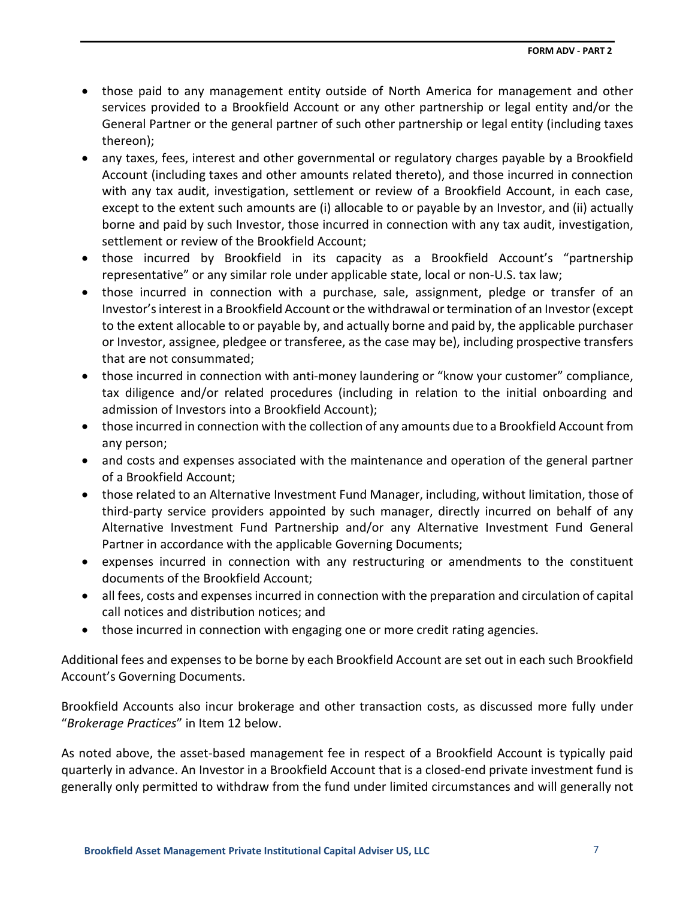- those paid to any management entity outside of North America for management and other services provided to a Brookfield Account or any other partnership or legal entity and/or the General Partner or the general partner of such other partnership or legal entity (including taxes thereon);
- any taxes, fees, interest and other governmental or regulatory charges payable by a Brookfield Account (including taxes and other amounts related thereto), and those incurred in connection with any tax audit, investigation, settlement or review of a Brookfield Account, in each case, except to the extent such amounts are (i) allocable to or payable by an Investor, and (ii) actually borne and paid by such Investor, those incurred in connection with any tax audit, investigation, settlement or review of the Brookfield Account;
- those incurred by Brookfield in its capacity as a Brookfield Account's "partnership representative" or any similar role under applicable state, local or non-U.S. tax law;
- those incurred in connection with a purchase, sale, assignment, pledge or transfer of an Investor'sinterest in a Brookfield Account or the withdrawal or termination of an Investor(except to the extent allocable to or payable by, and actually borne and paid by, the applicable purchaser or Investor, assignee, pledgee or transferee, as the case may be), including prospective transfers that are not consummated;
- those incurred in connection with anti-money laundering or "know your customer" compliance, tax diligence and/or related procedures (including in relation to the initial onboarding and admission of Investors into a Brookfield Account);
- those incurred in connection with the collection of any amounts due to a Brookfield Account from any person;
- and costs and expenses associated with the maintenance and operation of the general partner of a Brookfield Account;
- those related to an Alternative Investment Fund Manager, including, without limitation, those of third-party service providers appointed by such manager, directly incurred on behalf of any Alternative Investment Fund Partnership and/or any Alternative Investment Fund General Partner in accordance with the applicable Governing Documents;
- expenses incurred in connection with any restructuring or amendments to the constituent documents of the Brookfield Account;
- all fees, costs and expenses incurred in connection with the preparation and circulation of capital call notices and distribution notices; and
- those incurred in connection with engaging one or more credit rating agencies.

Additional fees and expenses to be borne by each Brookfield Account are set out in each such Brookfield Account's Governing Documents.

Brookfield Accounts also incur brokerage and other transaction costs, as discussed more fully under "*Brokerage Practices*" in Item 12 below.

As noted above, the asset-based management fee in respect of a Brookfield Account is typically paid quarterly in advance. An Investor in a Brookfield Account that is a closed-end private investment fund is generally only permitted to withdraw from the fund under limited circumstances and will generally not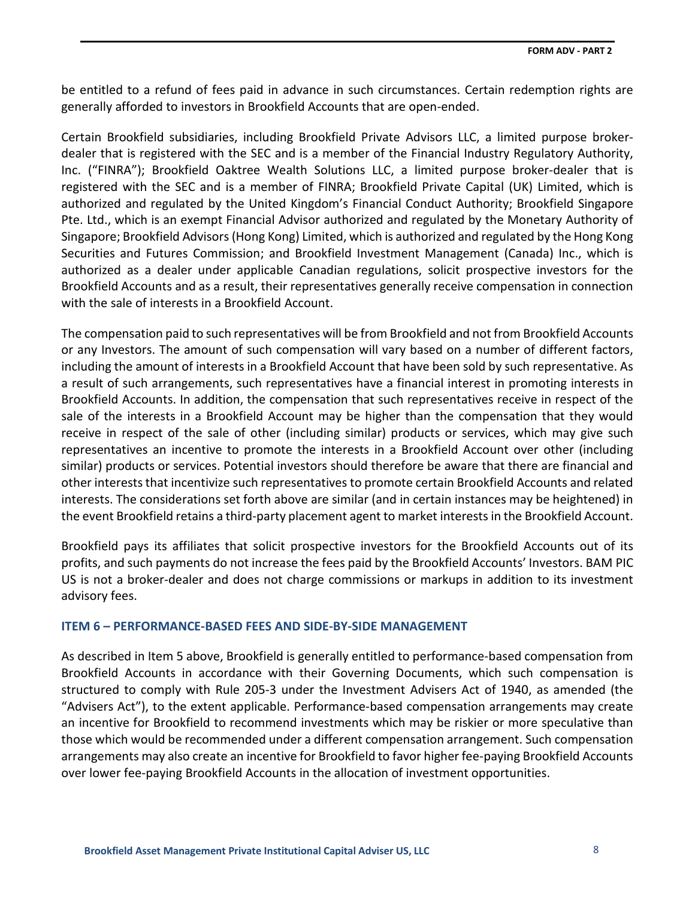be entitled to a refund of fees paid in advance in such circumstances. Certain redemption rights are generally afforded to investors in Brookfield Accounts that are open-ended.

Certain Brookfield subsidiaries, including Brookfield Private Advisors LLC, a limited purpose brokerdealer that is registered with the SEC and is a member of the Financial Industry Regulatory Authority, Inc. ("FINRA"); Brookfield Oaktree Wealth Solutions LLC, a limited purpose broker-dealer that is registered with the SEC and is a member of FINRA; Brookfield Private Capital (UK) Limited, which is authorized and regulated by the United Kingdom's Financial Conduct Authority; Brookfield Singapore Pte. Ltd., which is an exempt Financial Advisor authorized and regulated by the Monetary Authority of Singapore; Brookfield Advisors (Hong Kong) Limited, which is authorized and regulated by the Hong Kong Securities and Futures Commission; and Brookfield Investment Management (Canada) Inc., which is authorized as a dealer under applicable Canadian regulations, solicit prospective investors for the Brookfield Accounts and as a result, their representatives generally receive compensation in connection with the sale of interests in a Brookfield Account.

The compensation paid to such representatives will be from Brookfield and not from Brookfield Accounts or any Investors. The amount of such compensation will vary based on a number of different factors, including the amount of interests in a Brookfield Account that have been sold by such representative. As a result of such arrangements, such representatives have a financial interest in promoting interests in Brookfield Accounts. In addition, the compensation that such representatives receive in respect of the sale of the interests in a Brookfield Account may be higher than the compensation that they would receive in respect of the sale of other (including similar) products or services, which may give such representatives an incentive to promote the interests in a Brookfield Account over other (including similar) products or services. Potential investors should therefore be aware that there are financial and other interests that incentivize such representatives to promote certain Brookfield Accounts and related interests. The considerations set forth above are similar (and in certain instances may be heightened) in the event Brookfield retains a third-party placement agent to market interests in the Brookfield Account.

Brookfield pays its affiliates that solicit prospective investors for the Brookfield Accounts out of its profits, and such payments do not increase the fees paid by the Brookfield Accounts' Investors. BAM PIC US is not a broker-dealer and does not charge commissions or markups in addition to its investment advisory fees.

## <span id="page-11-0"></span>**ITEM 6 – PERFORMANCE‐BASED FEES AND SIDE‐BY‐SIDE MANAGEMENT**

As described in Item 5 above, Brookfield is generally entitled to performance-based compensation from Brookfield Accounts in accordance with their Governing Documents, which such compensation is structured to comply with Rule 205-3 under the Investment Advisers Act of 1940, as amended (the "Advisers Act"), to the extent applicable. Performance-based compensation arrangements may create an incentive for Brookfield to recommend investments which may be riskier or more speculative than those which would be recommended under a different compensation arrangement. Such compensation arrangements may also create an incentive for Brookfield to favor higher fee-paying Brookfield Accounts over lower fee-paying Brookfield Accounts in the allocation of investment opportunities.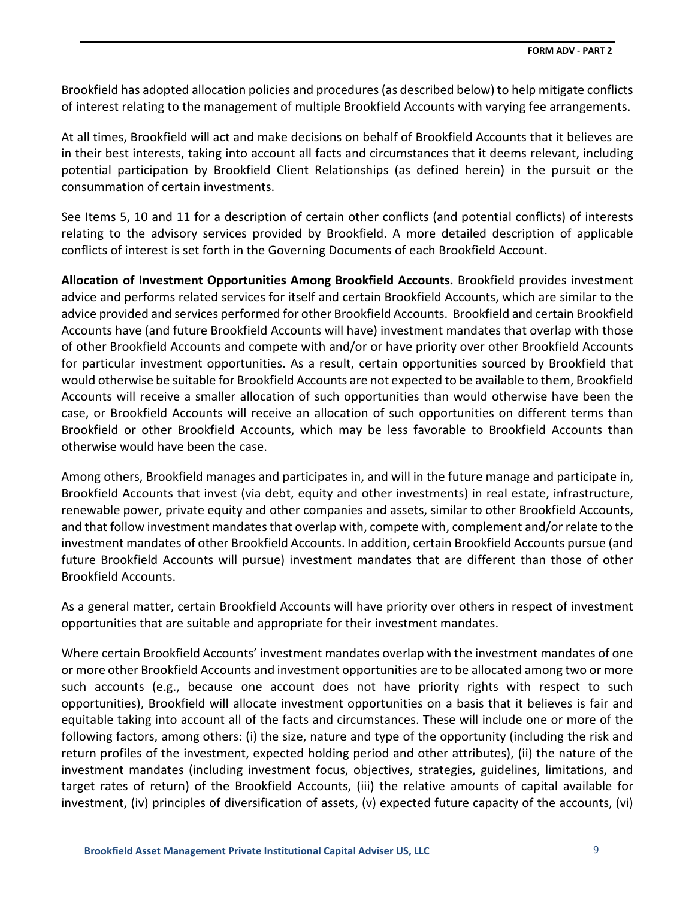Brookfield has adopted allocation policies and procedures (as described below) to help mitigate conflicts of interest relating to the management of multiple Brookfield Accounts with varying fee arrangements.

At all times, Brookfield will act and make decisions on behalf of Brookfield Accounts that it believes are in their best interests, taking into account all facts and circumstances that it deems relevant, including potential participation by Brookfield Client Relationships (as defined herein) in the pursuit or the consummation of certain investments.

See Items 5, 10 and 11 for a description of certain other conflicts (and potential conflicts) of interests relating to the advisory services provided by Brookfield. A more detailed description of applicable conflicts of interest is set forth in the Governing Documents of each Brookfield Account.

**Allocation of Investment Opportunities Among Brookfield Accounts.** Brookfield provides investment advice and performs related services for itself and certain Brookfield Accounts, which are similar to the advice provided and services performed for other Brookfield Accounts. Brookfield and certain Brookfield Accounts have (and future Brookfield Accounts will have) investment mandates that overlap with those of other Brookfield Accounts and compete with and/or or have priority over other Brookfield Accounts for particular investment opportunities. As a result, certain opportunities sourced by Brookfield that would otherwise be suitable for Brookfield Accounts are not expected to be available to them, Brookfield Accounts will receive a smaller allocation of such opportunities than would otherwise have been the case, or Brookfield Accounts will receive an allocation of such opportunities on different terms than Brookfield or other Brookfield Accounts, which may be less favorable to Brookfield Accounts than otherwise would have been the case.

Among others, Brookfield manages and participates in, and will in the future manage and participate in, Brookfield Accounts that invest (via debt, equity and other investments) in real estate, infrastructure, renewable power, private equity and other companies and assets, similar to other Brookfield Accounts, and that follow investment mandates that overlap with, compete with, complement and/or relate to the investment mandates of other Brookfield Accounts. In addition, certain Brookfield Accounts pursue (and future Brookfield Accounts will pursue) investment mandates that are different than those of other Brookfield Accounts.

As a general matter, certain Brookfield Accounts will have priority over others in respect of investment opportunities that are suitable and appropriate for their investment mandates.

Where certain Brookfield Accounts' investment mandates overlap with the investment mandates of one or more other Brookfield Accounts and investment opportunities are to be allocated among two or more such accounts (e.g., because one account does not have priority rights with respect to such opportunities), Brookfield will allocate investment opportunities on a basis that it believes is fair and equitable taking into account all of the facts and circumstances. These will include one or more of the following factors, among others: (i) the size, nature and type of the opportunity (including the risk and return profiles of the investment, expected holding period and other attributes), (ii) the nature of the investment mandates (including investment focus, objectives, strategies, guidelines, limitations, and target rates of return) of the Brookfield Accounts, (iii) the relative amounts of capital available for investment, (iv) principles of diversification of assets, (v) expected future capacity of the accounts, (vi)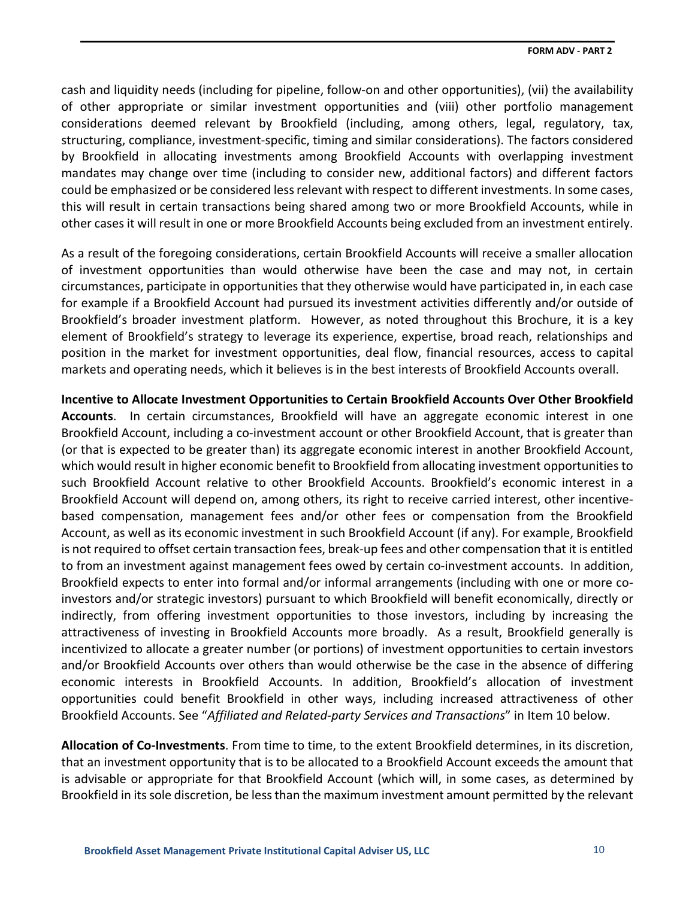cash and liquidity needs (including for pipeline, follow-on and other opportunities), (vii) the availability of other appropriate or similar investment opportunities and (viii) other portfolio management considerations deemed relevant by Brookfield (including, among others, legal, regulatory, tax, structuring, compliance, investment-specific, timing and similar considerations). The factors considered by Brookfield in allocating investments among Brookfield Accounts with overlapping investment mandates may change over time (including to consider new, additional factors) and different factors could be emphasized or be considered less relevant with respect to different investments. In some cases, this will result in certain transactions being shared among two or more Brookfield Accounts, while in other cases it will result in one or more Brookfield Accounts being excluded from an investment entirely.

As a result of the foregoing considerations, certain Brookfield Accounts will receive a smaller allocation of investment opportunities than would otherwise have been the case and may not, in certain circumstances, participate in opportunities that they otherwise would have participated in, in each case for example if a Brookfield Account had pursued its investment activities differently and/or outside of Brookfield's broader investment platform. However, as noted throughout this Brochure, it is a key element of Brookfield's strategy to leverage its experience, expertise, broad reach, relationships and position in the market for investment opportunities, deal flow, financial resources, access to capital markets and operating needs, which it believes is in the best interests of Brookfield Accounts overall.

**Incentive to Allocate Investment Opportunities to Certain Brookfield Accounts Over Other Brookfield Accounts**. In certain circumstances, Brookfield will have an aggregate economic interest in one Brookfield Account, including a co-investment account or other Brookfield Account, that is greater than (or that is expected to be greater than) its aggregate economic interest in another Brookfield Account, which would result in higher economic benefit to Brookfield from allocating investment opportunities to such Brookfield Account relative to other Brookfield Accounts. Brookfield's economic interest in a Brookfield Account will depend on, among others, its right to receive carried interest, other incentivebased compensation, management fees and/or other fees or compensation from the Brookfield Account, as well as its economic investment in such Brookfield Account (if any). For example, Brookfield is not required to offset certain transaction fees, break-up fees and other compensation that it is entitled to from an investment against management fees owed by certain co-investment accounts. In addition, Brookfield expects to enter into formal and/or informal arrangements (including with one or more coinvestors and/or strategic investors) pursuant to which Brookfield will benefit economically, directly or indirectly, from offering investment opportunities to those investors, including by increasing the attractiveness of investing in Brookfield Accounts more broadly. As a result, Brookfield generally is incentivized to allocate a greater number (or portions) of investment opportunities to certain investors and/or Brookfield Accounts over others than would otherwise be the case in the absence of differing economic interests in Brookfield Accounts. In addition, Brookfield's allocation of investment opportunities could benefit Brookfield in other ways, including increased attractiveness of other Brookfield Accounts. See "*Affiliated and Related-party Services and Transactions*" in Item 10 below.

**Allocation of Co-Investments**. From time to time, to the extent Brookfield determines, in its discretion, that an investment opportunity that is to be allocated to a Brookfield Account exceeds the amount that is advisable or appropriate for that Brookfield Account (which will, in some cases, as determined by Brookfield in its sole discretion, be less than the maximum investment amount permitted by the relevant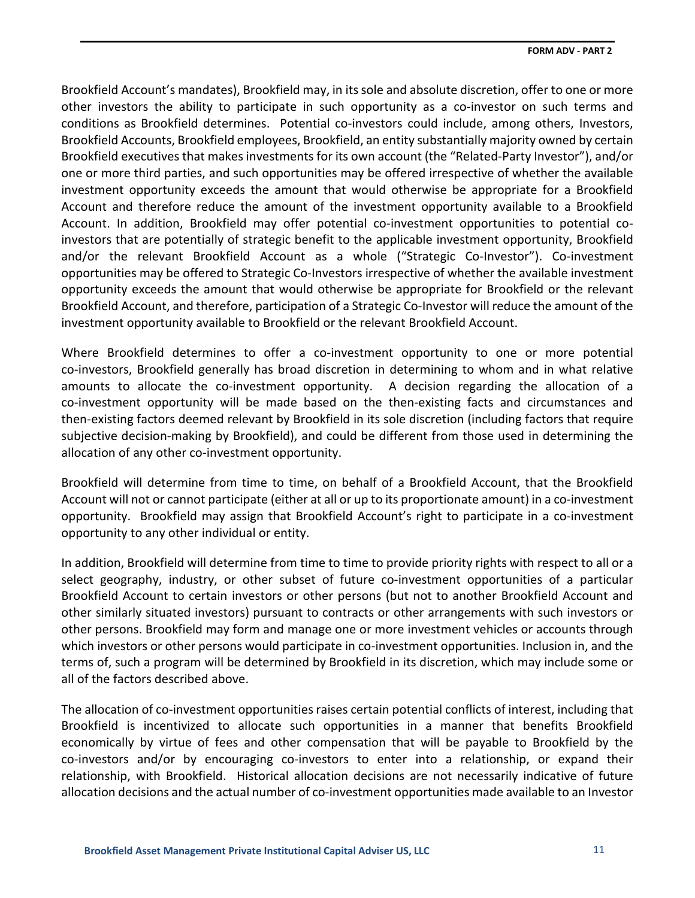Brookfield Account's mandates), Brookfield may, in its sole and absolute discretion, offer to one or more other investors the ability to participate in such opportunity as a co-investor on such terms and conditions as Brookfield determines. Potential co-investors could include, among others, Investors, Brookfield Accounts, Brookfield employees, Brookfield, an entity substantially majority owned by certain Brookfield executives that makes investments for its own account (the "Related-Party Investor"), and/or one or more third parties, and such opportunities may be offered irrespective of whether the available investment opportunity exceeds the amount that would otherwise be appropriate for a Brookfield Account and therefore reduce the amount of the investment opportunity available to a Brookfield Account. In addition, Brookfield may offer potential co-investment opportunities to potential coinvestors that are potentially of strategic benefit to the applicable investment opportunity, Brookfield and/or the relevant Brookfield Account as a whole ("Strategic Co-Investor"). Co-investment opportunities may be offered to Strategic Co-Investors irrespective of whether the available investment opportunity exceeds the amount that would otherwise be appropriate for Brookfield or the relevant Brookfield Account, and therefore, participation of a Strategic Co-Investor will reduce the amount of the investment opportunity available to Brookfield or the relevant Brookfield Account.

Where Brookfield determines to offer a co-investment opportunity to one or more potential co-investors, Brookfield generally has broad discretion in determining to whom and in what relative amounts to allocate the co-investment opportunity. A decision regarding the allocation of a co-investment opportunity will be made based on the then-existing facts and circumstances and then-existing factors deemed relevant by Brookfield in its sole discretion (including factors that require subjective decision-making by Brookfield), and could be different from those used in determining the allocation of any other co-investment opportunity.

Brookfield will determine from time to time, on behalf of a Brookfield Account, that the Brookfield Account will not or cannot participate (either at all or up to its proportionate amount) in a co-investment opportunity. Brookfield may assign that Brookfield Account's right to participate in a co-investment opportunity to any other individual or entity.

In addition, Brookfield will determine from time to time to provide priority rights with respect to all or a select geography, industry, or other subset of future co-investment opportunities of a particular Brookfield Account to certain investors or other persons (but not to another Brookfield Account and other similarly situated investors) pursuant to contracts or other arrangements with such investors or other persons. Brookfield may form and manage one or more investment vehicles or accounts through which investors or other persons would participate in co-investment opportunities. Inclusion in, and the terms of, such a program will be determined by Brookfield in its discretion, which may include some or all of the factors described above.

The allocation of co-investment opportunities raises certain potential conflicts of interest, including that Brookfield is incentivized to allocate such opportunities in a manner that benefits Brookfield economically by virtue of fees and other compensation that will be payable to Brookfield by the co-investors and/or by encouraging co-investors to enter into a relationship, or expand their relationship, with Brookfield. Historical allocation decisions are not necessarily indicative of future allocation decisions and the actual number of co-investment opportunities made available to an Investor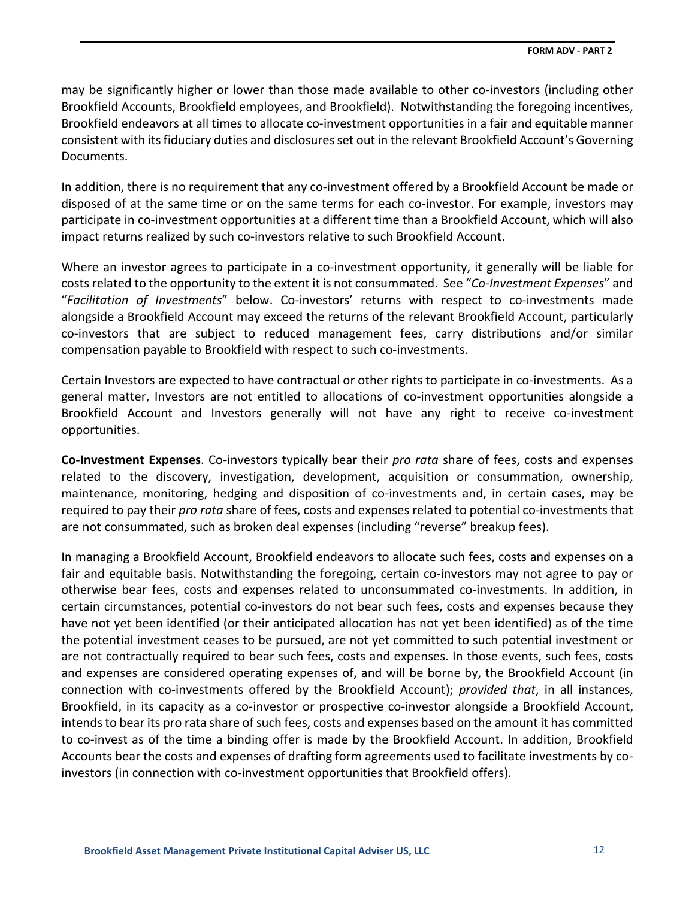may be significantly higher or lower than those made available to other co-investors (including other Brookfield Accounts, Brookfield employees, and Brookfield). Notwithstanding the foregoing incentives, Brookfield endeavors at all times to allocate co-investment opportunities in a fair and equitable manner consistent with its fiduciary duties and disclosures set out in the relevant Brookfield Account's Governing Documents.

In addition, there is no requirement that any co-investment offered by a Brookfield Account be made or disposed of at the same time or on the same terms for each co-investor. For example, investors may participate in co-investment opportunities at a different time than a Brookfield Account, which will also impact returns realized by such co-investors relative to such Brookfield Account.

Where an investor agrees to participate in a co-investment opportunity, it generally will be liable for costs related to the opportunity to the extent it is not consummated. See "*Co-Investment Expenses*" and "*Facilitation of Investments*" below. Co-investors' returns with respect to co-investments made alongside a Brookfield Account may exceed the returns of the relevant Brookfield Account, particularly co-investors that are subject to reduced management fees, carry distributions and/or similar compensation payable to Brookfield with respect to such co-investments.

Certain Investors are expected to have contractual or other rights to participate in co-investments. As a general matter, Investors are not entitled to allocations of co-investment opportunities alongside a Brookfield Account and Investors generally will not have any right to receive co-investment opportunities.

**Co-Investment Expenses**. Co-investors typically bear their *pro rata* share of fees, costs and expenses related to the discovery, investigation, development, acquisition or consummation, ownership, maintenance, monitoring, hedging and disposition of co-investments and, in certain cases, may be required to pay their *pro rata* share of fees, costs and expenses related to potential co-investments that are not consummated, such as broken deal expenses (including "reverse" breakup fees).

In managing a Brookfield Account, Brookfield endeavors to allocate such fees, costs and expenses on a fair and equitable basis. Notwithstanding the foregoing, certain co-investors may not agree to pay or otherwise bear fees, costs and expenses related to unconsummated co-investments. In addition, in certain circumstances, potential co-investors do not bear such fees, costs and expenses because they have not yet been identified (or their anticipated allocation has not yet been identified) as of the time the potential investment ceases to be pursued, are not yet committed to such potential investment or are not contractually required to bear such fees, costs and expenses. In those events, such fees, costs and expenses are considered operating expenses of, and will be borne by, the Brookfield Account (in connection with co-investments offered by the Brookfield Account); *provided that*, in all instances, Brookfield, in its capacity as a co-investor or prospective co-investor alongside a Brookfield Account, intends to bear its pro rata share of such fees, costs and expenses based on the amount it has committed to co-invest as of the time a binding offer is made by the Brookfield Account. In addition, Brookfield Accounts bear the costs and expenses of drafting form agreements used to facilitate investments by coinvestors (in connection with co-investment opportunities that Brookfield offers).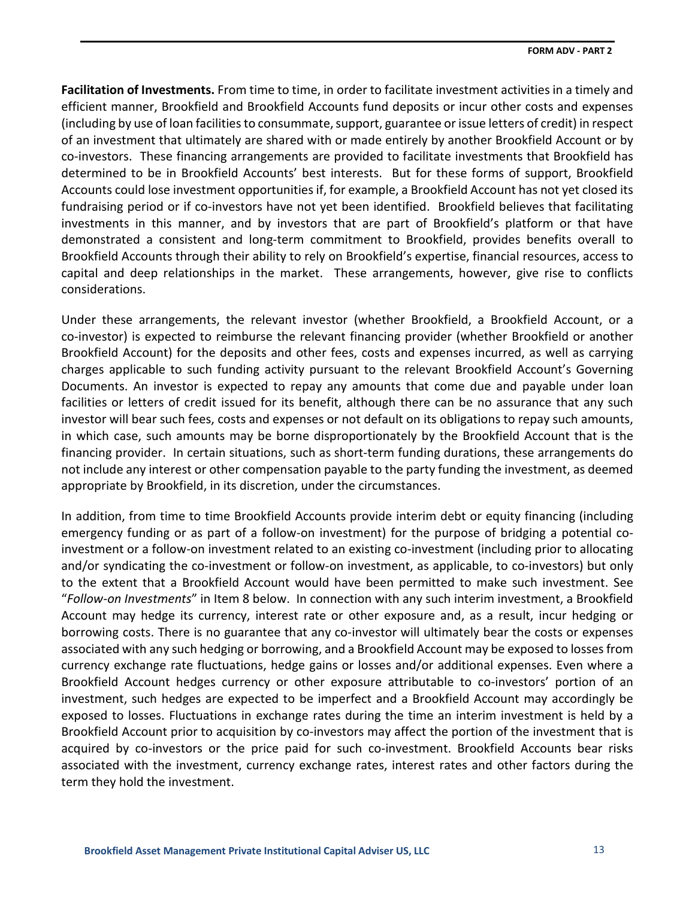**Facilitation of Investments.** From time to time, in order to facilitate investment activities in a timely and efficient manner, Brookfield and Brookfield Accounts fund deposits or incur other costs and expenses (including by use of loan facilities to consummate, support, guarantee or issue letters of credit) in respect of an investment that ultimately are shared with or made entirely by another Brookfield Account or by co-investors. These financing arrangements are provided to facilitate investments that Brookfield has determined to be in Brookfield Accounts' best interests. But for these forms of support, Brookfield Accounts could lose investment opportunities if, for example, a Brookfield Account has not yet closed its fundraising period or if co-investors have not yet been identified. Brookfield believes that facilitating investments in this manner, and by investors that are part of Brookfield's platform or that have demonstrated a consistent and long-term commitment to Brookfield, provides benefits overall to Brookfield Accounts through their ability to rely on Brookfield's expertise, financial resources, access to capital and deep relationships in the market. These arrangements, however, give rise to conflicts considerations.

Under these arrangements, the relevant investor (whether Brookfield, a Brookfield Account, or a co-investor) is expected to reimburse the relevant financing provider (whether Brookfield or another Brookfield Account) for the deposits and other fees, costs and expenses incurred, as well as carrying charges applicable to such funding activity pursuant to the relevant Brookfield Account's Governing Documents. An investor is expected to repay any amounts that come due and payable under loan facilities or letters of credit issued for its benefit, although there can be no assurance that any such investor will bear such fees, costs and expenses or not default on its obligations to repay such amounts, in which case, such amounts may be borne disproportionately by the Brookfield Account that is the financing provider. In certain situations, such as short-term funding durations, these arrangements do not include any interest or other compensation payable to the party funding the investment, as deemed appropriate by Brookfield, in its discretion, under the circumstances.

In addition, from time to time Brookfield Accounts provide interim debt or equity financing (including emergency funding or as part of a follow-on investment) for the purpose of bridging a potential coinvestment or a follow-on investment related to an existing co-investment (including prior to allocating and/or syndicating the co-investment or follow-on investment, as applicable, to co-investors) but only to the extent that a Brookfield Account would have been permitted to make such investment. See "*Follow-on Investments*" in Item 8 below. In connection with any such interim investment, a Brookfield Account may hedge its currency, interest rate or other exposure and, as a result, incur hedging or borrowing costs. There is no guarantee that any co-investor will ultimately bear the costs or expenses associated with any such hedging or borrowing, and a Brookfield Account may be exposed to losses from currency exchange rate fluctuations, hedge gains or losses and/or additional expenses. Even where a Brookfield Account hedges currency or other exposure attributable to co-investors' portion of an investment, such hedges are expected to be imperfect and a Brookfield Account may accordingly be exposed to losses. Fluctuations in exchange rates during the time an interim investment is held by a Brookfield Account prior to acquisition by co-investors may affect the portion of the investment that is acquired by co-investors or the price paid for such co-investment. Brookfield Accounts bear risks associated with the investment, currency exchange rates, interest rates and other factors during the term they hold the investment.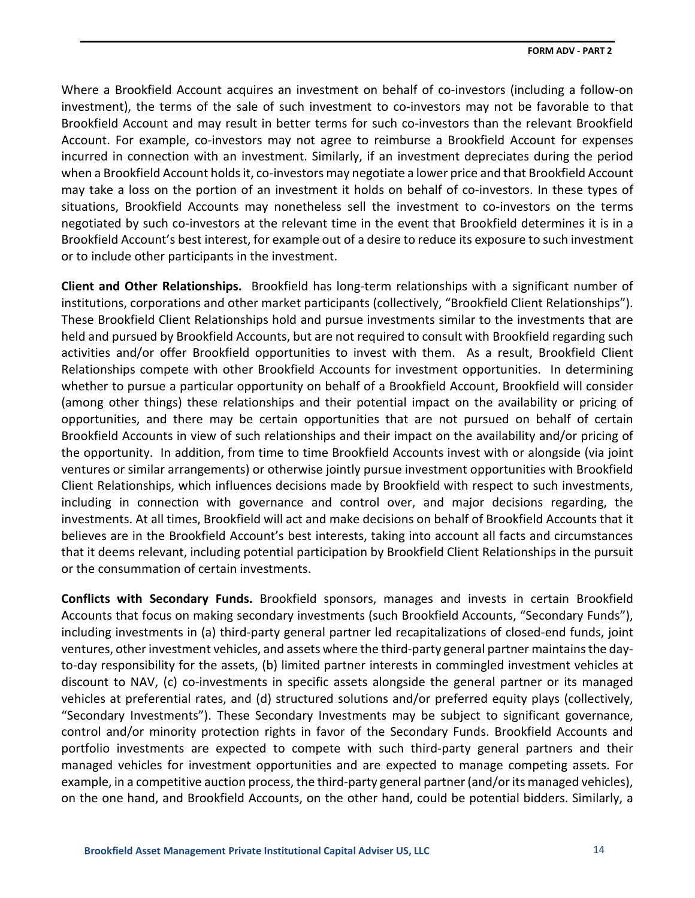Where a Brookfield Account acquires an investment on behalf of co-investors (including a follow-on investment), the terms of the sale of such investment to co-investors may not be favorable to that Brookfield Account and may result in better terms for such co-investors than the relevant Brookfield Account. For example, co-investors may not agree to reimburse a Brookfield Account for expenses incurred in connection with an investment. Similarly, if an investment depreciates during the period when a Brookfield Account holds it, co-investors may negotiate a lower price and that Brookfield Account may take a loss on the portion of an investment it holds on behalf of co-investors. In these types of situations, Brookfield Accounts may nonetheless sell the investment to co-investors on the terms negotiated by such co-investors at the relevant time in the event that Brookfield determines it is in a Brookfield Account's best interest, for example out of a desire to reduce its exposure to such investment or to include other participants in the investment.

**Client and Other Relationships.** Brookfield has long-term relationships with a significant number of institutions, corporations and other market participants (collectively, "Brookfield Client Relationships"). These Brookfield Client Relationships hold and pursue investments similar to the investments that are held and pursued by Brookfield Accounts, but are not required to consult with Brookfield regarding such activities and/or offer Brookfield opportunities to invest with them. As a result, Brookfield Client Relationships compete with other Brookfield Accounts for investment opportunities. In determining whether to pursue a particular opportunity on behalf of a Brookfield Account, Brookfield will consider (among other things) these relationships and their potential impact on the availability or pricing of opportunities, and there may be certain opportunities that are not pursued on behalf of certain Brookfield Accounts in view of such relationships and their impact on the availability and/or pricing of the opportunity. In addition, from time to time Brookfield Accounts invest with or alongside (via joint ventures or similar arrangements) or otherwise jointly pursue investment opportunities with Brookfield Client Relationships, which influences decisions made by Brookfield with respect to such investments, including in connection with governance and control over, and major decisions regarding, the investments. At all times, Brookfield will act and make decisions on behalf of Brookfield Accounts that it believes are in the Brookfield Account's best interests, taking into account all facts and circumstances that it deems relevant, including potential participation by Brookfield Client Relationships in the pursuit or the consummation of certain investments.

**Conflicts with Secondary Funds.** Brookfield sponsors, manages and invests in certain Brookfield Accounts that focus on making secondary investments (such Brookfield Accounts, "Secondary Funds"), including investments in (a) third-party general partner led recapitalizations of closed-end funds, joint ventures, other investment vehicles, and assets where the third-party general partner maintains the dayto-day responsibility for the assets, (b) limited partner interests in commingled investment vehicles at discount to NAV, (c) co-investments in specific assets alongside the general partner or its managed vehicles at preferential rates, and (d) structured solutions and/or preferred equity plays (collectively, "Secondary Investments"). These Secondary Investments may be subject to significant governance, control and/or minority protection rights in favor of the Secondary Funds. Brookfield Accounts and portfolio investments are expected to compete with such third-party general partners and their managed vehicles for investment opportunities and are expected to manage competing assets. For example, in a competitive auction process, the third-party general partner (and/or its managed vehicles), on the one hand, and Brookfield Accounts, on the other hand, could be potential bidders. Similarly, a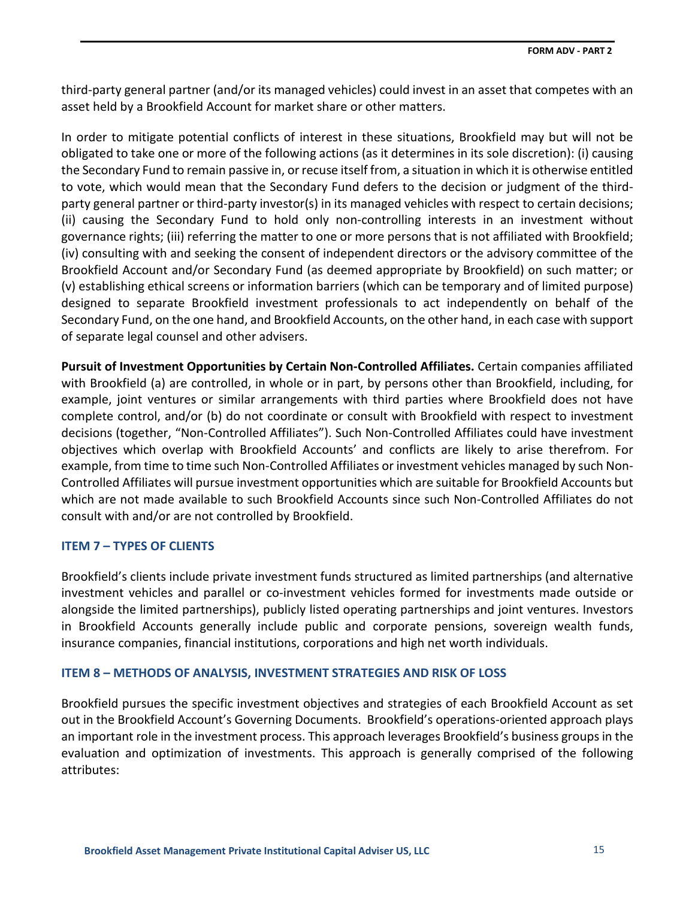third-party general partner (and/or its managed vehicles) could invest in an asset that competes with an asset held by a Brookfield Account for market share or other matters.

In order to mitigate potential conflicts of interest in these situations, Brookfield may but will not be obligated to take one or more of the following actions (as it determines in its sole discretion): (i) causing the Secondary Fund to remain passive in, or recuse itself from, a situation in which it is otherwise entitled to vote, which would mean that the Secondary Fund defers to the decision or judgment of the thirdparty general partner or third-party investor(s) in its managed vehicles with respect to certain decisions; (ii) causing the Secondary Fund to hold only non-controlling interests in an investment without governance rights; (iii) referring the matter to one or more persons that is not affiliated with Brookfield; (iv) consulting with and seeking the consent of independent directors or the advisory committee of the Brookfield Account and/or Secondary Fund (as deemed appropriate by Brookfield) on such matter; or (v) establishing ethical screens or information barriers (which can be temporary and of limited purpose) designed to separate Brookfield investment professionals to act independently on behalf of the Secondary Fund, on the one hand, and Brookfield Accounts, on the other hand, in each case with support of separate legal counsel and other advisers.

**Pursuit of Investment Opportunities by Certain Non-Controlled Affiliates.** Certain companies affiliated with Brookfield (a) are controlled, in whole or in part, by persons other than Brookfield, including, for example, joint ventures or similar arrangements with third parties where Brookfield does not have complete control, and/or (b) do not coordinate or consult with Brookfield with respect to investment decisions (together, "Non-Controlled Affiliates"). Such Non-Controlled Affiliates could have investment objectives which overlap with Brookfield Accounts' and conflicts are likely to arise therefrom. For example, from time to time such Non-Controlled Affiliates or investment vehicles managed by such Non-Controlled Affiliates will pursue investment opportunities which are suitable for Brookfield Accounts but which are not made available to such Brookfield Accounts since such Non-Controlled Affiliates do not consult with and/or are not controlled by Brookfield.

### <span id="page-18-0"></span>**ITEM 7 – TYPES OF CLIENTS**

Brookfield's clients include private investment funds structured as limited partnerships (and alternative investment vehicles and parallel or co-investment vehicles formed for investments made outside or alongside the limited partnerships), publicly listed operating partnerships and joint ventures. Investors in Brookfield Accounts generally include public and corporate pensions, sovereign wealth funds, insurance companies, financial institutions, corporations and high net worth individuals.

### <span id="page-18-1"></span>**ITEM 8 – METHODS OF ANALYSIS, INVESTMENT STRATEGIES AND RISK OF LOSS**

Brookfield pursues the specific investment objectives and strategies of each Brookfield Account as set out in the Brookfield Account's Governing Documents. Brookfield's operations-oriented approach plays an important role in the investment process. This approach leverages Brookfield's business groups in the evaluation and optimization of investments. This approach is generally comprised of the following attributes: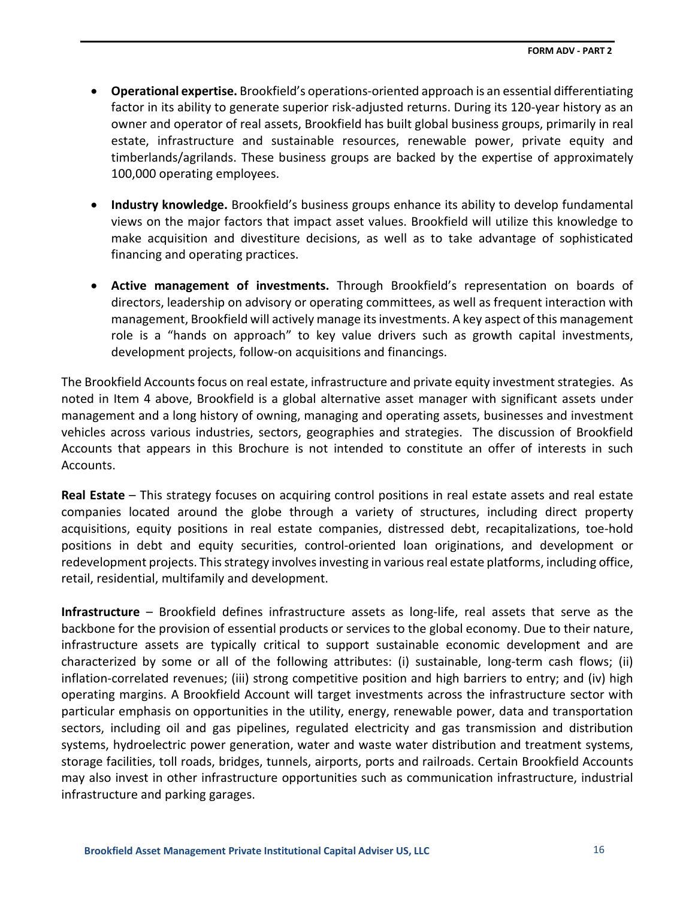- **Operational expertise.** Brookfield's operations-oriented approach is an essential differentiating factor in its ability to generate superior risk-adjusted returns. During its 120-year history as an owner and operator of real assets, Brookfield has built global business groups, primarily in real estate, infrastructure and sustainable resources, renewable power, private equity and timberlands/agrilands. These business groups are backed by the expertise of approximately 100,000 operating employees.
- **Industry knowledge.** Brookfield's business groups enhance its ability to develop fundamental views on the major factors that impact asset values. Brookfield will utilize this knowledge to make acquisition and divestiture decisions, as well as to take advantage of sophisticated financing and operating practices.
- **Active management of investments.** Through Brookfield's representation on boards of directors, leadership on advisory or operating committees, as well as frequent interaction with management, Brookfield will actively manage its investments. A key aspect of this management role is a "hands on approach" to key value drivers such as growth capital investments, development projects, follow-on acquisitions and financings.

The Brookfield Accounts focus on real estate, infrastructure and private equity investment strategies. As noted in Item 4 above, Brookfield is a global alternative asset manager with significant assets under management and a long history of owning, managing and operating assets, businesses and investment vehicles across various industries, sectors, geographies and strategies. The discussion of Brookfield Accounts that appears in this Brochure is not intended to constitute an offer of interests in such Accounts.

**Real Estate** – This strategy focuses on acquiring control positions in real estate assets and real estate companies located around the globe through a variety of structures, including direct property acquisitions, equity positions in real estate companies, distressed debt, recapitalizations, toe-hold positions in debt and equity securities, control-oriented loan originations, and development or redevelopment projects. This strategy involves investing in various real estate platforms, including office, retail, residential, multifamily and development.

**Infrastructure** – Brookfield defines infrastructure assets as long-life, real assets that serve as the backbone for the provision of essential products or services to the global economy. Due to their nature, infrastructure assets are typically critical to support sustainable economic development and are characterized by some or all of the following attributes: (i) sustainable, long-term cash flows; (ii) inflation-correlated revenues; (iii) strong competitive position and high barriers to entry; and (iv) high operating margins. A Brookfield Account will target investments across the infrastructure sector with particular emphasis on opportunities in the utility, energy, renewable power, data and transportation sectors, including oil and gas pipelines, regulated electricity and gas transmission and distribution systems, hydroelectric power generation, water and waste water distribution and treatment systems, storage facilities, toll roads, bridges, tunnels, airports, ports and railroads. Certain Brookfield Accounts may also invest in other infrastructure opportunities such as communication infrastructure, industrial infrastructure and parking garages.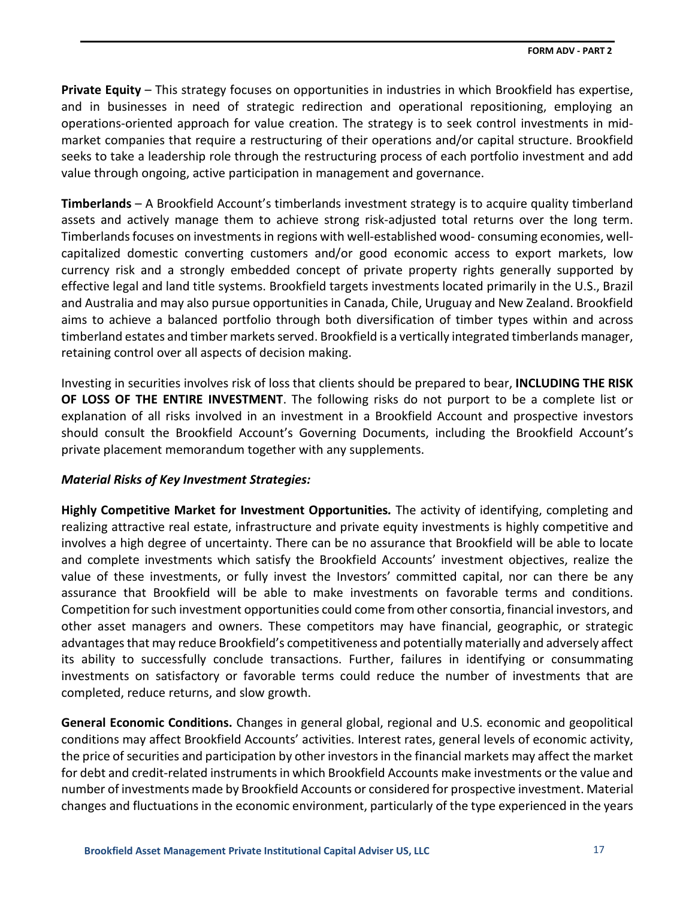**Private Equity** – This strategy focuses on opportunities in industries in which Brookfield has expertise, and in businesses in need of strategic redirection and operational repositioning, employing an operations-oriented approach for value creation. The strategy is to seek control investments in midmarket companies that require a restructuring of their operations and/or capital structure. Brookfield seeks to take a leadership role through the restructuring process of each portfolio investment and add value through ongoing, active participation in management and governance.

**Timberlands** – A Brookfield Account's timberlands investment strategy is to acquire quality timberland assets and actively manage them to achieve strong risk-adjusted total returns over the long term. Timberlands focuses on investments in regions with well-established wood- consuming economies, wellcapitalized domestic converting customers and/or good economic access to export markets, low currency risk and a strongly embedded concept of private property rights generally supported by effective legal and land title systems. Brookfield targets investments located primarily in the U.S., Brazil and Australia and may also pursue opportunities in Canada, Chile, Uruguay and New Zealand. Brookfield aims to achieve a balanced portfolio through both diversification of timber types within and across timberland estates and timber markets served. Brookfield is a vertically integrated timberlands manager, retaining control over all aspects of decision making.

Investing in securities involves risk of loss that clients should be prepared to bear, **INCLUDING THE RISK OF LOSS OF THE ENTIRE INVESTMENT**. The following risks do not purport to be a complete list or explanation of all risks involved in an investment in a Brookfield Account and prospective investors should consult the Brookfield Account's Governing Documents, including the Brookfield Account's private placement memorandum together with any supplements.

## *Material Risks of Key Investment Strategies:*

**Highly Competitive Market for Investment Opportunities***.* The activity of identifying, completing and realizing attractive real estate, infrastructure and private equity investments is highly competitive and involves a high degree of uncertainty. There can be no assurance that Brookfield will be able to locate and complete investments which satisfy the Brookfield Accounts' investment objectives, realize the value of these investments, or fully invest the Investors' committed capital, nor can there be any assurance that Brookfield will be able to make investments on favorable terms and conditions. Competition for such investment opportunities could come from other consortia, financial investors, and other asset managers and owners. These competitors may have financial, geographic, or strategic advantages that may reduce Brookfield's competitiveness and potentially materially and adversely affect its ability to successfully conclude transactions. Further, failures in identifying or consummating investments on satisfactory or favorable terms could reduce the number of investments that are completed, reduce returns, and slow growth.

**General Economic Conditions.** Changes in general global, regional and U.S. economic and geopolitical conditions may affect Brookfield Accounts' activities. Interest rates, general levels of economic activity, the price of securities and participation by other investors in the financial markets may affect the market for debt and credit-related instruments in which Brookfield Accounts make investments or the value and number of investments made by Brookfield Accounts or considered for prospective investment. Material changes and fluctuations in the economic environment, particularly of the type experienced in the years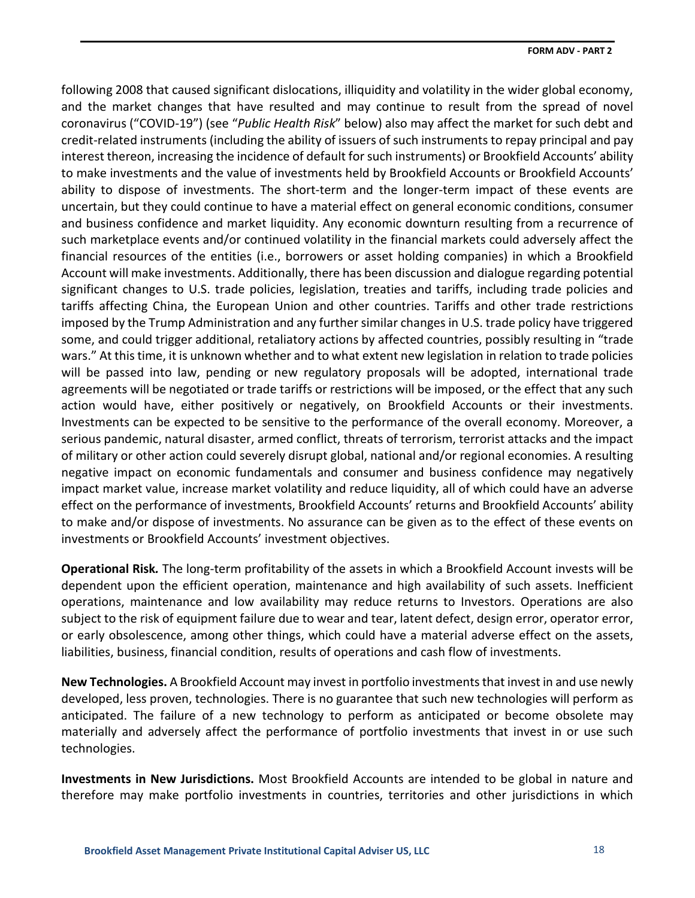following 2008 that caused significant dislocations, illiquidity and volatility in the wider global economy, and the market changes that have resulted and may continue to result from the spread of novel coronavirus ("COVID-19") (see "*Public Health Risk*" below) also may affect the market for such debt and credit-related instruments (including the ability of issuers of such instruments to repay principal and pay interest thereon, increasing the incidence of default for such instruments) or Brookfield Accounts' ability to make investments and the value of investments held by Brookfield Accounts or Brookfield Accounts' ability to dispose of investments. The short-term and the longer-term impact of these events are uncertain, but they could continue to have a material effect on general economic conditions, consumer and business confidence and market liquidity. Any economic downturn resulting from a recurrence of such marketplace events and/or continued volatility in the financial markets could adversely affect the financial resources of the entities (i.e., borrowers or asset holding companies) in which a Brookfield Account will make investments. Additionally, there has been discussion and dialogue regarding potential significant changes to U.S. trade policies, legislation, treaties and tariffs, including trade policies and tariffs affecting China, the European Union and other countries. Tariffs and other trade restrictions imposed by the Trump Administration and any further similar changes in U.S. trade policy have triggered some, and could trigger additional, retaliatory actions by affected countries, possibly resulting in "trade wars." At this time, it is unknown whether and to what extent new legislation in relation to trade policies will be passed into law, pending or new regulatory proposals will be adopted, international trade agreements will be negotiated or trade tariffs or restrictions will be imposed, or the effect that any such action would have, either positively or negatively, on Brookfield Accounts or their investments. Investments can be expected to be sensitive to the performance of the overall economy. Moreover, a serious pandemic, natural disaster, armed conflict, threats of terrorism, terrorist attacks and the impact of military or other action could severely disrupt global, national and/or regional economies. A resulting negative impact on economic fundamentals and consumer and business confidence may negatively impact market value, increase market volatility and reduce liquidity, all of which could have an adverse effect on the performance of investments, Brookfield Accounts' returns and Brookfield Accounts' ability to make and/or dispose of investments. No assurance can be given as to the effect of these events on investments or Brookfield Accounts' investment objectives.

**Operational Risk***.* The long-term profitability of the assets in which a Brookfield Account invests will be dependent upon the efficient operation, maintenance and high availability of such assets. Inefficient operations, maintenance and low availability may reduce returns to Investors. Operations are also subject to the risk of equipment failure due to wear and tear, latent defect, design error, operator error, or early obsolescence, among other things, which could have a material adverse effect on the assets, liabilities, business, financial condition, results of operations and cash flow of investments.

**New Technologies.** A Brookfield Account may invest in portfolio investmentsthat invest in and use newly developed, less proven, technologies. There is no guarantee that such new technologies will perform as anticipated. The failure of a new technology to perform as anticipated or become obsolete may materially and adversely affect the performance of portfolio investments that invest in or use such technologies.

**Investments in New Jurisdictions.** Most Brookfield Accounts are intended to be global in nature and therefore may make portfolio investments in countries, territories and other jurisdictions in which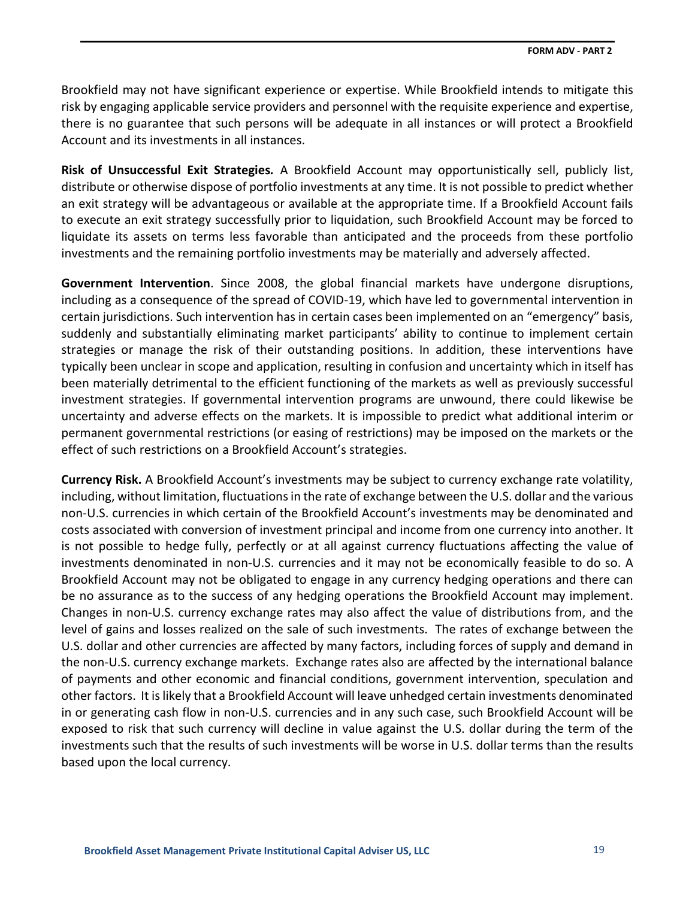Brookfield may not have significant experience or expertise. While Brookfield intends to mitigate this risk by engaging applicable service providers and personnel with the requisite experience and expertise, there is no guarantee that such persons will be adequate in all instances or will protect a Brookfield Account and its investments in all instances.

**Risk of Unsuccessful Exit Strategies***.* A Brookfield Account may opportunistically sell, publicly list, distribute or otherwise dispose of portfolio investments at any time. It is not possible to predict whether an exit strategy will be advantageous or available at the appropriate time. If a Brookfield Account fails to execute an exit strategy successfully prior to liquidation, such Brookfield Account may be forced to liquidate its assets on terms less favorable than anticipated and the proceeds from these portfolio investments and the remaining portfolio investments may be materially and adversely affected.

**Government Intervention**. Since 2008, the global financial markets have undergone disruptions, including as a consequence of the spread of COVID-19, which have led to governmental intervention in certain jurisdictions. Such intervention has in certain cases been implemented on an "emergency" basis, suddenly and substantially eliminating market participants' ability to continue to implement certain strategies or manage the risk of their outstanding positions. In addition, these interventions have typically been unclear in scope and application, resulting in confusion and uncertainty which in itself has been materially detrimental to the efficient functioning of the markets as well as previously successful investment strategies. If governmental intervention programs are unwound, there could likewise be uncertainty and adverse effects on the markets. It is impossible to predict what additional interim or permanent governmental restrictions (or easing of restrictions) may be imposed on the markets or the effect of such restrictions on a Brookfield Account's strategies.

**Currency Risk.** A Brookfield Account's investments may be subject to currency exchange rate volatility, including, without limitation, fluctuations in the rate of exchange between the U.S. dollar and the various non-U.S. currencies in which certain of the Brookfield Account's investments may be denominated and costs associated with conversion of investment principal and income from one currency into another. It is not possible to hedge fully, perfectly or at all against currency fluctuations affecting the value of investments denominated in non-U.S. currencies and it may not be economically feasible to do so. A Brookfield Account may not be obligated to engage in any currency hedging operations and there can be no assurance as to the success of any hedging operations the Brookfield Account may implement. Changes in non-U.S. currency exchange rates may also affect the value of distributions from, and the level of gains and losses realized on the sale of such investments. The rates of exchange between the U.S. dollar and other currencies are affected by many factors, including forces of supply and demand in the non-U.S. currency exchange markets. Exchange rates also are affected by the international balance of payments and other economic and financial conditions, government intervention, speculation and other factors. It is likely that a Brookfield Account will leave unhedged certain investments denominated in or generating cash flow in non-U.S. currencies and in any such case, such Brookfield Account will be exposed to risk that such currency will decline in value against the U.S. dollar during the term of the investments such that the results of such investments will be worse in U.S. dollar terms than the results based upon the local currency.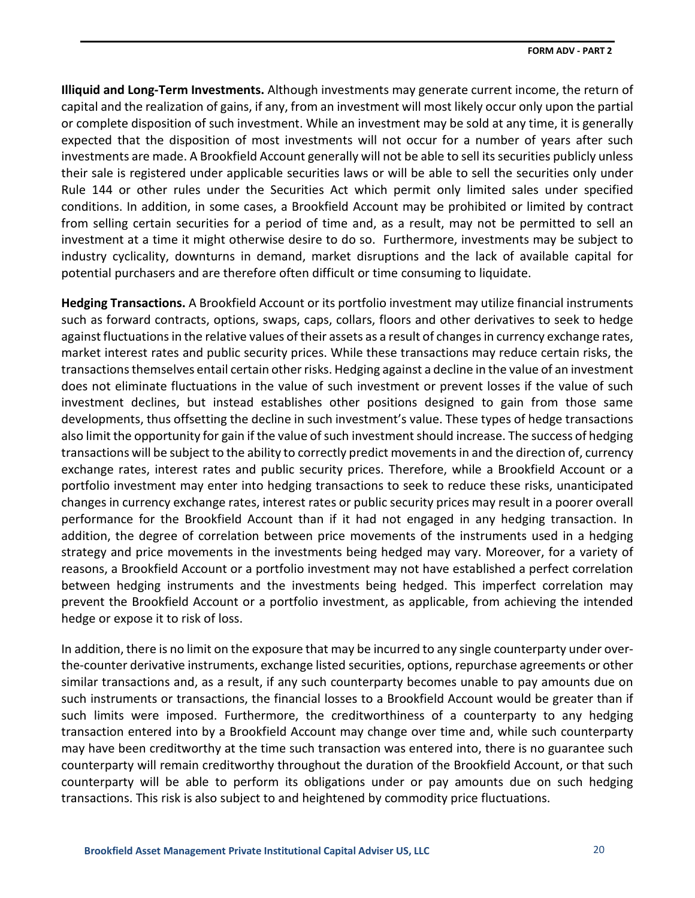**Illiquid and Long‐Term Investments.** Although investments may generate current income, the return of capital and the realization of gains, if any, from an investment will most likely occur only upon the partial or complete disposition of such investment. While an investment may be sold at any time, it is generally expected that the disposition of most investments will not occur for a number of years after such investments are made. A Brookfield Account generally will not be able to sell its securities publicly unless their sale is registered under applicable securities laws or will be able to sell the securities only under Rule 144 or other rules under the Securities Act which permit only limited sales under specified conditions. In addition, in some cases, a Brookfield Account may be prohibited or limited by contract from selling certain securities for a period of time and, as a result, may not be permitted to sell an investment at a time it might otherwise desire to do so. Furthermore, investments may be subject to industry cyclicality, downturns in demand, market disruptions and the lack of available capital for potential purchasers and are therefore often difficult or time consuming to liquidate.

**Hedging Transactions.** A Brookfield Account or its portfolio investment may utilize financial instruments such as forward contracts, options, swaps, caps, collars, floors and other derivatives to seek to hedge against fluctuations in the relative values of their assets as a result of changes in currency exchange rates, market interest rates and public security prices. While these transactions may reduce certain risks, the transactions themselves entail certain other risks. Hedging against a decline in the value of an investment does not eliminate fluctuations in the value of such investment or prevent losses if the value of such investment declines, but instead establishes other positions designed to gain from those same developments, thus offsetting the decline in such investment's value. These types of hedge transactions also limit the opportunity for gain if the value of such investment should increase. The success of hedging transactions will be subject to the ability to correctly predict movements in and the direction of, currency exchange rates, interest rates and public security prices. Therefore, while a Brookfield Account or a portfolio investment may enter into hedging transactions to seek to reduce these risks, unanticipated changes in currency exchange rates, interest rates or public security prices may result in a poorer overall performance for the Brookfield Account than if it had not engaged in any hedging transaction. In addition, the degree of correlation between price movements of the instruments used in a hedging strategy and price movements in the investments being hedged may vary. Moreover, for a variety of reasons, a Brookfield Account or a portfolio investment may not have established a perfect correlation between hedging instruments and the investments being hedged. This imperfect correlation may prevent the Brookfield Account or a portfolio investment, as applicable, from achieving the intended hedge or expose it to risk of loss.

In addition, there is no limit on the exposure that may be incurred to any single counterparty under overthe-counter derivative instruments, exchange listed securities, options, repurchase agreements or other similar transactions and, as a result, if any such counterparty becomes unable to pay amounts due on such instruments or transactions, the financial losses to a Brookfield Account would be greater than if such limits were imposed. Furthermore, the creditworthiness of a counterparty to any hedging transaction entered into by a Brookfield Account may change over time and, while such counterparty may have been creditworthy at the time such transaction was entered into, there is no guarantee such counterparty will remain creditworthy throughout the duration of the Brookfield Account, or that such counterparty will be able to perform its obligations under or pay amounts due on such hedging transactions. This risk is also subject to and heightened by commodity price fluctuations.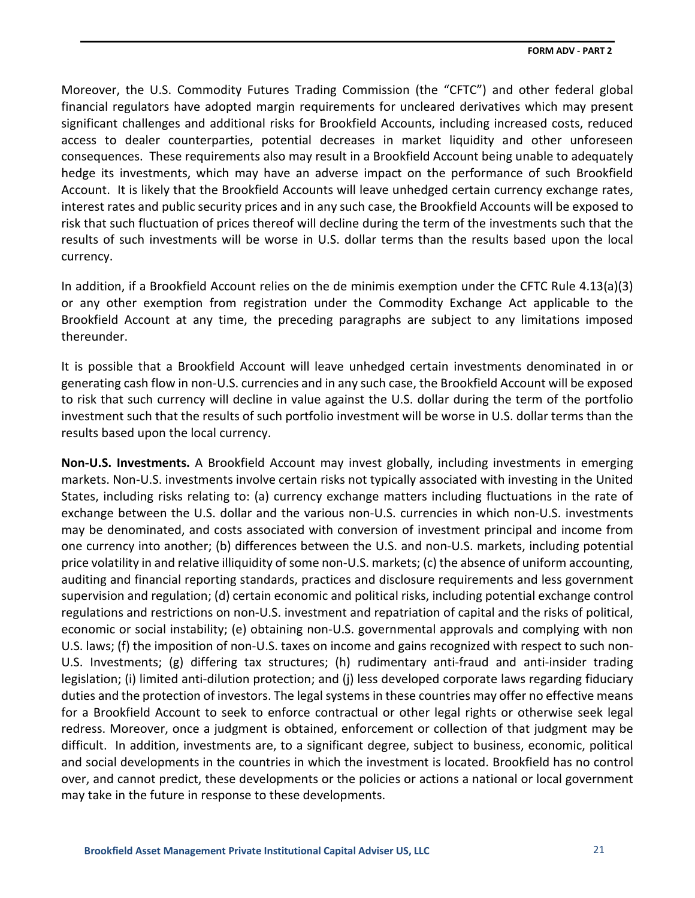Moreover, the U.S. Commodity Futures Trading Commission (the "CFTC") and other federal global financial regulators have adopted margin requirements for uncleared derivatives which may present significant challenges and additional risks for Brookfield Accounts, including increased costs, reduced access to dealer counterparties, potential decreases in market liquidity and other unforeseen consequences. These requirements also may result in a Brookfield Account being unable to adequately hedge its investments, which may have an adverse impact on the performance of such Brookfield Account. It is likely that the Brookfield Accounts will leave unhedged certain currency exchange rates, interest rates and public security prices and in any such case, the Brookfield Accounts will be exposed to risk that such fluctuation of prices thereof will decline during the term of the investments such that the results of such investments will be worse in U.S. dollar terms than the results based upon the local currency.

In addition, if a Brookfield Account relies on the de minimis exemption under the CFTC Rule 4.13(a)(3) or any other exemption from registration under the Commodity Exchange Act applicable to the Brookfield Account at any time, the preceding paragraphs are subject to any limitations imposed thereunder.

It is possible that a Brookfield Account will leave unhedged certain investments denominated in or generating cash flow in non-U.S. currencies and in any such case, the Brookfield Account will be exposed to risk that such currency will decline in value against the U.S. dollar during the term of the portfolio investment such that the results of such portfolio investment will be worse in U.S. dollar terms than the results based upon the local currency.

**Non‐U.S. Investments.** A Brookfield Account may invest globally, including investments in emerging markets. Non-U.S. investments involve certain risks not typically associated with investing in the United States, including risks relating to: (a) currency exchange matters including fluctuations in the rate of exchange between the U.S. dollar and the various non-U.S. currencies in which non-U.S. investments may be denominated, and costs associated with conversion of investment principal and income from one currency into another; (b) differences between the U.S. and non-U.S. markets, including potential price volatility in and relative illiquidity of some non-U.S. markets; (c) the absence of uniform accounting, auditing and financial reporting standards, practices and disclosure requirements and less government supervision and regulation; (d) certain economic and political risks, including potential exchange control regulations and restrictions on non-U.S. investment and repatriation of capital and the risks of political, economic or social instability; (e) obtaining non-U.S. governmental approvals and complying with non U.S. laws; (f) the imposition of non-U.S. taxes on income and gains recognized with respect to such non-U.S. Investments; (g) differing tax structures; (h) rudimentary anti-fraud and anti-insider trading legislation; (i) limited anti-dilution protection; and (j) less developed corporate laws regarding fiduciary duties and the protection of investors. The legal systems in these countries may offer no effective means for a Brookfield Account to seek to enforce contractual or other legal rights or otherwise seek legal redress. Moreover, once a judgment is obtained, enforcement or collection of that judgment may be difficult. In addition, investments are, to a significant degree, subject to business, economic, political and social developments in the countries in which the investment is located. Brookfield has no control over, and cannot predict, these developments or the policies or actions a national or local government may take in the future in response to these developments.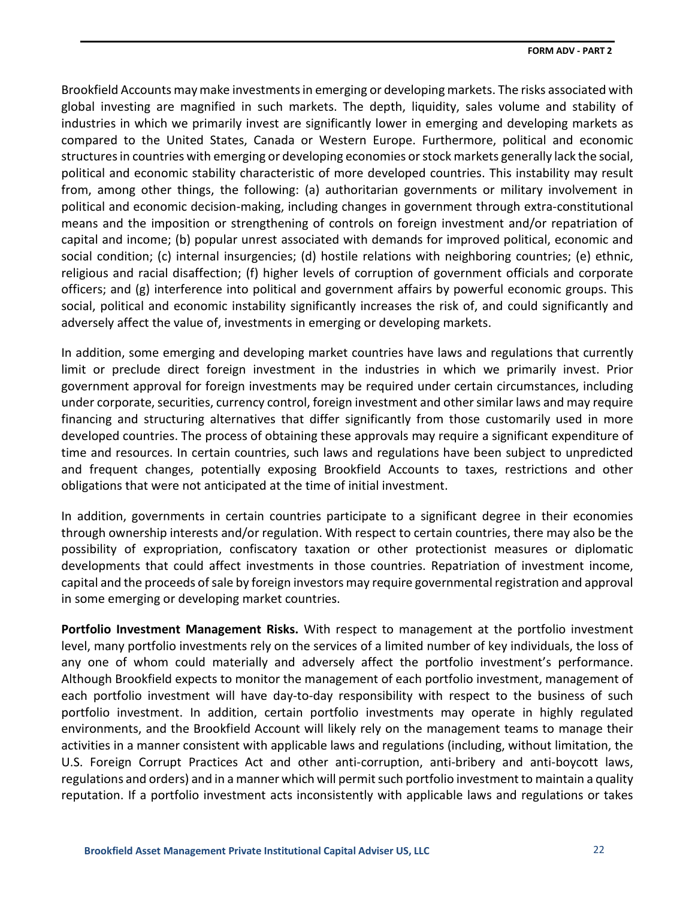Brookfield Accounts may make investments in emerging or developing markets. The risks associated with global investing are magnified in such markets. The depth, liquidity, sales volume and stability of industries in which we primarily invest are significantly lower in emerging and developing markets as compared to the United States, Canada or Western Europe. Furthermore, political and economic structures in countries with emerging or developing economies or stock markets generally lack the social, political and economic stability characteristic of more developed countries. This instability may result from, among other things, the following: (a) authoritarian governments or military involvement in political and economic decision-making, including changes in government through extra-constitutional means and the imposition or strengthening of controls on foreign investment and/or repatriation of capital and income; (b) popular unrest associated with demands for improved political, economic and social condition; (c) internal insurgencies; (d) hostile relations with neighboring countries; (e) ethnic, religious and racial disaffection; (f) higher levels of corruption of government officials and corporate officers; and (g) interference into political and government affairs by powerful economic groups. This social, political and economic instability significantly increases the risk of, and could significantly and adversely affect the value of, investments in emerging or developing markets.

In addition, some emerging and developing market countries have laws and regulations that currently limit or preclude direct foreign investment in the industries in which we primarily invest. Prior government approval for foreign investments may be required under certain circumstances, including under corporate, securities, currency control, foreign investment and other similar laws and may require financing and structuring alternatives that differ significantly from those customarily used in more developed countries. The process of obtaining these approvals may require a significant expenditure of time and resources. In certain countries, such laws and regulations have been subject to unpredicted and frequent changes, potentially exposing Brookfield Accounts to taxes, restrictions and other obligations that were not anticipated at the time of initial investment.

In addition, governments in certain countries participate to a significant degree in their economies through ownership interests and/or regulation. With respect to certain countries, there may also be the possibility of expropriation, confiscatory taxation or other protectionist measures or diplomatic developments that could affect investments in those countries. Repatriation of investment income, capital and the proceeds of sale by foreign investors may require governmental registration and approval in some emerging or developing market countries.

**Portfolio Investment Management Risks.** With respect to management at the portfolio investment level, many portfolio investments rely on the services of a limited number of key individuals, the loss of any one of whom could materially and adversely affect the portfolio investment's performance. Although Brookfield expects to monitor the management of each portfolio investment, management of each portfolio investment will have day-to-day responsibility with respect to the business of such portfolio investment. In addition, certain portfolio investments may operate in highly regulated environments, and the Brookfield Account will likely rely on the management teams to manage their activities in a manner consistent with applicable laws and regulations (including, without limitation, the U.S. Foreign Corrupt Practices Act and other anti-corruption, anti-bribery and anti-boycott laws, regulations and orders) and in a manner which will permit such portfolio investment to maintain a quality reputation. If a portfolio investment acts inconsistently with applicable laws and regulations or takes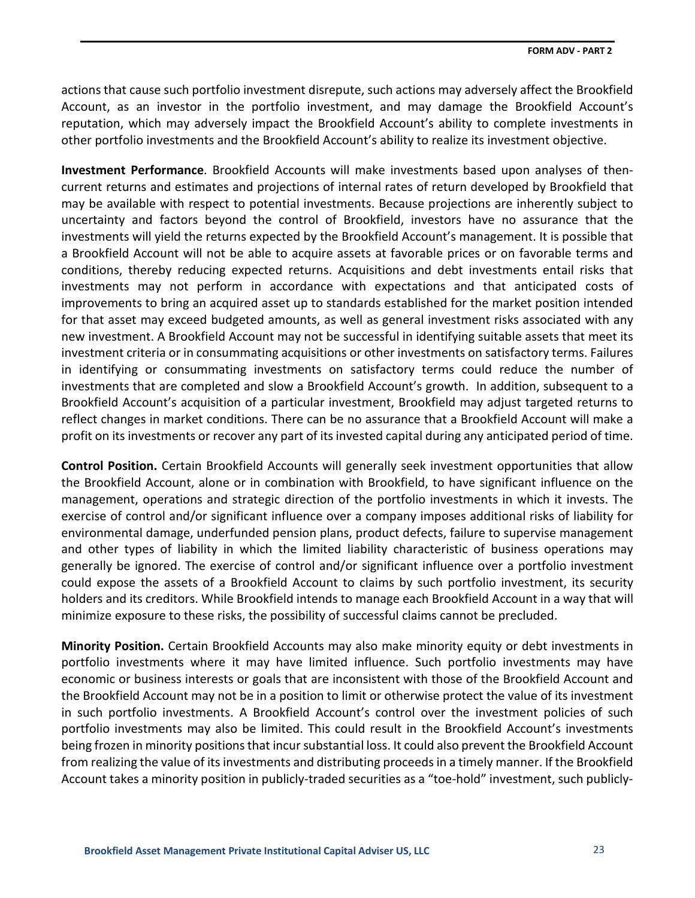actions that cause such portfolio investment disrepute, such actions may adversely affect the Brookfield Account, as an investor in the portfolio investment, and may damage the Brookfield Account's reputation, which may adversely impact the Brookfield Account's ability to complete investments in other portfolio investments and the Brookfield Account's ability to realize its investment objective.

**Investment Performance**. Brookfield Accounts will make investments based upon analyses of thencurrent returns and estimates and projections of internal rates of return developed by Brookfield that may be available with respect to potential investments. Because projections are inherently subject to uncertainty and factors beyond the control of Brookfield, investors have no assurance that the investments will yield the returns expected by the Brookfield Account's management. It is possible that a Brookfield Account will not be able to acquire assets at favorable prices or on favorable terms and conditions, thereby reducing expected returns. Acquisitions and debt investments entail risks that investments may not perform in accordance with expectations and that anticipated costs of improvements to bring an acquired asset up to standards established for the market position intended for that asset may exceed budgeted amounts, as well as general investment risks associated with any new investment. A Brookfield Account may not be successful in identifying suitable assets that meet its investment criteria or in consummating acquisitions or other investments on satisfactory terms. Failures in identifying or consummating investments on satisfactory terms could reduce the number of investments that are completed and slow a Brookfield Account's growth. In addition, subsequent to a Brookfield Account's acquisition of a particular investment, Brookfield may adjust targeted returns to reflect changes in market conditions. There can be no assurance that a Brookfield Account will make a profit on its investments or recover any part of its invested capital during any anticipated period of time.

**Control Position.** Certain Brookfield Accounts will generally seek investment opportunities that allow the Brookfield Account, alone or in combination with Brookfield, to have significant influence on the management, operations and strategic direction of the portfolio investments in which it invests. The exercise of control and/or significant influence over a company imposes additional risks of liability for environmental damage, underfunded pension plans, product defects, failure to supervise management and other types of liability in which the limited liability characteristic of business operations may generally be ignored. The exercise of control and/or significant influence over a portfolio investment could expose the assets of a Brookfield Account to claims by such portfolio investment, its security holders and its creditors. While Brookfield intends to manage each Brookfield Account in a way that will minimize exposure to these risks, the possibility of successful claims cannot be precluded.

**Minority Position.** Certain Brookfield Accounts may also make minority equity or debt investments in portfolio investments where it may have limited influence. Such portfolio investments may have economic or business interests or goals that are inconsistent with those of the Brookfield Account and the Brookfield Account may not be in a position to limit or otherwise protect the value of its investment in such portfolio investments. A Brookfield Account's control over the investment policies of such portfolio investments may also be limited. This could result in the Brookfield Account's investments being frozen in minority positions that incur substantial loss. It could also prevent the Brookfield Account from realizing the value of its investments and distributing proceeds in a timely manner. If the Brookfield Account takes a minority position in publicly-traded securities as a "toe-hold" investment, such publicly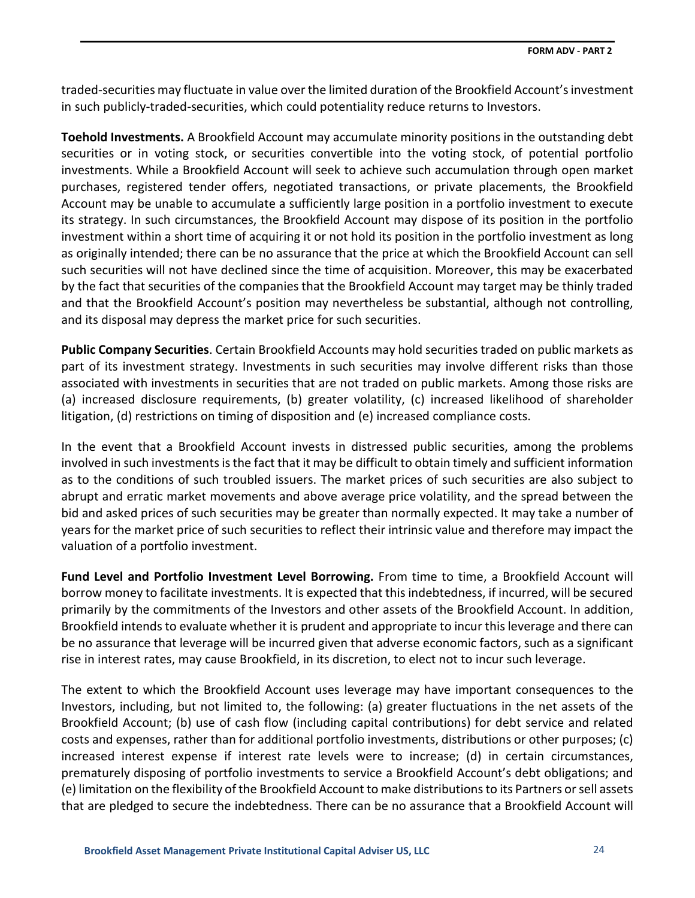traded-securities may fluctuate in value over the limited duration of the Brookfield Account's investment in such publicly-traded-securities, which could potentiality reduce returns to Investors.

**Toehold Investments.** A Brookfield Account may accumulate minority positions in the outstanding debt securities or in voting stock, or securities convertible into the voting stock, of potential portfolio investments. While a Brookfield Account will seek to achieve such accumulation through open market purchases, registered tender offers, negotiated transactions, or private placements, the Brookfield Account may be unable to accumulate a sufficiently large position in a portfolio investment to execute its strategy. In such circumstances, the Brookfield Account may dispose of its position in the portfolio investment within a short time of acquiring it or not hold its position in the portfolio investment as long as originally intended; there can be no assurance that the price at which the Brookfield Account can sell such securities will not have declined since the time of acquisition. Moreover, this may be exacerbated by the fact that securities of the companies that the Brookfield Account may target may be thinly traded and that the Brookfield Account's position may nevertheless be substantial, although not controlling, and its disposal may depress the market price for such securities.

**Public Company Securities**. Certain Brookfield Accounts may hold securities traded on public markets as part of its investment strategy. Investments in such securities may involve different risks than those associated with investments in securities that are not traded on public markets. Among those risks are (a) increased disclosure requirements, (b) greater volatility, (c) increased likelihood of shareholder litigation, (d) restrictions on timing of disposition and (e) increased compliance costs.

In the event that a Brookfield Account invests in distressed public securities, among the problems involved in such investments is the fact that it may be difficult to obtain timely and sufficient information as to the conditions of such troubled issuers. The market prices of such securities are also subject to abrupt and erratic market movements and above average price volatility, and the spread between the bid and asked prices of such securities may be greater than normally expected. It may take a number of years for the market price of such securities to reflect their intrinsic value and therefore may impact the valuation of a portfolio investment.

**Fund Level and Portfolio Investment Level Borrowing.** From time to time, a Brookfield Account will borrow money to facilitate investments. It is expected that this indebtedness, if incurred, will be secured primarily by the commitments of the Investors and other assets of the Brookfield Account. In addition, Brookfield intends to evaluate whether it is prudent and appropriate to incur this leverage and there can be no assurance that leverage will be incurred given that adverse economic factors, such as a significant rise in interest rates, may cause Brookfield, in its discretion, to elect not to incur such leverage.

The extent to which the Brookfield Account uses leverage may have important consequences to the Investors, including, but not limited to, the following: (a) greater fluctuations in the net assets of the Brookfield Account; (b) use of cash flow (including capital contributions) for debt service and related costs and expenses, rather than for additional portfolio investments, distributions or other purposes; (c) increased interest expense if interest rate levels were to increase; (d) in certain circumstances, prematurely disposing of portfolio investments to service a Brookfield Account's debt obligations; and (e) limitation on the flexibility of the Brookfield Account to make distributions to its Partners or sell assets that are pledged to secure the indebtedness. There can be no assurance that a Brookfield Account will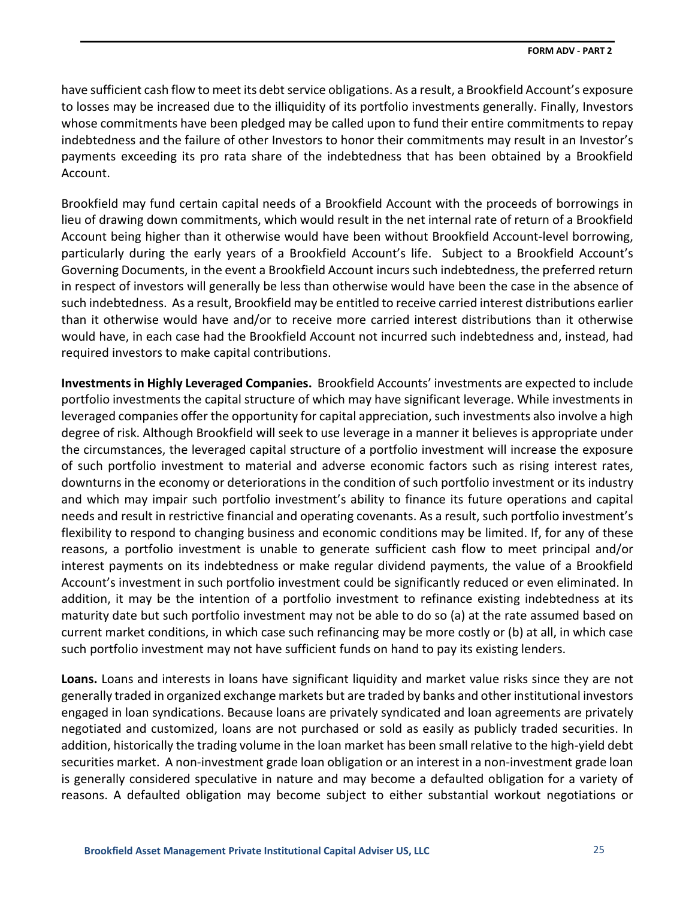have sufficient cash flow to meet its debt service obligations. As a result, a Brookfield Account's exposure to losses may be increased due to the illiquidity of its portfolio investments generally. Finally, Investors whose commitments have been pledged may be called upon to fund their entire commitments to repay indebtedness and the failure of other Investors to honor their commitments may result in an Investor's payments exceeding its pro rata share of the indebtedness that has been obtained by a Brookfield Account.

Brookfield may fund certain capital needs of a Brookfield Account with the proceeds of borrowings in lieu of drawing down commitments, which would result in the net internal rate of return of a Brookfield Account being higher than it otherwise would have been without Brookfield Account-level borrowing, particularly during the early years of a Brookfield Account's life. Subject to a Brookfield Account's Governing Documents, in the event a Brookfield Account incurs such indebtedness, the preferred return in respect of investors will generally be less than otherwise would have been the case in the absence of such indebtedness. As a result, Brookfield may be entitled to receive carried interest distributions earlier than it otherwise would have and/or to receive more carried interest distributions than it otherwise would have, in each case had the Brookfield Account not incurred such indebtedness and, instead, had required investors to make capital contributions.

**Investments in Highly Leveraged Companies.** Brookfield Accounts' investments are expected to include portfolio investments the capital structure of which may have significant leverage. While investments in leveraged companies offer the opportunity for capital appreciation, such investments also involve a high degree of risk. Although Brookfield will seek to use leverage in a manner it believes is appropriate under the circumstances, the leveraged capital structure of a portfolio investment will increase the exposure of such portfolio investment to material and adverse economic factors such as rising interest rates, downturns in the economy or deteriorations in the condition of such portfolio investment or its industry and which may impair such portfolio investment's ability to finance its future operations and capital needs and result in restrictive financial and operating covenants. As a result, such portfolio investment's flexibility to respond to changing business and economic conditions may be limited. If, for any of these reasons, a portfolio investment is unable to generate sufficient cash flow to meet principal and/or interest payments on its indebtedness or make regular dividend payments, the value of a Brookfield Account's investment in such portfolio investment could be significantly reduced or even eliminated. In addition, it may be the intention of a portfolio investment to refinance existing indebtedness at its maturity date but such portfolio investment may not be able to do so (a) at the rate assumed based on current market conditions, in which case such refinancing may be more costly or (b) at all, in which case such portfolio investment may not have sufficient funds on hand to pay its existing lenders.

**Loans.** Loans and interests in loans have significant liquidity and market value risks since they are not generally traded in organized exchange markets but are traded by banks and other institutional investors engaged in loan syndications. Because loans are privately syndicated and loan agreements are privately negotiated and customized, loans are not purchased or sold as easily as publicly traded securities. In addition, historically the trading volume in the loan market has been small relative to the high-yield debt securities market. A non-investment grade loan obligation or an interest in a non-investment grade loan is generally considered speculative in nature and may become a defaulted obligation for a variety of reasons. A defaulted obligation may become subject to either substantial workout negotiations or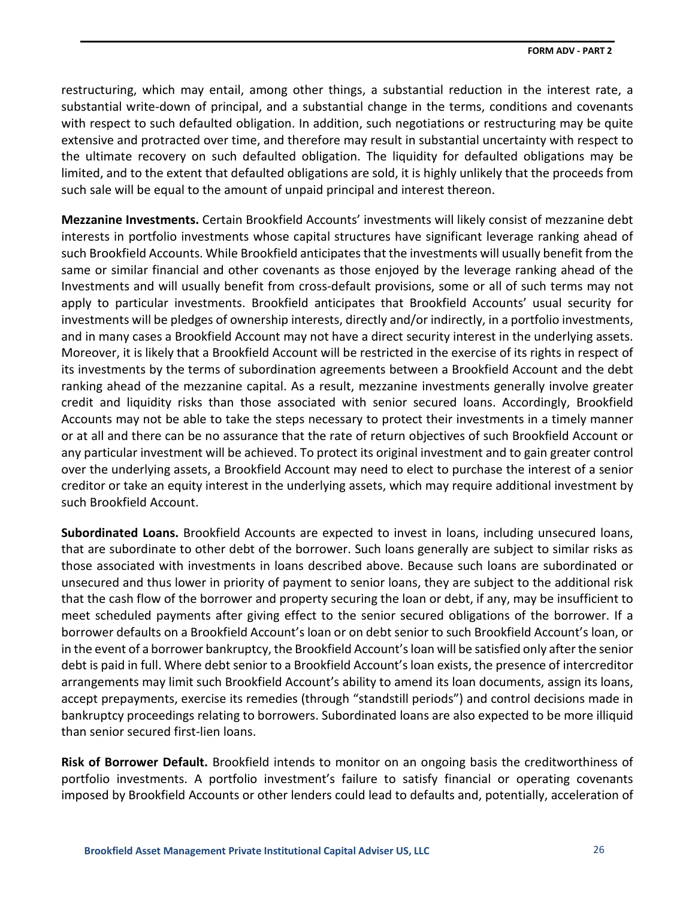restructuring, which may entail, among other things, a substantial reduction in the interest rate, a substantial write-down of principal, and a substantial change in the terms, conditions and covenants with respect to such defaulted obligation. In addition, such negotiations or restructuring may be quite extensive and protracted over time, and therefore may result in substantial uncertainty with respect to the ultimate recovery on such defaulted obligation. The liquidity for defaulted obligations may be limited, and to the extent that defaulted obligations are sold, it is highly unlikely that the proceeds from such sale will be equal to the amount of unpaid principal and interest thereon.

**Mezzanine Investments.** Certain Brookfield Accounts' investments will likely consist of mezzanine debt interests in portfolio investments whose capital structures have significant leverage ranking ahead of such Brookfield Accounts. While Brookfield anticipates that the investments will usually benefit from the same or similar financial and other covenants as those enjoyed by the leverage ranking ahead of the Investments and will usually benefit from cross-default provisions, some or all of such terms may not apply to particular investments. Brookfield anticipates that Brookfield Accounts' usual security for investments will be pledges of ownership interests, directly and/or indirectly, in a portfolio investments, and in many cases a Brookfield Account may not have a direct security interest in the underlying assets. Moreover, it is likely that a Brookfield Account will be restricted in the exercise of its rights in respect of its investments by the terms of subordination agreements between a Brookfield Account and the debt ranking ahead of the mezzanine capital. As a result, mezzanine investments generally involve greater credit and liquidity risks than those associated with senior secured loans. Accordingly, Brookfield Accounts may not be able to take the steps necessary to protect their investments in a timely manner or at all and there can be no assurance that the rate of return objectives of such Brookfield Account or any particular investment will be achieved. To protect its original investment and to gain greater control over the underlying assets, a Brookfield Account may need to elect to purchase the interest of a senior creditor or take an equity interest in the underlying assets, which may require additional investment by such Brookfield Account.

**Subordinated Loans.** Brookfield Accounts are expected to invest in loans, including unsecured loans, that are subordinate to other debt of the borrower. Such loans generally are subject to similar risks as those associated with investments in loans described above. Because such loans are subordinated or unsecured and thus lower in priority of payment to senior loans, they are subject to the additional risk that the cash flow of the borrower and property securing the loan or debt, if any, may be insufficient to meet scheduled payments after giving effect to the senior secured obligations of the borrower. If a borrower defaults on a Brookfield Account's loan or on debt senior to such Brookfield Account's loan, or in the event of a borrower bankruptcy, the Brookfield Account's loan will be satisfied only after the senior debt is paid in full. Where debt senior to a Brookfield Account's loan exists, the presence of intercreditor arrangements may limit such Brookfield Account's ability to amend its loan documents, assign its loans, accept prepayments, exercise its remedies (through "standstill periods") and control decisions made in bankruptcy proceedings relating to borrowers. Subordinated loans are also expected to be more illiquid than senior secured first-lien loans.

**Risk of Borrower Default.** Brookfield intends to monitor on an ongoing basis the creditworthiness of portfolio investments. A portfolio investment's failure to satisfy financial or operating covenants imposed by Brookfield Accounts or other lenders could lead to defaults and, potentially, acceleration of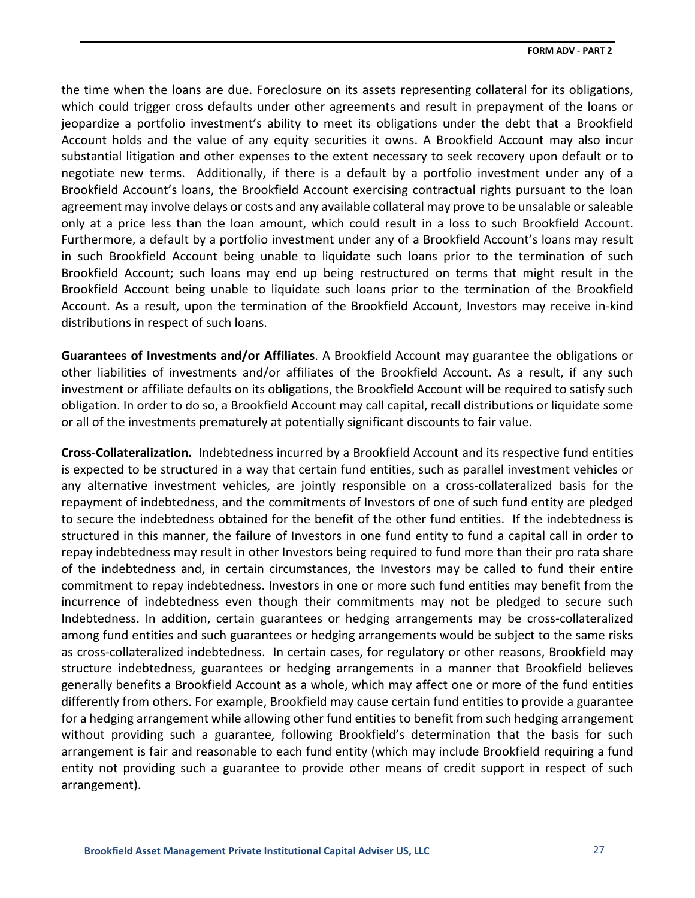the time when the loans are due. Foreclosure on its assets representing collateral for its obligations, which could trigger cross defaults under other agreements and result in prepayment of the loans or jeopardize a portfolio investment's ability to meet its obligations under the debt that a Brookfield Account holds and the value of any equity securities it owns. A Brookfield Account may also incur substantial litigation and other expenses to the extent necessary to seek recovery upon default or to negotiate new terms. Additionally, if there is a default by a portfolio investment under any of a Brookfield Account's loans, the Brookfield Account exercising contractual rights pursuant to the loan agreement may involve delays or costs and any available collateral may prove to be unsalable or saleable only at a price less than the loan amount, which could result in a loss to such Brookfield Account. Furthermore, a default by a portfolio investment under any of a Brookfield Account's loans may result in such Brookfield Account being unable to liquidate such loans prior to the termination of such Brookfield Account; such loans may end up being restructured on terms that might result in the Brookfield Account being unable to liquidate such loans prior to the termination of the Brookfield Account. As a result, upon the termination of the Brookfield Account, Investors may receive in-kind distributions in respect of such loans.

**Guarantees of Investments and/or Affiliates**. A Brookfield Account may guarantee the obligations or other liabilities of investments and/or affiliates of the Brookfield Account. As a result, if any such investment or affiliate defaults on its obligations, the Brookfield Account will be required to satisfy such obligation. In order to do so, a Brookfield Account may call capital, recall distributions or liquidate some or all of the investments prematurely at potentially significant discounts to fair value.

**Cross-Collateralization.** Indebtedness incurred by a Brookfield Account and its respective fund entities is expected to be structured in a way that certain fund entities, such as parallel investment vehicles or any alternative investment vehicles, are jointly responsible on a cross-collateralized basis for the repayment of indebtedness, and the commitments of Investors of one of such fund entity are pledged to secure the indebtedness obtained for the benefit of the other fund entities. If the indebtedness is structured in this manner, the failure of Investors in one fund entity to fund a capital call in order to repay indebtedness may result in other Investors being required to fund more than their pro rata share of the indebtedness and, in certain circumstances, the Investors may be called to fund their entire commitment to repay indebtedness. Investors in one or more such fund entities may benefit from the incurrence of indebtedness even though their commitments may not be pledged to secure such Indebtedness. In addition, certain guarantees or hedging arrangements may be cross-collateralized among fund entities and such guarantees or hedging arrangements would be subject to the same risks as cross-collateralized indebtedness. In certain cases, for regulatory or other reasons, Brookfield may structure indebtedness, guarantees or hedging arrangements in a manner that Brookfield believes generally benefits a Brookfield Account as a whole, which may affect one or more of the fund entities differently from others. For example, Brookfield may cause certain fund entities to provide a guarantee for a hedging arrangement while allowing other fund entities to benefit from such hedging arrangement without providing such a guarantee, following Brookfield's determination that the basis for such arrangement is fair and reasonable to each fund entity (which may include Brookfield requiring a fund entity not providing such a guarantee to provide other means of credit support in respect of such arrangement).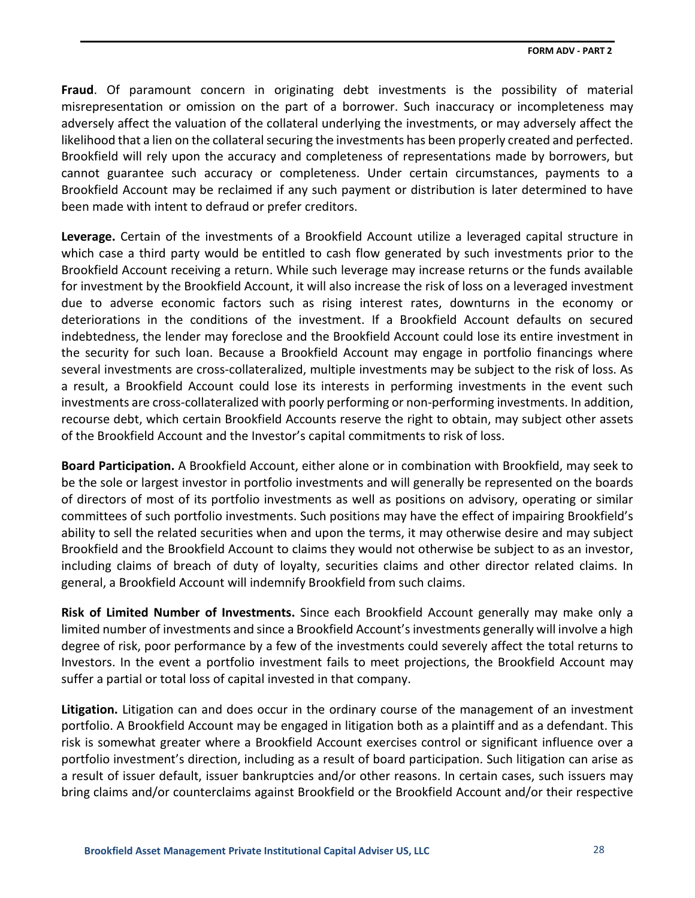**Fraud**. Of paramount concern in originating debt investments is the possibility of material misrepresentation or omission on the part of a borrower. Such inaccuracy or incompleteness may adversely affect the valuation of the collateral underlying the investments, or may adversely affect the likelihood that a lien on the collateral securing the investments has been properly created and perfected. Brookfield will rely upon the accuracy and completeness of representations made by borrowers, but cannot guarantee such accuracy or completeness. Under certain circumstances, payments to a Brookfield Account may be reclaimed if any such payment or distribution is later determined to have been made with intent to defraud or prefer creditors.

**Leverage.** Certain of the investments of a Brookfield Account utilize a leveraged capital structure in which case a third party would be entitled to cash flow generated by such investments prior to the Brookfield Account receiving a return. While such leverage may increase returns or the funds available for investment by the Brookfield Account, it will also increase the risk of loss on a leveraged investment due to adverse economic factors such as rising interest rates, downturns in the economy or deteriorations in the conditions of the investment. If a Brookfield Account defaults on secured indebtedness, the lender may foreclose and the Brookfield Account could lose its entire investment in the security for such loan. Because a Brookfield Account may engage in portfolio financings where several investments are cross-collateralized, multiple investments may be subject to the risk of loss. As a result, a Brookfield Account could lose its interests in performing investments in the event such investments are cross-collateralized with poorly performing or non-performing investments. In addition, recourse debt, which certain Brookfield Accounts reserve the right to obtain, may subject other assets of the Brookfield Account and the Investor's capital commitments to risk of loss.

**Board Participation.** A Brookfield Account, either alone or in combination with Brookfield, may seek to be the sole or largest investor in portfolio investments and will generally be represented on the boards of directors of most of its portfolio investments as well as positions on advisory, operating or similar committees of such portfolio investments. Such positions may have the effect of impairing Brookfield's ability to sell the related securities when and upon the terms, it may otherwise desire and may subject Brookfield and the Brookfield Account to claims they would not otherwise be subject to as an investor, including claims of breach of duty of loyalty, securities claims and other director related claims. In general, a Brookfield Account will indemnify Brookfield from such claims.

**Risk of Limited Number of Investments.** Since each Brookfield Account generally may make only a limited number of investments and since a Brookfield Account's investments generally will involve a high degree of risk, poor performance by a few of the investments could severely affect the total returns to Investors. In the event a portfolio investment fails to meet projections, the Brookfield Account may suffer a partial or total loss of capital invested in that company.

**Litigation.** Litigation can and does occur in the ordinary course of the management of an investment portfolio. A Brookfield Account may be engaged in litigation both as a plaintiff and as a defendant. This risk is somewhat greater where a Brookfield Account exercises control or significant influence over a portfolio investment's direction, including as a result of board participation. Such litigation can arise as a result of issuer default, issuer bankruptcies and/or other reasons. In certain cases, such issuers may bring claims and/or counterclaims against Brookfield or the Brookfield Account and/or their respective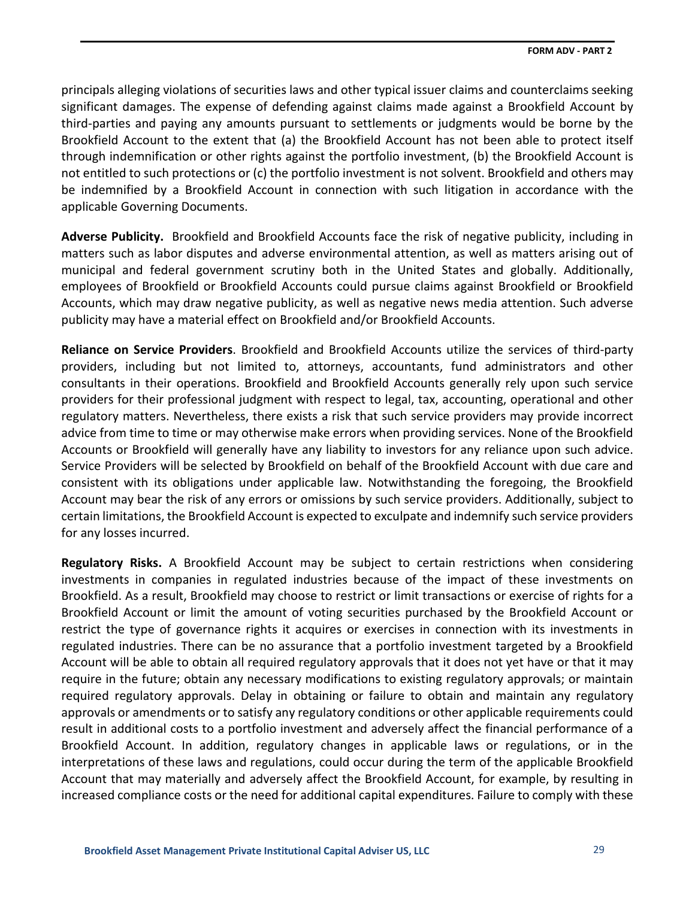principals alleging violations of securities laws and other typical issuer claims and counterclaims seeking significant damages. The expense of defending against claims made against a Brookfield Account by third-parties and paying any amounts pursuant to settlements or judgments would be borne by the Brookfield Account to the extent that (a) the Brookfield Account has not been able to protect itself through indemnification or other rights against the portfolio investment, (b) the Brookfield Account is not entitled to such protections or (c) the portfolio investment is not solvent. Brookfield and others may be indemnified by a Brookfield Account in connection with such litigation in accordance with the applicable Governing Documents.

**Adverse Publicity.** Brookfield and Brookfield Accounts face the risk of negative publicity, including in matters such as labor disputes and adverse environmental attention, as well as matters arising out of municipal and federal government scrutiny both in the United States and globally. Additionally, employees of Brookfield or Brookfield Accounts could pursue claims against Brookfield or Brookfield Accounts, which may draw negative publicity, as well as negative news media attention. Such adverse publicity may have a material effect on Brookfield and/or Brookfield Accounts.

**Reliance on Service Providers**. Brookfield and Brookfield Accounts utilize the services of third-party providers, including but not limited to, attorneys, accountants, fund administrators and other consultants in their operations. Brookfield and Brookfield Accounts generally rely upon such service providers for their professional judgment with respect to legal, tax, accounting, operational and other regulatory matters. Nevertheless, there exists a risk that such service providers may provide incorrect advice from time to time or may otherwise make errors when providing services. None of the Brookfield Accounts or Brookfield will generally have any liability to investors for any reliance upon such advice. Service Providers will be selected by Brookfield on behalf of the Brookfield Account with due care and consistent with its obligations under applicable law. Notwithstanding the foregoing, the Brookfield Account may bear the risk of any errors or omissions by such service providers. Additionally, subject to certain limitations, the Brookfield Account is expected to exculpate and indemnify such service providers for any losses incurred.

**Regulatory Risks.** A Brookfield Account may be subject to certain restrictions when considering investments in companies in regulated industries because of the impact of these investments on Brookfield. As a result, Brookfield may choose to restrict or limit transactions or exercise of rights for a Brookfield Account or limit the amount of voting securities purchased by the Brookfield Account or restrict the type of governance rights it acquires or exercises in connection with its investments in regulated industries. There can be no assurance that a portfolio investment targeted by a Brookfield Account will be able to obtain all required regulatory approvals that it does not yet have or that it may require in the future; obtain any necessary modifications to existing regulatory approvals; or maintain required regulatory approvals. Delay in obtaining or failure to obtain and maintain any regulatory approvals or amendments or to satisfy any regulatory conditions or other applicable requirements could result in additional costs to a portfolio investment and adversely affect the financial performance of a Brookfield Account. In addition, regulatory changes in applicable laws or regulations, or in the interpretations of these laws and regulations, could occur during the term of the applicable Brookfield Account that may materially and adversely affect the Brookfield Account, for example, by resulting in increased compliance costs or the need for additional capital expenditures. Failure to comply with these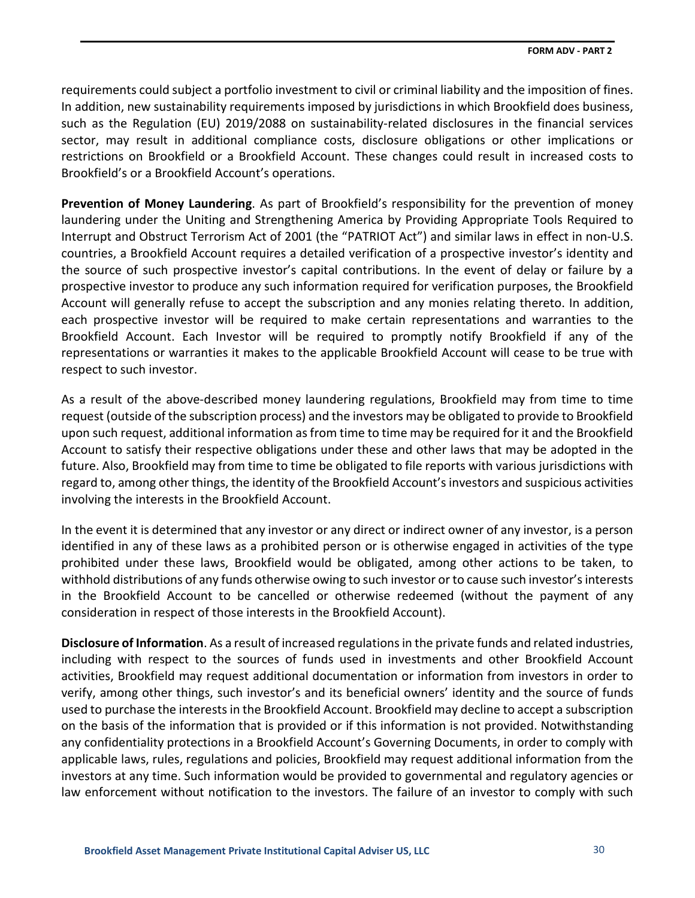requirements could subject a portfolio investment to civil or criminal liability and the imposition of fines. In addition, new sustainability requirements imposed by jurisdictions in which Brookfield does business, such as the Regulation (EU) 2019/2088 on sustainability-related disclosures in the financial services sector, may result in additional compliance costs, disclosure obligations or other implications or restrictions on Brookfield or a Brookfield Account. These changes could result in increased costs to Brookfield's or a Brookfield Account's operations.

**Prevention of Money Laundering**. As part of Brookfield's responsibility for the prevention of money laundering under the Uniting and Strengthening America by Providing Appropriate Tools Required to Interrupt and Obstruct Terrorism Act of 2001 (the "PATRIOT Act") and similar laws in effect in non-U.S. countries, a Brookfield Account requires a detailed verification of a prospective investor's identity and the source of such prospective investor's capital contributions. In the event of delay or failure by a prospective investor to produce any such information required for verification purposes, the Brookfield Account will generally refuse to accept the subscription and any monies relating thereto. In addition, each prospective investor will be required to make certain representations and warranties to the Brookfield Account. Each Investor will be required to promptly notify Brookfield if any of the representations or warranties it makes to the applicable Brookfield Account will cease to be true with respect to such investor.

As a result of the above-described money laundering regulations, Brookfield may from time to time request (outside of the subscription process) and the investors may be obligated to provide to Brookfield upon such request, additional information as from time to time may be required for it and the Brookfield Account to satisfy their respective obligations under these and other laws that may be adopted in the future. Also, Brookfield may from time to time be obligated to file reports with various jurisdictions with regard to, among other things, the identity of the Brookfield Account's investors and suspicious activities involving the interests in the Brookfield Account.

In the event it is determined that any investor or any direct or indirect owner of any investor, is a person identified in any of these laws as a prohibited person or is otherwise engaged in activities of the type prohibited under these laws, Brookfield would be obligated, among other actions to be taken, to withhold distributions of any funds otherwise owing to such investor or to cause such investor's interests in the Brookfield Account to be cancelled or otherwise redeemed (without the payment of any consideration in respect of those interests in the Brookfield Account).

**Disclosure of Information**. As a result of increased regulations in the private funds and related industries, including with respect to the sources of funds used in investments and other Brookfield Account activities, Brookfield may request additional documentation or information from investors in order to verify, among other things, such investor's and its beneficial owners' identity and the source of funds used to purchase the interests in the Brookfield Account. Brookfield may decline to accept a subscription on the basis of the information that is provided or if this information is not provided. Notwithstanding any confidentiality protections in a Brookfield Account's Governing Documents, in order to comply with applicable laws, rules, regulations and policies, Brookfield may request additional information from the investors at any time. Such information would be provided to governmental and regulatory agencies or law enforcement without notification to the investors. The failure of an investor to comply with such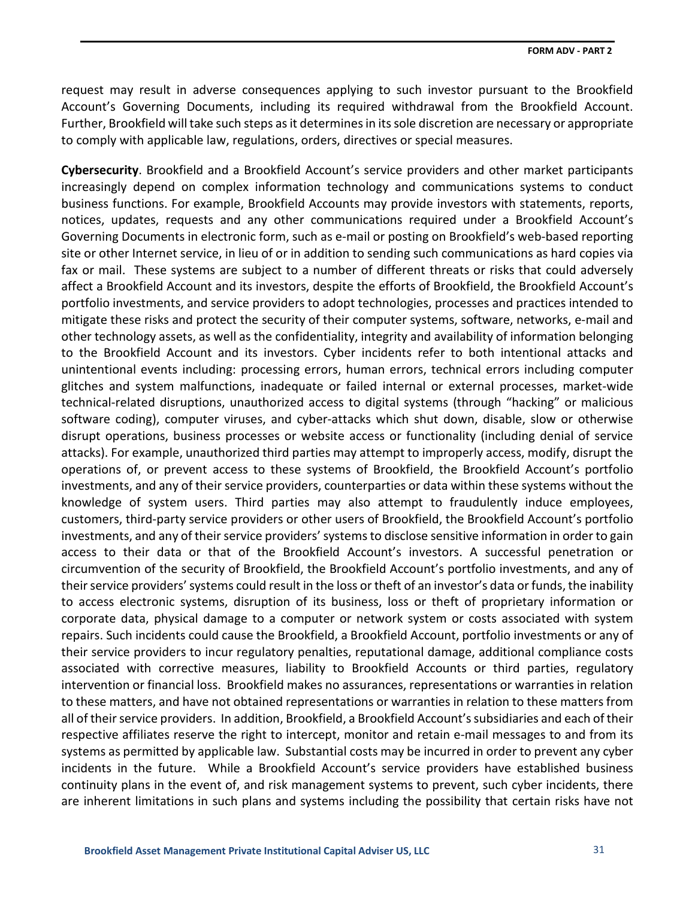request may result in adverse consequences applying to such investor pursuant to the Brookfield Account's Governing Documents, including its required withdrawal from the Brookfield Account. Further, Brookfield will take such steps as it determines in its sole discretion are necessary or appropriate to comply with applicable law, regulations, orders, directives or special measures.

**Cybersecurity**. Brookfield and a Brookfield Account's service providers and other market participants increasingly depend on complex information technology and communications systems to conduct business functions. For example, Brookfield Accounts may provide investors with statements, reports, notices, updates, requests and any other communications required under a Brookfield Account's Governing Documents in electronic form, such as e-mail or posting on Brookfield's web-based reporting site or other Internet service, in lieu of or in addition to sending such communications as hard copies via fax or mail. These systems are subject to a number of different threats or risks that could adversely affect a Brookfield Account and its investors, despite the efforts of Brookfield, the Brookfield Account's portfolio investments, and service providers to adopt technologies, processes and practices intended to mitigate these risks and protect the security of their computer systems, software, networks, e-mail and other technology assets, as well as the confidentiality, integrity and availability of information belonging to the Brookfield Account and its investors. Cyber incidents refer to both intentional attacks and unintentional events including: processing errors, human errors, technical errors including computer glitches and system malfunctions, inadequate or failed internal or external processes, market-wide technical-related disruptions, unauthorized access to digital systems (through "hacking" or malicious software coding), computer viruses, and cyber-attacks which shut down, disable, slow or otherwise disrupt operations, business processes or website access or functionality (including denial of service attacks). For example, unauthorized third parties may attempt to improperly access, modify, disrupt the operations of, or prevent access to these systems of Brookfield, the Brookfield Account's portfolio investments, and any of their service providers, counterparties or data within these systems without the knowledge of system users. Third parties may also attempt to fraudulently induce employees, customers, third-party service providers or other users of Brookfield, the Brookfield Account's portfolio investments, and any of their service providers' systems to disclose sensitive information in order to gain access to their data or that of the Brookfield Account's investors. A successful penetration or circumvention of the security of Brookfield, the Brookfield Account's portfolio investments, and any of their service providers' systems could result in the loss or theft of an investor's data or funds, the inability to access electronic systems, disruption of its business, loss or theft of proprietary information or corporate data, physical damage to a computer or network system or costs associated with system repairs. Such incidents could cause the Brookfield, a Brookfield Account, portfolio investments or any of their service providers to incur regulatory penalties, reputational damage, additional compliance costs associated with corrective measures, liability to Brookfield Accounts or third parties, regulatory intervention or financial loss. Brookfield makes no assurances, representations or warranties in relation to these matters, and have not obtained representations or warranties in relation to these matters from all of their service providers. In addition, Brookfield, a Brookfield Account's subsidiaries and each of their respective affiliates reserve the right to intercept, monitor and retain e-mail messages to and from its systems as permitted by applicable law. Substantial costs may be incurred in order to prevent any cyber incidents in the future. While a Brookfield Account's service providers have established business continuity plans in the event of, and risk management systems to prevent, such cyber incidents, there are inherent limitations in such plans and systems including the possibility that certain risks have not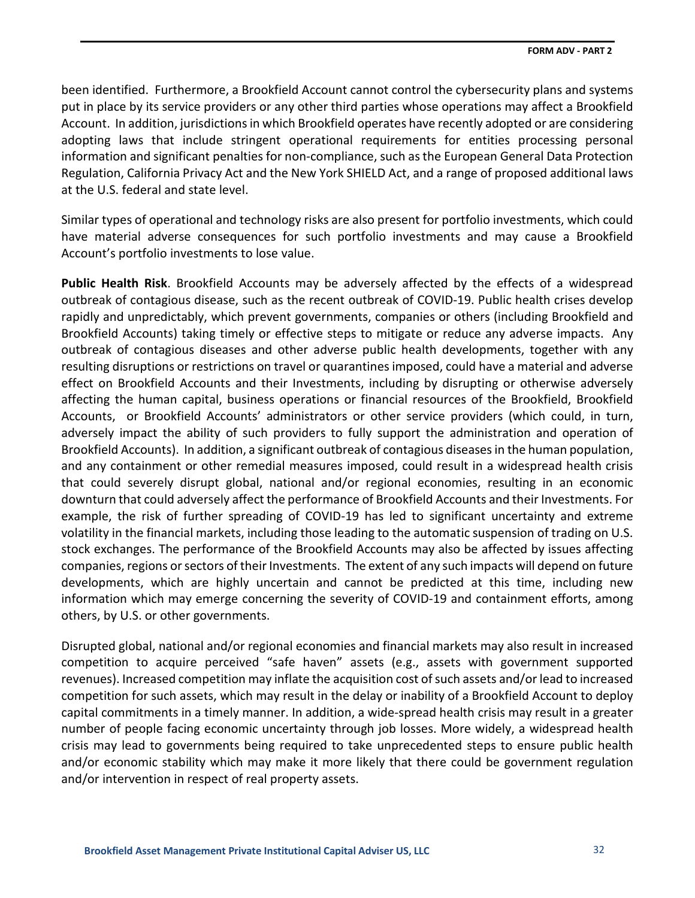been identified. Furthermore, a Brookfield Account cannot control the cybersecurity plans and systems put in place by its service providers or any other third parties whose operations may affect a Brookfield Account. In addition, jurisdictions in which Brookfield operates have recently adopted or are considering adopting laws that include stringent operational requirements for entities processing personal information and significant penalties for non-compliance, such as the European General Data Protection Regulation, California Privacy Act and the New York SHIELD Act, and a range of proposed additional laws at the U.S. federal and state level.

Similar types of operational and technology risks are also present for portfolio investments, which could have material adverse consequences for such portfolio investments and may cause a Brookfield Account's portfolio investments to lose value.

**Public Health Risk**. Brookfield Accounts may be adversely affected by the effects of a widespread outbreak of contagious disease, such as the recent outbreak of COVID-19. Public health crises develop rapidly and unpredictably, which prevent governments, companies or others (including Brookfield and Brookfield Accounts) taking timely or effective steps to mitigate or reduce any adverse impacts. Any outbreak of contagious diseases and other adverse public health developments, together with any resulting disruptions or restrictions on travel or quarantines imposed, could have a material and adverse effect on Brookfield Accounts and their Investments, including by disrupting or otherwise adversely affecting the human capital, business operations or financial resources of the Brookfield, Brookfield Accounts, or Brookfield Accounts' administrators or other service providers (which could, in turn, adversely impact the ability of such providers to fully support the administration and operation of Brookfield Accounts). In addition, a significant outbreak of contagious diseases in the human population, and any containment or other remedial measures imposed, could result in a widespread health crisis that could severely disrupt global, national and/or regional economies, resulting in an economic downturn that could adversely affect the performance of Brookfield Accounts and their Investments. For example, the risk of further spreading of COVID-19 has led to significant uncertainty and extreme volatility in the financial markets, including those leading to the automatic suspension of trading on U.S. stock exchanges. The performance of the Brookfield Accounts may also be affected by issues affecting companies, regions or sectors of their Investments. The extent of any such impacts will depend on future developments, which are highly uncertain and cannot be predicted at this time, including new information which may emerge concerning the severity of COVID-19 and containment efforts, among others, by U.S. or other governments.

Disrupted global, national and/or regional economies and financial markets may also result in increased competition to acquire perceived "safe haven" assets (e.g., assets with government supported revenues). Increased competition may inflate the acquisition cost of such assets and/or lead to increased competition for such assets, which may result in the delay or inability of a Brookfield Account to deploy capital commitments in a timely manner. In addition, a wide-spread health crisis may result in a greater number of people facing economic uncertainty through job losses. More widely, a widespread health crisis may lead to governments being required to take unprecedented steps to ensure public health and/or economic stability which may make it more likely that there could be government regulation and/or intervention in respect of real property assets.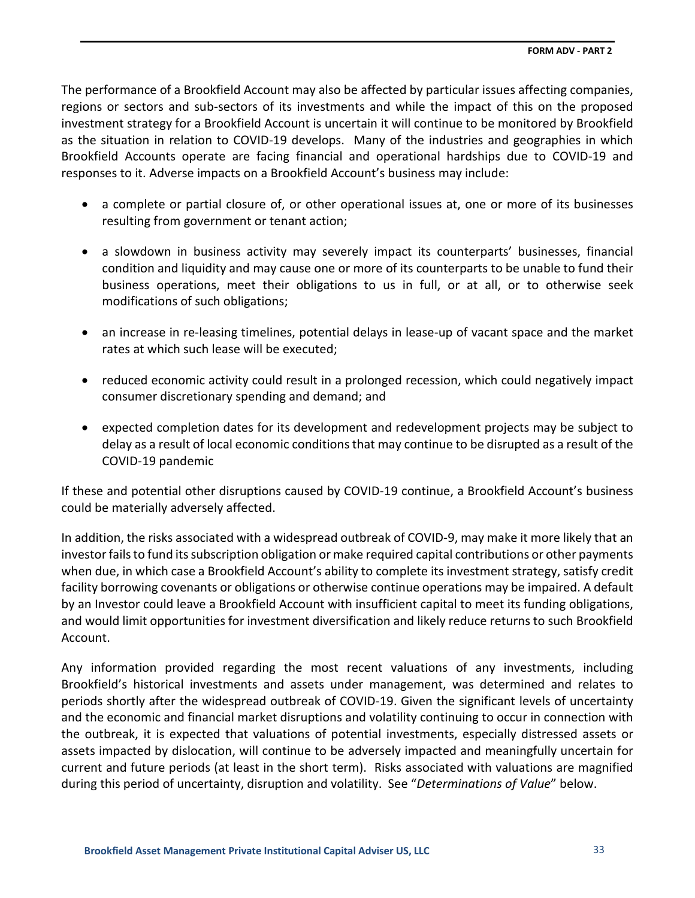The performance of a Brookfield Account may also be affected by particular issues affecting companies, regions or sectors and sub-sectors of its investments and while the impact of this on the proposed investment strategy for a Brookfield Account is uncertain it will continue to be monitored by Brookfield as the situation in relation to COVID-19 develops. Many of the industries and geographies in which Brookfield Accounts operate are facing financial and operational hardships due to COVID-19 and responses to it. Adverse impacts on a Brookfield Account's business may include:

- a complete or partial closure of, or other operational issues at, one or more of its businesses resulting from government or tenant action;
- a slowdown in business activity may severely impact its counterparts' businesses, financial condition and liquidity and may cause one or more of its counterparts to be unable to fund their business operations, meet their obligations to us in full, or at all, or to otherwise seek modifications of such obligations;
- an increase in re-leasing timelines, potential delays in lease-up of vacant space and the market rates at which such lease will be executed;
- reduced economic activity could result in a prolonged recession, which could negatively impact consumer discretionary spending and demand; and
- expected completion dates for its development and redevelopment projects may be subject to delay as a result of local economic conditions that may continue to be disrupted as a result of the COVID-19 pandemic

If these and potential other disruptions caused by COVID-19 continue, a Brookfield Account's business could be materially adversely affected.

In addition, the risks associated with a widespread outbreak of COVID-9, may make it more likely that an investor fails to fund its subscription obligation or make required capital contributions or other payments when due, in which case a Brookfield Account's ability to complete its investment strategy, satisfy credit facility borrowing covenants or obligations or otherwise continue operations may be impaired. A default by an Investor could leave a Brookfield Account with insufficient capital to meet its funding obligations, and would limit opportunities for investment diversification and likely reduce returns to such Brookfield Account.

Any information provided regarding the most recent valuations of any investments, including Brookfield's historical investments and assets under management, was determined and relates to periods shortly after the widespread outbreak of COVID-19. Given the significant levels of uncertainty and the economic and financial market disruptions and volatility continuing to occur in connection with the outbreak, it is expected that valuations of potential investments, especially distressed assets or assets impacted by dislocation, will continue to be adversely impacted and meaningfully uncertain for current and future periods (at least in the short term). Risks associated with valuations are magnified during this period of uncertainty, disruption and volatility. See "*Determinations of Value*" below.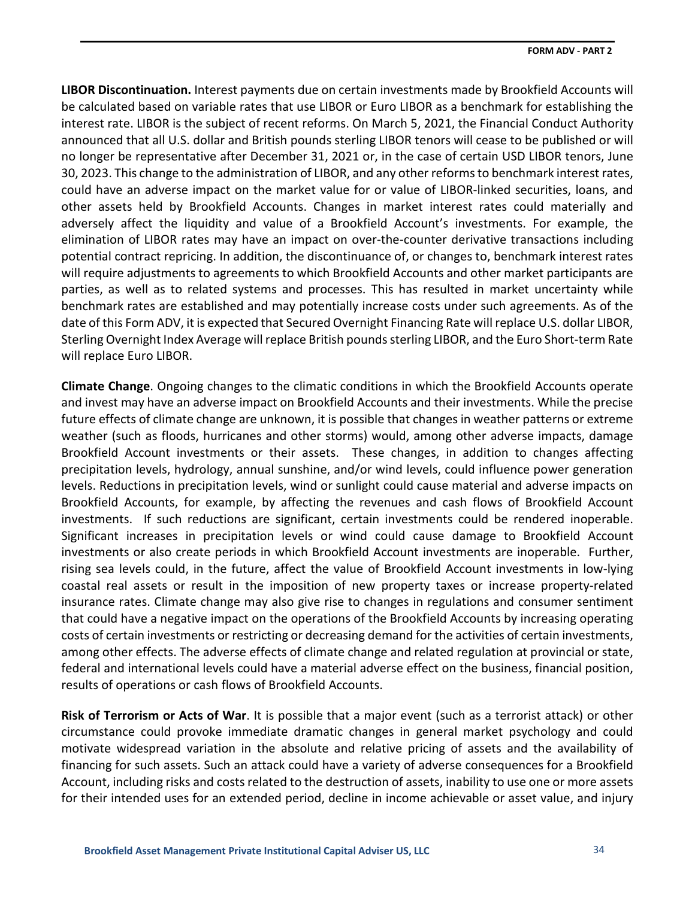**LIBOR Discontinuation.** Interest payments due on certain investments made by Brookfield Accounts will be calculated based on variable rates that use LIBOR or Euro LIBOR as a benchmark for establishing the interest rate. LIBOR is the subject of recent reforms. On March 5, 2021, the Financial Conduct Authority announced that all U.S. dollar and British pounds sterling LIBOR tenors will cease to be published or will no longer be representative after December 31, 2021 or, in the case of certain USD LIBOR tenors, June 30, 2023. This change to the administration of LIBOR, and any other reforms to benchmark interest rates, could have an adverse impact on the market value for or value of LIBOR-linked securities, loans, and other assets held by Brookfield Accounts. Changes in market interest rates could materially and adversely affect the liquidity and value of a Brookfield Account's investments. For example, the elimination of LIBOR rates may have an impact on over-the-counter derivative transactions including potential contract repricing. In addition, the discontinuance of, or changes to, benchmark interest rates will require adjustments to agreements to which Brookfield Accounts and other market participants are parties, as well as to related systems and processes. This has resulted in market uncertainty while benchmark rates are established and may potentially increase costs under such agreements. As of the date of this Form ADV, it is expected that Secured Overnight Financing Rate will replace U.S. dollar LIBOR, Sterling Overnight Index Average will replace British pounds sterling LIBOR, and the Euro Short-term Rate will replace Euro LIBOR.

**Climate Change**. Ongoing changes to the climatic conditions in which the Brookfield Accounts operate and invest may have an adverse impact on Brookfield Accounts and their investments. While the precise future effects of climate change are unknown, it is possible that changes in weather patterns or extreme weather (such as floods, hurricanes and other storms) would, among other adverse impacts, damage Brookfield Account investments or their assets. These changes, in addition to changes affecting precipitation levels, hydrology, annual sunshine, and/or wind levels, could influence power generation levels. Reductions in precipitation levels, wind or sunlight could cause material and adverse impacts on Brookfield Accounts, for example, by affecting the revenues and cash flows of Brookfield Account investments. If such reductions are significant, certain investments could be rendered inoperable. Significant increases in precipitation levels or wind could cause damage to Brookfield Account investments or also create periods in which Brookfield Account investments are inoperable. Further, rising sea levels could, in the future, affect the value of Brookfield Account investments in low-lying coastal real assets or result in the imposition of new property taxes or increase property-related insurance rates. Climate change may also give rise to changes in regulations and consumer sentiment that could have a negative impact on the operations of the Brookfield Accounts by increasing operating costs of certain investments or restricting or decreasing demand for the activities of certain investments, among other effects. The adverse effects of climate change and related regulation at provincial or state, federal and international levels could have a material adverse effect on the business, financial position, results of operations or cash flows of Brookfield Accounts.

**Risk of Terrorism or Acts of War**. It is possible that a major event (such as a terrorist attack) or other circumstance could provoke immediate dramatic changes in general market psychology and could motivate widespread variation in the absolute and relative pricing of assets and the availability of financing for such assets. Such an attack could have a variety of adverse consequences for a Brookfield Account, including risks and costs related to the destruction of assets, inability to use one or more assets for their intended uses for an extended period, decline in income achievable or asset value, and injury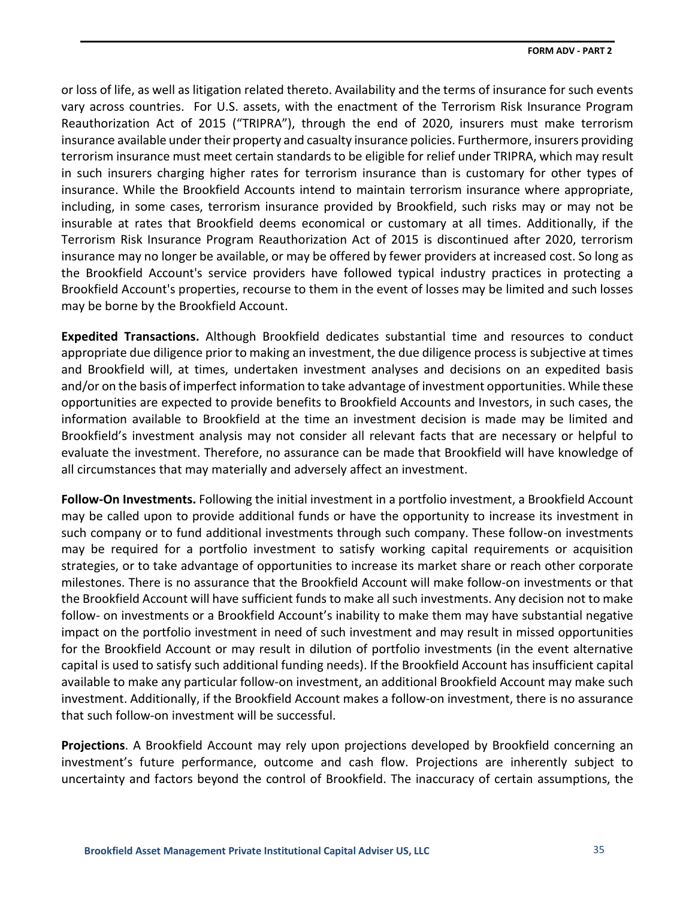or loss of life, as well as litigation related thereto. Availability and the terms of insurance for such events vary across countries. For U.S. assets, with the enactment of the Terrorism Risk Insurance Program Reauthorization Act of 2015 ("TRIPRA"), through the end of 2020, insurers must make terrorism insurance available under their property and casualty insurance policies. Furthermore, insurers providing terrorism insurance must meet certain standards to be eligible for relief under TRIPRA, which may result in such insurers charging higher rates for terrorism insurance than is customary for other types of insurance. While the Brookfield Accounts intend to maintain terrorism insurance where appropriate, including, in some cases, terrorism insurance provided by Brookfield, such risks may or may not be insurable at rates that Brookfield deems economical or customary at all times. Additionally, if the Terrorism Risk Insurance Program Reauthorization Act of 2015 is discontinued after 2020, terrorism insurance may no longer be available, or may be offered by fewer providers at increased cost. So long as the Brookfield Account's service providers have followed typical industry practices in protecting a Brookfield Account's properties, recourse to them in the event of losses may be limited and such losses may be borne by the Brookfield Account.

**Expedited Transactions.** Although Brookfield dedicates substantial time and resources to conduct appropriate due diligence prior to making an investment, the due diligence process is subjective at times and Brookfield will, at times, undertaken investment analyses and decisions on an expedited basis and/or on the basis of imperfect information to take advantage of investment opportunities. While these opportunities are expected to provide benefits to Brookfield Accounts and Investors, in such cases, the information available to Brookfield at the time an investment decision is made may be limited and Brookfield's investment analysis may not consider all relevant facts that are necessary or helpful to evaluate the investment. Therefore, no assurance can be made that Brookfield will have knowledge of all circumstances that may materially and adversely affect an investment.

**Follow‐On Investments.** Following the initial investment in a portfolio investment, a Brookfield Account may be called upon to provide additional funds or have the opportunity to increase its investment in such company or to fund additional investments through such company. These follow-on investments may be required for a portfolio investment to satisfy working capital requirements or acquisition strategies, or to take advantage of opportunities to increase its market share or reach other corporate milestones. There is no assurance that the Brookfield Account will make follow-on investments or that the Brookfield Account will have sufficient funds to make all such investments. Any decision not to make follow- on investments or a Brookfield Account's inability to make them may have substantial negative impact on the portfolio investment in need of such investment and may result in missed opportunities for the Brookfield Account or may result in dilution of portfolio investments (in the event alternative capital is used to satisfy such additional funding needs). If the Brookfield Account has insufficient capital available to make any particular follow-on investment, an additional Brookfield Account may make such investment. Additionally, if the Brookfield Account makes a follow-on investment, there is no assurance that such follow-on investment will be successful.

**Projections**. A Brookfield Account may rely upon projections developed by Brookfield concerning an investment's future performance, outcome and cash flow. Projections are inherently subject to uncertainty and factors beyond the control of Brookfield. The inaccuracy of certain assumptions, the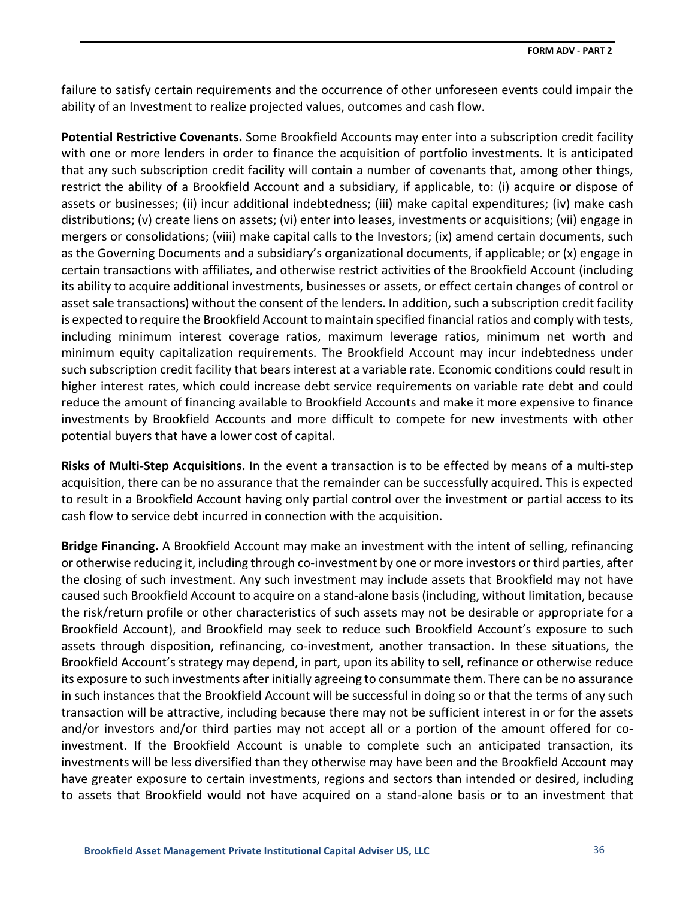failure to satisfy certain requirements and the occurrence of other unforeseen events could impair the ability of an Investment to realize projected values, outcomes and cash flow.

**Potential Restrictive Covenants.** Some Brookfield Accounts may enter into a subscription credit facility with one or more lenders in order to finance the acquisition of portfolio investments. It is anticipated that any such subscription credit facility will contain a number of covenants that, among other things, restrict the ability of a Brookfield Account and a subsidiary, if applicable, to: (i) acquire or dispose of assets or businesses; (ii) incur additional indebtedness; (iii) make capital expenditures; (iv) make cash distributions; (v) create liens on assets; (vi) enter into leases, investments or acquisitions; (vii) engage in mergers or consolidations; (viii) make capital calls to the Investors; (ix) amend certain documents, such as the Governing Documents and a subsidiary's organizational documents, if applicable; or (x) engage in certain transactions with affiliates, and otherwise restrict activities of the Brookfield Account (including its ability to acquire additional investments, businesses or assets, or effect certain changes of control or asset sale transactions) without the consent of the lenders. In addition, such a subscription credit facility is expected to require the Brookfield Account to maintain specified financial ratios and comply with tests, including minimum interest coverage ratios, maximum leverage ratios, minimum net worth and minimum equity capitalization requirements. The Brookfield Account may incur indebtedness under such subscription credit facility that bears interest at a variable rate. Economic conditions could result in higher interest rates, which could increase debt service requirements on variable rate debt and could reduce the amount of financing available to Brookfield Accounts and make it more expensive to finance investments by Brookfield Accounts and more difficult to compete for new investments with other potential buyers that have a lower cost of capital.

**Risks of Multi‐Step Acquisitions.** In the event a transaction is to be effected by means of a multi-step acquisition, there can be no assurance that the remainder can be successfully acquired. This is expected to result in a Brookfield Account having only partial control over the investment or partial access to its cash flow to service debt incurred in connection with the acquisition.

**Bridge Financing.** A Brookfield Account may make an investment with the intent of selling, refinancing or otherwise reducing it, including through co-investment by one or more investors or third parties, after the closing of such investment. Any such investment may include assets that Brookfield may not have caused such Brookfield Account to acquire on a stand-alone basis (including, without limitation, because the risk/return profile or other characteristics of such assets may not be desirable or appropriate for a Brookfield Account), and Brookfield may seek to reduce such Brookfield Account's exposure to such assets through disposition, refinancing, co-investment, another transaction. In these situations, the Brookfield Account's strategy may depend, in part, upon its ability to sell, refinance or otherwise reduce its exposure to such investments after initially agreeing to consummate them. There can be no assurance in such instances that the Brookfield Account will be successful in doing so or that the terms of any such transaction will be attractive, including because there may not be sufficient interest in or for the assets and/or investors and/or third parties may not accept all or a portion of the amount offered for coinvestment. If the Brookfield Account is unable to complete such an anticipated transaction, its investments will be less diversified than they otherwise may have been and the Brookfield Account may have greater exposure to certain investments, regions and sectors than intended or desired, including to assets that Brookfield would not have acquired on a stand-alone basis or to an investment that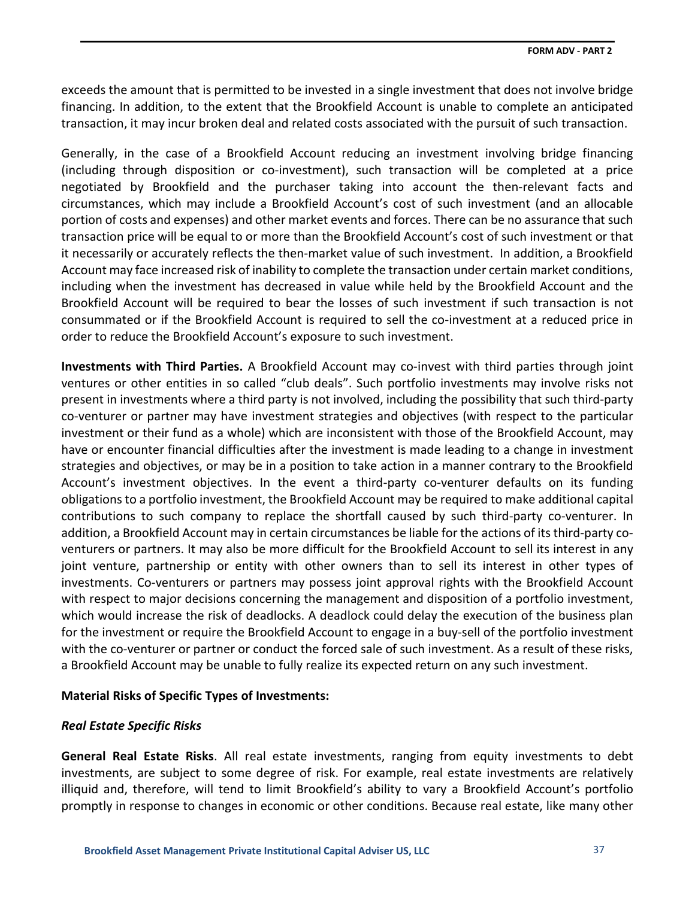exceeds the amount that is permitted to be invested in a single investment that does not involve bridge financing. In addition, to the extent that the Brookfield Account is unable to complete an anticipated transaction, it may incur broken deal and related costs associated with the pursuit of such transaction.

Generally, in the case of a Brookfield Account reducing an investment involving bridge financing (including through disposition or co-investment), such transaction will be completed at a price negotiated by Brookfield and the purchaser taking into account the then-relevant facts and circumstances, which may include a Brookfield Account's cost of such investment (and an allocable portion of costs and expenses) and other market events and forces. There can be no assurance that such transaction price will be equal to or more than the Brookfield Account's cost of such investment or that it necessarily or accurately reflects the then-market value of such investment. In addition, a Brookfield Account may face increased risk of inability to complete the transaction under certain market conditions, including when the investment has decreased in value while held by the Brookfield Account and the Brookfield Account will be required to bear the losses of such investment if such transaction is not consummated or if the Brookfield Account is required to sell the co-investment at a reduced price in order to reduce the Brookfield Account's exposure to such investment.

**Investments with Third Parties.** A Brookfield Account may co-invest with third parties through joint ventures or other entities in so called "club deals". Such portfolio investments may involve risks not present in investments where a third party is not involved, including the possibility that such third-party co-venturer or partner may have investment strategies and objectives (with respect to the particular investment or their fund as a whole) which are inconsistent with those of the Brookfield Account, may have or encounter financial difficulties after the investment is made leading to a change in investment strategies and objectives, or may be in a position to take action in a manner contrary to the Brookfield Account's investment objectives. In the event a third-party co-venturer defaults on its funding obligations to a portfolio investment, the Brookfield Account may be required to make additional capital contributions to such company to replace the shortfall caused by such third-party co-venturer. In addition, a Brookfield Account may in certain circumstances be liable for the actions of its third-party coventurers or partners. It may also be more difficult for the Brookfield Account to sell its interest in any joint venture, partnership or entity with other owners than to sell its interest in other types of investments. Co-venturers or partners may possess joint approval rights with the Brookfield Account with respect to major decisions concerning the management and disposition of a portfolio investment, which would increase the risk of deadlocks. A deadlock could delay the execution of the business plan for the investment or require the Brookfield Account to engage in a buy-sell of the portfolio investment with the co-venturer or partner or conduct the forced sale of such investment. As a result of these risks, a Brookfield Account may be unable to fully realize its expected return on any such investment.

# **Material Risks of Specific Types of Investments:**

# *Real Estate Specific Risks*

**General Real Estate Risks**. All real estate investments, ranging from equity investments to debt investments, are subject to some degree of risk. For example, real estate investments are relatively illiquid and, therefore, will tend to limit Brookfield's ability to vary a Brookfield Account's portfolio promptly in response to changes in economic or other conditions. Because real estate, like many other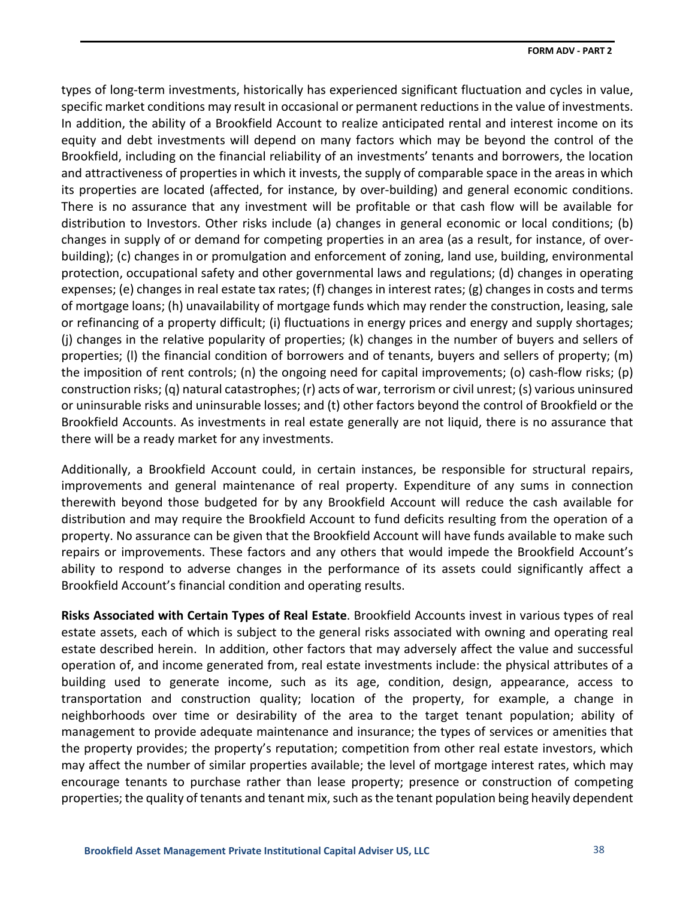types of long-term investments, historically has experienced significant fluctuation and cycles in value, specific market conditions may result in occasional or permanent reductions in the value of investments. In addition, the ability of a Brookfield Account to realize anticipated rental and interest income on its equity and debt investments will depend on many factors which may be beyond the control of the Brookfield, including on the financial reliability of an investments' tenants and borrowers, the location and attractiveness of properties in which it invests, the supply of comparable space in the areas in which its properties are located (affected, for instance, by over-building) and general economic conditions. There is no assurance that any investment will be profitable or that cash flow will be available for distribution to Investors. Other risks include (a) changes in general economic or local conditions; (b) changes in supply of or demand for competing properties in an area (as a result, for instance, of overbuilding); (c) changes in or promulgation and enforcement of zoning, land use, building, environmental protection, occupational safety and other governmental laws and regulations; (d) changes in operating expenses; (e) changes in real estate tax rates; (f) changes in interest rates; (g) changes in costs and terms of mortgage loans; (h) unavailability of mortgage funds which may render the construction, leasing, sale or refinancing of a property difficult; (i) fluctuations in energy prices and energy and supply shortages; (j) changes in the relative popularity of properties; (k) changes in the number of buyers and sellers of properties; (l) the financial condition of borrowers and of tenants, buyers and sellers of property; (m) the imposition of rent controls; (n) the ongoing need for capital improvements; (o) cash-flow risks; (p) construction risks; (q) natural catastrophes; (r) acts of war, terrorism or civil unrest; (s) various uninsured or uninsurable risks and uninsurable losses; and (t) other factors beyond the control of Brookfield or the Brookfield Accounts. As investments in real estate generally are not liquid, there is no assurance that there will be a ready market for any investments.

Additionally, a Brookfield Account could, in certain instances, be responsible for structural repairs, improvements and general maintenance of real property. Expenditure of any sums in connection therewith beyond those budgeted for by any Brookfield Account will reduce the cash available for distribution and may require the Brookfield Account to fund deficits resulting from the operation of a property. No assurance can be given that the Brookfield Account will have funds available to make such repairs or improvements. These factors and any others that would impede the Brookfield Account's ability to respond to adverse changes in the performance of its assets could significantly affect a Brookfield Account's financial condition and operating results.

**Risks Associated with Certain Types of Real Estate**. Brookfield Accounts invest in various types of real estate assets, each of which is subject to the general risks associated with owning and operating real estate described herein. In addition, other factors that may adversely affect the value and successful operation of, and income generated from, real estate investments include: the physical attributes of a building used to generate income, such as its age, condition, design, appearance, access to transportation and construction quality; location of the property, for example, a change in neighborhoods over time or desirability of the area to the target tenant population; ability of management to provide adequate maintenance and insurance; the types of services or amenities that the property provides; the property's reputation; competition from other real estate investors, which may affect the number of similar properties available; the level of mortgage interest rates, which may encourage tenants to purchase rather than lease property; presence or construction of competing properties; the quality of tenants and tenant mix, such as the tenant population being heavily dependent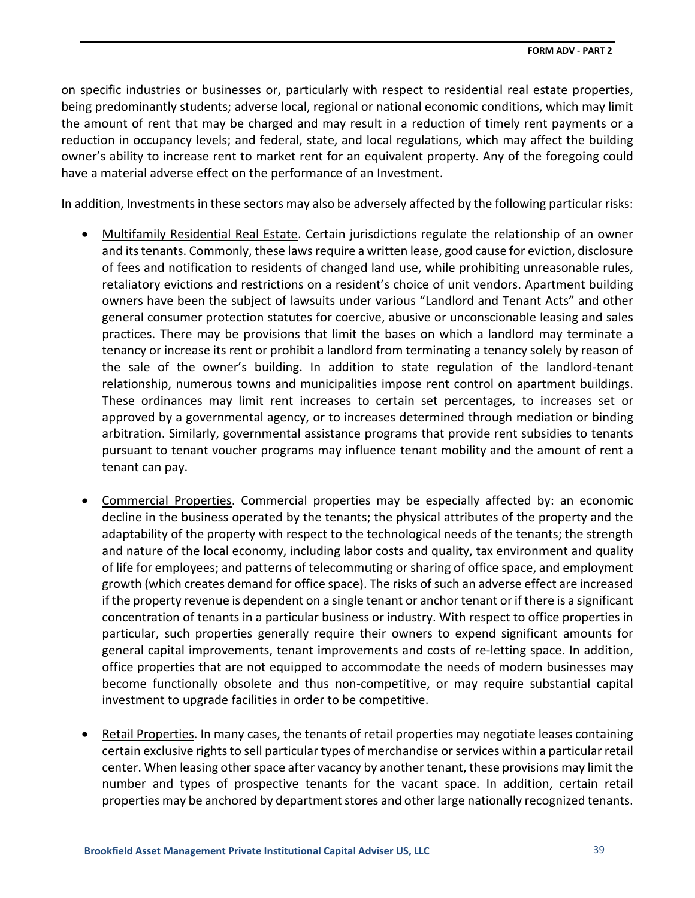on specific industries or businesses or, particularly with respect to residential real estate properties, being predominantly students; adverse local, regional or national economic conditions, which may limit the amount of rent that may be charged and may result in a reduction of timely rent payments or a reduction in occupancy levels; and federal, state, and local regulations, which may affect the building owner's ability to increase rent to market rent for an equivalent property. Any of the foregoing could have a material adverse effect on the performance of an Investment.

In addition, Investments in these sectors may also be adversely affected by the following particular risks:

- Multifamily Residential Real Estate. Certain jurisdictions regulate the relationship of an owner and its tenants. Commonly, these laws require a written lease, good cause for eviction, disclosure of fees and notification to residents of changed land use, while prohibiting unreasonable rules, retaliatory evictions and restrictions on a resident's choice of unit vendors. Apartment building owners have been the subject of lawsuits under various "Landlord and Tenant Acts" and other general consumer protection statutes for coercive, abusive or unconscionable leasing and sales practices. There may be provisions that limit the bases on which a landlord may terminate a tenancy or increase its rent or prohibit a landlord from terminating a tenancy solely by reason of the sale of the owner's building. In addition to state regulation of the landlord-tenant relationship, numerous towns and municipalities impose rent control on apartment buildings. These ordinances may limit rent increases to certain set percentages, to increases set or approved by a governmental agency, or to increases determined through mediation or binding arbitration. Similarly, governmental assistance programs that provide rent subsidies to tenants pursuant to tenant voucher programs may influence tenant mobility and the amount of rent a tenant can pay.
- Commercial Properties. Commercial properties may be especially affected by: an economic decline in the business operated by the tenants; the physical attributes of the property and the adaptability of the property with respect to the technological needs of the tenants; the strength and nature of the local economy, including labor costs and quality, tax environment and quality of life for employees; and patterns of telecommuting or sharing of office space, and employment growth (which creates demand for office space). The risks of such an adverse effect are increased if the property revenue is dependent on a single tenant or anchor tenant or if there is a significant concentration of tenants in a particular business or industry. With respect to office properties in particular, such properties generally require their owners to expend significant amounts for general capital improvements, tenant improvements and costs of re-letting space. In addition, office properties that are not equipped to accommodate the needs of modern businesses may become functionally obsolete and thus non-competitive, or may require substantial capital investment to upgrade facilities in order to be competitive.
- Retail Properties. In many cases, the tenants of retail properties may negotiate leases containing certain exclusive rights to sell particular types of merchandise or services within a particular retail center. When leasing other space after vacancy by another tenant, these provisions may limit the number and types of prospective tenants for the vacant space. In addition, certain retail properties may be anchored by department stores and other large nationally recognized tenants.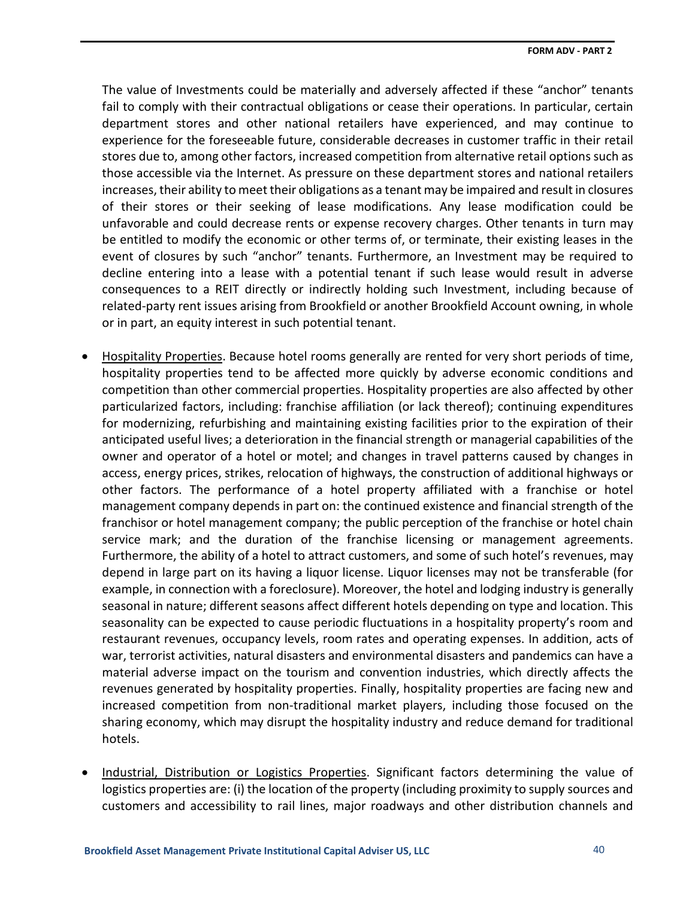The value of Investments could be materially and adversely affected if these "anchor" tenants fail to comply with their contractual obligations or cease their operations. In particular, certain department stores and other national retailers have experienced, and may continue to experience for the foreseeable future, considerable decreases in customer traffic in their retail stores due to, among other factors, increased competition from alternative retail options such as those accessible via the Internet. As pressure on these department stores and national retailers increases, their ability to meet their obligations as a tenant may be impaired and result in closures of their stores or their seeking of lease modifications. Any lease modification could be unfavorable and could decrease rents or expense recovery charges. Other tenants in turn may be entitled to modify the economic or other terms of, or terminate, their existing leases in the event of closures by such "anchor" tenants. Furthermore, an Investment may be required to decline entering into a lease with a potential tenant if such lease would result in adverse consequences to a REIT directly or indirectly holding such Investment, including because of related-party rent issues arising from Brookfield or another Brookfield Account owning, in whole or in part, an equity interest in such potential tenant.

- Hospitality Properties. Because hotel rooms generally are rented for very short periods of time, hospitality properties tend to be affected more quickly by adverse economic conditions and competition than other commercial properties. Hospitality properties are also affected by other particularized factors, including: franchise affiliation (or lack thereof); continuing expenditures for modernizing, refurbishing and maintaining existing facilities prior to the expiration of their anticipated useful lives; a deterioration in the financial strength or managerial capabilities of the owner and operator of a hotel or motel; and changes in travel patterns caused by changes in access, energy prices, strikes, relocation of highways, the construction of additional highways or other factors. The performance of a hotel property affiliated with a franchise or hotel management company depends in part on: the continued existence and financial strength of the franchisor or hotel management company; the public perception of the franchise or hotel chain service mark; and the duration of the franchise licensing or management agreements. Furthermore, the ability of a hotel to attract customers, and some of such hotel's revenues, may depend in large part on its having a liquor license. Liquor licenses may not be transferable (for example, in connection with a foreclosure). Moreover, the hotel and lodging industry is generally seasonal in nature; different seasons affect different hotels depending on type and location. This seasonality can be expected to cause periodic fluctuations in a hospitality property's room and restaurant revenues, occupancy levels, room rates and operating expenses. In addition, acts of war, terrorist activities, natural disasters and environmental disasters and pandemics can have a material adverse impact on the tourism and convention industries, which directly affects the revenues generated by hospitality properties. Finally, hospitality properties are facing new and increased competition from non-traditional market players, including those focused on the sharing economy, which may disrupt the hospitality industry and reduce demand for traditional hotels.
- Industrial, Distribution or Logistics Properties. Significant factors determining the value of logistics properties are: (i) the location of the property (including proximity to supply sources and customers and accessibility to rail lines, major roadways and other distribution channels and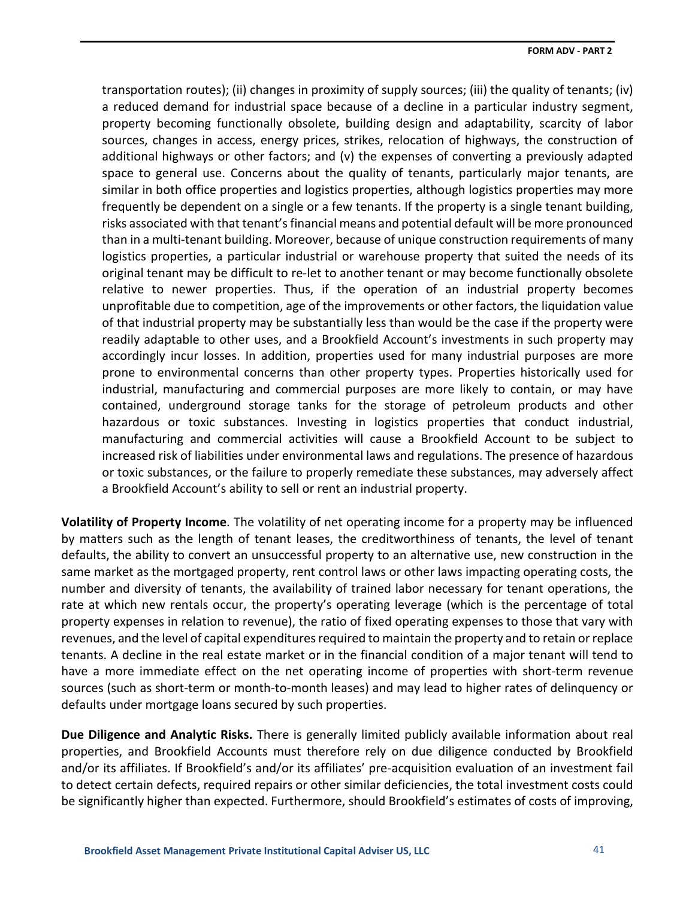transportation routes); (ii) changes in proximity of supply sources; (iii) the quality of tenants; (iv) a reduced demand for industrial space because of a decline in a particular industry segment, property becoming functionally obsolete, building design and adaptability, scarcity of labor sources, changes in access, energy prices, strikes, relocation of highways, the construction of additional highways or other factors; and (v) the expenses of converting a previously adapted space to general use. Concerns about the quality of tenants, particularly major tenants, are similar in both office properties and logistics properties, although logistics properties may more frequently be dependent on a single or a few tenants. If the property is a single tenant building, risks associated with that tenant's financial means and potential default will be more pronounced than in a multi-tenant building. Moreover, because of unique construction requirements of many logistics properties, a particular industrial or warehouse property that suited the needs of its original tenant may be difficult to re-let to another tenant or may become functionally obsolete relative to newer properties. Thus, if the operation of an industrial property becomes unprofitable due to competition, age of the improvements or other factors, the liquidation value of that industrial property may be substantially less than would be the case if the property were readily adaptable to other uses, and a Brookfield Account's investments in such property may accordingly incur losses. In addition, properties used for many industrial purposes are more prone to environmental concerns than other property types. Properties historically used for industrial, manufacturing and commercial purposes are more likely to contain, or may have contained, underground storage tanks for the storage of petroleum products and other hazardous or toxic substances. Investing in logistics properties that conduct industrial, manufacturing and commercial activities will cause a Brookfield Account to be subject to increased risk of liabilities under environmental laws and regulations. The presence of hazardous or toxic substances, or the failure to properly remediate these substances, may adversely affect a Brookfield Account's ability to sell or rent an industrial property.

**Volatility of Property Income**. The volatility of net operating income for a property may be influenced by matters such as the length of tenant leases, the creditworthiness of tenants, the level of tenant defaults, the ability to convert an unsuccessful property to an alternative use, new construction in the same market as the mortgaged property, rent control laws or other laws impacting operating costs, the number and diversity of tenants, the availability of trained labor necessary for tenant operations, the rate at which new rentals occur, the property's operating leverage (which is the percentage of total property expenses in relation to revenue), the ratio of fixed operating expenses to those that vary with revenues, and the level of capital expenditures required to maintain the property and to retain or replace tenants. A decline in the real estate market or in the financial condition of a major tenant will tend to have a more immediate effect on the net operating income of properties with short-term revenue sources (such as short-term or month-to-month leases) and may lead to higher rates of delinquency or defaults under mortgage loans secured by such properties.

**Due Diligence and Analytic Risks.** There is generally limited publicly available information about real properties, and Brookfield Accounts must therefore rely on due diligence conducted by Brookfield and/or its affiliates. If Brookfield's and/or its affiliates' pre-acquisition evaluation of an investment fail to detect certain defects, required repairs or other similar deficiencies, the total investment costs could be significantly higher than expected. Furthermore, should Brookfield's estimates of costs of improving,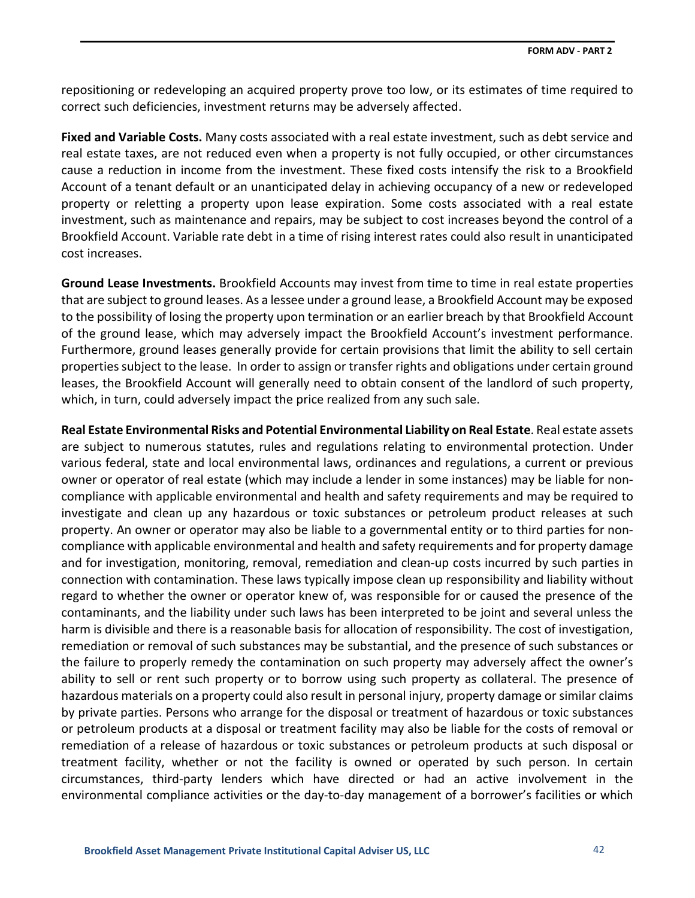repositioning or redeveloping an acquired property prove too low, or its estimates of time required to correct such deficiencies, investment returns may be adversely affected.

**Fixed and Variable Costs.** Many costs associated with a real estate investment, such as debt service and real estate taxes, are not reduced even when a property is not fully occupied, or other circumstances cause a reduction in income from the investment. These fixed costs intensify the risk to a Brookfield Account of a tenant default or an unanticipated delay in achieving occupancy of a new or redeveloped property or reletting a property upon lease expiration. Some costs associated with a real estate investment, such as maintenance and repairs, may be subject to cost increases beyond the control of a Brookfield Account. Variable rate debt in a time of rising interest rates could also result in unanticipated cost increases.

**Ground Lease Investments.** Brookfield Accounts may invest from time to time in real estate properties that are subject to ground leases. As a lessee under a ground lease, a Brookfield Account may be exposed to the possibility of losing the property upon termination or an earlier breach by that Brookfield Account of the ground lease, which may adversely impact the Brookfield Account's investment performance. Furthermore, ground leases generally provide for certain provisions that limit the ability to sell certain properties subject to the lease. In order to assign or transfer rights and obligations under certain ground leases, the Brookfield Account will generally need to obtain consent of the landlord of such property, which, in turn, could adversely impact the price realized from any such sale.

**Real Estate Environmental Risks and Potential Environmental Liability on Real Estate**. Real estate assets are subject to numerous statutes, rules and regulations relating to environmental protection. Under various federal, state and local environmental laws, ordinances and regulations, a current or previous owner or operator of real estate (which may include a lender in some instances) may be liable for noncompliance with applicable environmental and health and safety requirements and may be required to investigate and clean up any hazardous or toxic substances or petroleum product releases at such property. An owner or operator may also be liable to a governmental entity or to third parties for noncompliance with applicable environmental and health and safety requirements and for property damage and for investigation, monitoring, removal, remediation and clean-up costs incurred by such parties in connection with contamination. These laws typically impose clean up responsibility and liability without regard to whether the owner or operator knew of, was responsible for or caused the presence of the contaminants, and the liability under such laws has been interpreted to be joint and several unless the harm is divisible and there is a reasonable basis for allocation of responsibility. The cost of investigation, remediation or removal of such substances may be substantial, and the presence of such substances or the failure to properly remedy the contamination on such property may adversely affect the owner's ability to sell or rent such property or to borrow using such property as collateral. The presence of hazardous materials on a property could also result in personal injury, property damage or similar claims by private parties. Persons who arrange for the disposal or treatment of hazardous or toxic substances or petroleum products at a disposal or treatment facility may also be liable for the costs of removal or remediation of a release of hazardous or toxic substances or petroleum products at such disposal or treatment facility, whether or not the facility is owned or operated by such person. In certain circumstances, third-party lenders which have directed or had an active involvement in the environmental compliance activities or the day-to-day management of a borrower's facilities or which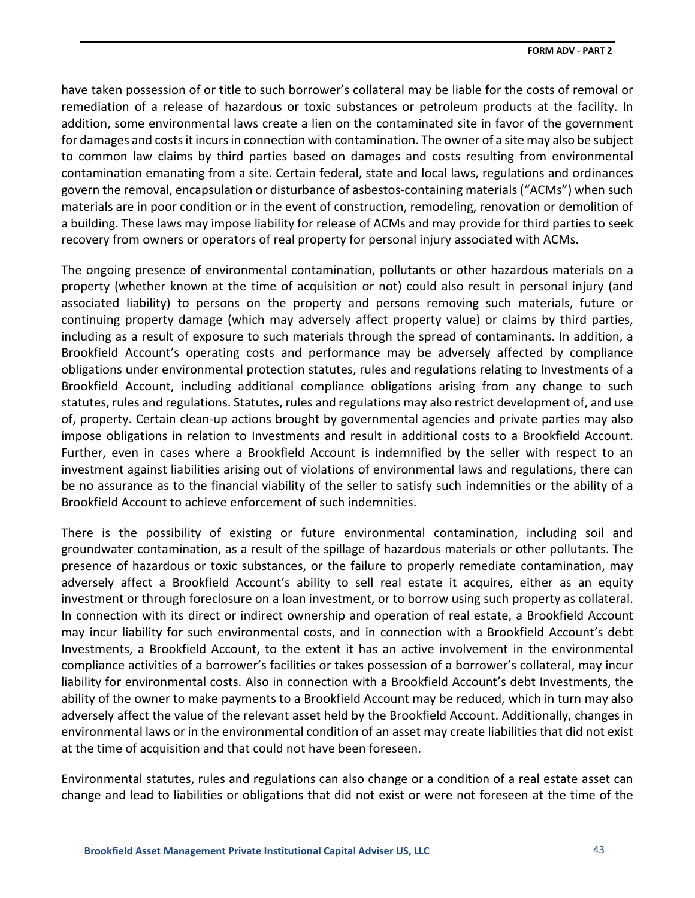have taken possession of or title to such borrower's collateral may be liable for the costs of removal or remediation of a release of hazardous or toxic substances or petroleum products at the facility. In addition, some environmental laws create a lien on the contaminated site in favor of the government for damages and costs it incurs in connection with contamination. The owner of a site may also be subject to common law claims by third parties based on damages and costs resulting from environmental contamination emanating from a site. Certain federal, state and local laws, regulations and ordinances govern the removal, encapsulation or disturbance of asbestos-containing materials ("ACMs") when such materials are in poor condition or in the event of construction, remodeling, renovation or demolition of a building. These laws may impose liability for release of ACMs and may provide for third parties to seek recovery from owners or operators of real property for personal injury associated with ACMs.

The ongoing presence of environmental contamination, pollutants or other hazardous materials on a property (whether known at the time of acquisition or not) could also result in personal injury (and associated liability) to persons on the property and persons removing such materials, future or continuing property damage (which may adversely affect property value) or claims by third parties, including as a result of exposure to such materials through the spread of contaminants. In addition, a Brookfield Account's operating costs and performance may be adversely affected by compliance obligations under environmental protection statutes, rules and regulations relating to Investments of a Brookfield Account, including additional compliance obligations arising from any change to such statutes, rules and regulations. Statutes, rules and regulations may also restrict development of, and use of, property. Certain clean-up actions brought by governmental agencies and private parties may also impose obligations in relation to Investments and result in additional costs to a Brookfield Account. Further, even in cases where a Brookfield Account is indemnified by the seller with respect to an investment against liabilities arising out of violations of environmental laws and regulations, there can be no assurance as to the financial viability of the seller to satisfy such indemnities or the ability of a Brookfield Account to achieve enforcement of such indemnities.

There is the possibility of existing or future environmental contamination, including soil and groundwater contamination, as a result of the spillage of hazardous materials or other pollutants. The presence of hazardous or toxic substances, or the failure to properly remediate contamination, may adversely affect a Brookfield Account's ability to sell real estate it acquires, either as an equity investment or through foreclosure on a loan investment, or to borrow using such property as collateral. In connection with its direct or indirect ownership and operation of real estate, a Brookfield Account may incur liability for such environmental costs, and in connection with a Brookfield Account's debt Investments, a Brookfield Account, to the extent it has an active involvement in the environmental compliance activities of a borrower's facilities or takes possession of a borrower's collateral, may incur liability for environmental costs. Also in connection with a Brookfield Account's debt Investments, the ability of the owner to make payments to a Brookfield Account may be reduced, which in turn may also adversely affect the value of the relevant asset held by the Brookfield Account. Additionally, changes in environmental laws or in the environmental condition of an asset may create liabilities that did not exist at the time of acquisition and that could not have been foreseen.

Environmental statutes, rules and regulations can also change or a condition of a real estate asset can change and lead to liabilities or obligations that did not exist or were not foreseen at the time of the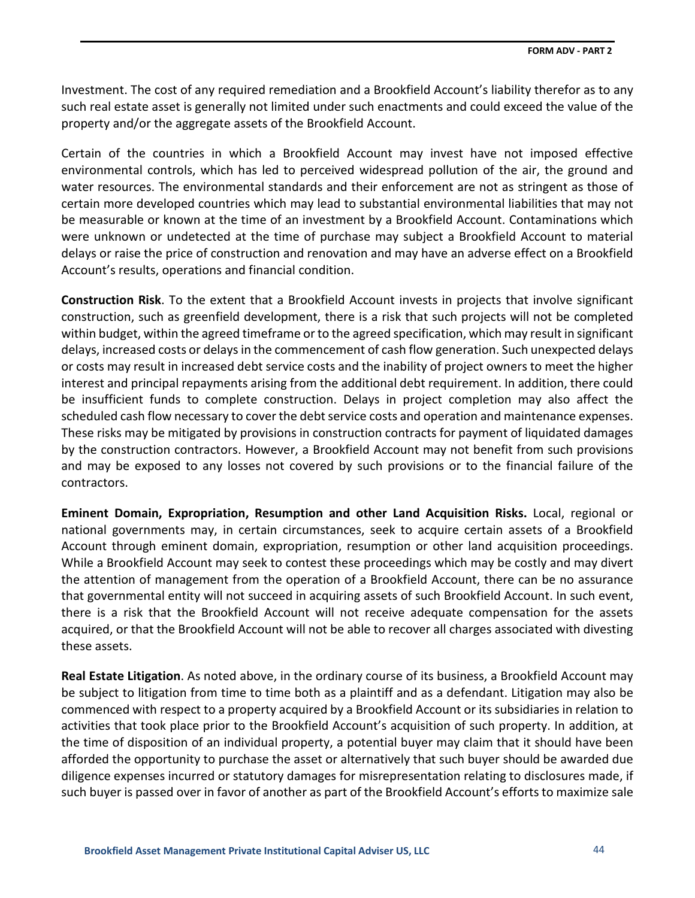Investment. The cost of any required remediation and a Brookfield Account's liability therefor as to any such real estate asset is generally not limited under such enactments and could exceed the value of the property and/or the aggregate assets of the Brookfield Account.

Certain of the countries in which a Brookfield Account may invest have not imposed effective environmental controls, which has led to perceived widespread pollution of the air, the ground and water resources. The environmental standards and their enforcement are not as stringent as those of certain more developed countries which may lead to substantial environmental liabilities that may not be measurable or known at the time of an investment by a Brookfield Account. Contaminations which were unknown or undetected at the time of purchase may subject a Brookfield Account to material delays or raise the price of construction and renovation and may have an adverse effect on a Brookfield Account's results, operations and financial condition.

**Construction Risk**. To the extent that a Brookfield Account invests in projects that involve significant construction, such as greenfield development, there is a risk that such projects will not be completed within budget, within the agreed timeframe or to the agreed specification, which may result in significant delays, increased costs or delays in the commencement of cash flow generation. Such unexpected delays or costs may result in increased debt service costs and the inability of project owners to meet the higher interest and principal repayments arising from the additional debt requirement. In addition, there could be insufficient funds to complete construction. Delays in project completion may also affect the scheduled cash flow necessary to cover the debt service costs and operation and maintenance expenses. These risks may be mitigated by provisions in construction contracts for payment of liquidated damages by the construction contractors. However, a Brookfield Account may not benefit from such provisions and may be exposed to any losses not covered by such provisions or to the financial failure of the contractors.

**Eminent Domain, Expropriation, Resumption and other Land Acquisition Risks.** Local, regional or national governments may, in certain circumstances, seek to acquire certain assets of a Brookfield Account through eminent domain, expropriation, resumption or other land acquisition proceedings. While a Brookfield Account may seek to contest these proceedings which may be costly and may divert the attention of management from the operation of a Brookfield Account, there can be no assurance that governmental entity will not succeed in acquiring assets of such Brookfield Account. In such event, there is a risk that the Brookfield Account will not receive adequate compensation for the assets acquired, or that the Brookfield Account will not be able to recover all charges associated with divesting these assets.

**Real Estate Litigation**. As noted above, in the ordinary course of its business, a Brookfield Account may be subject to litigation from time to time both as a plaintiff and as a defendant. Litigation may also be commenced with respect to a property acquired by a Brookfield Account or its subsidiaries in relation to activities that took place prior to the Brookfield Account's acquisition of such property. In addition, at the time of disposition of an individual property, a potential buyer may claim that it should have been afforded the opportunity to purchase the asset or alternatively that such buyer should be awarded due diligence expenses incurred or statutory damages for misrepresentation relating to disclosures made, if such buyer is passed over in favor of another as part of the Brookfield Account's efforts to maximize sale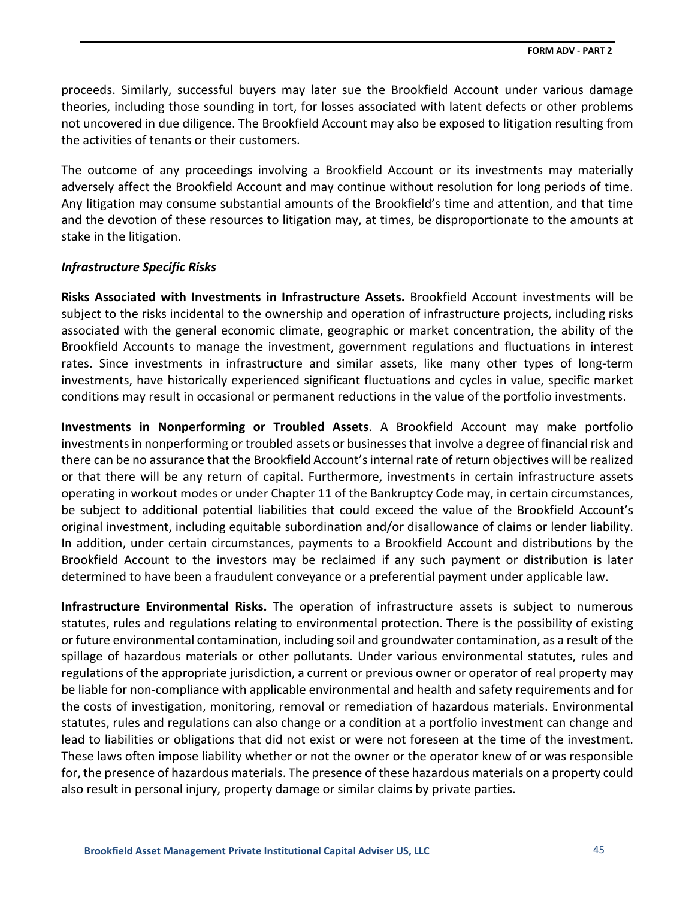proceeds. Similarly, successful buyers may later sue the Brookfield Account under various damage theories, including those sounding in tort, for losses associated with latent defects or other problems not uncovered in due diligence. The Brookfield Account may also be exposed to litigation resulting from the activities of tenants or their customers.

The outcome of any proceedings involving a Brookfield Account or its investments may materially adversely affect the Brookfield Account and may continue without resolution for long periods of time. Any litigation may consume substantial amounts of the Brookfield's time and attention, and that time and the devotion of these resources to litigation may, at times, be disproportionate to the amounts at stake in the litigation.

### *Infrastructure Specific Risks*

**Risks Associated with Investments in Infrastructure Assets.** Brookfield Account investments will be subject to the risks incidental to the ownership and operation of infrastructure projects, including risks associated with the general economic climate, geographic or market concentration, the ability of the Brookfield Accounts to manage the investment, government regulations and fluctuations in interest rates. Since investments in infrastructure and similar assets, like many other types of long-term investments, have historically experienced significant fluctuations and cycles in value, specific market conditions may result in occasional or permanent reductions in the value of the portfolio investments.

**Investments in Nonperforming or Troubled Assets**. A Brookfield Account may make portfolio investments in nonperforming or troubled assets or businesses that involve a degree of financial risk and there can be no assurance that the Brookfield Account's internal rate of return objectives will be realized or that there will be any return of capital. Furthermore, investments in certain infrastructure assets operating in workout modes or under Chapter 11 of the Bankruptcy Code may, in certain circumstances, be subject to additional potential liabilities that could exceed the value of the Brookfield Account's original investment, including equitable subordination and/or disallowance of claims or lender liability. In addition, under certain circumstances, payments to a Brookfield Account and distributions by the Brookfield Account to the investors may be reclaimed if any such payment or distribution is later determined to have been a fraudulent conveyance or a preferential payment under applicable law.

**Infrastructure Environmental Risks.** The operation of infrastructure assets is subject to numerous statutes, rules and regulations relating to environmental protection. There is the possibility of existing or future environmental contamination, including soil and groundwater contamination, as a result of the spillage of hazardous materials or other pollutants. Under various environmental statutes, rules and regulations of the appropriate jurisdiction, a current or previous owner or operator of real property may be liable for non-compliance with applicable environmental and health and safety requirements and for the costs of investigation, monitoring, removal or remediation of hazardous materials. Environmental statutes, rules and regulations can also change or a condition at a portfolio investment can change and lead to liabilities or obligations that did not exist or were not foreseen at the time of the investment. These laws often impose liability whether or not the owner or the operator knew of or was responsible for, the presence of hazardous materials. The presence of these hazardous materials on a property could also result in personal injury, property damage or similar claims by private parties.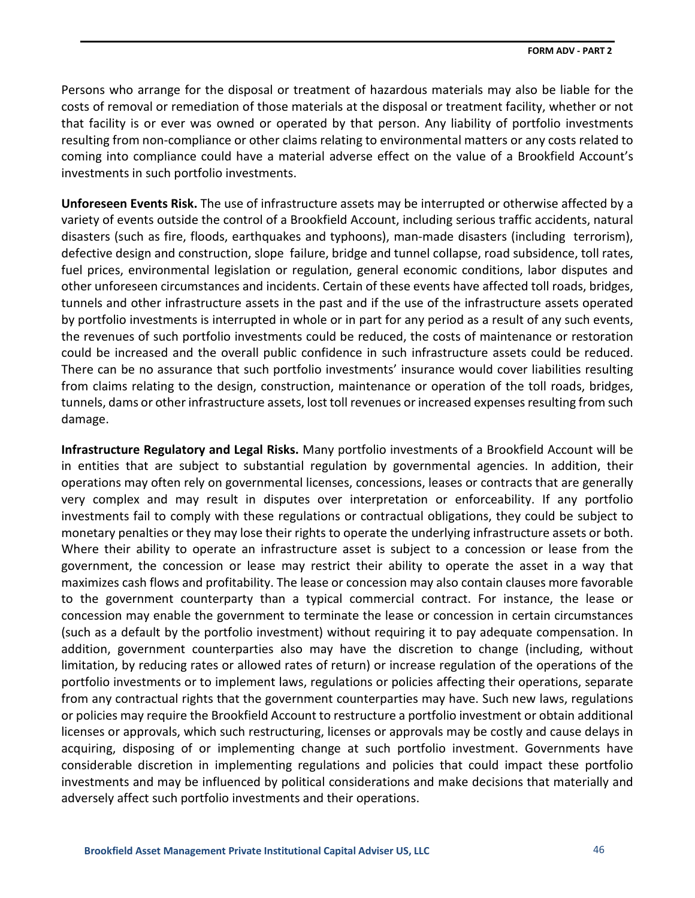Persons who arrange for the disposal or treatment of hazardous materials may also be liable for the costs of removal or remediation of those materials at the disposal or treatment facility, whether or not that facility is or ever was owned or operated by that person. Any liability of portfolio investments resulting from non-compliance or other claims relating to environmental matters or any costs related to coming into compliance could have a material adverse effect on the value of a Brookfield Account's investments in such portfolio investments.

**Unforeseen Events Risk.** The use of infrastructure assets may be interrupted or otherwise affected by a variety of events outside the control of a Brookfield Account, including serious traffic accidents, natural disasters (such as fire, floods, earthquakes and typhoons), man-made disasters (including terrorism), defective design and construction, slope failure, bridge and tunnel collapse, road subsidence, toll rates, fuel prices, environmental legislation or regulation, general economic conditions, labor disputes and other unforeseen circumstances and incidents. Certain of these events have affected toll roads, bridges, tunnels and other infrastructure assets in the past and if the use of the infrastructure assets operated by portfolio investments is interrupted in whole or in part for any period as a result of any such events, the revenues of such portfolio investments could be reduced, the costs of maintenance or restoration could be increased and the overall public confidence in such infrastructure assets could be reduced. There can be no assurance that such portfolio investments' insurance would cover liabilities resulting from claims relating to the design, construction, maintenance or operation of the toll roads, bridges, tunnels, dams or other infrastructure assets, lost toll revenues or increased expenses resulting from such damage.

**Infrastructure Regulatory and Legal Risks.** Many portfolio investments of a Brookfield Account will be in entities that are subject to substantial regulation by governmental agencies. In addition, their operations may often rely on governmental licenses, concessions, leases or contracts that are generally very complex and may result in disputes over interpretation or enforceability. If any portfolio investments fail to comply with these regulations or contractual obligations, they could be subject to monetary penalties or they may lose their rights to operate the underlying infrastructure assets or both. Where their ability to operate an infrastructure asset is subject to a concession or lease from the government, the concession or lease may restrict their ability to operate the asset in a way that maximizes cash flows and profitability. The lease or concession may also contain clauses more favorable to the government counterparty than a typical commercial contract. For instance, the lease or concession may enable the government to terminate the lease or concession in certain circumstances (such as a default by the portfolio investment) without requiring it to pay adequate compensation. In addition, government counterparties also may have the discretion to change (including, without limitation, by reducing rates or allowed rates of return) or increase regulation of the operations of the portfolio investments or to implement laws, regulations or policies affecting their operations, separate from any contractual rights that the government counterparties may have. Such new laws, regulations or policies may require the Brookfield Account to restructure a portfolio investment or obtain additional licenses or approvals, which such restructuring, licenses or approvals may be costly and cause delays in acquiring, disposing of or implementing change at such portfolio investment. Governments have considerable discretion in implementing regulations and policies that could impact these portfolio investments and may be influenced by political considerations and make decisions that materially and adversely affect such portfolio investments and their operations.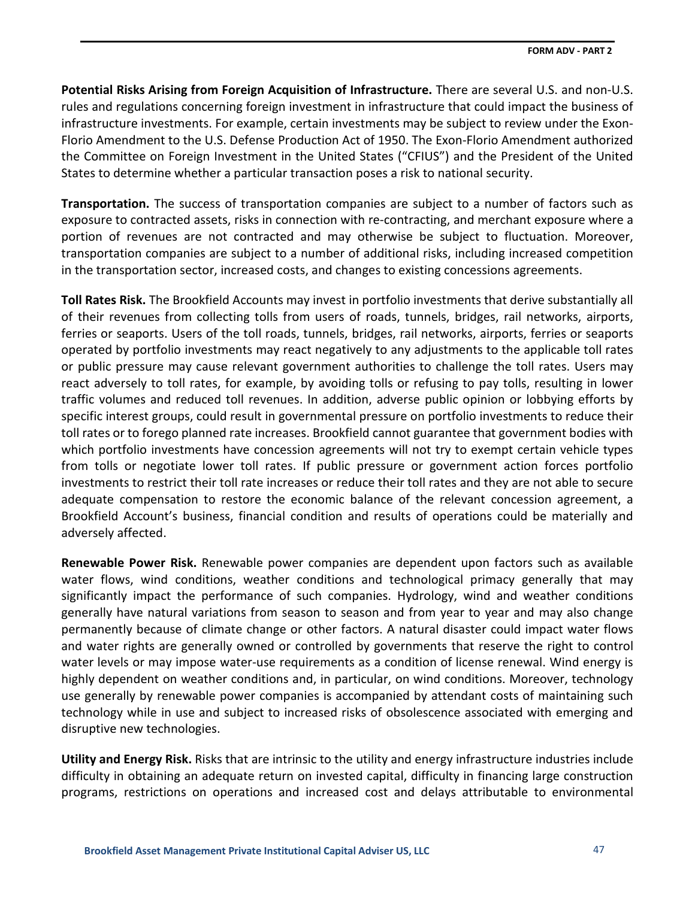**Potential Risks Arising from Foreign Acquisition of Infrastructure.** There are several U.S. and non-U.S. rules and regulations concerning foreign investment in infrastructure that could impact the business of infrastructure investments. For example, certain investments may be subject to review under the Exon-Florio Amendment to the U.S. Defense Production Act of 1950. The Exon-Florio Amendment authorized the Committee on Foreign Investment in the United States ("CFIUS") and the President of the United States to determine whether a particular transaction poses a risk to national security.

**Transportation.** The success of transportation companies are subject to a number of factors such as exposure to contracted assets, risks in connection with re-contracting, and merchant exposure where a portion of revenues are not contracted and may otherwise be subject to fluctuation. Moreover, transportation companies are subject to a number of additional risks, including increased competition in the transportation sector, increased costs, and changes to existing concessions agreements.

**Toll Rates Risk.** The Brookfield Accounts may invest in portfolio investments that derive substantially all of their revenues from collecting tolls from users of roads, tunnels, bridges, rail networks, airports, ferries or seaports. Users of the toll roads, tunnels, bridges, rail networks, airports, ferries or seaports operated by portfolio investments may react negatively to any adjustments to the applicable toll rates or public pressure may cause relevant government authorities to challenge the toll rates. Users may react adversely to toll rates, for example, by avoiding tolls or refusing to pay tolls, resulting in lower traffic volumes and reduced toll revenues. In addition, adverse public opinion or lobbying efforts by specific interest groups, could result in governmental pressure on portfolio investments to reduce their toll rates or to forego planned rate increases. Brookfield cannot guarantee that government bodies with which portfolio investments have concession agreements will not try to exempt certain vehicle types from tolls or negotiate lower toll rates. If public pressure or government action forces portfolio investments to restrict their toll rate increases or reduce their toll rates and they are not able to secure adequate compensation to restore the economic balance of the relevant concession agreement, a Brookfield Account's business, financial condition and results of operations could be materially and adversely affected.

**Renewable Power Risk.** Renewable power companies are dependent upon factors such as available water flows, wind conditions, weather conditions and technological primacy generally that may significantly impact the performance of such companies. Hydrology, wind and weather conditions generally have natural variations from season to season and from year to year and may also change permanently because of climate change or other factors. A natural disaster could impact water flows and water rights are generally owned or controlled by governments that reserve the right to control water levels or may impose water-use requirements as a condition of license renewal. Wind energy is highly dependent on weather conditions and, in particular, on wind conditions. Moreover, technology use generally by renewable power companies is accompanied by attendant costs of maintaining such technology while in use and subject to increased risks of obsolescence associated with emerging and disruptive new technologies.

**Utility and Energy Risk.** Risks that are intrinsic to the utility and energy infrastructure industries include difficulty in obtaining an adequate return on invested capital, difficulty in financing large construction programs, restrictions on operations and increased cost and delays attributable to environmental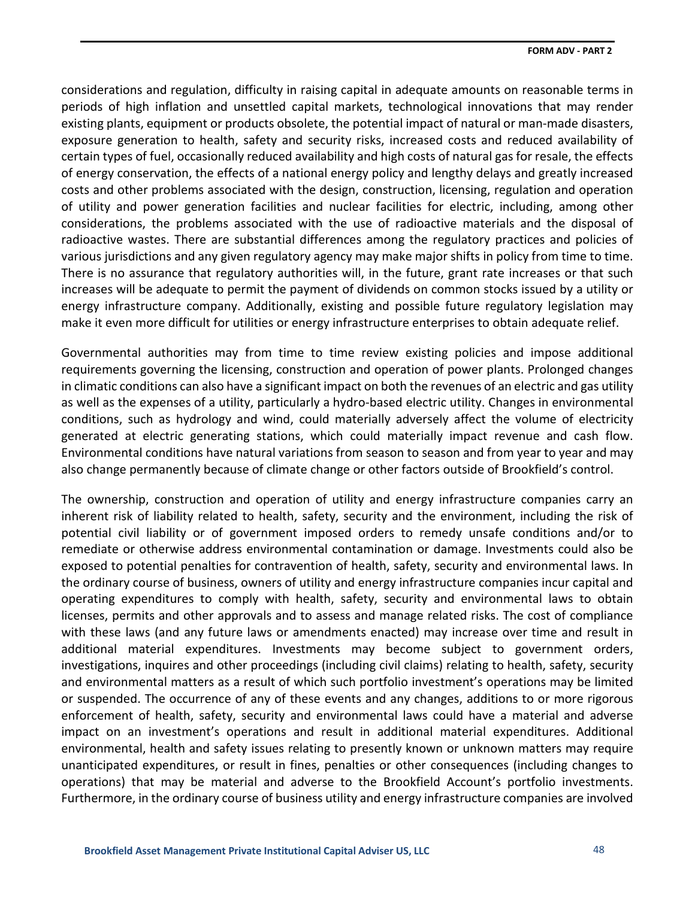considerations and regulation, difficulty in raising capital in adequate amounts on reasonable terms in periods of high inflation and unsettled capital markets, technological innovations that may render existing plants, equipment or products obsolete, the potential impact of natural or man-made disasters, exposure generation to health, safety and security risks, increased costs and reduced availability of certain types of fuel, occasionally reduced availability and high costs of natural gas for resale, the effects of energy conservation, the effects of a national energy policy and lengthy delays and greatly increased costs and other problems associated with the design, construction, licensing, regulation and operation of utility and power generation facilities and nuclear facilities for electric, including, among other considerations, the problems associated with the use of radioactive materials and the disposal of radioactive wastes. There are substantial differences among the regulatory practices and policies of various jurisdictions and any given regulatory agency may make major shifts in policy from time to time. There is no assurance that regulatory authorities will, in the future, grant rate increases or that such increases will be adequate to permit the payment of dividends on common stocks issued by a utility or energy infrastructure company. Additionally, existing and possible future regulatory legislation may make it even more difficult for utilities or energy infrastructure enterprises to obtain adequate relief.

Governmental authorities may from time to time review existing policies and impose additional requirements governing the licensing, construction and operation of power plants. Prolonged changes in climatic conditions can also have a significant impact on both the revenues of an electric and gas utility as well as the expenses of a utility, particularly a hydro-based electric utility. Changes in environmental conditions, such as hydrology and wind, could materially adversely affect the volume of electricity generated at electric generating stations, which could materially impact revenue and cash flow. Environmental conditions have natural variations from season to season and from year to year and may also change permanently because of climate change or other factors outside of Brookfield's control.

The ownership, construction and operation of utility and energy infrastructure companies carry an inherent risk of liability related to health, safety, security and the environment, including the risk of potential civil liability or of government imposed orders to remedy unsafe conditions and/or to remediate or otherwise address environmental contamination or damage. Investments could also be exposed to potential penalties for contravention of health, safety, security and environmental laws. In the ordinary course of business, owners of utility and energy infrastructure companies incur capital and operating expenditures to comply with health, safety, security and environmental laws to obtain licenses, permits and other approvals and to assess and manage related risks. The cost of compliance with these laws (and any future laws or amendments enacted) may increase over time and result in additional material expenditures. Investments may become subject to government orders, investigations, inquires and other proceedings (including civil claims) relating to health, safety, security and environmental matters as a result of which such portfolio investment's operations may be limited or suspended. The occurrence of any of these events and any changes, additions to or more rigorous enforcement of health, safety, security and environmental laws could have a material and adverse impact on an investment's operations and result in additional material expenditures. Additional environmental, health and safety issues relating to presently known or unknown matters may require unanticipated expenditures, or result in fines, penalties or other consequences (including changes to operations) that may be material and adverse to the Brookfield Account's portfolio investments. Furthermore, in the ordinary course of business utility and energy infrastructure companies are involved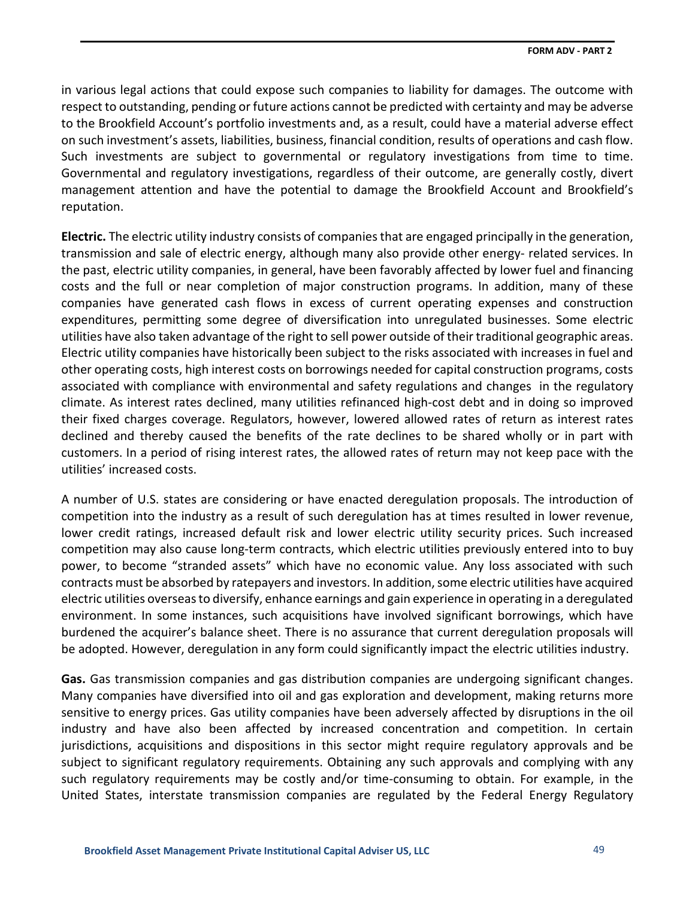in various legal actions that could expose such companies to liability for damages. The outcome with respect to outstanding, pending or future actions cannot be predicted with certainty and may be adverse to the Brookfield Account's portfolio investments and, as a result, could have a material adverse effect on such investment's assets, liabilities, business, financial condition, results of operations and cash flow. Such investments are subject to governmental or regulatory investigations from time to time. Governmental and regulatory investigations, regardless of their outcome, are generally costly, divert management attention and have the potential to damage the Brookfield Account and Brookfield's reputation.

**Electric.** The electric utility industry consists of companies that are engaged principally in the generation, transmission and sale of electric energy, although many also provide other energy- related services. In the past, electric utility companies, in general, have been favorably affected by lower fuel and financing costs and the full or near completion of major construction programs. In addition, many of these companies have generated cash flows in excess of current operating expenses and construction expenditures, permitting some degree of diversification into unregulated businesses. Some electric utilities have also taken advantage of the right to sell power outside of their traditional geographic areas. Electric utility companies have historically been subject to the risks associated with increases in fuel and other operating costs, high interest costs on borrowings needed for capital construction programs, costs associated with compliance with environmental and safety regulations and changes in the regulatory climate. As interest rates declined, many utilities refinanced high-cost debt and in doing so improved their fixed charges coverage. Regulators, however, lowered allowed rates of return as interest rates declined and thereby caused the benefits of the rate declines to be shared wholly or in part with customers. In a period of rising interest rates, the allowed rates of return may not keep pace with the utilities' increased costs.

A number of U.S. states are considering or have enacted deregulation proposals. The introduction of competition into the industry as a result of such deregulation has at times resulted in lower revenue, lower credit ratings, increased default risk and lower electric utility security prices. Such increased competition may also cause long-term contracts, which electric utilities previously entered into to buy power, to become "stranded assets" which have no economic value. Any loss associated with such contracts must be absorbed by ratepayers and investors. In addition, some electric utilities have acquired electric utilities overseas to diversify, enhance earnings and gain experience in operating in a deregulated environment. In some instances, such acquisitions have involved significant borrowings, which have burdened the acquirer's balance sheet. There is no assurance that current deregulation proposals will be adopted. However, deregulation in any form could significantly impact the electric utilities industry.

**Gas.** Gas transmission companies and gas distribution companies are undergoing significant changes. Many companies have diversified into oil and gas exploration and development, making returns more sensitive to energy prices. Gas utility companies have been adversely affected by disruptions in the oil industry and have also been affected by increased concentration and competition. In certain jurisdictions, acquisitions and dispositions in this sector might require regulatory approvals and be subject to significant regulatory requirements. Obtaining any such approvals and complying with any such regulatory requirements may be costly and/or time-consuming to obtain. For example, in the United States, interstate transmission companies are regulated by the Federal Energy Regulatory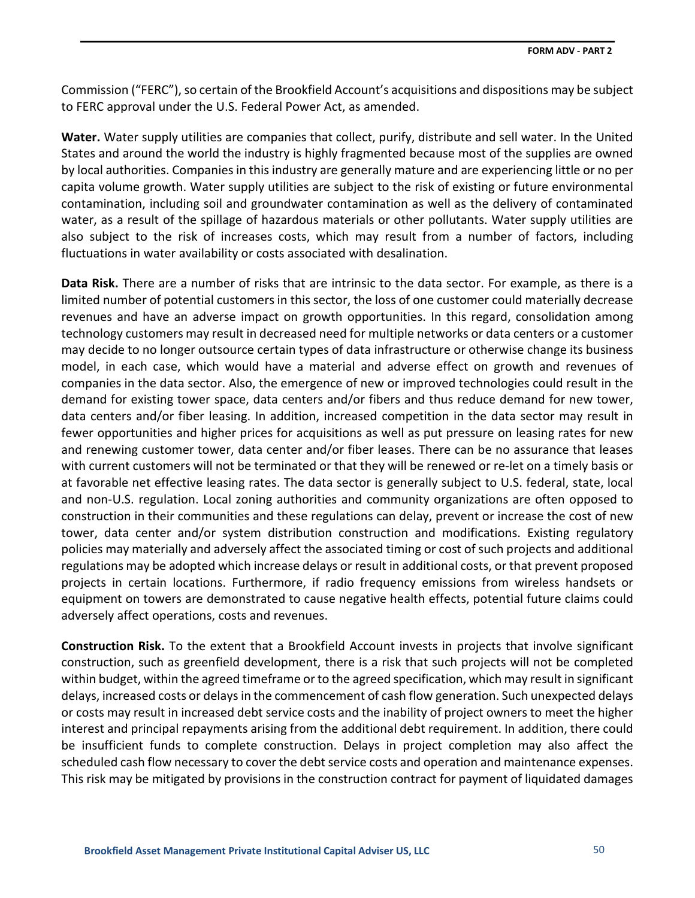Commission ("FERC"), so certain of the Brookfield Account's acquisitions and dispositions may be subject to FERC approval under the U.S. Federal Power Act, as amended.

**Water.** Water supply utilities are companies that collect, purify, distribute and sell water. In the United States and around the world the industry is highly fragmented because most of the supplies are owned by local authorities. Companies in this industry are generally mature and are experiencing little or no per capita volume growth. Water supply utilities are subject to the risk of existing or future environmental contamination, including soil and groundwater contamination as well as the delivery of contaminated water, as a result of the spillage of hazardous materials or other pollutants. Water supply utilities are also subject to the risk of increases costs, which may result from a number of factors, including fluctuations in water availability or costs associated with desalination.

**Data Risk.** There are a number of risks that are intrinsic to the data sector. For example, as there is a limited number of potential customers in this sector, the loss of one customer could materially decrease revenues and have an adverse impact on growth opportunities. In this regard, consolidation among technology customers may result in decreased need for multiple networks or data centers or a customer may decide to no longer outsource certain types of data infrastructure or otherwise change its business model, in each case, which would have a material and adverse effect on growth and revenues of companies in the data sector. Also, the emergence of new or improved technologies could result in the demand for existing tower space, data centers and/or fibers and thus reduce demand for new tower, data centers and/or fiber leasing. In addition, increased competition in the data sector may result in fewer opportunities and higher prices for acquisitions as well as put pressure on leasing rates for new and renewing customer tower, data center and/or fiber leases. There can be no assurance that leases with current customers will not be terminated or that they will be renewed or re-let on a timely basis or at favorable net effective leasing rates. The data sector is generally subject to U.S. federal, state, local and non-U.S. regulation. Local zoning authorities and community organizations are often opposed to construction in their communities and these regulations can delay, prevent or increase the cost of new tower, data center and/or system distribution construction and modifications. Existing regulatory policies may materially and adversely affect the associated timing or cost of such projects and additional regulations may be adopted which increase delays or result in additional costs, or that prevent proposed projects in certain locations. Furthermore, if radio frequency emissions from wireless handsets or equipment on towers are demonstrated to cause negative health effects, potential future claims could adversely affect operations, costs and revenues.

**Construction Risk.** To the extent that a Brookfield Account invests in projects that involve significant construction, such as greenfield development, there is a risk that such projects will not be completed within budget, within the agreed timeframe or to the agreed specification, which may result in significant delays, increased costs or delays in the commencement of cash flow generation. Such unexpected delays or costs may result in increased debt service costs and the inability of project owners to meet the higher interest and principal repayments arising from the additional debt requirement. In addition, there could be insufficient funds to complete construction. Delays in project completion may also affect the scheduled cash flow necessary to cover the debt service costs and operation and maintenance expenses. This risk may be mitigated by provisions in the construction contract for payment of liquidated damages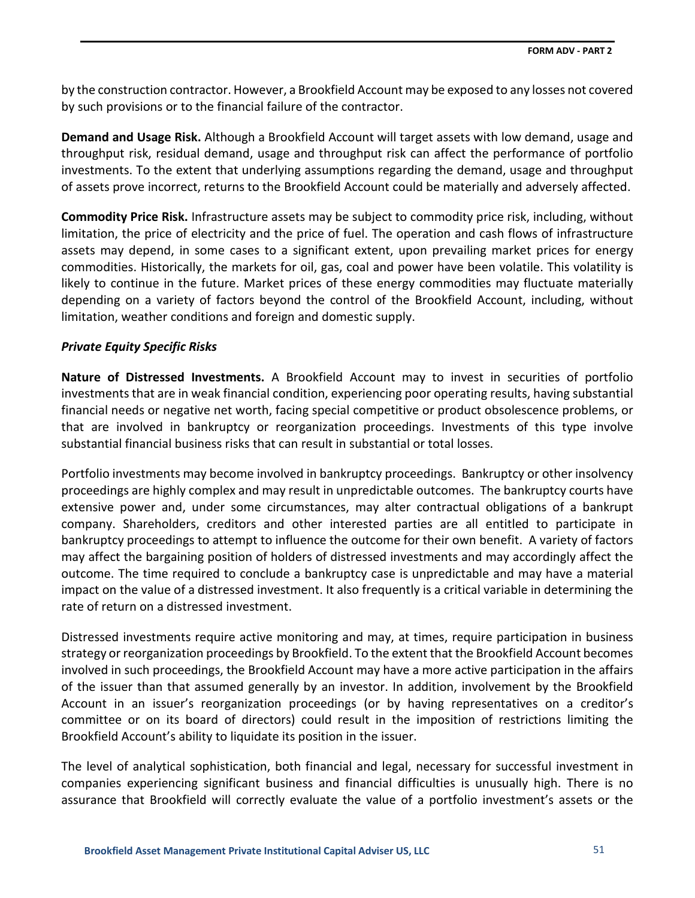by the construction contractor. However, a Brookfield Account may be exposed to any losses not covered by such provisions or to the financial failure of the contractor.

**Demand and Usage Risk.** Although a Brookfield Account will target assets with low demand, usage and throughput risk, residual demand, usage and throughput risk can affect the performance of portfolio investments. To the extent that underlying assumptions regarding the demand, usage and throughput of assets prove incorrect, returns to the Brookfield Account could be materially and adversely affected.

**Commodity Price Risk.** Infrastructure assets may be subject to commodity price risk, including, without limitation, the price of electricity and the price of fuel. The operation and cash flows of infrastructure assets may depend, in some cases to a significant extent, upon prevailing market prices for energy commodities. Historically, the markets for oil, gas, coal and power have been volatile. This volatility is likely to continue in the future. Market prices of these energy commodities may fluctuate materially depending on a variety of factors beyond the control of the Brookfield Account, including, without limitation, weather conditions and foreign and domestic supply.

## *Private Equity Specific Risks*

**Nature of Distressed Investments.** A Brookfield Account may to invest in securities of portfolio investments that are in weak financial condition, experiencing poor operating results, having substantial financial needs or negative net worth, facing special competitive or product obsolescence problems, or that are involved in bankruptcy or reorganization proceedings. Investments of this type involve substantial financial business risks that can result in substantial or total losses.

Portfolio investments may become involved in bankruptcy proceedings. Bankruptcy or other insolvency proceedings are highly complex and may result in unpredictable outcomes. The bankruptcy courts have extensive power and, under some circumstances, may alter contractual obligations of a bankrupt company. Shareholders, creditors and other interested parties are all entitled to participate in bankruptcy proceedings to attempt to influence the outcome for their own benefit. A variety of factors may affect the bargaining position of holders of distressed investments and may accordingly affect the outcome. The time required to conclude a bankruptcy case is unpredictable and may have a material impact on the value of a distressed investment. It also frequently is a critical variable in determining the rate of return on a distressed investment.

Distressed investments require active monitoring and may, at times, require participation in business strategy or reorganization proceedings by Brookfield. To the extent that the Brookfield Account becomes involved in such proceedings, the Brookfield Account may have a more active participation in the affairs of the issuer than that assumed generally by an investor. In addition, involvement by the Brookfield Account in an issuer's reorganization proceedings (or by having representatives on a creditor's committee or on its board of directors) could result in the imposition of restrictions limiting the Brookfield Account's ability to liquidate its position in the issuer.

The level of analytical sophistication, both financial and legal, necessary for successful investment in companies experiencing significant business and financial difficulties is unusually high. There is no assurance that Brookfield will correctly evaluate the value of a portfolio investment's assets or the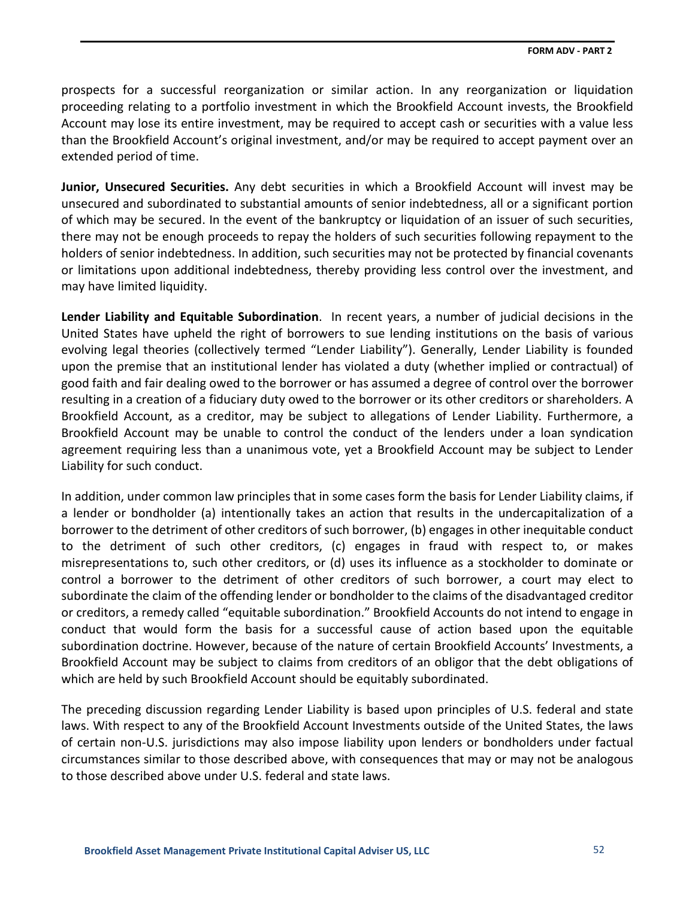prospects for a successful reorganization or similar action. In any reorganization or liquidation proceeding relating to a portfolio investment in which the Brookfield Account invests, the Brookfield Account may lose its entire investment, may be required to accept cash or securities with a value less than the Brookfield Account's original investment, and/or may be required to accept payment over an extended period of time.

**Junior, Unsecured Securities.** Any debt securities in which a Brookfield Account will invest may be unsecured and subordinated to substantial amounts of senior indebtedness, all or a significant portion of which may be secured. In the event of the bankruptcy or liquidation of an issuer of such securities, there may not be enough proceeds to repay the holders of such securities following repayment to the holders of senior indebtedness. In addition, such securities may not be protected by financial covenants or limitations upon additional indebtedness, thereby providing less control over the investment, and may have limited liquidity.

**Lender Liability and Equitable Subordination**. In recent years, a number of judicial decisions in the United States have upheld the right of borrowers to sue lending institutions on the basis of various evolving legal theories (collectively termed "Lender Liability"). Generally, Lender Liability is founded upon the premise that an institutional lender has violated a duty (whether implied or contractual) of good faith and fair dealing owed to the borrower or has assumed a degree of control over the borrower resulting in a creation of a fiduciary duty owed to the borrower or its other creditors or shareholders. A Brookfield Account, as a creditor, may be subject to allegations of Lender Liability. Furthermore, a Brookfield Account may be unable to control the conduct of the lenders under a loan syndication agreement requiring less than a unanimous vote, yet a Brookfield Account may be subject to Lender Liability for such conduct.

In addition, under common law principles that in some cases form the basis for Lender Liability claims, if a lender or bondholder (a) intentionally takes an action that results in the undercapitalization of a borrower to the detriment of other creditors of such borrower, (b) engages in other inequitable conduct to the detriment of such other creditors, (c) engages in fraud with respect to, or makes misrepresentations to, such other creditors, or (d) uses its influence as a stockholder to dominate or control a borrower to the detriment of other creditors of such borrower, a court may elect to subordinate the claim of the offending lender or bondholder to the claims of the disadvantaged creditor or creditors, a remedy called "equitable subordination." Brookfield Accounts do not intend to engage in conduct that would form the basis for a successful cause of action based upon the equitable subordination doctrine. However, because of the nature of certain Brookfield Accounts' Investments, a Brookfield Account may be subject to claims from creditors of an obligor that the debt obligations of which are held by such Brookfield Account should be equitably subordinated.

The preceding discussion regarding Lender Liability is based upon principles of U.S. federal and state laws. With respect to any of the Brookfield Account Investments outside of the United States, the laws of certain non-U.S. jurisdictions may also impose liability upon lenders or bondholders under factual circumstances similar to those described above, with consequences that may or may not be analogous to those described above under U.S. federal and state laws.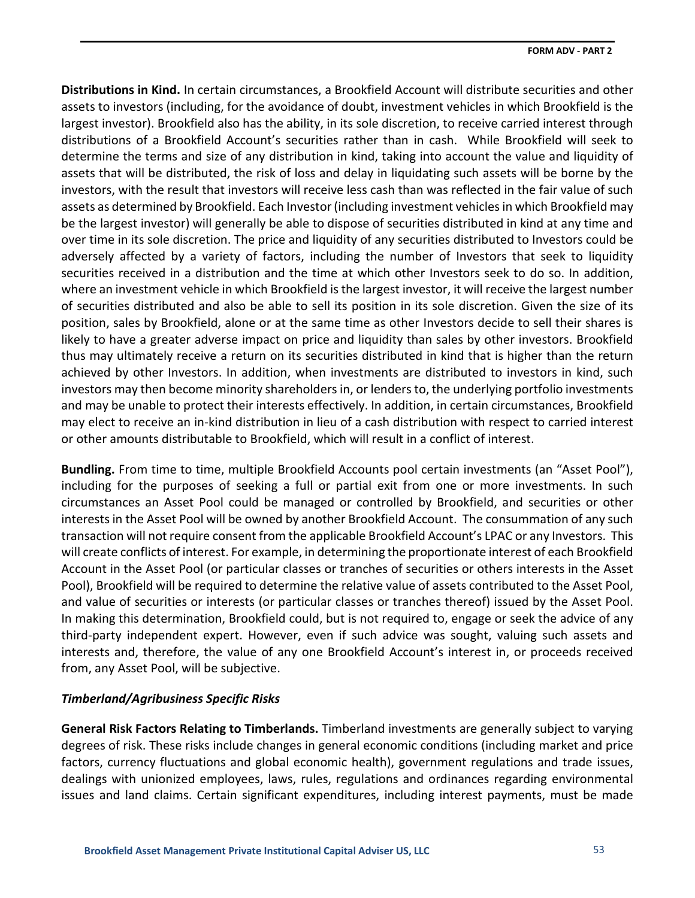**Distributions in Kind.** In certain circumstances, a Brookfield Account will distribute securities and other assets to investors (including, for the avoidance of doubt, investment vehicles in which Brookfield is the largest investor). Brookfield also has the ability, in its sole discretion, to receive carried interest through distributions of a Brookfield Account's securities rather than in cash. While Brookfield will seek to determine the terms and size of any distribution in kind, taking into account the value and liquidity of assets that will be distributed, the risk of loss and delay in liquidating such assets will be borne by the investors, with the result that investors will receive less cash than was reflected in the fair value of such assets as determined by Brookfield. Each Investor (including investment vehicles in which Brookfield may be the largest investor) will generally be able to dispose of securities distributed in kind at any time and over time in its sole discretion. The price and liquidity of any securities distributed to Investors could be adversely affected by a variety of factors, including the number of Investors that seek to liquidity securities received in a distribution and the time at which other Investors seek to do so. In addition, where an investment vehicle in which Brookfield is the largest investor, it will receive the largest number of securities distributed and also be able to sell its position in its sole discretion. Given the size of its position, sales by Brookfield, alone or at the same time as other Investors decide to sell their shares is likely to have a greater adverse impact on price and liquidity than sales by other investors. Brookfield thus may ultimately receive a return on its securities distributed in kind that is higher than the return achieved by other Investors. In addition, when investments are distributed to investors in kind, such investors may then become minority shareholders in, or lenders to, the underlying portfolio investments and may be unable to protect their interests effectively. In addition, in certain circumstances, Brookfield may elect to receive an in-kind distribution in lieu of a cash distribution with respect to carried interest or other amounts distributable to Brookfield, which will result in a conflict of interest.

**Bundling.** From time to time, multiple Brookfield Accounts pool certain investments (an "Asset Pool"), including for the purposes of seeking a full or partial exit from one or more investments. In such circumstances an Asset Pool could be managed or controlled by Brookfield, and securities or other interests in the Asset Pool will be owned by another Brookfield Account. The consummation of any such transaction will not require consent from the applicable Brookfield Account's LPAC or any Investors. This will create conflicts of interest. For example, in determining the proportionate interest of each Brookfield Account in the Asset Pool (or particular classes or tranches of securities or others interests in the Asset Pool), Brookfield will be required to determine the relative value of assets contributed to the Asset Pool, and value of securities or interests (or particular classes or tranches thereof) issued by the Asset Pool. In making this determination, Brookfield could, but is not required to, engage or seek the advice of any third-party independent expert. However, even if such advice was sought, valuing such assets and interests and, therefore, the value of any one Brookfield Account's interest in, or proceeds received from, any Asset Pool, will be subjective.

# *Timberland/Agribusiness Specific Risks*

**General Risk Factors Relating to Timberlands.** Timberland investments are generally subject to varying degrees of risk. These risks include changes in general economic conditions (including market and price factors, currency fluctuations and global economic health), government regulations and trade issues, dealings with unionized employees, laws, rules, regulations and ordinances regarding environmental issues and land claims. Certain significant expenditures, including interest payments, must be made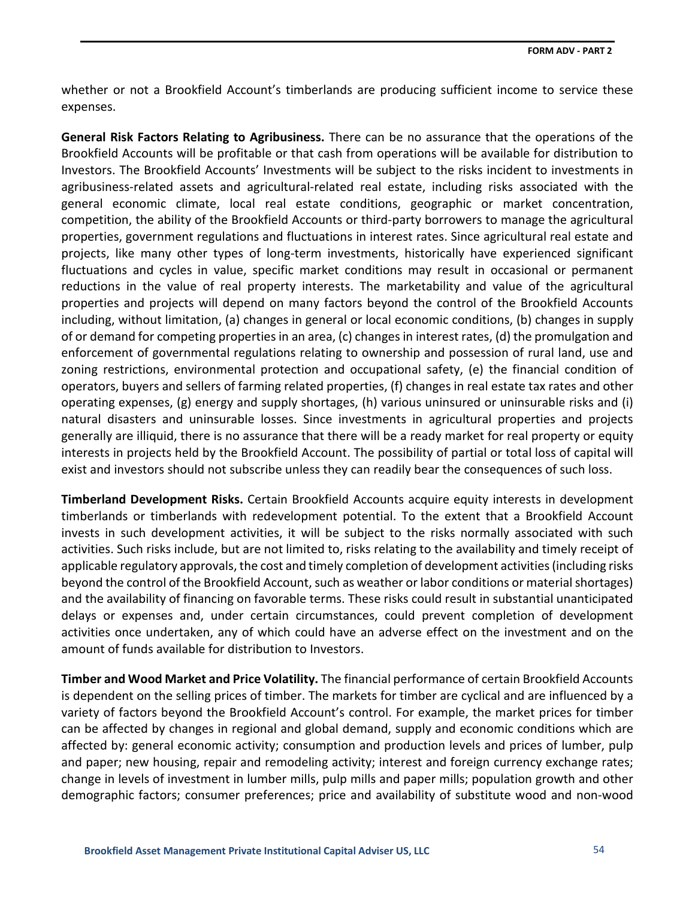whether or not a Brookfield Account's timberlands are producing sufficient income to service these expenses.

**General Risk Factors Relating to Agribusiness.** There can be no assurance that the operations of the Brookfield Accounts will be profitable or that cash from operations will be available for distribution to Investors. The Brookfield Accounts' Investments will be subject to the risks incident to investments in agribusiness-related assets and agricultural-related real estate, including risks associated with the general economic climate, local real estate conditions, geographic or market concentration, competition, the ability of the Brookfield Accounts or third-party borrowers to manage the agricultural properties, government regulations and fluctuations in interest rates. Since agricultural real estate and projects, like many other types of long-term investments, historically have experienced significant fluctuations and cycles in value, specific market conditions may result in occasional or permanent reductions in the value of real property interests. The marketability and value of the agricultural properties and projects will depend on many factors beyond the control of the Brookfield Accounts including, without limitation, (a) changes in general or local economic conditions, (b) changes in supply of or demand for competing properties in an area, (c) changes in interest rates, (d) the promulgation and enforcement of governmental regulations relating to ownership and possession of rural land, use and zoning restrictions, environmental protection and occupational safety, (e) the financial condition of operators, buyers and sellers of farming related properties, (f) changes in real estate tax rates and other operating expenses, (g) energy and supply shortages, (h) various uninsured or uninsurable risks and (i) natural disasters and uninsurable losses. Since investments in agricultural properties and projects generally are illiquid, there is no assurance that there will be a ready market for real property or equity interests in projects held by the Brookfield Account. The possibility of partial or total loss of capital will exist and investors should not subscribe unless they can readily bear the consequences of such loss.

**Timberland Development Risks.** Certain Brookfield Accounts acquire equity interests in development timberlands or timberlands with redevelopment potential. To the extent that a Brookfield Account invests in such development activities, it will be subject to the risks normally associated with such activities. Such risks include, but are not limited to, risks relating to the availability and timely receipt of applicable regulatory approvals, the cost and timely completion of development activities (including risks beyond the control of the Brookfield Account, such as weather or labor conditions or material shortages) and the availability of financing on favorable terms. These risks could result in substantial unanticipated delays or expenses and, under certain circumstances, could prevent completion of development activities once undertaken, any of which could have an adverse effect on the investment and on the amount of funds available for distribution to Investors.

**Timber and Wood Market and Price Volatility.** The financial performance of certain Brookfield Accounts is dependent on the selling prices of timber. The markets for timber are cyclical and are influenced by a variety of factors beyond the Brookfield Account's control. For example, the market prices for timber can be affected by changes in regional and global demand, supply and economic conditions which are affected by: general economic activity; consumption and production levels and prices of lumber, pulp and paper; new housing, repair and remodeling activity; interest and foreign currency exchange rates; change in levels of investment in lumber mills, pulp mills and paper mills; population growth and other demographic factors; consumer preferences; price and availability of substitute wood and non-wood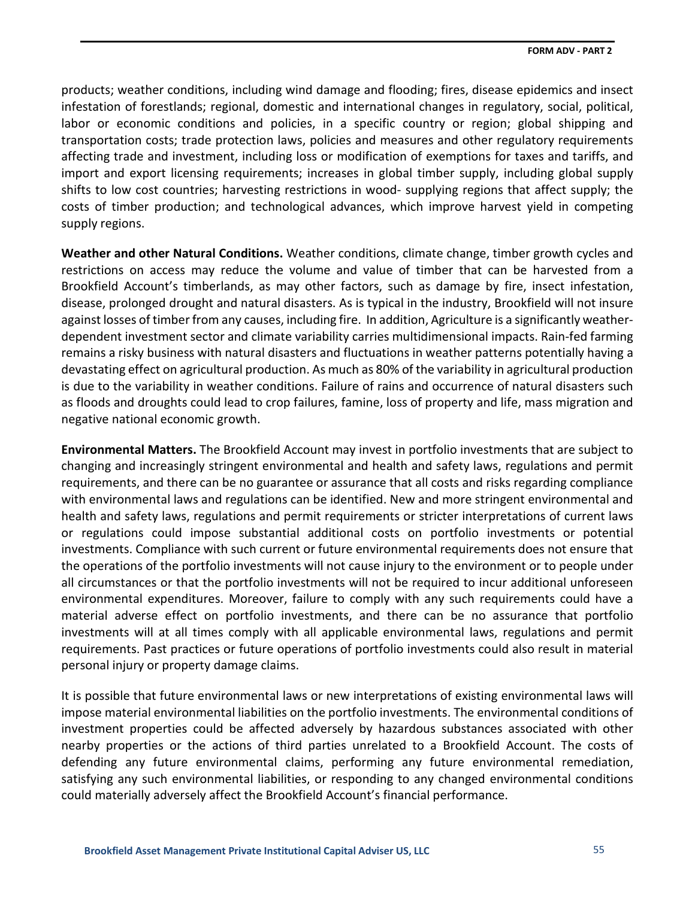products; weather conditions, including wind damage and flooding; fires, disease epidemics and insect infestation of forestlands; regional, domestic and international changes in regulatory, social, political, labor or economic conditions and policies, in a specific country or region; global shipping and transportation costs; trade protection laws, policies and measures and other regulatory requirements affecting trade and investment, including loss or modification of exemptions for taxes and tariffs, and import and export licensing requirements; increases in global timber supply, including global supply shifts to low cost countries; harvesting restrictions in wood- supplying regions that affect supply; the costs of timber production; and technological advances, which improve harvest yield in competing supply regions.

**Weather and other Natural Conditions.** Weather conditions, climate change, timber growth cycles and restrictions on access may reduce the volume and value of timber that can be harvested from a Brookfield Account's timberlands, as may other factors, such as damage by fire, insect infestation, disease, prolonged drought and natural disasters. As is typical in the industry, Brookfield will not insure against losses of timber from any causes, including fire. In addition, Agriculture is a significantly weatherdependent investment sector and climate variability carries multidimensional impacts. Rain-fed farming remains a risky business with natural disasters and fluctuations in weather patterns potentially having a devastating effect on agricultural production. As much as 80% of the variability in agricultural production is due to the variability in weather conditions. Failure of rains and occurrence of natural disasters such as floods and droughts could lead to crop failures, famine, loss of property and life, mass migration and negative national economic growth.

**Environmental Matters.** The Brookfield Account may invest in portfolio investments that are subject to changing and increasingly stringent environmental and health and safety laws, regulations and permit requirements, and there can be no guarantee or assurance that all costs and risks regarding compliance with environmental laws and regulations can be identified. New and more stringent environmental and health and safety laws, regulations and permit requirements or stricter interpretations of current laws or regulations could impose substantial additional costs on portfolio investments or potential investments. Compliance with such current or future environmental requirements does not ensure that the operations of the portfolio investments will not cause injury to the environment or to people under all circumstances or that the portfolio investments will not be required to incur additional unforeseen environmental expenditures. Moreover, failure to comply with any such requirements could have a material adverse effect on portfolio investments, and there can be no assurance that portfolio investments will at all times comply with all applicable environmental laws, regulations and permit requirements. Past practices or future operations of portfolio investments could also result in material personal injury or property damage claims.

It is possible that future environmental laws or new interpretations of existing environmental laws will impose material environmental liabilities on the portfolio investments. The environmental conditions of investment properties could be affected adversely by hazardous substances associated with other nearby properties or the actions of third parties unrelated to a Brookfield Account. The costs of defending any future environmental claims, performing any future environmental remediation, satisfying any such environmental liabilities, or responding to any changed environmental conditions could materially adversely affect the Brookfield Account's financial performance.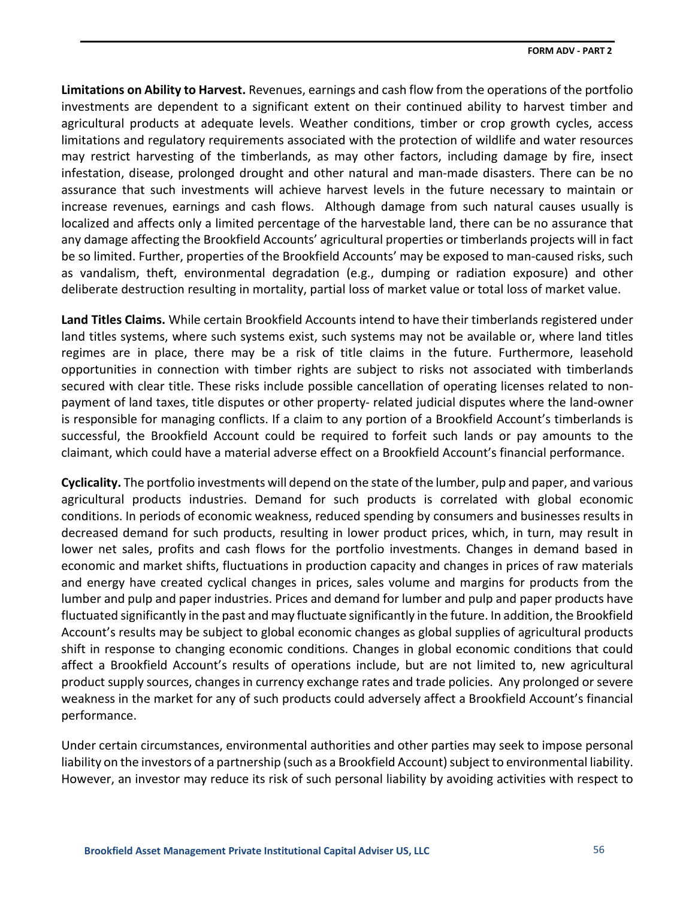**Limitations on Ability to Harvest.** Revenues, earnings and cash flow from the operations of the portfolio investments are dependent to a significant extent on their continued ability to harvest timber and agricultural products at adequate levels. Weather conditions, timber or crop growth cycles, access limitations and regulatory requirements associated with the protection of wildlife and water resources may restrict harvesting of the timberlands, as may other factors, including damage by fire, insect infestation, disease, prolonged drought and other natural and man-made disasters. There can be no assurance that such investments will achieve harvest levels in the future necessary to maintain or increase revenues, earnings and cash flows. Although damage from such natural causes usually is localized and affects only a limited percentage of the harvestable land, there can be no assurance that any damage affecting the Brookfield Accounts' agricultural properties or timberlands projects will in fact be so limited. Further, properties of the Brookfield Accounts' may be exposed to man-caused risks, such as vandalism, theft, environmental degradation (e.g., dumping or radiation exposure) and other deliberate destruction resulting in mortality, partial loss of market value or total loss of market value.

**Land Titles Claims.** While certain Brookfield Accounts intend to have their timberlands registered under land titles systems, where such systems exist, such systems may not be available or, where land titles regimes are in place, there may be a risk of title claims in the future. Furthermore, leasehold opportunities in connection with timber rights are subject to risks not associated with timberlands secured with clear title. These risks include possible cancellation of operating licenses related to nonpayment of land taxes, title disputes or other property- related judicial disputes where the land-owner is responsible for managing conflicts. If a claim to any portion of a Brookfield Account's timberlands is successful, the Brookfield Account could be required to forfeit such lands or pay amounts to the claimant, which could have a material adverse effect on a Brookfield Account's financial performance.

**Cyclicality.** The portfolio investments will depend on the state of the lumber, pulp and paper, and various agricultural products industries. Demand for such products is correlated with global economic conditions. In periods of economic weakness, reduced spending by consumers and businesses results in decreased demand for such products, resulting in lower product prices, which, in turn, may result in lower net sales, profits and cash flows for the portfolio investments. Changes in demand based in economic and market shifts, fluctuations in production capacity and changes in prices of raw materials and energy have created cyclical changes in prices, sales volume and margins for products from the lumber and pulp and paper industries. Prices and demand for lumber and pulp and paper products have fluctuated significantly in the past and may fluctuate significantly in the future. In addition, the Brookfield Account's results may be subject to global economic changes as global supplies of agricultural products shift in response to changing economic conditions. Changes in global economic conditions that could affect a Brookfield Account's results of operations include, but are not limited to, new agricultural product supply sources, changes in currency exchange rates and trade policies. Any prolonged or severe weakness in the market for any of such products could adversely affect a Brookfield Account's financial performance.

Under certain circumstances, environmental authorities and other parties may seek to impose personal liability on the investors of a partnership (such as a Brookfield Account) subject to environmental liability. However, an investor may reduce its risk of such personal liability by avoiding activities with respect to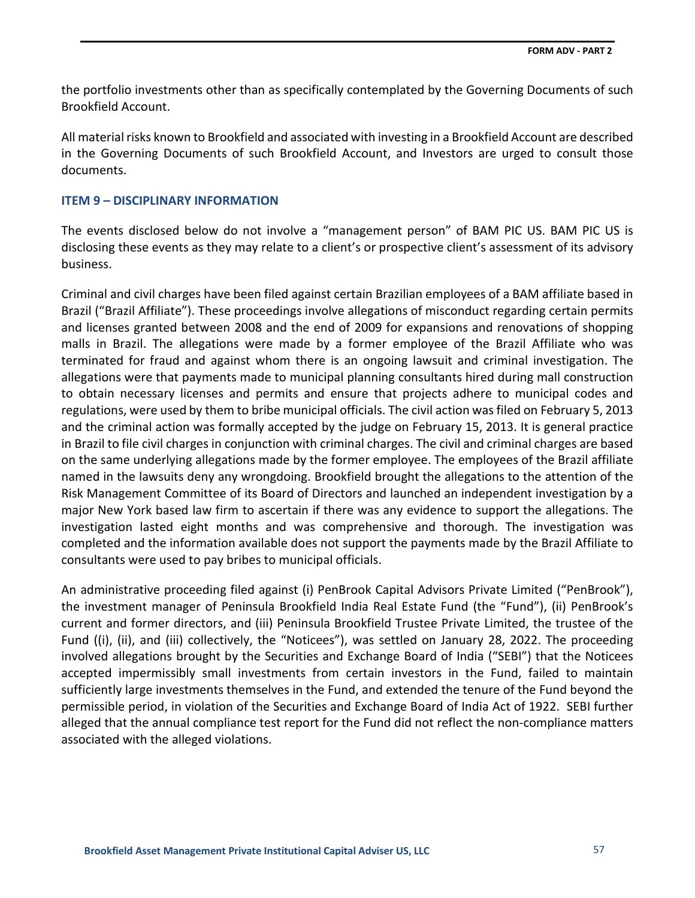the portfolio investments other than as specifically contemplated by the Governing Documents of such Brookfield Account.

All material risks known to Brookfield and associated with investing in a Brookfield Account are described in the Governing Documents of such Brookfield Account, and Investors are urged to consult those documents.

### **ITEM 9 – DISCIPLINARY INFORMATION**

The events disclosed below do not involve a "management person" of BAM PIC US. BAM PIC US is disclosing these events as they may relate to a client's or prospective client's assessment of its advisory business.

Criminal and civil charges have been filed against certain Brazilian employees of a BAM affiliate based in Brazil ("Brazil Affiliate"). These proceedings involve allegations of misconduct regarding certain permits and licenses granted between 2008 and the end of 2009 for expansions and renovations of shopping malls in Brazil. The allegations were made by a former employee of the Brazil Affiliate who was terminated for fraud and against whom there is an ongoing lawsuit and criminal investigation. The allegations were that payments made to municipal planning consultants hired during mall construction to obtain necessary licenses and permits and ensure that projects adhere to municipal codes and regulations, were used by them to bribe municipal officials. The civil action was filed on February 5, 2013 and the criminal action was formally accepted by the judge on February 15, 2013. It is general practice in Brazil to file civil charges in conjunction with criminal charges. The civil and criminal charges are based on the same underlying allegations made by the former employee. The employees of the Brazil affiliate named in the lawsuits deny any wrongdoing. Brookfield brought the allegations to the attention of the Risk Management Committee of its Board of Directors and launched an independent investigation by a major New York based law firm to ascertain if there was any evidence to support the allegations. The investigation lasted eight months and was comprehensive and thorough. The investigation was completed and the information available does not support the payments made by the Brazil Affiliate to consultants were used to pay bribes to municipal officials.

An administrative proceeding filed against (i) PenBrook Capital Advisors Private Limited ("PenBrook"), the investment manager of Peninsula Brookfield India Real Estate Fund (the "Fund"), (ii) PenBrook's current and former directors, and (iii) Peninsula Brookfield Trustee Private Limited, the trustee of the Fund ((i), (ii), and (iii) collectively, the "Noticees"), was settled on January 28, 2022. The proceeding involved allegations brought by the Securities and Exchange Board of India ("SEBI") that the Noticees accepted impermissibly small investments from certain investors in the Fund, failed to maintain sufficiently large investments themselves in the Fund, and extended the tenure of the Fund beyond the permissible period, in violation of the Securities and Exchange Board of India Act of 1922. SEBI further alleged that the annual compliance test report for the Fund did not reflect the non-compliance matters associated with the alleged violations.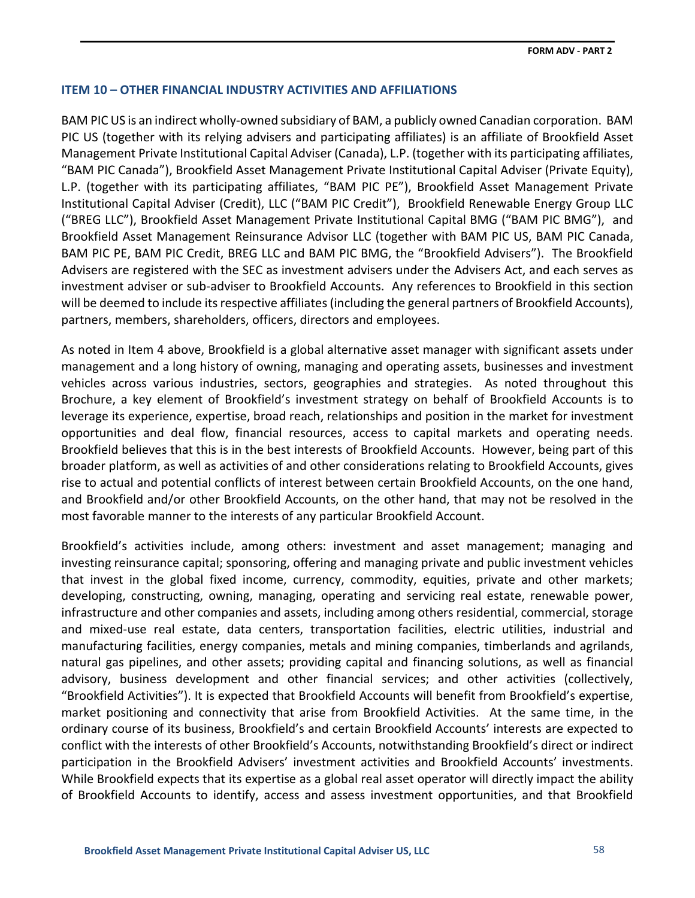### **ITEM 10 – OTHER FINANCIAL INDUSTRY ACTIVITIES AND AFFILIATIONS**

BAM PIC US is an indirect wholly-owned subsidiary of BAM, a publicly owned Canadian corporation. BAM PIC US (together with its relying advisers and participating affiliates) is an affiliate of Brookfield Asset Management Private Institutional Capital Adviser (Canada), L.P. (together with its participating affiliates, "BAM PIC Canada"), Brookfield Asset Management Private Institutional Capital Adviser (Private Equity), L.P. (together with its participating affiliates, "BAM PIC PE"), Brookfield Asset Management Private Institutional Capital Adviser (Credit), LLC ("BAM PIC Credit"), Brookfield Renewable Energy Group LLC ("BREG LLC"), Brookfield Asset Management Private Institutional Capital BMG ("BAM PIC BMG"), and Brookfield Asset Management Reinsurance Advisor LLC (together with BAM PIC US, BAM PIC Canada, BAM PIC PE, BAM PIC Credit, BREG LLC and BAM PIC BMG, the "Brookfield Advisers"). The Brookfield Advisers are registered with the SEC as investment advisers under the Advisers Act, and each serves as investment adviser or sub-adviser to Brookfield Accounts. Any references to Brookfield in this section will be deemed to include its respective affiliates (including the general partners of Brookfield Accounts), partners, members, shareholders, officers, directors and employees.

As noted in Item 4 above, Brookfield is a global alternative asset manager with significant assets under management and a long history of owning, managing and operating assets, businesses and investment vehicles across various industries, sectors, geographies and strategies. As noted throughout this Brochure, a key element of Brookfield's investment strategy on behalf of Brookfield Accounts is to leverage its experience, expertise, broad reach, relationships and position in the market for investment opportunities and deal flow, financial resources, access to capital markets and operating needs. Brookfield believes that this is in the best interests of Brookfield Accounts. However, being part of this broader platform, as well as activities of and other considerations relating to Brookfield Accounts, gives rise to actual and potential conflicts of interest between certain Brookfield Accounts, on the one hand, and Brookfield and/or other Brookfield Accounts, on the other hand, that may not be resolved in the most favorable manner to the interests of any particular Brookfield Account.

Brookfield's activities include, among others: investment and asset management; managing and investing reinsurance capital; sponsoring, offering and managing private and public investment vehicles that invest in the global fixed income, currency, commodity, equities, private and other markets; developing, constructing, owning, managing, operating and servicing real estate, renewable power, infrastructure and other companies and assets, including among others residential, commercial, storage and mixed-use real estate, data centers, transportation facilities, electric utilities, industrial and manufacturing facilities, energy companies, metals and mining companies, timberlands and agrilands, natural gas pipelines, and other assets; providing capital and financing solutions, as well as financial advisory, business development and other financial services; and other activities (collectively, "Brookfield Activities"). It is expected that Brookfield Accounts will benefit from Brookfield's expertise, market positioning and connectivity that arise from Brookfield Activities. At the same time, in the ordinary course of its business, Brookfield's and certain Brookfield Accounts' interests are expected to conflict with the interests of other Brookfield's Accounts, notwithstanding Brookfield's direct or indirect participation in the Brookfield Advisers' investment activities and Brookfield Accounts' investments. While Brookfield expects that its expertise as a global real asset operator will directly impact the ability of Brookfield Accounts to identify, access and assess investment opportunities, and that Brookfield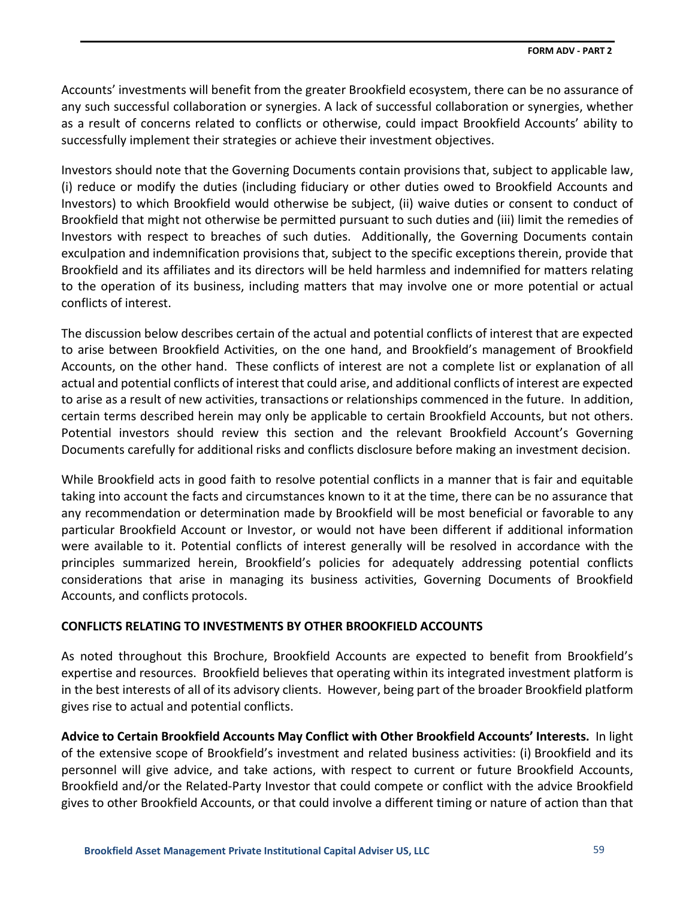Accounts' investments will benefit from the greater Brookfield ecosystem, there can be no assurance of any such successful collaboration or synergies. A lack of successful collaboration or synergies, whether as a result of concerns related to conflicts or otherwise, could impact Brookfield Accounts' ability to successfully implement their strategies or achieve their investment objectives.

Investors should note that the Governing Documents contain provisions that, subject to applicable law, (i) reduce or modify the duties (including fiduciary or other duties owed to Brookfield Accounts and Investors) to which Brookfield would otherwise be subject, (ii) waive duties or consent to conduct of Brookfield that might not otherwise be permitted pursuant to such duties and (iii) limit the remedies of Investors with respect to breaches of such duties. Additionally, the Governing Documents contain exculpation and indemnification provisions that, subject to the specific exceptions therein, provide that Brookfield and its affiliates and its directors will be held harmless and indemnified for matters relating to the operation of its business, including matters that may involve one or more potential or actual conflicts of interest.

The discussion below describes certain of the actual and potential conflicts of interest that are expected to arise between Brookfield Activities, on the one hand, and Brookfield's management of Brookfield Accounts, on the other hand. These conflicts of interest are not a complete list or explanation of all actual and potential conflicts of interest that could arise, and additional conflicts of interest are expected to arise as a result of new activities, transactions or relationships commenced in the future. In addition, certain terms described herein may only be applicable to certain Brookfield Accounts, but not others. Potential investors should review this section and the relevant Brookfield Account's Governing Documents carefully for additional risks and conflicts disclosure before making an investment decision.

While Brookfield acts in good faith to resolve potential conflicts in a manner that is fair and equitable taking into account the facts and circumstances known to it at the time, there can be no assurance that any recommendation or determination made by Brookfield will be most beneficial or favorable to any particular Brookfield Account or Investor, or would not have been different if additional information were available to it. Potential conflicts of interest generally will be resolved in accordance with the principles summarized herein, Brookfield's policies for adequately addressing potential conflicts considerations that arise in managing its business activities, Governing Documents of Brookfield Accounts, and conflicts protocols.

# **CONFLICTS RELATING TO INVESTMENTS BY OTHER BROOKFIELD ACCOUNTS**

As noted throughout this Brochure, Brookfield Accounts are expected to benefit from Brookfield's expertise and resources. Brookfield believes that operating within its integrated investment platform is in the best interests of all of its advisory clients. However, being part of the broader Brookfield platform gives rise to actual and potential conflicts.

**Advice to Certain Brookfield Accounts May Conflict with Other Brookfield Accounts' Interests.** In light of the extensive scope of Brookfield's investment and related business activities: (i) Brookfield and its personnel will give advice, and take actions, with respect to current or future Brookfield Accounts, Brookfield and/or the Related-Party Investor that could compete or conflict with the advice Brookfield gives to other Brookfield Accounts, or that could involve a different timing or nature of action than that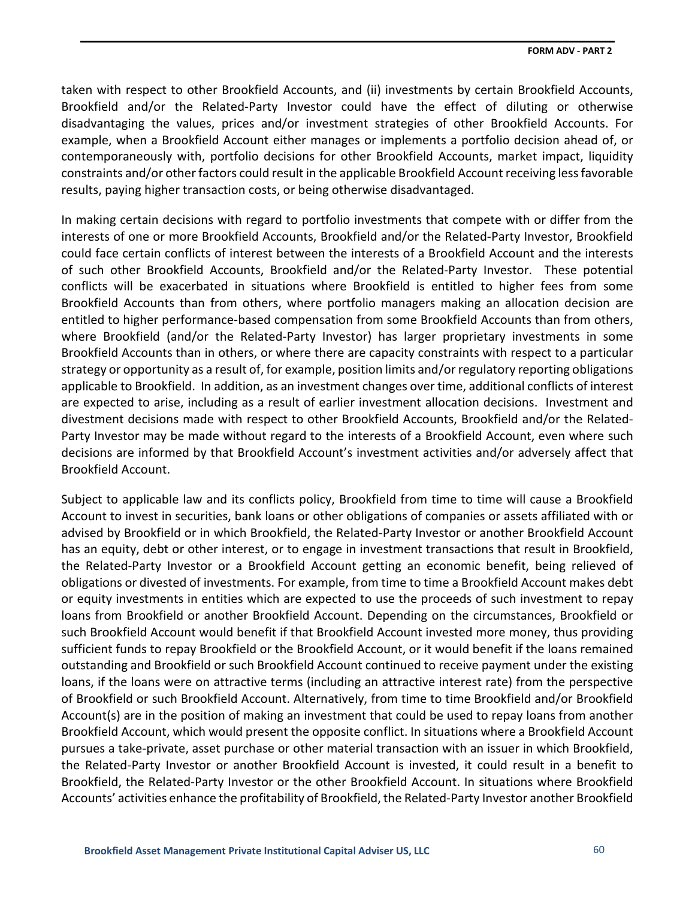taken with respect to other Brookfield Accounts, and (ii) investments by certain Brookfield Accounts, Brookfield and/or the Related-Party Investor could have the effect of diluting or otherwise disadvantaging the values, prices and/or investment strategies of other Brookfield Accounts. For example, when a Brookfield Account either manages or implements a portfolio decision ahead of, or contemporaneously with, portfolio decisions for other Brookfield Accounts, market impact, liquidity constraints and/or other factors could result in the applicable Brookfield Account receiving less favorable results, paying higher transaction costs, or being otherwise disadvantaged.

In making certain decisions with regard to portfolio investments that compete with or differ from the interests of one or more Brookfield Accounts, Brookfield and/or the Related-Party Investor, Brookfield could face certain conflicts of interest between the interests of a Brookfield Account and the interests of such other Brookfield Accounts, Brookfield and/or the Related-Party Investor. These potential conflicts will be exacerbated in situations where Brookfield is entitled to higher fees from some Brookfield Accounts than from others, where portfolio managers making an allocation decision are entitled to higher performance-based compensation from some Brookfield Accounts than from others, where Brookfield (and/or the Related-Party Investor) has larger proprietary investments in some Brookfield Accounts than in others, or where there are capacity constraints with respect to a particular strategy or opportunity as a result of, for example, position limits and/or regulatory reporting obligations applicable to Brookfield. In addition, as an investment changes over time, additional conflicts of interest are expected to arise, including as a result of earlier investment allocation decisions. Investment and divestment decisions made with respect to other Brookfield Accounts, Brookfield and/or the Related-Party Investor may be made without regard to the interests of a Brookfield Account, even where such decisions are informed by that Brookfield Account's investment activities and/or adversely affect that Brookfield Account.

Subject to applicable law and its conflicts policy, Brookfield from time to time will cause a Brookfield Account to invest in securities, bank loans or other obligations of companies or assets affiliated with or advised by Brookfield or in which Brookfield, the Related-Party Investor or another Brookfield Account has an equity, debt or other interest, or to engage in investment transactions that result in Brookfield, the Related-Party Investor or a Brookfield Account getting an economic benefit, being relieved of obligations or divested of investments. For example, from time to time a Brookfield Account makes debt or equity investments in entities which are expected to use the proceeds of such investment to repay loans from Brookfield or another Brookfield Account. Depending on the circumstances, Brookfield or such Brookfield Account would benefit if that Brookfield Account invested more money, thus providing sufficient funds to repay Brookfield or the Brookfield Account, or it would benefit if the loans remained outstanding and Brookfield or such Brookfield Account continued to receive payment under the existing loans, if the loans were on attractive terms (including an attractive interest rate) from the perspective of Brookfield or such Brookfield Account. Alternatively, from time to time Brookfield and/or Brookfield Account(s) are in the position of making an investment that could be used to repay loans from another Brookfield Account, which would present the opposite conflict. In situations where a Brookfield Account pursues a take-private, asset purchase or other material transaction with an issuer in which Brookfield, the Related-Party Investor or another Brookfield Account is invested, it could result in a benefit to Brookfield, the Related-Party Investor or the other Brookfield Account. In situations where Brookfield Accounts' activities enhance the profitability of Brookfield, the Related-Party Investor another Brookfield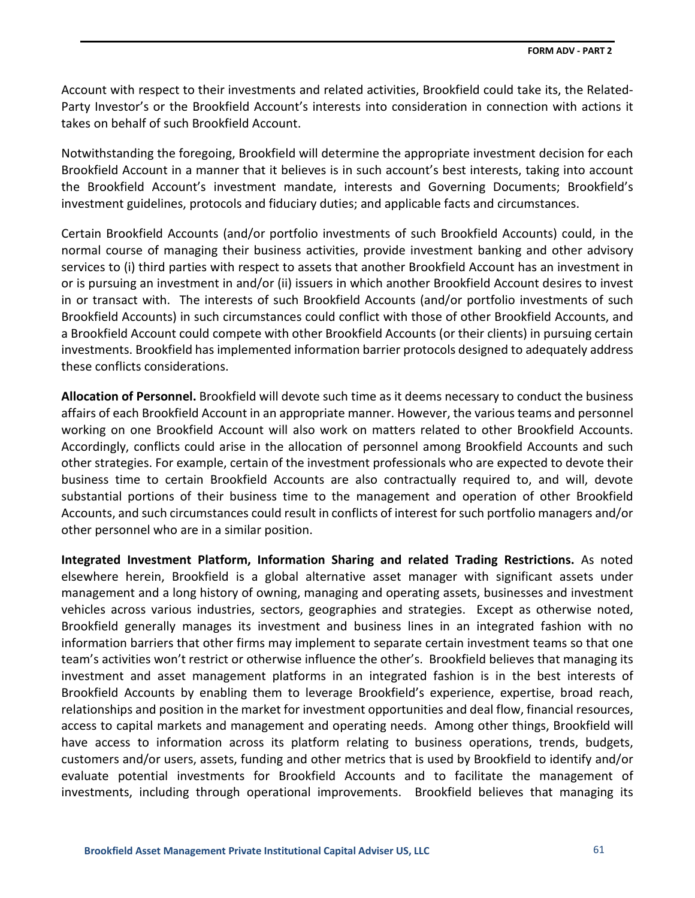Account with respect to their investments and related activities, Brookfield could take its, the Related-Party Investor's or the Brookfield Account's interests into consideration in connection with actions it takes on behalf of such Brookfield Account.

Notwithstanding the foregoing, Brookfield will determine the appropriate investment decision for each Brookfield Account in a manner that it believes is in such account's best interests, taking into account the Brookfield Account's investment mandate, interests and Governing Documents; Brookfield's investment guidelines, protocols and fiduciary duties; and applicable facts and circumstances.

Certain Brookfield Accounts (and/or portfolio investments of such Brookfield Accounts) could, in the normal course of managing their business activities, provide investment banking and other advisory services to (i) third parties with respect to assets that another Brookfield Account has an investment in or is pursuing an investment in and/or (ii) issuers in which another Brookfield Account desires to invest in or transact with. The interests of such Brookfield Accounts (and/or portfolio investments of such Brookfield Accounts) in such circumstances could conflict with those of other Brookfield Accounts, and a Brookfield Account could compete with other Brookfield Accounts (or their clients) in pursuing certain investments. Brookfield has implemented information barrier protocols designed to adequately address these conflicts considerations.

**Allocation of Personnel.** Brookfield will devote such time as it deems necessary to conduct the business affairs of each Brookfield Account in an appropriate manner. However, the various teams and personnel working on one Brookfield Account will also work on matters related to other Brookfield Accounts. Accordingly, conflicts could arise in the allocation of personnel among Brookfield Accounts and such other strategies. For example, certain of the investment professionals who are expected to devote their business time to certain Brookfield Accounts are also contractually required to, and will, devote substantial portions of their business time to the management and operation of other Brookfield Accounts, and such circumstances could result in conflicts of interest for such portfolio managers and/or other personnel who are in a similar position.

**Integrated Investment Platform, Information Sharing and related Trading Restrictions.** As noted elsewhere herein, Brookfield is a global alternative asset manager with significant assets under management and a long history of owning, managing and operating assets, businesses and investment vehicles across various industries, sectors, geographies and strategies. Except as otherwise noted, Brookfield generally manages its investment and business lines in an integrated fashion with no information barriers that other firms may implement to separate certain investment teams so that one team's activities won't restrict or otherwise influence the other's. Brookfield believes that managing its investment and asset management platforms in an integrated fashion is in the best interests of Brookfield Accounts by enabling them to leverage Brookfield's experience, expertise, broad reach, relationships and position in the market for investment opportunities and deal flow, financial resources, access to capital markets and management and operating needs. Among other things, Brookfield will have access to information across its platform relating to business operations, trends, budgets, customers and/or users, assets, funding and other metrics that is used by Brookfield to identify and/or evaluate potential investments for Brookfield Accounts and to facilitate the management of investments, including through operational improvements. Brookfield believes that managing its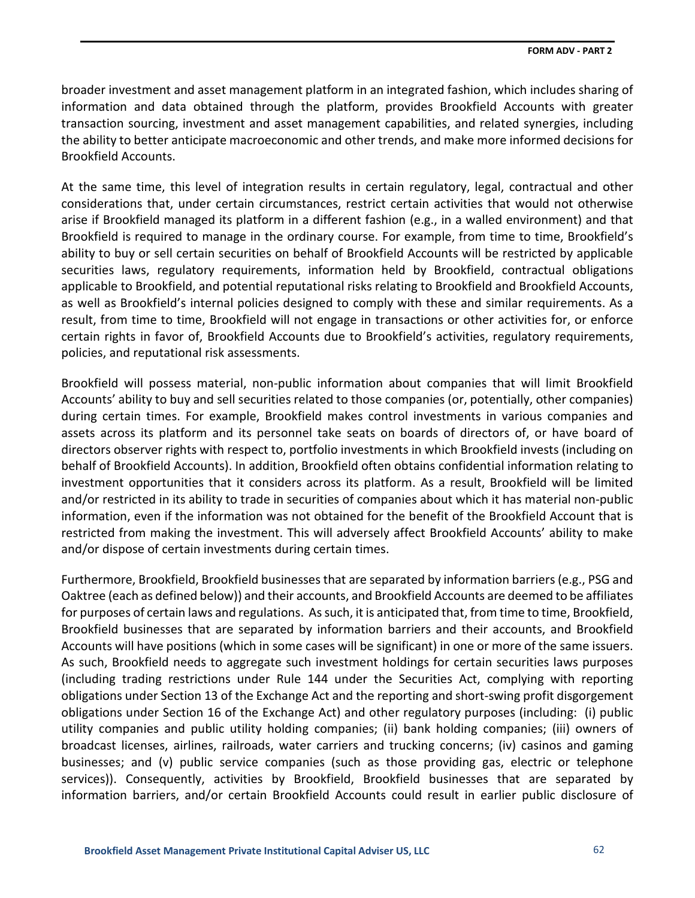broader investment and asset management platform in an integrated fashion, which includes sharing of information and data obtained through the platform, provides Brookfield Accounts with greater transaction sourcing, investment and asset management capabilities, and related synergies, including the ability to better anticipate macroeconomic and other trends, and make more informed decisions for Brookfield Accounts.

At the same time, this level of integration results in certain regulatory, legal, contractual and other considerations that, under certain circumstances, restrict certain activities that would not otherwise arise if Brookfield managed its platform in a different fashion (e.g., in a walled environment) and that Brookfield is required to manage in the ordinary course. For example, from time to time, Brookfield's ability to buy or sell certain securities on behalf of Brookfield Accounts will be restricted by applicable securities laws, regulatory requirements, information held by Brookfield, contractual obligations applicable to Brookfield, and potential reputational risks relating to Brookfield and Brookfield Accounts, as well as Brookfield's internal policies designed to comply with these and similar requirements. As a result, from time to time, Brookfield will not engage in transactions or other activities for, or enforce certain rights in favor of, Brookfield Accounts due to Brookfield's activities, regulatory requirements, policies, and reputational risk assessments.

Brookfield will possess material, non-public information about companies that will limit Brookfield Accounts' ability to buy and sell securities related to those companies (or, potentially, other companies) during certain times. For example, Brookfield makes control investments in various companies and assets across its platform and its personnel take seats on boards of directors of, or have board of directors observer rights with respect to, portfolio investments in which Brookfield invests (including on behalf of Brookfield Accounts). In addition, Brookfield often obtains confidential information relating to investment opportunities that it considers across its platform. As a result, Brookfield will be limited and/or restricted in its ability to trade in securities of companies about which it has material non-public information, even if the information was not obtained for the benefit of the Brookfield Account that is restricted from making the investment. This will adversely affect Brookfield Accounts' ability to make and/or dispose of certain investments during certain times.

Furthermore, Brookfield, Brookfield businesses that are separated by information barriers (e.g., PSG and Oaktree (each as defined below)) and their accounts, and Brookfield Accounts are deemed to be affiliates for purposes of certain laws and regulations. As such, it is anticipated that, from time to time, Brookfield, Brookfield businesses that are separated by information barriers and their accounts, and Brookfield Accounts will have positions (which in some cases will be significant) in one or more of the same issuers. As such, Brookfield needs to aggregate such investment holdings for certain securities laws purposes (including trading restrictions under Rule 144 under the Securities Act, complying with reporting obligations under Section 13 of the Exchange Act and the reporting and short-swing profit disgorgement obligations under Section 16 of the Exchange Act) and other regulatory purposes (including: (i) public utility companies and public utility holding companies; (ii) bank holding companies; (iii) owners of broadcast licenses, airlines, railroads, water carriers and trucking concerns; (iv) casinos and gaming businesses; and (v) public service companies (such as those providing gas, electric or telephone services)). Consequently, activities by Brookfield, Brookfield businesses that are separated by information barriers, and/or certain Brookfield Accounts could result in earlier public disclosure of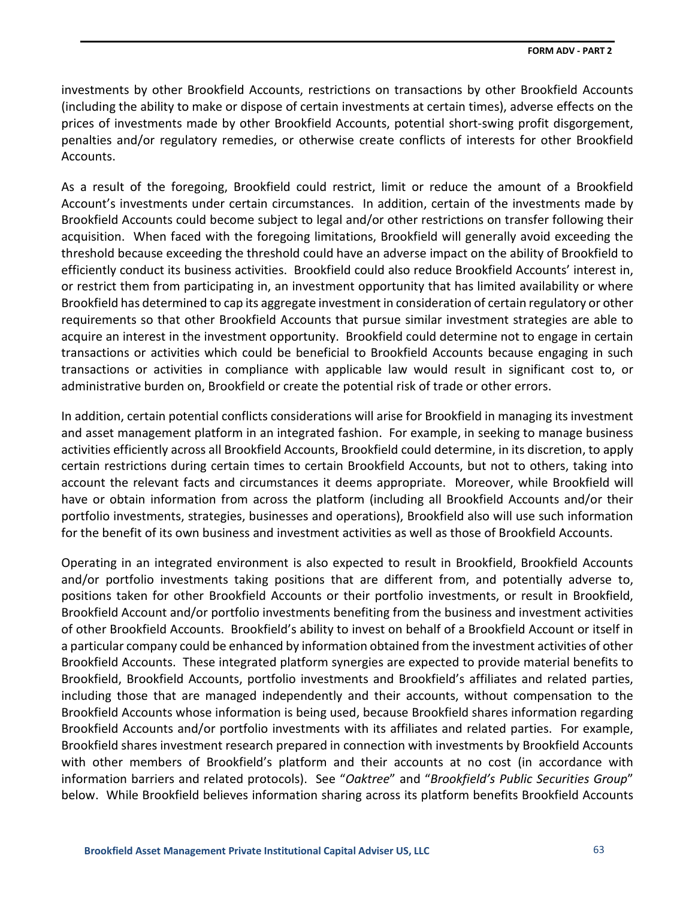investments by other Brookfield Accounts, restrictions on transactions by other Brookfield Accounts (including the ability to make or dispose of certain investments at certain times), adverse effects on the prices of investments made by other Brookfield Accounts, potential short-swing profit disgorgement, penalties and/or regulatory remedies, or otherwise create conflicts of interests for other Brookfield Accounts.

As a result of the foregoing, Brookfield could restrict, limit or reduce the amount of a Brookfield Account's investments under certain circumstances. In addition, certain of the investments made by Brookfield Accounts could become subject to legal and/or other restrictions on transfer following their acquisition. When faced with the foregoing limitations, Brookfield will generally avoid exceeding the threshold because exceeding the threshold could have an adverse impact on the ability of Brookfield to efficiently conduct its business activities. Brookfield could also reduce Brookfield Accounts' interest in, or restrict them from participating in, an investment opportunity that has limited availability or where Brookfield has determined to cap its aggregate investment in consideration of certain regulatory or other requirements so that other Brookfield Accounts that pursue similar investment strategies are able to acquire an interest in the investment opportunity. Brookfield could determine not to engage in certain transactions or activities which could be beneficial to Brookfield Accounts because engaging in such transactions or activities in compliance with applicable law would result in significant cost to, or administrative burden on, Brookfield or create the potential risk of trade or other errors.

In addition, certain potential conflicts considerations will arise for Brookfield in managing its investment and asset management platform in an integrated fashion. For example, in seeking to manage business activities efficiently across all Brookfield Accounts, Brookfield could determine, in its discretion, to apply certain restrictions during certain times to certain Brookfield Accounts, but not to others, taking into account the relevant facts and circumstances it deems appropriate. Moreover, while Brookfield will have or obtain information from across the platform (including all Brookfield Accounts and/or their portfolio investments, strategies, businesses and operations), Brookfield also will use such information for the benefit of its own business and investment activities as well as those of Brookfield Accounts.

Operating in an integrated environment is also expected to result in Brookfield, Brookfield Accounts and/or portfolio investments taking positions that are different from, and potentially adverse to, positions taken for other Brookfield Accounts or their portfolio investments, or result in Brookfield, Brookfield Account and/or portfolio investments benefiting from the business and investment activities of other Brookfield Accounts. Brookfield's ability to invest on behalf of a Brookfield Account or itself in a particular company could be enhanced by information obtained from the investment activities of other Brookfield Accounts. These integrated platform synergies are expected to provide material benefits to Brookfield, Brookfield Accounts, portfolio investments and Brookfield's affiliates and related parties, including those that are managed independently and their accounts, without compensation to the Brookfield Accounts whose information is being used, because Brookfield shares information regarding Brookfield Accounts and/or portfolio investments with its affiliates and related parties. For example, Brookfield shares investment research prepared in connection with investments by Brookfield Accounts with other members of Brookfield's platform and their accounts at no cost (in accordance with information barriers and related protocols). See "*Oaktree*" and "*Brookfield's Public Securities Group*" below.While Brookfield believes information sharing across its platform benefits Brookfield Accounts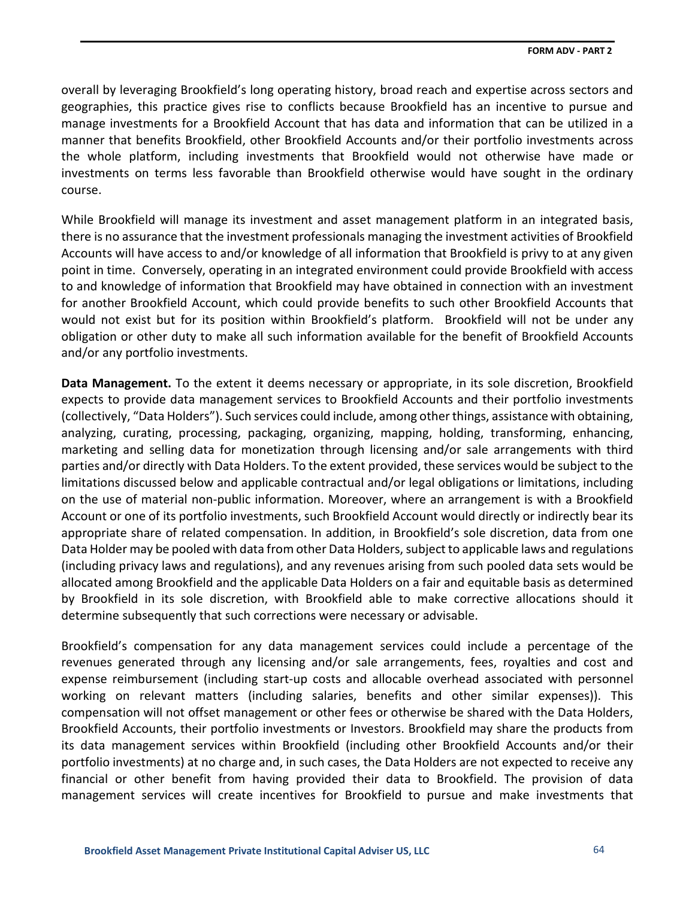overall by leveraging Brookfield's long operating history, broad reach and expertise across sectors and geographies, this practice gives rise to conflicts because Brookfield has an incentive to pursue and manage investments for a Brookfield Account that has data and information that can be utilized in a manner that benefits Brookfield, other Brookfield Accounts and/or their portfolio investments across the whole platform, including investments that Brookfield would not otherwise have made or investments on terms less favorable than Brookfield otherwise would have sought in the ordinary course.

While Brookfield will manage its investment and asset management platform in an integrated basis, there is no assurance that the investment professionals managing the investment activities of Brookfield Accounts will have access to and/or knowledge of all information that Brookfield is privy to at any given point in time. Conversely, operating in an integrated environment could provide Brookfield with access to and knowledge of information that Brookfield may have obtained in connection with an investment for another Brookfield Account, which could provide benefits to such other Brookfield Accounts that would not exist but for its position within Brookfield's platform. Brookfield will not be under any obligation or other duty to make all such information available for the benefit of Brookfield Accounts and/or any portfolio investments.

**Data Management.** To the extent it deems necessary or appropriate, in its sole discretion, Brookfield expects to provide data management services to Brookfield Accounts and their portfolio investments (collectively, "Data Holders"). Such services could include, among other things, assistance with obtaining, analyzing, curating, processing, packaging, organizing, mapping, holding, transforming, enhancing, marketing and selling data for monetization through licensing and/or sale arrangements with third parties and/or directly with Data Holders. To the extent provided, these services would be subject to the limitations discussed below and applicable contractual and/or legal obligations or limitations, including on the use of material non-public information. Moreover, where an arrangement is with a Brookfield Account or one of its portfolio investments, such Brookfield Account would directly or indirectly bear its appropriate share of related compensation. In addition, in Brookfield's sole discretion, data from one Data Holder may be pooled with data from other Data Holders, subject to applicable laws and regulations (including privacy laws and regulations), and any revenues arising from such pooled data sets would be allocated among Brookfield and the applicable Data Holders on a fair and equitable basis as determined by Brookfield in its sole discretion, with Brookfield able to make corrective allocations should it determine subsequently that such corrections were necessary or advisable.

Brookfield's compensation for any data management services could include a percentage of the revenues generated through any licensing and/or sale arrangements, fees, royalties and cost and expense reimbursement (including start-up costs and allocable overhead associated with personnel working on relevant matters (including salaries, benefits and other similar expenses)). This compensation will not offset management or other fees or otherwise be shared with the Data Holders, Brookfield Accounts, their portfolio investments or Investors. Brookfield may share the products from its data management services within Brookfield (including other Brookfield Accounts and/or their portfolio investments) at no charge and, in such cases, the Data Holders are not expected to receive any financial or other benefit from having provided their data to Brookfield. The provision of data management services will create incentives for Brookfield to pursue and make investments that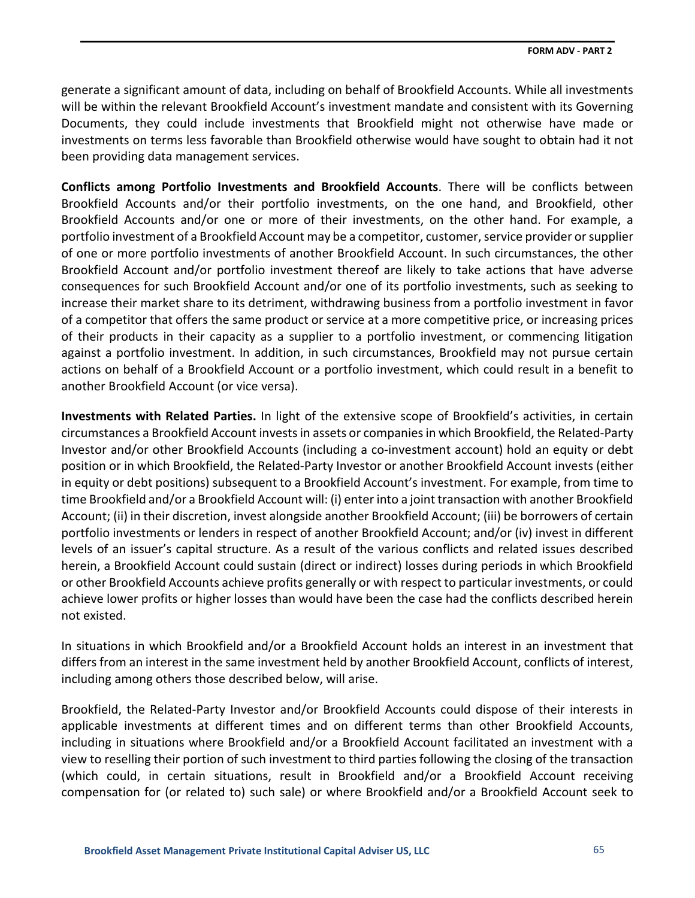generate a significant amount of data, including on behalf of Brookfield Accounts. While all investments will be within the relevant Brookfield Account's investment mandate and consistent with its Governing Documents, they could include investments that Brookfield might not otherwise have made or investments on terms less favorable than Brookfield otherwise would have sought to obtain had it not been providing data management services.

**Conflicts among Portfolio Investments and Brookfield Accounts**. There will be conflicts between Brookfield Accounts and/or their portfolio investments, on the one hand, and Brookfield, other Brookfield Accounts and/or one or more of their investments, on the other hand. For example, a portfolio investment of a Brookfield Account may be a competitor, customer, service provider or supplier of one or more portfolio investments of another Brookfield Account. In such circumstances, the other Brookfield Account and/or portfolio investment thereof are likely to take actions that have adverse consequences for such Brookfield Account and/or one of its portfolio investments, such as seeking to increase their market share to its detriment, withdrawing business from a portfolio investment in favor of a competitor that offers the same product or service at a more competitive price, or increasing prices of their products in their capacity as a supplier to a portfolio investment, or commencing litigation against a portfolio investment. In addition, in such circumstances, Brookfield may not pursue certain actions on behalf of a Brookfield Account or a portfolio investment, which could result in a benefit to another Brookfield Account (or vice versa).

**Investments with Related Parties.** In light of the extensive scope of Brookfield's activities, in certain circumstances a Brookfield Account invests in assets or companies in which Brookfield, the Related-Party Investor and/or other Brookfield Accounts (including a co-investment account) hold an equity or debt position or in which Brookfield, the Related-Party Investor or another Brookfield Account invests (either in equity or debt positions) subsequent to a Brookfield Account's investment. For example, from time to time Brookfield and/or a Brookfield Account will: (i) enter into a joint transaction with another Brookfield Account; (ii) in their discretion, invest alongside another Brookfield Account; (iii) be borrowers of certain portfolio investments or lenders in respect of another Brookfield Account; and/or (iv) invest in different levels of an issuer's capital structure. As a result of the various conflicts and related issues described herein, a Brookfield Account could sustain (direct or indirect) losses during periods in which Brookfield or other Brookfield Accounts achieve profits generally or with respect to particular investments, or could achieve lower profits or higher losses than would have been the case had the conflicts described herein not existed.

In situations in which Brookfield and/or a Brookfield Account holds an interest in an investment that differs from an interest in the same investment held by another Brookfield Account, conflicts of interest, including among others those described below, will arise.

Brookfield, the Related-Party Investor and/or Brookfield Accounts could dispose of their interests in applicable investments at different times and on different terms than other Brookfield Accounts, including in situations where Brookfield and/or a Brookfield Account facilitated an investment with a view to reselling their portion of such investment to third parties following the closing of the transaction (which could, in certain situations, result in Brookfield and/or a Brookfield Account receiving compensation for (or related to) such sale) or where Brookfield and/or a Brookfield Account seek to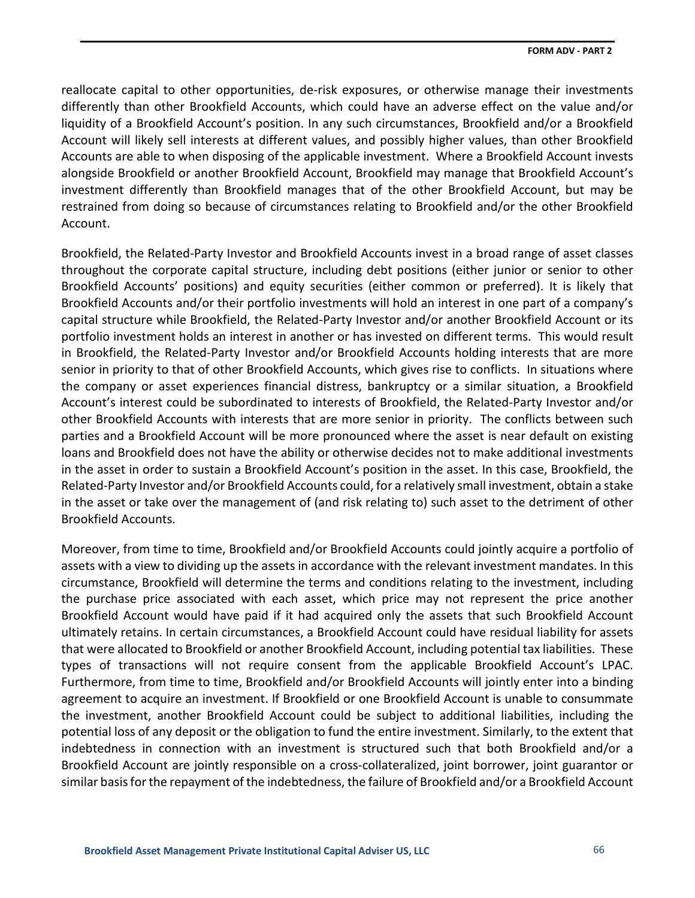reallocate capital to other opportunities, de-risk exposures, or otherwise manage their investments differently than other Brookfield Accounts, which could have an adverse effect on the value and/or liquidity of a Brookfield Account's position. In any such circumstances, Brookfield and/or a Brookfield Account will likely sell interests at different values, and possibly higher values, than other Brookfield Accounts are able to when disposing of the applicable investment. Where a Brookfield Account invests alongside Brookfield or another Brookfield Account, Brookfield may manage that Brookfield Account's investment differently than Brookfield manages that of the other Brookfield Account, but may be restrained from doing so because of circumstances relating to Brookfield and/or the other Brookfield Account.

Brookfield, the Related-Party Investor and Brookfield Accounts invest in a broad range of asset classes throughout the corporate capital structure, including debt positions (either junior or senior to other Brookfield Accounts' positions) and equity securities (either common or preferred). It is likely that Brookfield Accounts and/or their portfolio investments will hold an interest in one part of a company's capital structure while Brookfield, the Related-Party Investor and/or another Brookfield Account or its portfolio investment holds an interest in another or has invested on different terms. This would result in Brookfield, the Related-Party Investor and/or Brookfield Accounts holding interests that are more senior in priority to that of other Brookfield Accounts, which gives rise to conflicts. In situations where the company or asset experiences financial distress, bankruptcy or a similar situation, a Brookfield Account's interest could be subordinated to interests of Brookfield, the Related-Party Investor and/or other Brookfield Accounts with interests that are more senior in priority. The conflicts between such parties and a Brookfield Account will be more pronounced where the asset is near default on existing loans and Brookfield does not have the ability or otherwise decides not to make additional investments in the asset in order to sustain a Brookfield Account's position in the asset. In this case, Brookfield, the Related-Party Investor and/or Brookfield Accounts could, for a relatively small investment, obtain a stake in the asset or take over the management of (and risk relating to) such asset to the detriment of other Brookfield Accounts.

Moreover, from time to time, Brookfield and/or Brookfield Accounts could jointly acquire a portfolio of assets with a view to dividing up the assets in accordance with the relevant investment mandates. In this circumstance, Brookfield will determine the terms and conditions relating to the investment, including the purchase price associated with each asset, which price may not represent the price another Brookfield Account would have paid if it had acquired only the assets that such Brookfield Account ultimately retains. In certain circumstances, a Brookfield Account could have residual liability for assets that were allocated to Brookfield or another Brookfield Account, including potential tax liabilities. These types of transactions will not require consent from the applicable Brookfield Account's LPAC. Furthermore, from time to time, Brookfield and/or Brookfield Accounts will jointly enter into a binding agreement to acquire an investment. If Brookfield or one Brookfield Account is unable to consummate the investment, another Brookfield Account could be subject to additional liabilities, including the potential loss of any deposit or the obligation to fund the entire investment. Similarly, to the extent that indebtedness in connection with an investment is structured such that both Brookfield and/or a Brookfield Account are jointly responsible on a cross-collateralized, joint borrower, joint guarantor or similar basis for the repayment of the indebtedness, the failure of Brookfield and/or a Brookfield Account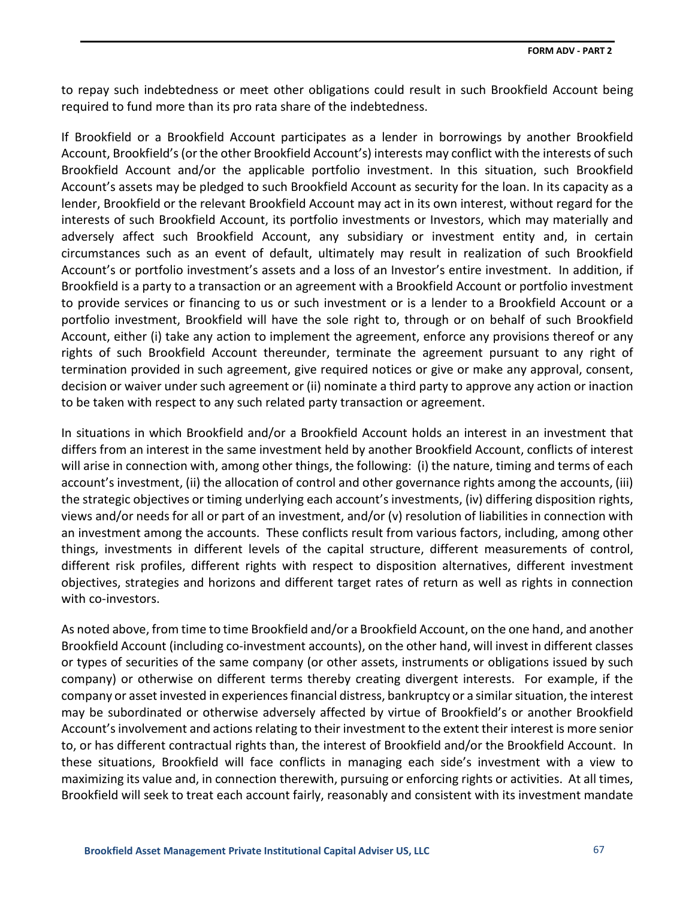to repay such indebtedness or meet other obligations could result in such Brookfield Account being required to fund more than its pro rata share of the indebtedness.

If Brookfield or a Brookfield Account participates as a lender in borrowings by another Brookfield Account, Brookfield's (or the other Brookfield Account's) interests may conflict with the interests of such Brookfield Account and/or the applicable portfolio investment. In this situation, such Brookfield Account's assets may be pledged to such Brookfield Account as security for the loan. In its capacity as a lender, Brookfield or the relevant Brookfield Account may act in its own interest, without regard for the interests of such Brookfield Account, its portfolio investments or Investors, which may materially and adversely affect such Brookfield Account, any subsidiary or investment entity and, in certain circumstances such as an event of default, ultimately may result in realization of such Brookfield Account's or portfolio investment's assets and a loss of an Investor's entire investment. In addition, if Brookfield is a party to a transaction or an agreement with a Brookfield Account or portfolio investment to provide services or financing to us or such investment or is a lender to a Brookfield Account or a portfolio investment, Brookfield will have the sole right to, through or on behalf of such Brookfield Account, either (i) take any action to implement the agreement, enforce any provisions thereof or any rights of such Brookfield Account thereunder, terminate the agreement pursuant to any right of termination provided in such agreement, give required notices or give or make any approval, consent, decision or waiver under such agreement or (ii) nominate a third party to approve any action or inaction to be taken with respect to any such related party transaction or agreement.

In situations in which Brookfield and/or a Brookfield Account holds an interest in an investment that differs from an interest in the same investment held by another Brookfield Account, conflicts of interest will arise in connection with, among other things, the following: (i) the nature, timing and terms of each account's investment, (ii) the allocation of control and other governance rights among the accounts, (iii) the strategic objectives or timing underlying each account's investments, (iv) differing disposition rights, views and/or needs for all or part of an investment, and/or (v) resolution of liabilities in connection with an investment among the accounts. These conflicts result from various factors, including, among other things, investments in different levels of the capital structure, different measurements of control, different risk profiles, different rights with respect to disposition alternatives, different investment objectives, strategies and horizons and different target rates of return as well as rights in connection with co-investors.

As noted above, from time to time Brookfield and/or a Brookfield Account, on the one hand, and another Brookfield Account (including co-investment accounts), on the other hand, will invest in different classes or types of securities of the same company (or other assets, instruments or obligations issued by such company) or otherwise on different terms thereby creating divergent interests. For example, if the company or asset invested in experiences financial distress, bankruptcy or a similar situation, the interest may be subordinated or otherwise adversely affected by virtue of Brookfield's or another Brookfield Account's involvement and actions relating to their investment to the extent their interest is more senior to, or has different contractual rights than, the interest of Brookfield and/or the Brookfield Account. In these situations, Brookfield will face conflicts in managing each side's investment with a view to maximizing its value and, in connection therewith, pursuing or enforcing rights or activities. At all times, Brookfield will seek to treat each account fairly, reasonably and consistent with its investment mandate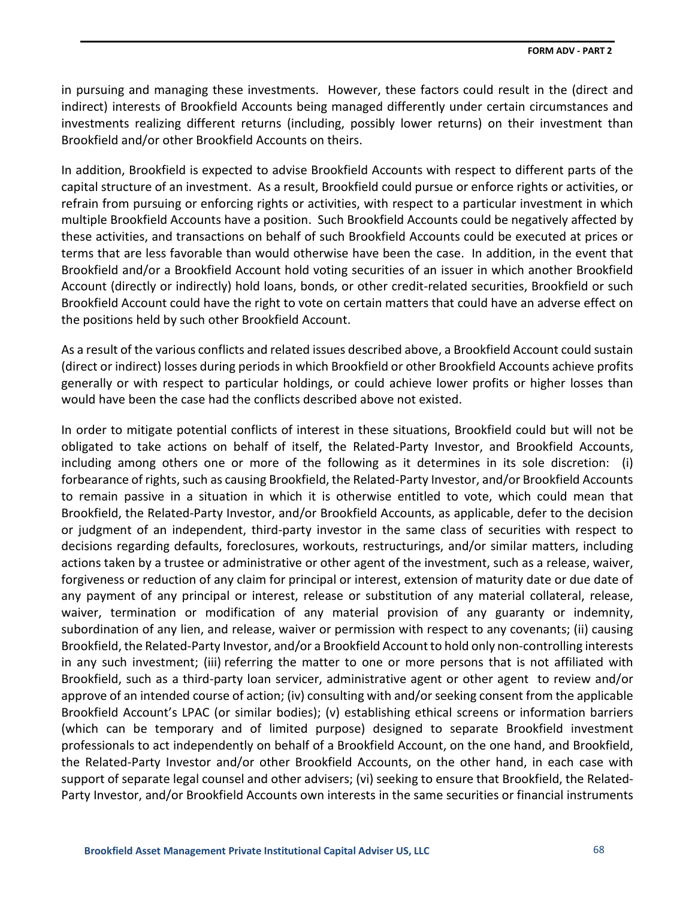in pursuing and managing these investments. However, these factors could result in the (direct and indirect) interests of Brookfield Accounts being managed differently under certain circumstances and investments realizing different returns (including, possibly lower returns) on their investment than Brookfield and/or other Brookfield Accounts on theirs.

In addition, Brookfield is expected to advise Brookfield Accounts with respect to different parts of the capital structure of an investment. As a result, Brookfield could pursue or enforce rights or activities, or refrain from pursuing or enforcing rights or activities, with respect to a particular investment in which multiple Brookfield Accounts have a position. Such Brookfield Accounts could be negatively affected by these activities, and transactions on behalf of such Brookfield Accounts could be executed at prices or terms that are less favorable than would otherwise have been the case. In addition, in the event that Brookfield and/or a Brookfield Account hold voting securities of an issuer in which another Brookfield Account (directly or indirectly) hold loans, bonds, or other credit-related securities, Brookfield or such Brookfield Account could have the right to vote on certain matters that could have an adverse effect on the positions held by such other Brookfield Account.

As a result of the various conflicts and related issues described above, a Brookfield Account could sustain (direct or indirect) losses during periods in which Brookfield or other Brookfield Accounts achieve profits generally or with respect to particular holdings, or could achieve lower profits or higher losses than would have been the case had the conflicts described above not existed.

In order to mitigate potential conflicts of interest in these situations, Brookfield could but will not be obligated to take actions on behalf of itself, the Related-Party Investor, and Brookfield Accounts, including among others one or more of the following as it determines in its sole discretion: (i) forbearance of rights, such as causing Brookfield, the Related-Party Investor, and/or Brookfield Accounts to remain passive in a situation in which it is otherwise entitled to vote, which could mean that Brookfield, the Related-Party Investor, and/or Brookfield Accounts, as applicable, defer to the decision or judgment of an independent, third-party investor in the same class of securities with respect to decisions regarding defaults, foreclosures, workouts, restructurings, and/or similar matters, including actions taken by a trustee or administrative or other agent of the investment, such as a release, waiver, forgiveness or reduction of any claim for principal or interest, extension of maturity date or due date of any payment of any principal or interest, release or substitution of any material collateral, release, waiver, termination or modification of any material provision of any guaranty or indemnity, subordination of any lien, and release, waiver or permission with respect to any covenants; (ii) causing Brookfield, the Related-Party Investor, and/or a Brookfield Account to hold only non-controlling interests in any such investment; (iii) referring the matter to one or more persons that is not affiliated with Brookfield, such as a third-party loan servicer, administrative agent or other agent to review and/or approve of an intended course of action; (iv) consulting with and/or seeking consent from the applicable Brookfield Account's LPAC (or similar bodies); (v) establishing ethical screens or information barriers (which can be temporary and of limited purpose) designed to separate Brookfield investment professionals to act independently on behalf of a Brookfield Account, on the one hand, and Brookfield, the Related-Party Investor and/or other Brookfield Accounts, on the other hand, in each case with support of separate legal counsel and other advisers; (vi) seeking to ensure that Brookfield, the Related-Party Investor, and/or Brookfield Accounts own interests in the same securities or financial instruments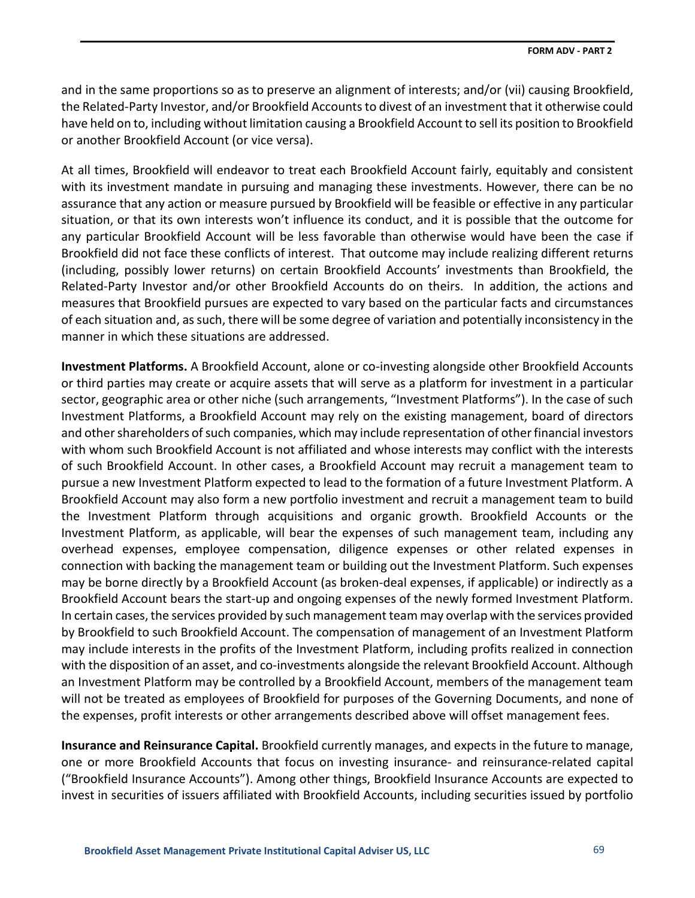and in the same proportions so as to preserve an alignment of interests; and/or (vii) causing Brookfield, the Related-Party Investor, and/or Brookfield Accounts to divest of an investment that it otherwise could have held on to, including without limitation causing a Brookfield Account to sell its position to Brookfield or another Brookfield Account (or vice versa).

At all times, Brookfield will endeavor to treat each Brookfield Account fairly, equitably and consistent with its investment mandate in pursuing and managing these investments. However, there can be no assurance that any action or measure pursued by Brookfield will be feasible or effective in any particular situation, or that its own interests won't influence its conduct, and it is possible that the outcome for any particular Brookfield Account will be less favorable than otherwise would have been the case if Brookfield did not face these conflicts of interest. That outcome may include realizing different returns (including, possibly lower returns) on certain Brookfield Accounts' investments than Brookfield, the Related-Party Investor and/or other Brookfield Accounts do on theirs. In addition, the actions and measures that Brookfield pursues are expected to vary based on the particular facts and circumstances of each situation and, as such, there will be some degree of variation and potentially inconsistency in the manner in which these situations are addressed.

**Investment Platforms.** A Brookfield Account, alone or co-investing alongside other Brookfield Accounts or third parties may create or acquire assets that will serve as a platform for investment in a particular sector, geographic area or other niche (such arrangements, "Investment Platforms"). In the case of such Investment Platforms, a Brookfield Account may rely on the existing management, board of directors and other shareholders of such companies, which may include representation of other financial investors with whom such Brookfield Account is not affiliated and whose interests may conflict with the interests of such Brookfield Account. In other cases, a Brookfield Account may recruit a management team to pursue a new Investment Platform expected to lead to the formation of a future Investment Platform. A Brookfield Account may also form a new portfolio investment and recruit a management team to build the Investment Platform through acquisitions and organic growth. Brookfield Accounts or the Investment Platform, as applicable, will bear the expenses of such management team, including any overhead expenses, employee compensation, diligence expenses or other related expenses in connection with backing the management team or building out the Investment Platform. Such expenses may be borne directly by a Brookfield Account (as broken-deal expenses, if applicable) or indirectly as a Brookfield Account bears the start-up and ongoing expenses of the newly formed Investment Platform. In certain cases, the services provided by such management team may overlap with the services provided by Brookfield to such Brookfield Account. The compensation of management of an Investment Platform may include interests in the profits of the Investment Platform, including profits realized in connection with the disposition of an asset, and co-investments alongside the relevant Brookfield Account. Although an Investment Platform may be controlled by a Brookfield Account, members of the management team will not be treated as employees of Brookfield for purposes of the Governing Documents, and none of the expenses, profit interests or other arrangements described above will offset management fees.

**Insurance and Reinsurance Capital.** Brookfield currently manages, and expects in the future to manage, one or more Brookfield Accounts that focus on investing insurance- and reinsurance-related capital ("Brookfield Insurance Accounts"). Among other things, Brookfield Insurance Accounts are expected to invest in securities of issuers affiliated with Brookfield Accounts, including securities issued by portfolio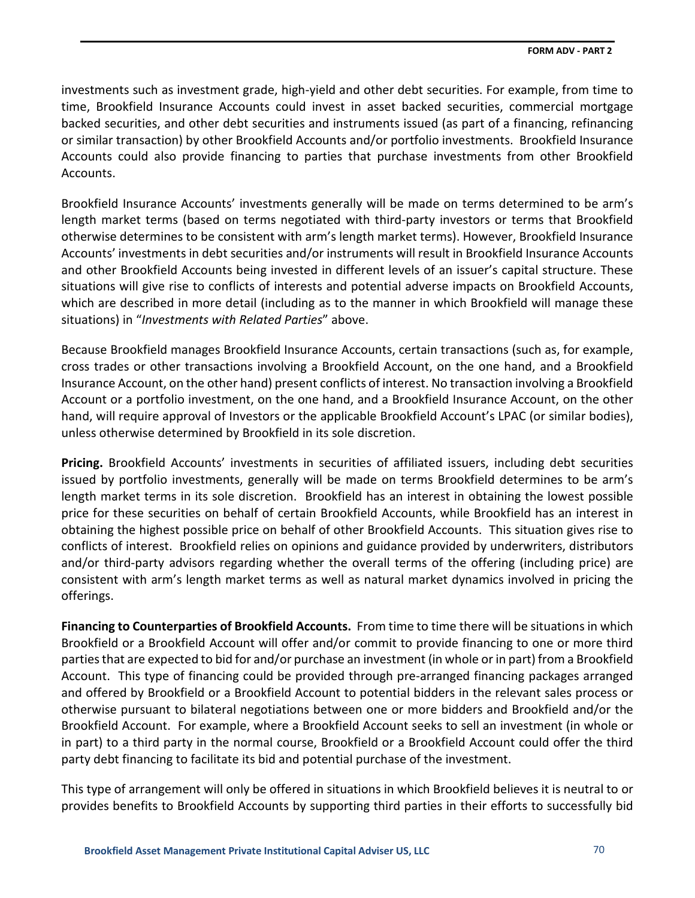investments such as investment grade, high-yield and other debt securities. For example, from time to time, Brookfield Insurance Accounts could invest in asset backed securities, commercial mortgage backed securities, and other debt securities and instruments issued (as part of a financing, refinancing or similar transaction) by other Brookfield Accounts and/or portfolio investments. Brookfield Insurance Accounts could also provide financing to parties that purchase investments from other Brookfield Accounts.

Brookfield Insurance Accounts' investments generally will be made on terms determined to be arm's length market terms (based on terms negotiated with third-party investors or terms that Brookfield otherwise determines to be consistent with arm's length market terms). However, Brookfield Insurance Accounts' investments in debt securities and/or instruments will result in Brookfield Insurance Accounts and other Brookfield Accounts being invested in different levels of an issuer's capital structure. These situations will give rise to conflicts of interests and potential adverse impacts on Brookfield Accounts, which are described in more detail (including as to the manner in which Brookfield will manage these situations) in "*Investments with Related Parties*" above.

Because Brookfield manages Brookfield Insurance Accounts, certain transactions (such as, for example, cross trades or other transactions involving a Brookfield Account, on the one hand, and a Brookfield Insurance Account, on the other hand) present conflicts of interest. No transaction involving a Brookfield Account or a portfolio investment, on the one hand, and a Brookfield Insurance Account, on the other hand, will require approval of Investors or the applicable Brookfield Account's LPAC (or similar bodies), unless otherwise determined by Brookfield in its sole discretion.

**Pricing.** Brookfield Accounts' investments in securities of affiliated issuers, including debt securities issued by portfolio investments, generally will be made on terms Brookfield determines to be arm's length market terms in its sole discretion. Brookfield has an interest in obtaining the lowest possible price for these securities on behalf of certain Brookfield Accounts, while Brookfield has an interest in obtaining the highest possible price on behalf of other Brookfield Accounts. This situation gives rise to conflicts of interest. Brookfield relies on opinions and guidance provided by underwriters, distributors and/or third-party advisors regarding whether the overall terms of the offering (including price) are consistent with arm's length market terms as well as natural market dynamics involved in pricing the offerings.

**Financing to Counterparties of Brookfield Accounts.** From time to time there will be situations in which Brookfield or a Brookfield Account will offer and/or commit to provide financing to one or more third parties that are expected to bid for and/or purchase an investment (in whole or in part) from a Brookfield Account. This type of financing could be provided through pre-arranged financing packages arranged and offered by Brookfield or a Brookfield Account to potential bidders in the relevant sales process or otherwise pursuant to bilateral negotiations between one or more bidders and Brookfield and/or the Brookfield Account. For example, where a Brookfield Account seeks to sell an investment (in whole or in part) to a third party in the normal course, Brookfield or a Brookfield Account could offer the third party debt financing to facilitate its bid and potential purchase of the investment.

This type of arrangement will only be offered in situations in which Brookfield believes it is neutral to or provides benefits to Brookfield Accounts by supporting third parties in their efforts to successfully bid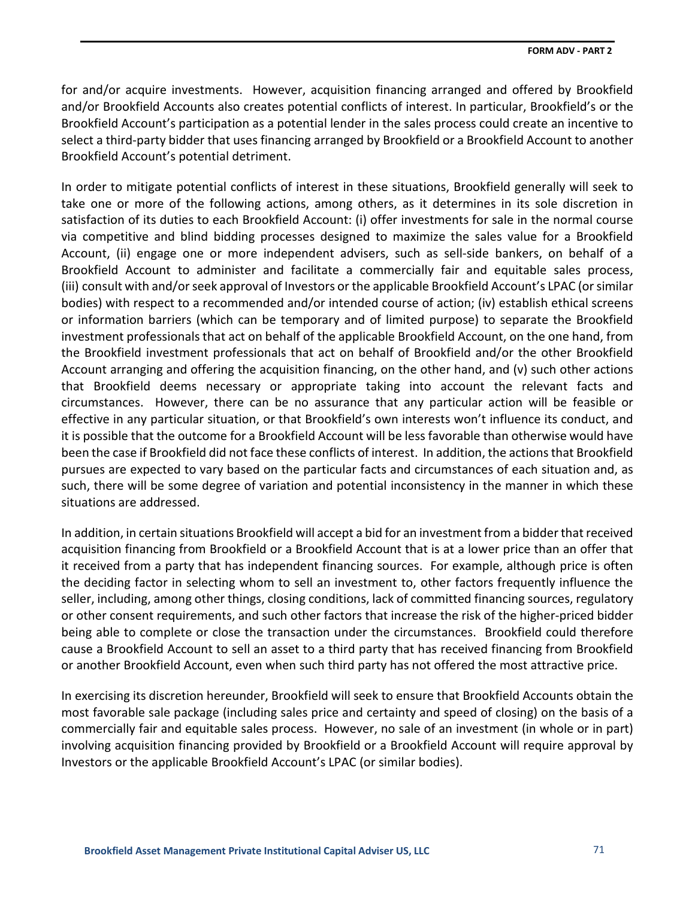for and/or acquire investments. However, acquisition financing arranged and offered by Brookfield and/or Brookfield Accounts also creates potential conflicts of interest. In particular, Brookfield's or the Brookfield Account's participation as a potential lender in the sales process could create an incentive to select a third-party bidder that uses financing arranged by Brookfield or a Brookfield Account to another Brookfield Account's potential detriment.

In order to mitigate potential conflicts of interest in these situations, Brookfield generally will seek to take one or more of the following actions, among others, as it determines in its sole discretion in satisfaction of its duties to each Brookfield Account: (i) offer investments for sale in the normal course via competitive and blind bidding processes designed to maximize the sales value for a Brookfield Account, (ii) engage one or more independent advisers, such as sell-side bankers, on behalf of a Brookfield Account to administer and facilitate a commercially fair and equitable sales process, (iii) consult with and/or seek approval of Investors or the applicable Brookfield Account's LPAC (or similar bodies) with respect to a recommended and/or intended course of action; (iv) establish ethical screens or information barriers (which can be temporary and of limited purpose) to separate the Brookfield investment professionals that act on behalf of the applicable Brookfield Account, on the one hand, from the Brookfield investment professionals that act on behalf of Brookfield and/or the other Brookfield Account arranging and offering the acquisition financing, on the other hand, and (v) such other actions that Brookfield deems necessary or appropriate taking into account the relevant facts and circumstances. However, there can be no assurance that any particular action will be feasible or effective in any particular situation, or that Brookfield's own interests won't influence its conduct, and it is possible that the outcome for a Brookfield Account will be less favorable than otherwise would have been the case if Brookfield did not face these conflicts of interest. In addition, the actions that Brookfield pursues are expected to vary based on the particular facts and circumstances of each situation and, as such, there will be some degree of variation and potential inconsistency in the manner in which these situations are addressed.

In addition, in certain situations Brookfield will accept a bid for an investment from a bidder that received acquisition financing from Brookfield or a Brookfield Account that is at a lower price than an offer that it received from a party that has independent financing sources. For example, although price is often the deciding factor in selecting whom to sell an investment to, other factors frequently influence the seller, including, among other things, closing conditions, lack of committed financing sources, regulatory or other consent requirements, and such other factors that increase the risk of the higher-priced bidder being able to complete or close the transaction under the circumstances. Brookfield could therefore cause a Brookfield Account to sell an asset to a third party that has received financing from Brookfield or another Brookfield Account, even when such third party has not offered the most attractive price.

In exercising its discretion hereunder, Brookfield will seek to ensure that Brookfield Accounts obtain the most favorable sale package (including sales price and certainty and speed of closing) on the basis of a commercially fair and equitable sales process. However, no sale of an investment (in whole or in part) involving acquisition financing provided by Brookfield or a Brookfield Account will require approval by Investors or the applicable Brookfield Account's LPAC (or similar bodies).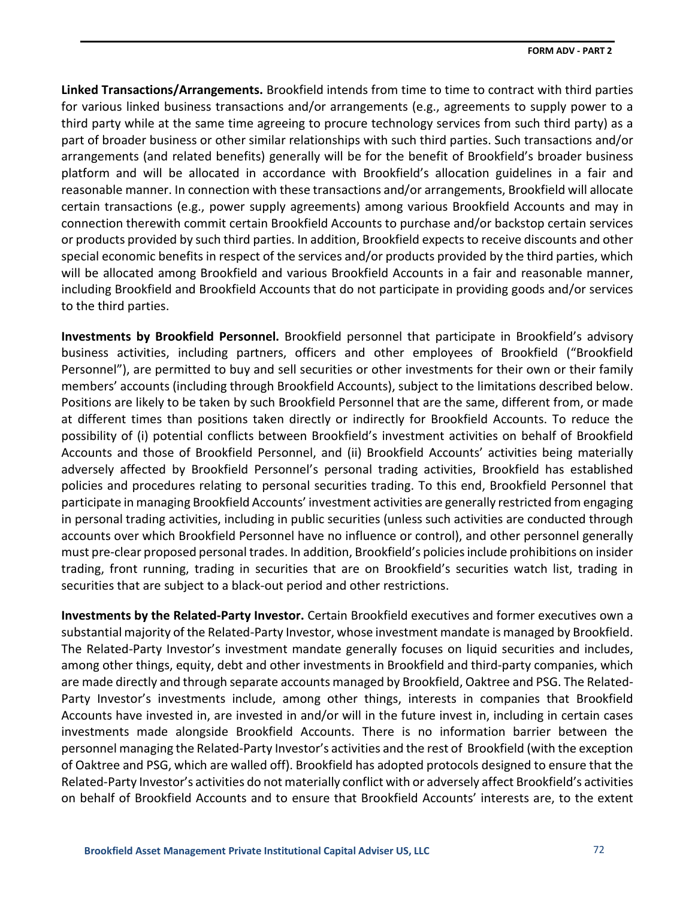**Linked Transactions/Arrangements.** Brookfield intends from time to time to contract with third parties for various linked business transactions and/or arrangements (e.g., agreements to supply power to a third party while at the same time agreeing to procure technology services from such third party) as a part of broader business or other similar relationships with such third parties. Such transactions and/or arrangements (and related benefits) generally will be for the benefit of Brookfield's broader business platform and will be allocated in accordance with Brookfield's allocation guidelines in a fair and reasonable manner. In connection with these transactions and/or arrangements, Brookfield will allocate certain transactions (e.g., power supply agreements) among various Brookfield Accounts and may in connection therewith commit certain Brookfield Accounts to purchase and/or backstop certain services or products provided by such third parties. In addition, Brookfield expects to receive discounts and other special economic benefits in respect of the services and/or products provided by the third parties, which will be allocated among Brookfield and various Brookfield Accounts in a fair and reasonable manner, including Brookfield and Brookfield Accounts that do not participate in providing goods and/or services to the third parties.

**Investments by Brookfield Personnel.** Brookfield personnel that participate in Brookfield's advisory business activities, including partners, officers and other employees of Brookfield ("Brookfield Personnel"), are permitted to buy and sell securities or other investments for their own or their family members' accounts (including through Brookfield Accounts), subject to the limitations described below. Positions are likely to be taken by such Brookfield Personnel that are the same, different from, or made at different times than positions taken directly or indirectly for Brookfield Accounts. To reduce the possibility of (i) potential conflicts between Brookfield's investment activities on behalf of Brookfield Accounts and those of Brookfield Personnel, and (ii) Brookfield Accounts' activities being materially adversely affected by Brookfield Personnel's personal trading activities, Brookfield has established policies and procedures relating to personal securities trading. To this end, Brookfield Personnel that participate in managing Brookfield Accounts' investment activities are generally restricted from engaging in personal trading activities, including in public securities (unless such activities are conducted through accounts over which Brookfield Personnel have no influence or control), and other personnel generally must pre-clear proposed personal trades. In addition, Brookfield's policies include prohibitions on insider trading, front running, trading in securities that are on Brookfield's securities watch list, trading in securities that are subject to a black-out period and other restrictions.

**Investments by the Related-Party Investor.** Certain Brookfield executives and former executives own a substantial majority of the Related-Party Investor, whose investment mandate is managed by Brookfield. The Related-Party Investor's investment mandate generally focuses on liquid securities and includes, among other things, equity, debt and other investments in Brookfield and third-party companies, which are made directly and through separate accounts managed by Brookfield, Oaktree and PSG. The Related-Party Investor's investments include, among other things, interests in companies that Brookfield Accounts have invested in, are invested in and/or will in the future invest in, including in certain cases investments made alongside Brookfield Accounts. There is no information barrier between the personnel managing the Related-Party Investor's activities and the rest of Brookfield (with the exception of Oaktree and PSG, which are walled off). Brookfield has adopted protocols designed to ensure that the Related-Party Investor's activities do not materially conflict with or adversely affect Brookfield's activities on behalf of Brookfield Accounts and to ensure that Brookfield Accounts' interests are, to the extent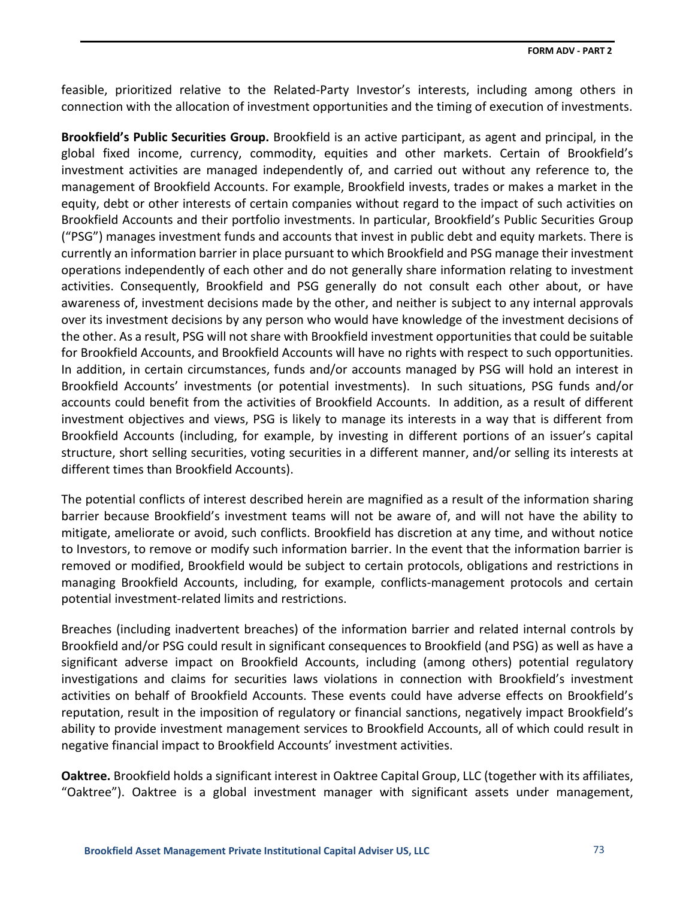feasible, prioritized relative to the Related-Party Investor's interests, including among others in connection with the allocation of investment opportunities and the timing of execution of investments.

**Brookfield's Public Securities Group.** Brookfield is an active participant, as agent and principal, in the global fixed income, currency, commodity, equities and other markets. Certain of Brookfield's investment activities are managed independently of, and carried out without any reference to, the management of Brookfield Accounts. For example, Brookfield invests, trades or makes a market in the equity, debt or other interests of certain companies without regard to the impact of such activities on Brookfield Accounts and their portfolio investments. In particular, Brookfield's Public Securities Group ("PSG") manages investment funds and accounts that invest in public debt and equity markets. There is currently an information barrier in place pursuant to which Brookfield and PSG manage their investment operations independently of each other and do not generally share information relating to investment activities. Consequently, Brookfield and PSG generally do not consult each other about, or have awareness of, investment decisions made by the other, and neither is subject to any internal approvals over its investment decisions by any person who would have knowledge of the investment decisions of the other. As a result, PSG will not share with Brookfield investment opportunities that could be suitable for Brookfield Accounts, and Brookfield Accounts will have no rights with respect to such opportunities. In addition, in certain circumstances, funds and/or accounts managed by PSG will hold an interest in Brookfield Accounts' investments (or potential investments). In such situations, PSG funds and/or accounts could benefit from the activities of Brookfield Accounts. In addition, as a result of different investment objectives and views, PSG is likely to manage its interests in a way that is different from Brookfield Accounts (including, for example, by investing in different portions of an issuer's capital structure, short selling securities, voting securities in a different manner, and/or selling its interests at different times than Brookfield Accounts).

The potential conflicts of interest described herein are magnified as a result of the information sharing barrier because Brookfield's investment teams will not be aware of, and will not have the ability to mitigate, ameliorate or avoid, such conflicts. Brookfield has discretion at any time, and without notice to Investors, to remove or modify such information barrier. In the event that the information barrier is removed or modified, Brookfield would be subject to certain protocols, obligations and restrictions in managing Brookfield Accounts, including, for example, conflicts-management protocols and certain potential investment-related limits and restrictions.

Breaches (including inadvertent breaches) of the information barrier and related internal controls by Brookfield and/or PSG could result in significant consequences to Brookfield (and PSG) as well as have a significant adverse impact on Brookfield Accounts, including (among others) potential regulatory investigations and claims for securities laws violations in connection with Brookfield's investment activities on behalf of Brookfield Accounts. These events could have adverse effects on Brookfield's reputation, result in the imposition of regulatory or financial sanctions, negatively impact Brookfield's ability to provide investment management services to Brookfield Accounts, all of which could result in negative financial impact to Brookfield Accounts' investment activities.

**Oaktree.** Brookfield holds a significant interest in Oaktree Capital Group, LLC (together with its affiliates, "Oaktree"). Oaktree is a global investment manager with significant assets under management,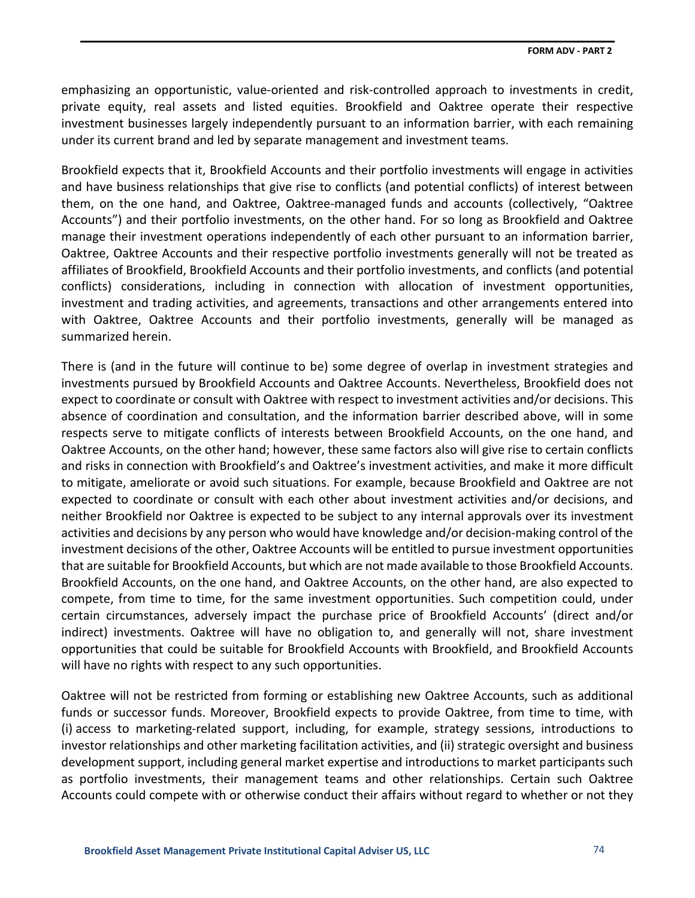emphasizing an opportunistic, value-oriented and risk-controlled approach to investments in credit, private equity, real assets and listed equities. Brookfield and Oaktree operate their respective investment businesses largely independently pursuant to an information barrier, with each remaining under its current brand and led by separate management and investment teams.

Brookfield expects that it, Brookfield Accounts and their portfolio investments will engage in activities and have business relationships that give rise to conflicts (and potential conflicts) of interest between them, on the one hand, and Oaktree, Oaktree-managed funds and accounts (collectively, "Oaktree Accounts") and their portfolio investments, on the other hand. For so long as Brookfield and Oaktree manage their investment operations independently of each other pursuant to an information barrier, Oaktree, Oaktree Accounts and their respective portfolio investments generally will not be treated as affiliates of Brookfield, Brookfield Accounts and their portfolio investments, and conflicts (and potential conflicts) considerations, including in connection with allocation of investment opportunities, investment and trading activities, and agreements, transactions and other arrangements entered into with Oaktree, Oaktree Accounts and their portfolio investments, generally will be managed as summarized herein.

There is (and in the future will continue to be) some degree of overlap in investment strategies and investments pursued by Brookfield Accounts and Oaktree Accounts. Nevertheless, Brookfield does not expect to coordinate or consult with Oaktree with respect to investment activities and/or decisions. This absence of coordination and consultation, and the information barrier described above, will in some respects serve to mitigate conflicts of interests between Brookfield Accounts, on the one hand, and Oaktree Accounts, on the other hand; however, these same factors also will give rise to certain conflicts and risks in connection with Brookfield's and Oaktree's investment activities, and make it more difficult to mitigate, ameliorate or avoid such situations. For example, because Brookfield and Oaktree are not expected to coordinate or consult with each other about investment activities and/or decisions, and neither Brookfield nor Oaktree is expected to be subject to any internal approvals over its investment activities and decisions by any person who would have knowledge and/or decision-making control of the investment decisions of the other, Oaktree Accounts will be entitled to pursue investment opportunities that are suitable for Brookfield Accounts, but which are not made available to those Brookfield Accounts. Brookfield Accounts, on the one hand, and Oaktree Accounts, on the other hand, are also expected to compete, from time to time, for the same investment opportunities. Such competition could, under certain circumstances, adversely impact the purchase price of Brookfield Accounts' (direct and/or indirect) investments. Oaktree will have no obligation to, and generally will not, share investment opportunities that could be suitable for Brookfield Accounts with Brookfield, and Brookfield Accounts will have no rights with respect to any such opportunities.

Oaktree will not be restricted from forming or establishing new Oaktree Accounts, such as additional funds or successor funds. Moreover, Brookfield expects to provide Oaktree, from time to time, with (i) access to marketing-related support, including, for example, strategy sessions, introductions to investor relationships and other marketing facilitation activities, and (ii) strategic oversight and business development support, including general market expertise and introductions to market participants such as portfolio investments, their management teams and other relationships. Certain such Oaktree Accounts could compete with or otherwise conduct their affairs without regard to whether or not they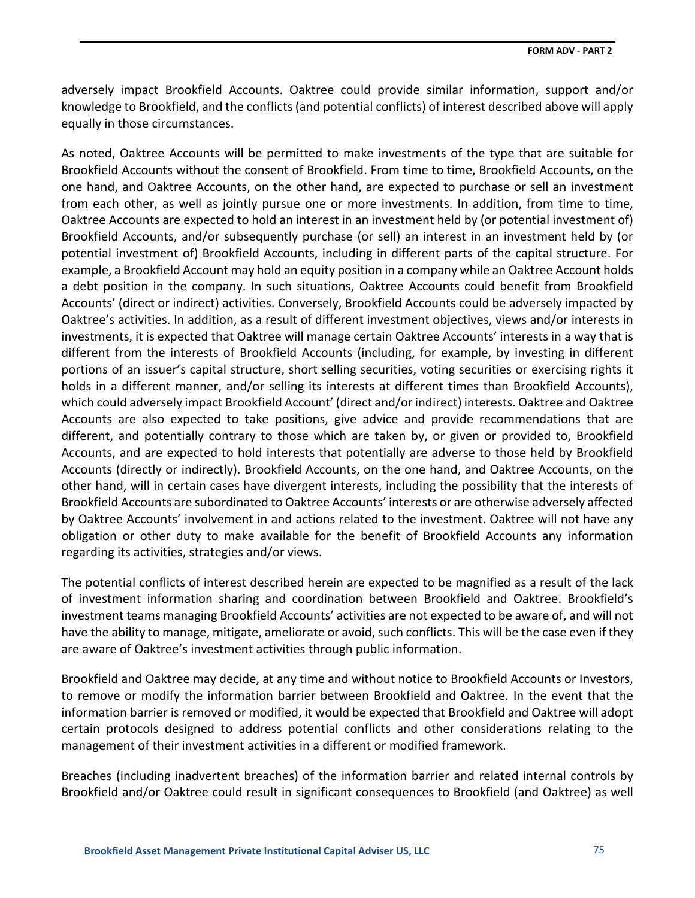adversely impact Brookfield Accounts. Oaktree could provide similar information, support and/or knowledge to Brookfield, and the conflicts (and potential conflicts) of interest described above will apply equally in those circumstances.

As noted, Oaktree Accounts will be permitted to make investments of the type that are suitable for Brookfield Accounts without the consent of Brookfield. From time to time, Brookfield Accounts, on the one hand, and Oaktree Accounts, on the other hand, are expected to purchase or sell an investment from each other, as well as jointly pursue one or more investments. In addition, from time to time, Oaktree Accounts are expected to hold an interest in an investment held by (or potential investment of) Brookfield Accounts, and/or subsequently purchase (or sell) an interest in an investment held by (or potential investment of) Brookfield Accounts, including in different parts of the capital structure. For example, a Brookfield Account may hold an equity position in a company while an Oaktree Account holds a debt position in the company. In such situations, Oaktree Accounts could benefit from Brookfield Accounts' (direct or indirect) activities. Conversely, Brookfield Accounts could be adversely impacted by Oaktree's activities. In addition, as a result of different investment objectives, views and/or interests in investments, it is expected that Oaktree will manage certain Oaktree Accounts' interests in a way that is different from the interests of Brookfield Accounts (including, for example, by investing in different portions of an issuer's capital structure, short selling securities, voting securities or exercising rights it holds in a different manner, and/or selling its interests at different times than Brookfield Accounts), which could adversely impact Brookfield Account' (direct and/or indirect) interests. Oaktree and Oaktree Accounts are also expected to take positions, give advice and provide recommendations that are different, and potentially contrary to those which are taken by, or given or provided to, Brookfield Accounts, and are expected to hold interests that potentially are adverse to those held by Brookfield Accounts (directly or indirectly). Brookfield Accounts, on the one hand, and Oaktree Accounts, on the other hand, will in certain cases have divergent interests, including the possibility that the interests of Brookfield Accounts are subordinated to Oaktree Accounts' interests or are otherwise adversely affected by Oaktree Accounts' involvement in and actions related to the investment. Oaktree will not have any obligation or other duty to make available for the benefit of Brookfield Accounts any information regarding its activities, strategies and/or views.

The potential conflicts of interest described herein are expected to be magnified as a result of the lack of investment information sharing and coordination between Brookfield and Oaktree. Brookfield's investment teams managing Brookfield Accounts' activities are not expected to be aware of, and will not have the ability to manage, mitigate, ameliorate or avoid, such conflicts. This will be the case even if they are aware of Oaktree's investment activities through public information.

Brookfield and Oaktree may decide, at any time and without notice to Brookfield Accounts or Investors, to remove or modify the information barrier between Brookfield and Oaktree. In the event that the information barrier is removed or modified, it would be expected that Brookfield and Oaktree will adopt certain protocols designed to address potential conflicts and other considerations relating to the management of their investment activities in a different or modified framework.

Breaches (including inadvertent breaches) of the information barrier and related internal controls by Brookfield and/or Oaktree could result in significant consequences to Brookfield (and Oaktree) as well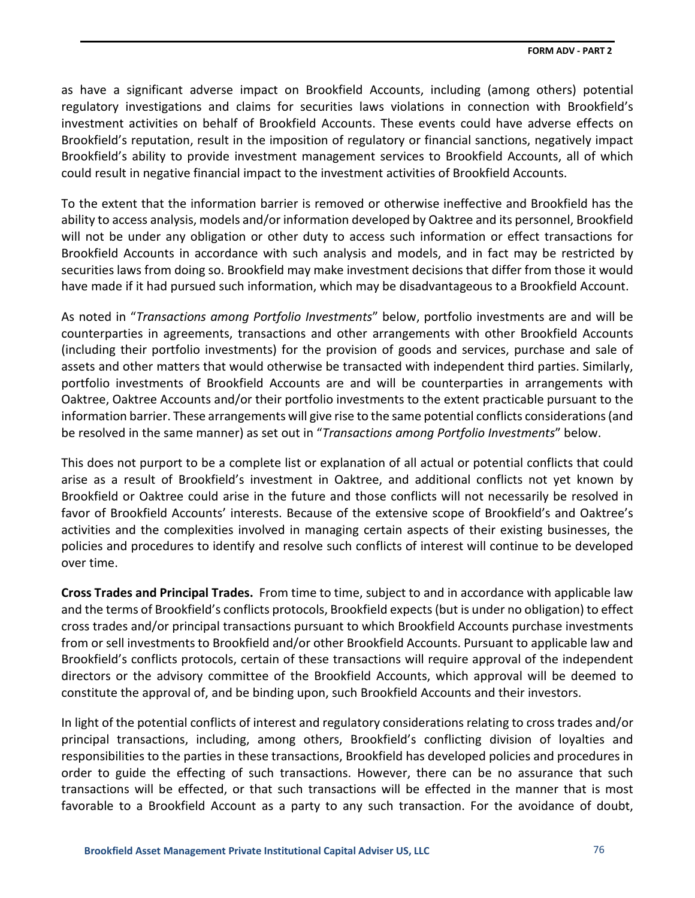as have a significant adverse impact on Brookfield Accounts, including (among others) potential regulatory investigations and claims for securities laws violations in connection with Brookfield's investment activities on behalf of Brookfield Accounts. These events could have adverse effects on Brookfield's reputation, result in the imposition of regulatory or financial sanctions, negatively impact Brookfield's ability to provide investment management services to Brookfield Accounts, all of which could result in negative financial impact to the investment activities of Brookfield Accounts.

To the extent that the information barrier is removed or otherwise ineffective and Brookfield has the ability to access analysis, models and/or information developed by Oaktree and its personnel, Brookfield will not be under any obligation or other duty to access such information or effect transactions for Brookfield Accounts in accordance with such analysis and models, and in fact may be restricted by securities laws from doing so. Brookfield may make investment decisions that differ from those it would have made if it had pursued such information, which may be disadvantageous to a Brookfield Account.

As noted in "*Transactions among Portfolio Investments*" below, portfolio investments are and will be counterparties in agreements, transactions and other arrangements with other Brookfield Accounts (including their portfolio investments) for the provision of goods and services, purchase and sale of assets and other matters that would otherwise be transacted with independent third parties. Similarly, portfolio investments of Brookfield Accounts are and will be counterparties in arrangements with Oaktree, Oaktree Accounts and/or their portfolio investments to the extent practicable pursuant to the information barrier. These arrangements will give rise to the same potential conflicts considerations (and be resolved in the same manner) as set out in "*Transactions among Portfolio Investments*" below.

This does not purport to be a complete list or explanation of all actual or potential conflicts that could arise as a result of Brookfield's investment in Oaktree, and additional conflicts not yet known by Brookfield or Oaktree could arise in the future and those conflicts will not necessarily be resolved in favor of Brookfield Accounts' interests. Because of the extensive scope of Brookfield's and Oaktree's activities and the complexities involved in managing certain aspects of their existing businesses, the policies and procedures to identify and resolve such conflicts of interest will continue to be developed over time.

**Cross Trades and Principal Trades.** From time to time, subject to and in accordance with applicable law and the terms of Brookfield's conflicts protocols, Brookfield expects (but is under no obligation) to effect cross trades and/or principal transactions pursuant to which Brookfield Accounts purchase investments from or sell investments to Brookfield and/or other Brookfield Accounts. Pursuant to applicable law and Brookfield's conflicts protocols, certain of these transactions will require approval of the independent directors or the advisory committee of the Brookfield Accounts, which approval will be deemed to constitute the approval of, and be binding upon, such Brookfield Accounts and their investors.

In light of the potential conflicts of interest and regulatory considerations relating to cross trades and/or principal transactions, including, among others, Brookfield's conflicting division of loyalties and responsibilities to the parties in these transactions, Brookfield has developed policies and procedures in order to guide the effecting of such transactions. However, there can be no assurance that such transactions will be effected, or that such transactions will be effected in the manner that is most favorable to a Brookfield Account as a party to any such transaction. For the avoidance of doubt,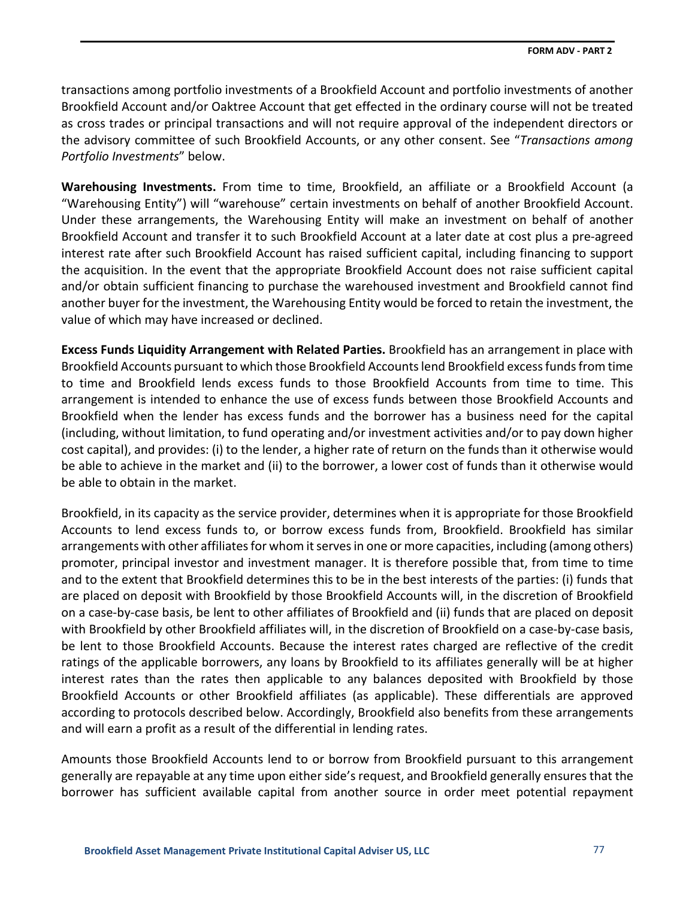transactions among portfolio investments of a Brookfield Account and portfolio investments of another Brookfield Account and/or Oaktree Account that get effected in the ordinary course will not be treated as cross trades or principal transactions and will not require approval of the independent directors or the advisory committee of such Brookfield Accounts, or any other consent. See "*Transactions among Portfolio Investments*" below.

**Warehousing Investments.** From time to time, Brookfield, an affiliate or a Brookfield Account (a "Warehousing Entity") will "warehouse" certain investments on behalf of another Brookfield Account. Under these arrangements, the Warehousing Entity will make an investment on behalf of another Brookfield Account and transfer it to such Brookfield Account at a later date at cost plus a pre-agreed interest rate after such Brookfield Account has raised sufficient capital, including financing to support the acquisition. In the event that the appropriate Brookfield Account does not raise sufficient capital and/or obtain sufficient financing to purchase the warehoused investment and Brookfield cannot find another buyer for the investment, the Warehousing Entity would be forced to retain the investment, the value of which may have increased or declined.

**Excess Funds Liquidity Arrangement with Related Parties.** Brookfield has an arrangement in place with Brookfield Accounts pursuant to which those Brookfield Accounts lend Brookfield excess funds from time to time and Brookfield lends excess funds to those Brookfield Accounts from time to time. This arrangement is intended to enhance the use of excess funds between those Brookfield Accounts and Brookfield when the lender has excess funds and the borrower has a business need for the capital (including, without limitation, to fund operating and/or investment activities and/or to pay down higher cost capital), and provides: (i) to the lender, a higher rate of return on the funds than it otherwise would be able to achieve in the market and (ii) to the borrower, a lower cost of funds than it otherwise would be able to obtain in the market.

Brookfield, in its capacity as the service provider, determines when it is appropriate for those Brookfield Accounts to lend excess funds to, or borrow excess funds from, Brookfield. Brookfield has similar arrangements with other affiliates for whom it serves in one or more capacities, including (among others) promoter, principal investor and investment manager. It is therefore possible that, from time to time and to the extent that Brookfield determines this to be in the best interests of the parties: (i) funds that are placed on deposit with Brookfield by those Brookfield Accounts will, in the discretion of Brookfield on a case-by-case basis, be lent to other affiliates of Brookfield and (ii) funds that are placed on deposit with Brookfield by other Brookfield affiliates will, in the discretion of Brookfield on a case-by-case basis, be lent to those Brookfield Accounts. Because the interest rates charged are reflective of the credit ratings of the applicable borrowers, any loans by Brookfield to its affiliates generally will be at higher interest rates than the rates then applicable to any balances deposited with Brookfield by those Brookfield Accounts or other Brookfield affiliates (as applicable). These differentials are approved according to protocols described below. Accordingly, Brookfield also benefits from these arrangements and will earn a profit as a result of the differential in lending rates.

Amounts those Brookfield Accounts lend to or borrow from Brookfield pursuant to this arrangement generally are repayable at any time upon either side's request, and Brookfield generally ensures that the borrower has sufficient available capital from another source in order meet potential repayment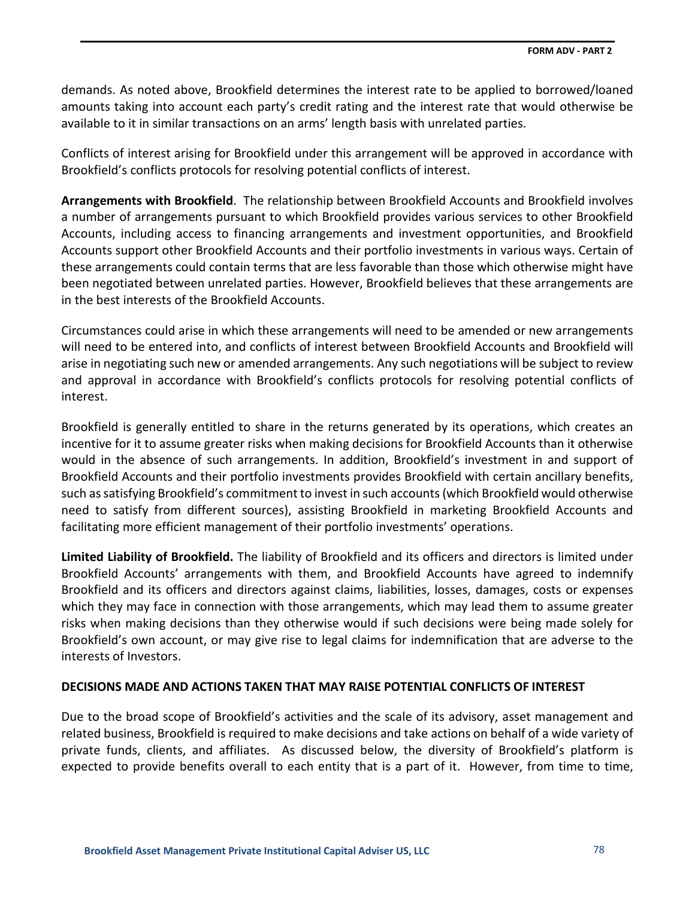demands. As noted above, Brookfield determines the interest rate to be applied to borrowed/loaned amounts taking into account each party's credit rating and the interest rate that would otherwise be available to it in similar transactions on an arms' length basis with unrelated parties.

Conflicts of interest arising for Brookfield under this arrangement will be approved in accordance with Brookfield's conflicts protocols for resolving potential conflicts of interest.

**Arrangements with Brookfield**. The relationship between Brookfield Accounts and Brookfield involves a number of arrangements pursuant to which Brookfield provides various services to other Brookfield Accounts, including access to financing arrangements and investment opportunities, and Brookfield Accounts support other Brookfield Accounts and their portfolio investments in various ways. Certain of these arrangements could contain terms that are less favorable than those which otherwise might have been negotiated between unrelated parties. However, Brookfield believes that these arrangements are in the best interests of the Brookfield Accounts.

Circumstances could arise in which these arrangements will need to be amended or new arrangements will need to be entered into, and conflicts of interest between Brookfield Accounts and Brookfield will arise in negotiating such new or amended arrangements. Any such negotiations will be subject to review and approval in accordance with Brookfield's conflicts protocols for resolving potential conflicts of interest.

Brookfield is generally entitled to share in the returns generated by its operations, which creates an incentive for it to assume greater risks when making decisions for Brookfield Accounts than it otherwise would in the absence of such arrangements. In addition, Brookfield's investment in and support of Brookfield Accounts and their portfolio investments provides Brookfield with certain ancillary benefits, such as satisfying Brookfield's commitment to invest in such accounts (which Brookfield would otherwise need to satisfy from different sources), assisting Brookfield in marketing Brookfield Accounts and facilitating more efficient management of their portfolio investments' operations.

**Limited Liability of Brookfield.** The liability of Brookfield and its officers and directors is limited under Brookfield Accounts' arrangements with them, and Brookfield Accounts have agreed to indemnify Brookfield and its officers and directors against claims, liabilities, losses, damages, costs or expenses which they may face in connection with those arrangements, which may lead them to assume greater risks when making decisions than they otherwise would if such decisions were being made solely for Brookfield's own account, or may give rise to legal claims for indemnification that are adverse to the interests of Investors.

## **DECISIONS MADE AND ACTIONS TAKEN THAT MAY RAISE POTENTIAL CONFLICTS OF INTEREST**

Due to the broad scope of Brookfield's activities and the scale of its advisory, asset management and related business, Brookfield is required to make decisions and take actions on behalf of a wide variety of private funds, clients, and affiliates. As discussed below, the diversity of Brookfield's platform is expected to provide benefits overall to each entity that is a part of it. However, from time to time,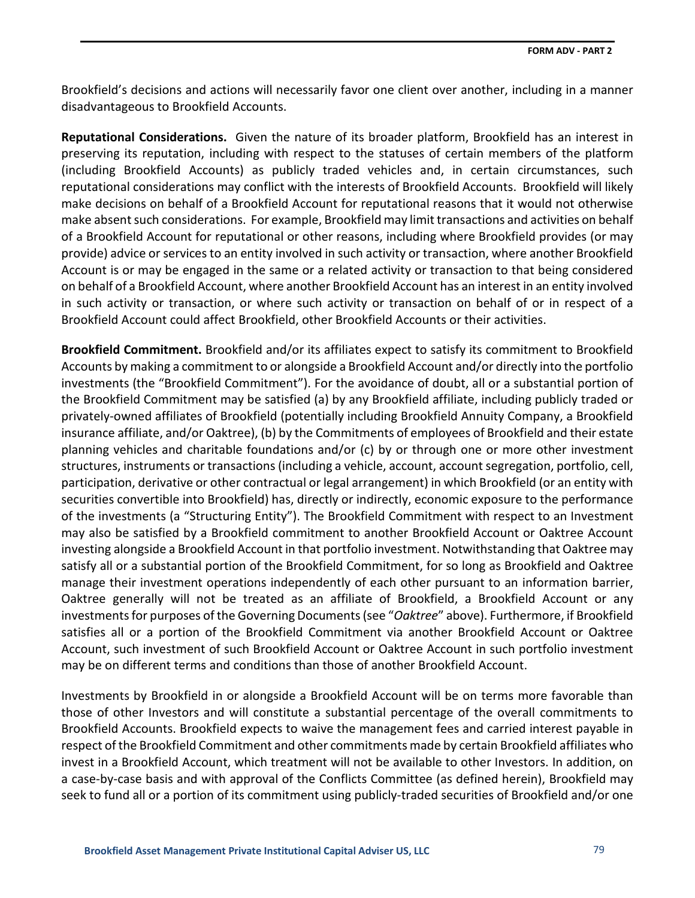Brookfield's decisions and actions will necessarily favor one client over another, including in a manner disadvantageous to Brookfield Accounts.

**Reputational Considerations.** Given the nature of its broader platform, Brookfield has an interest in preserving its reputation, including with respect to the statuses of certain members of the platform (including Brookfield Accounts) as publicly traded vehicles and, in certain circumstances, such reputational considerations may conflict with the interests of Brookfield Accounts. Brookfield will likely make decisions on behalf of a Brookfield Account for reputational reasons that it would not otherwise make absent such considerations. For example, Brookfield may limit transactions and activities on behalf of a Brookfield Account for reputational or other reasons, including where Brookfield provides (or may provide) advice or services to an entity involved in such activity or transaction, where another Brookfield Account is or may be engaged in the same or a related activity or transaction to that being considered on behalf of a Brookfield Account, where another Brookfield Account has an interest in an entity involved in such activity or transaction, or where such activity or transaction on behalf of or in respect of a Brookfield Account could affect Brookfield, other Brookfield Accounts or their activities.

**Brookfield Commitment.** Brookfield and/or its affiliates expect to satisfy its commitment to Brookfield Accounts by making a commitment to or alongside a Brookfield Account and/or directly into the portfolio investments (the "Brookfield Commitment"). For the avoidance of doubt, all or a substantial portion of the Brookfield Commitment may be satisfied (a) by any Brookfield affiliate, including publicly traded or privately-owned affiliates of Brookfield (potentially including Brookfield Annuity Company, a Brookfield insurance affiliate, and/or Oaktree), (b) by the Commitments of employees of Brookfield and their estate planning vehicles and charitable foundations and/or (c) by or through one or more other investment structures, instruments or transactions (including a vehicle, account, account segregation, portfolio, cell, participation, derivative or other contractual or legal arrangement) in which Brookfield (or an entity with securities convertible into Brookfield) has, directly or indirectly, economic exposure to the performance of the investments (a "Structuring Entity"). The Brookfield Commitment with respect to an Investment may also be satisfied by a Brookfield commitment to another Brookfield Account or Oaktree Account investing alongside a Brookfield Account in that portfolio investment. Notwithstanding that Oaktree may satisfy all or a substantial portion of the Brookfield Commitment, for so long as Brookfield and Oaktree manage their investment operations independently of each other pursuant to an information barrier, Oaktree generally will not be treated as an affiliate of Brookfield, a Brookfield Account or any investments for purposes of the Governing Documents (see "*Oaktree*" above). Furthermore, if Brookfield satisfies all or a portion of the Brookfield Commitment via another Brookfield Account or Oaktree Account, such investment of such Brookfield Account or Oaktree Account in such portfolio investment may be on different terms and conditions than those of another Brookfield Account.

Investments by Brookfield in or alongside a Brookfield Account will be on terms more favorable than those of other Investors and will constitute a substantial percentage of the overall commitments to Brookfield Accounts. Brookfield expects to waive the management fees and carried interest payable in respect of the Brookfield Commitment and other commitments made by certain Brookfield affiliates who invest in a Brookfield Account, which treatment will not be available to other Investors. In addition, on a case-by-case basis and with approval of the Conflicts Committee (as defined herein), Brookfield may seek to fund all or a portion of its commitment using publicly-traded securities of Brookfield and/or one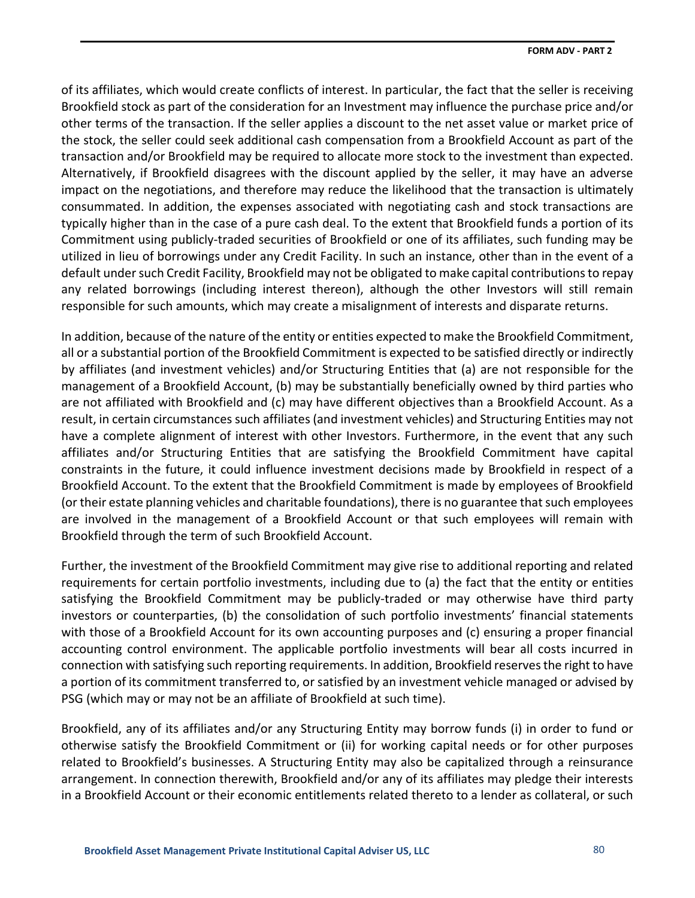of its affiliates, which would create conflicts of interest. In particular, the fact that the seller is receiving Brookfield stock as part of the consideration for an Investment may influence the purchase price and/or other terms of the transaction. If the seller applies a discount to the net asset value or market price of the stock, the seller could seek additional cash compensation from a Brookfield Account as part of the transaction and/or Brookfield may be required to allocate more stock to the investment than expected. Alternatively, if Brookfield disagrees with the discount applied by the seller, it may have an adverse impact on the negotiations, and therefore may reduce the likelihood that the transaction is ultimately consummated. In addition, the expenses associated with negotiating cash and stock transactions are typically higher than in the case of a pure cash deal. To the extent that Brookfield funds a portion of its Commitment using publicly-traded securities of Brookfield or one of its affiliates, such funding may be utilized in lieu of borrowings under any Credit Facility. In such an instance, other than in the event of a default under such Credit Facility, Brookfield may not be obligated to make capital contributions to repay any related borrowings (including interest thereon), although the other Investors will still remain responsible for such amounts, which may create a misalignment of interests and disparate returns.

In addition, because of the nature of the entity or entities expected to make the Brookfield Commitment, all or a substantial portion of the Brookfield Commitment is expected to be satisfied directly or indirectly by affiliates (and investment vehicles) and/or Structuring Entities that (a) are not responsible for the management of a Brookfield Account, (b) may be substantially beneficially owned by third parties who are not affiliated with Brookfield and (c) may have different objectives than a Brookfield Account. As a result, in certain circumstances such affiliates (and investment vehicles) and Structuring Entities may not have a complete alignment of interest with other Investors. Furthermore, in the event that any such affiliates and/or Structuring Entities that are satisfying the Brookfield Commitment have capital constraints in the future, it could influence investment decisions made by Brookfield in respect of a Brookfield Account. To the extent that the Brookfield Commitment is made by employees of Brookfield (or their estate planning vehicles and charitable foundations), there is no guarantee that such employees are involved in the management of a Brookfield Account or that such employees will remain with Brookfield through the term of such Brookfield Account.

Further, the investment of the Brookfield Commitment may give rise to additional reporting and related requirements for certain portfolio investments, including due to (a) the fact that the entity or entities satisfying the Brookfield Commitment may be publicly-traded or may otherwise have third party investors or counterparties, (b) the consolidation of such portfolio investments' financial statements with those of a Brookfield Account for its own accounting purposes and (c) ensuring a proper financial accounting control environment. The applicable portfolio investments will bear all costs incurred in connection with satisfying such reporting requirements. In addition, Brookfield reserves the right to have a portion of its commitment transferred to, or satisfied by an investment vehicle managed or advised by PSG (which may or may not be an affiliate of Brookfield at such time).

Brookfield, any of its affiliates and/or any Structuring Entity may borrow funds (i) in order to fund or otherwise satisfy the Brookfield Commitment or (ii) for working capital needs or for other purposes related to Brookfield's businesses. A Structuring Entity may also be capitalized through a reinsurance arrangement. In connection therewith, Brookfield and/or any of its affiliates may pledge their interests in a Brookfield Account or their economic entitlements related thereto to a lender as collateral, or such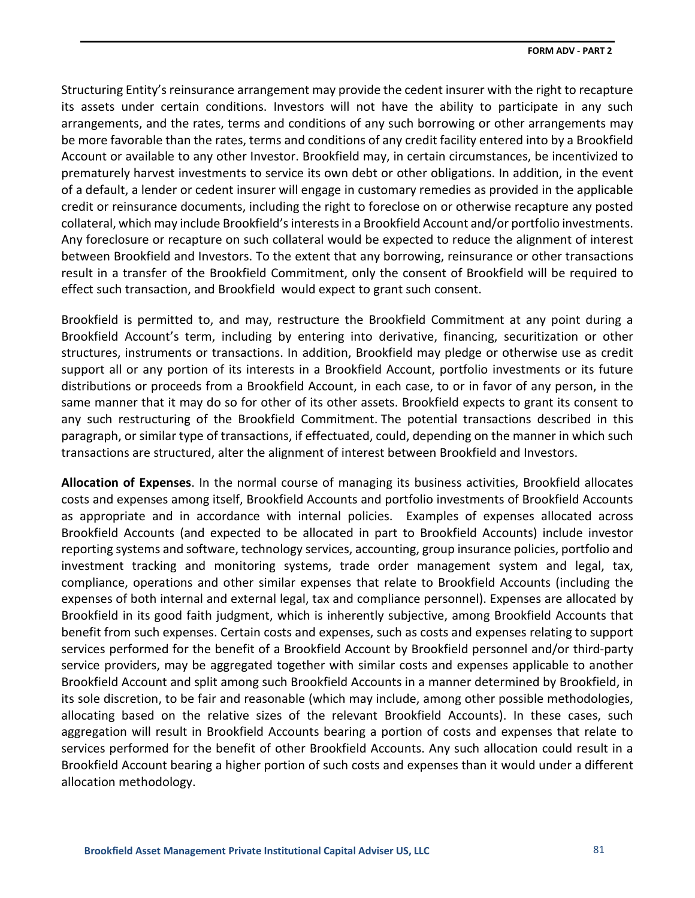Structuring Entity's reinsurance arrangement may provide the cedent insurer with the right to recapture its assets under certain conditions. Investors will not have the ability to participate in any such arrangements, and the rates, terms and conditions of any such borrowing or other arrangements may be more favorable than the rates, terms and conditions of any credit facility entered into by a Brookfield Account or available to any other Investor. Brookfield may, in certain circumstances, be incentivized to prematurely harvest investments to service its own debt or other obligations. In addition, in the event of a default, a lender or cedent insurer will engage in customary remedies as provided in the applicable credit or reinsurance documents, including the right to foreclose on or otherwise recapture any posted collateral, which may include Brookfield's interests in a Brookfield Account and/or portfolio investments. Any foreclosure or recapture on such collateral would be expected to reduce the alignment of interest between Brookfield and Investors. To the extent that any borrowing, reinsurance or other transactions result in a transfer of the Brookfield Commitment, only the consent of Brookfield will be required to effect such transaction, and Brookfield would expect to grant such consent.

Brookfield is permitted to, and may, restructure the Brookfield Commitment at any point during a Brookfield Account's term, including by entering into derivative, financing, securitization or other structures, instruments or transactions. In addition, Brookfield may pledge or otherwise use as credit support all or any portion of its interests in a Brookfield Account, portfolio investments or its future distributions or proceeds from a Brookfield Account, in each case, to or in favor of any person, in the same manner that it may do so for other of its other assets. Brookfield expects to grant its consent to any such restructuring of the Brookfield Commitment. The potential transactions described in this paragraph, or similar type of transactions, if effectuated, could, depending on the manner in which such transactions are structured, alter the alignment of interest between Brookfield and Investors.

**Allocation of Expenses**. In the normal course of managing its business activities, Brookfield allocates costs and expenses among itself, Brookfield Accounts and portfolio investments of Brookfield Accounts as appropriate and in accordance with internal policies. Examples of expenses allocated across Brookfield Accounts (and expected to be allocated in part to Brookfield Accounts) include investor reporting systems and software, technology services, accounting, group insurance policies, portfolio and investment tracking and monitoring systems, trade order management system and legal, tax, compliance, operations and other similar expenses that relate to Brookfield Accounts (including the expenses of both internal and external legal, tax and compliance personnel). Expenses are allocated by Brookfield in its good faith judgment, which is inherently subjective, among Brookfield Accounts that benefit from such expenses. Certain costs and expenses, such as costs and expenses relating to support services performed for the benefit of a Brookfield Account by Brookfield personnel and/or third-party service providers, may be aggregated together with similar costs and expenses applicable to another Brookfield Account and split among such Brookfield Accounts in a manner determined by Brookfield, in its sole discretion, to be fair and reasonable (which may include, among other possible methodologies, allocating based on the relative sizes of the relevant Brookfield Accounts). In these cases, such aggregation will result in Brookfield Accounts bearing a portion of costs and expenses that relate to services performed for the benefit of other Brookfield Accounts. Any such allocation could result in a Brookfield Account bearing a higher portion of such costs and expenses than it would under a different allocation methodology.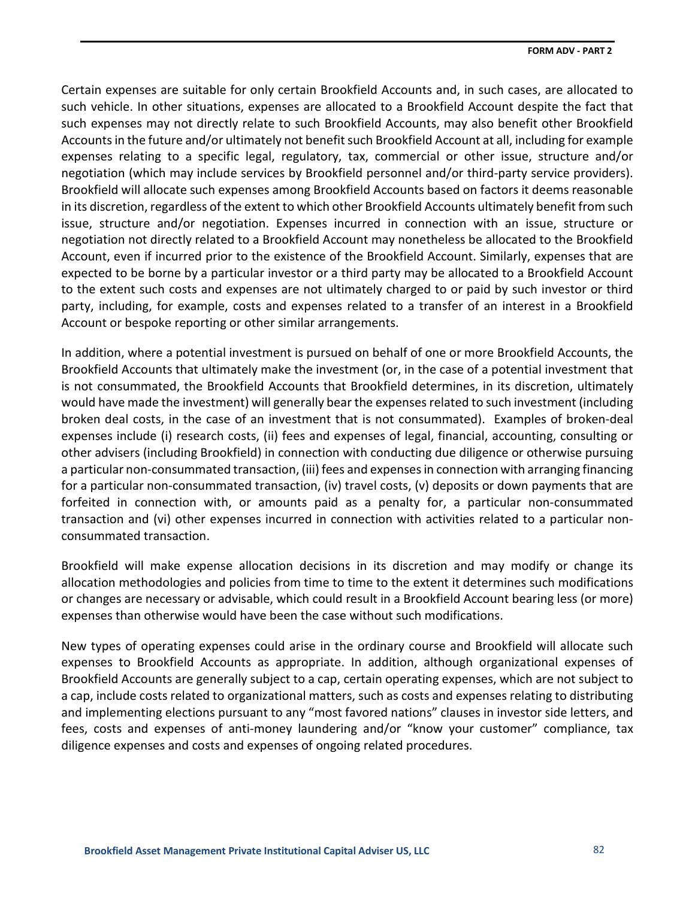Certain expenses are suitable for only certain Brookfield Accounts and, in such cases, are allocated to such vehicle. In other situations, expenses are allocated to a Brookfield Account despite the fact that such expenses may not directly relate to such Brookfield Accounts, may also benefit other Brookfield Accounts in the future and/or ultimately not benefit such Brookfield Account at all, including for example expenses relating to a specific legal, regulatory, tax, commercial or other issue, structure and/or negotiation (which may include services by Brookfield personnel and/or third-party service providers). Brookfield will allocate such expenses among Brookfield Accounts based on factors it deems reasonable in its discretion, regardless of the extent to which other Brookfield Accounts ultimately benefit from such issue, structure and/or negotiation. Expenses incurred in connection with an issue, structure or negotiation not directly related to a Brookfield Account may nonetheless be allocated to the Brookfield Account, even if incurred prior to the existence of the Brookfield Account. Similarly, expenses that are expected to be borne by a particular investor or a third party may be allocated to a Brookfield Account to the extent such costs and expenses are not ultimately charged to or paid by such investor or third party, including, for example, costs and expenses related to a transfer of an interest in a Brookfield Account or bespoke reporting or other similar arrangements.

In addition, where a potential investment is pursued on behalf of one or more Brookfield Accounts, the Brookfield Accounts that ultimately make the investment (or, in the case of a potential investment that is not consummated, the Brookfield Accounts that Brookfield determines, in its discretion, ultimately would have made the investment) will generally bear the expenses related to such investment (including broken deal costs, in the case of an investment that is not consummated). Examples of broken-deal expenses include (i) research costs, (ii) fees and expenses of legal, financial, accounting, consulting or other advisers (including Brookfield) in connection with conducting due diligence or otherwise pursuing a particular non-consummated transaction, (iii) fees and expenses in connection with arranging financing for a particular non-consummated transaction, (iv) travel costs, (v) deposits or down payments that are forfeited in connection with, or amounts paid as a penalty for, a particular non-consummated transaction and (vi) other expenses incurred in connection with activities related to a particular nonconsummated transaction.

Brookfield will make expense allocation decisions in its discretion and may modify or change its allocation methodologies and policies from time to time to the extent it determines such modifications or changes are necessary or advisable, which could result in a Brookfield Account bearing less (or more) expenses than otherwise would have been the case without such modifications.

New types of operating expenses could arise in the ordinary course and Brookfield will allocate such expenses to Brookfield Accounts as appropriate. In addition, although organizational expenses of Brookfield Accounts are generally subject to a cap, certain operating expenses, which are not subject to a cap, include costs related to organizational matters, such as costs and expenses relating to distributing and implementing elections pursuant to any "most favored nations" clauses in investor side letters, and fees, costs and expenses of anti-money laundering and/or "know your customer" compliance, tax diligence expenses and costs and expenses of ongoing related procedures.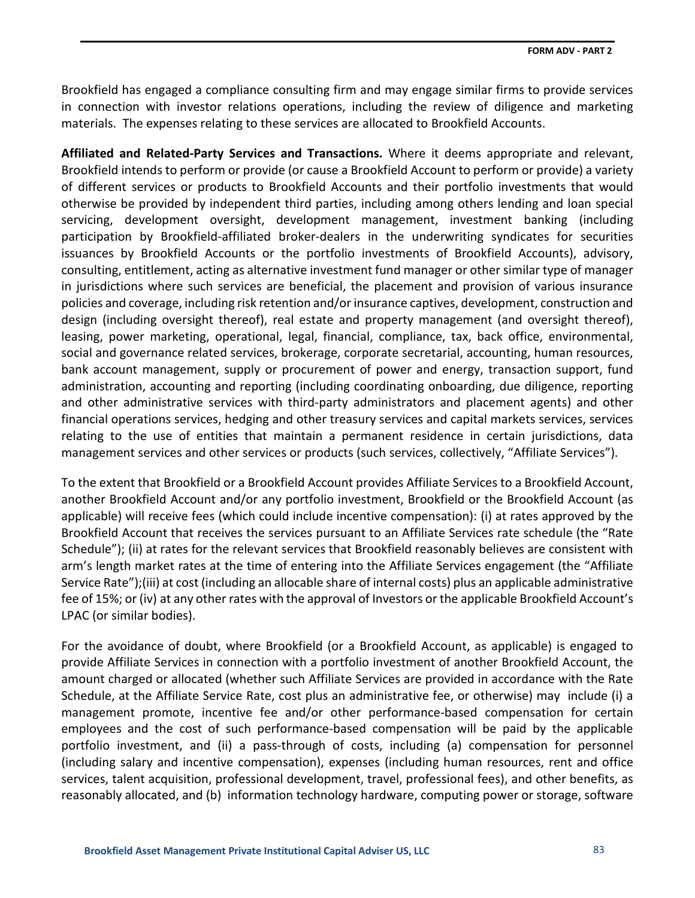Brookfield has engaged a compliance consulting firm and may engage similar firms to provide services in connection with investor relations operations, including the review of diligence and marketing materials. The expenses relating to these services are allocated to Brookfield Accounts.

**Affiliated and Related-Party Services and Transactions.** Where it deems appropriate and relevant, Brookfield intends to perform or provide (or cause a Brookfield Account to perform or provide) a variety of different services or products to Brookfield Accounts and their portfolio investments that would otherwise be provided by independent third parties, including among others lending and loan special servicing, development oversight, development management, investment banking (including participation by Brookfield-affiliated broker-dealers in the underwriting syndicates for securities issuances by Brookfield Accounts or the portfolio investments of Brookfield Accounts), advisory, consulting, entitlement, acting as alternative investment fund manager or other similar type of manager in jurisdictions where such services are beneficial, the placement and provision of various insurance policies and coverage, including risk retention and/or insurance captives, development, construction and design (including oversight thereof), real estate and property management (and oversight thereof), leasing, power marketing, operational, legal, financial, compliance, tax, back office, environmental, social and governance related services, brokerage, corporate secretarial, accounting, human resources, bank account management, supply or procurement of power and energy, transaction support, fund administration, accounting and reporting (including coordinating onboarding, due diligence, reporting and other administrative services with third-party administrators and placement agents) and other financial operations services, hedging and other treasury services and capital markets services, services relating to the use of entities that maintain a permanent residence in certain jurisdictions, data management services and other services or products (such services, collectively, "Affiliate Services").

To the extent that Brookfield or a Brookfield Account provides Affiliate Services to a Brookfield Account, another Brookfield Account and/or any portfolio investment, Brookfield or the Brookfield Account (as applicable) will receive fees (which could include incentive compensation): (i) at rates approved by the Brookfield Account that receives the services pursuant to an Affiliate Services rate schedule (the "Rate Schedule"); (ii) at rates for the relevant services that Brookfield reasonably believes are consistent with arm's length market rates at the time of entering into the Affiliate Services engagement (the "Affiliate Service Rate");(iii) at cost (including an allocable share of internal costs) plus an applicable administrative fee of 15%; or (iv) at any other rates with the approval of Investors or the applicable Brookfield Account's LPAC (or similar bodies).

For the avoidance of doubt, where Brookfield (or a Brookfield Account, as applicable) is engaged to provide Affiliate Services in connection with a portfolio investment of another Brookfield Account, the amount charged or allocated (whether such Affiliate Services are provided in accordance with the Rate Schedule, at the Affiliate Service Rate, cost plus an administrative fee, or otherwise) may include (i) a management promote, incentive fee and/or other performance-based compensation for certain employees and the cost of such performance-based compensation will be paid by the applicable portfolio investment, and (ii) a pass-through of costs, including (a) compensation for personnel (including salary and incentive compensation), expenses (including human resources, rent and office services, talent acquisition, professional development, travel, professional fees), and other benefits, as reasonably allocated, and (b) information technology hardware, computing power or storage, software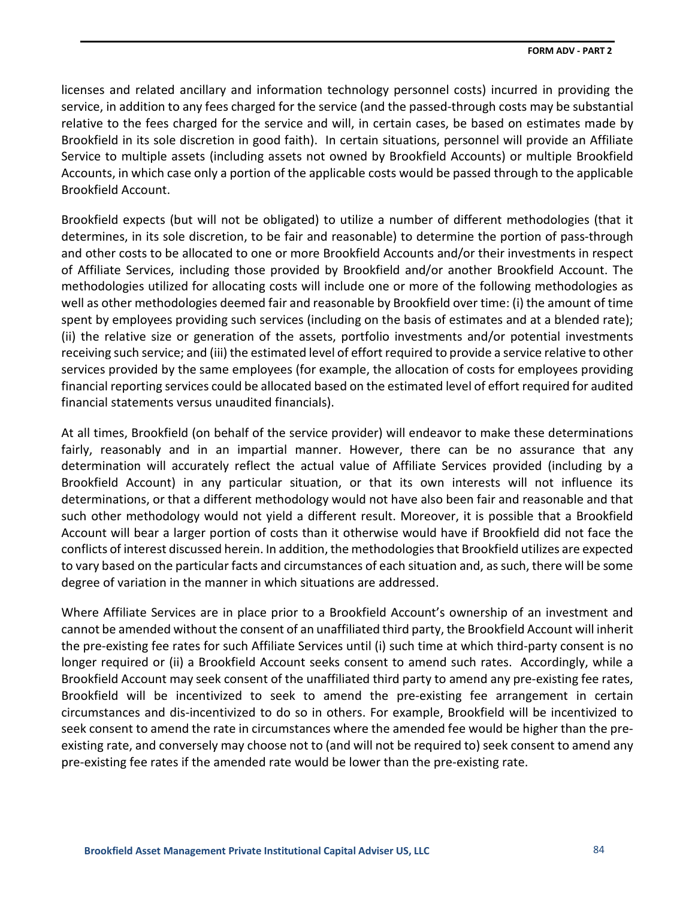licenses and related ancillary and information technology personnel costs) incurred in providing the service, in addition to any fees charged for the service (and the passed-through costs may be substantial relative to the fees charged for the service and will, in certain cases, be based on estimates made by Brookfield in its sole discretion in good faith). In certain situations, personnel will provide an Affiliate Service to multiple assets (including assets not owned by Brookfield Accounts) or multiple Brookfield Accounts, in which case only a portion of the applicable costs would be passed through to the applicable Brookfield Account.

Brookfield expects (but will not be obligated) to utilize a number of different methodologies (that it determines, in its sole discretion, to be fair and reasonable) to determine the portion of pass-through and other costs to be allocated to one or more Brookfield Accounts and/or their investments in respect of Affiliate Services, including those provided by Brookfield and/or another Brookfield Account. The methodologies utilized for allocating costs will include one or more of the following methodologies as well as other methodologies deemed fair and reasonable by Brookfield over time: (i) the amount of time spent by employees providing such services (including on the basis of estimates and at a blended rate); (ii) the relative size or generation of the assets, portfolio investments and/or potential investments receiving such service; and (iii) the estimated level of effort required to provide a service relative to other services provided by the same employees (for example, the allocation of costs for employees providing financial reporting services could be allocated based on the estimated level of effort required for audited financial statements versus unaudited financials).

At all times, Brookfield (on behalf of the service provider) will endeavor to make these determinations fairly, reasonably and in an impartial manner. However, there can be no assurance that any determination will accurately reflect the actual value of Affiliate Services provided (including by a Brookfield Account) in any particular situation, or that its own interests will not influence its determinations, or that a different methodology would not have also been fair and reasonable and that such other methodology would not yield a different result. Moreover, it is possible that a Brookfield Account will bear a larger portion of costs than it otherwise would have if Brookfield did not face the conflicts of interest discussed herein. In addition, the methodologies that Brookfield utilizes are expected to vary based on the particular facts and circumstances of each situation and, as such, there will be some degree of variation in the manner in which situations are addressed.

Where Affiliate Services are in place prior to a Brookfield Account's ownership of an investment and cannot be amended without the consent of an unaffiliated third party, the Brookfield Account will inherit the pre-existing fee rates for such Affiliate Services until (i) such time at which third-party consent is no longer required or (ii) a Brookfield Account seeks consent to amend such rates. Accordingly, while a Brookfield Account may seek consent of the unaffiliated third party to amend any pre-existing fee rates, Brookfield will be incentivized to seek to amend the pre-existing fee arrangement in certain circumstances and dis-incentivized to do so in others. For example, Brookfield will be incentivized to seek consent to amend the rate in circumstances where the amended fee would be higher than the preexisting rate, and conversely may choose not to (and will not be required to) seek consent to amend any pre-existing fee rates if the amended rate would be lower than the pre-existing rate.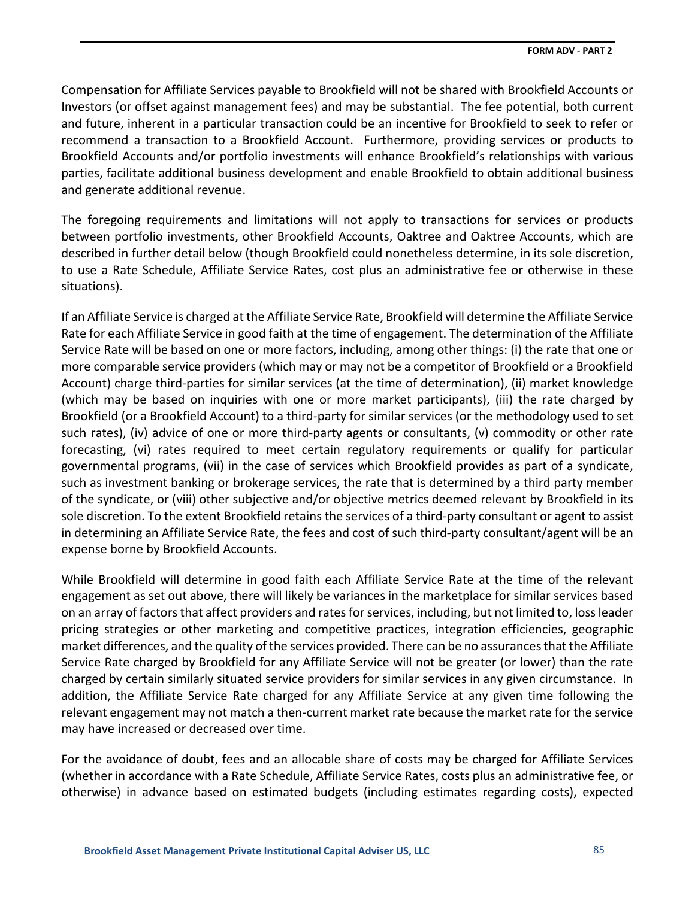Compensation for Affiliate Services payable to Brookfield will not be shared with Brookfield Accounts or Investors (or offset against management fees) and may be substantial. The fee potential, both current and future, inherent in a particular transaction could be an incentive for Brookfield to seek to refer or recommend a transaction to a Brookfield Account. Furthermore, providing services or products to Brookfield Accounts and/or portfolio investments will enhance Brookfield's relationships with various parties, facilitate additional business development and enable Brookfield to obtain additional business and generate additional revenue.

The foregoing requirements and limitations will not apply to transactions for services or products between portfolio investments, other Brookfield Accounts, Oaktree and Oaktree Accounts, which are described in further detail below (though Brookfield could nonetheless determine, in its sole discretion, to use a Rate Schedule, Affiliate Service Rates, cost plus an administrative fee or otherwise in these situations).

If an Affiliate Service is charged at the Affiliate Service Rate, Brookfield will determine the Affiliate Service Rate for each Affiliate Service in good faith at the time of engagement. The determination of the Affiliate Service Rate will be based on one or more factors, including, among other things: (i) the rate that one or more comparable service providers (which may or may not be a competitor of Brookfield or a Brookfield Account) charge third-parties for similar services (at the time of determination), (ii) market knowledge (which may be based on inquiries with one or more market participants), (iii) the rate charged by Brookfield (or a Brookfield Account) to a third-party for similar services (or the methodology used to set such rates), (iv) advice of one or more third-party agents or consultants, (v) commodity or other rate forecasting, (vi) rates required to meet certain regulatory requirements or qualify for particular governmental programs, (vii) in the case of services which Brookfield provides as part of a syndicate, such as investment banking or brokerage services, the rate that is determined by a third party member of the syndicate, or (viii) other subjective and/or objective metrics deemed relevant by Brookfield in its sole discretion. To the extent Brookfield retains the services of a third-party consultant or agent to assist in determining an Affiliate Service Rate, the fees and cost of such third-party consultant/agent will be an expense borne by Brookfield Accounts.

While Brookfield will determine in good faith each Affiliate Service Rate at the time of the relevant engagement as set out above, there will likely be variances in the marketplace for similar services based on an array of factors that affect providers and rates for services, including, but not limited to, loss leader pricing strategies or other marketing and competitive practices, integration efficiencies, geographic market differences, and the quality of the services provided. There can be no assurances that the Affiliate Service Rate charged by Brookfield for any Affiliate Service will not be greater (or lower) than the rate charged by certain similarly situated service providers for similar services in any given circumstance. In addition, the Affiliate Service Rate charged for any Affiliate Service at any given time following the relevant engagement may not match a then-current market rate because the market rate for the service may have increased or decreased over time.

For the avoidance of doubt, fees and an allocable share of costs may be charged for Affiliate Services (whether in accordance with a Rate Schedule, Affiliate Service Rates, costs plus an administrative fee, or otherwise) in advance based on estimated budgets (including estimates regarding costs), expected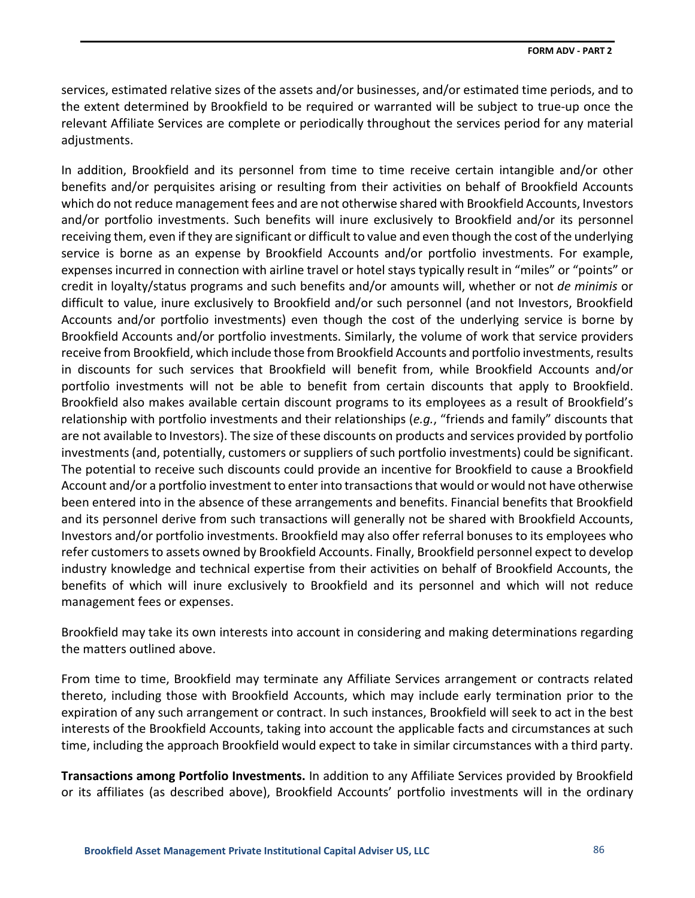services, estimated relative sizes of the assets and/or businesses, and/or estimated time periods, and to the extent determined by Brookfield to be required or warranted will be subject to true-up once the relevant Affiliate Services are complete or periodically throughout the services period for any material adiustments.

In addition, Brookfield and its personnel from time to time receive certain intangible and/or other benefits and/or perquisites arising or resulting from their activities on behalf of Brookfield Accounts which do not reduce management fees and are not otherwise shared with Brookfield Accounts, Investors and/or portfolio investments. Such benefits will inure exclusively to Brookfield and/or its personnel receiving them, even if they are significant or difficult to value and even though the cost of the underlying service is borne as an expense by Brookfield Accounts and/or portfolio investments. For example, expenses incurred in connection with airline travel or hotel stays typically result in "miles" or "points" or credit in loyalty/status programs and such benefits and/or amounts will, whether or not *de minimis* or difficult to value, inure exclusively to Brookfield and/or such personnel (and not Investors, Brookfield Accounts and/or portfolio investments) even though the cost of the underlying service is borne by Brookfield Accounts and/or portfolio investments. Similarly, the volume of work that service providers receive from Brookfield, which include those from Brookfield Accounts and portfolio investments, results in discounts for such services that Brookfield will benefit from, while Brookfield Accounts and/or portfolio investments will not be able to benefit from certain discounts that apply to Brookfield. Brookfield also makes available certain discount programs to its employees as a result of Brookfield's relationship with portfolio investments and their relationships (*e.g.*, "friends and family" discounts that are not available to Investors). The size of these discounts on products and services provided by portfolio investments (and, potentially, customers or suppliers of such portfolio investments) could be significant. The potential to receive such discounts could provide an incentive for Brookfield to cause a Brookfield Account and/or a portfolio investment to enter into transactions that would or would not have otherwise been entered into in the absence of these arrangements and benefits. Financial benefits that Brookfield and its personnel derive from such transactions will generally not be shared with Brookfield Accounts, Investors and/or portfolio investments. Brookfield may also offer referral bonuses to its employees who refer customers to assets owned by Brookfield Accounts. Finally, Brookfield personnel expect to develop industry knowledge and technical expertise from their activities on behalf of Brookfield Accounts, the benefits of which will inure exclusively to Brookfield and its personnel and which will not reduce management fees or expenses.

Brookfield may take its own interests into account in considering and making determinations regarding the matters outlined above.

From time to time, Brookfield may terminate any Affiliate Services arrangement or contracts related thereto, including those with Brookfield Accounts, which may include early termination prior to the expiration of any such arrangement or contract. In such instances, Brookfield will seek to act in the best interests of the Brookfield Accounts, taking into account the applicable facts and circumstances at such time, including the approach Brookfield would expect to take in similar circumstances with a third party.

**Transactions among Portfolio Investments.** In addition to any Affiliate Services provided by Brookfield or its affiliates (as described above), Brookfield Accounts' portfolio investments will in the ordinary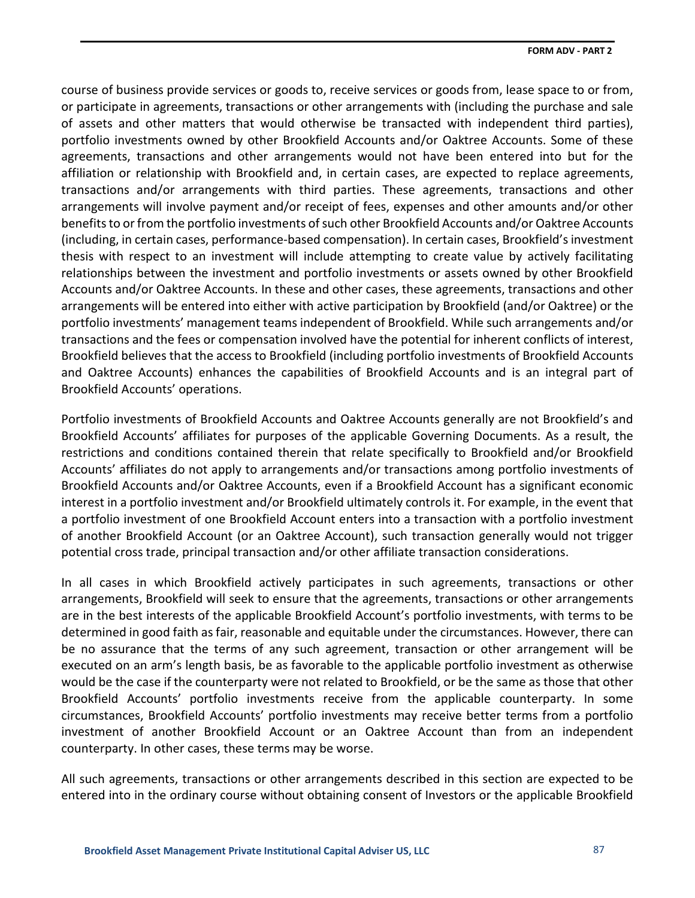course of business provide services or goods to, receive services or goods from, lease space to or from, or participate in agreements, transactions or other arrangements with (including the purchase and sale of assets and other matters that would otherwise be transacted with independent third parties), portfolio investments owned by other Brookfield Accounts and/or Oaktree Accounts. Some of these agreements, transactions and other arrangements would not have been entered into but for the affiliation or relationship with Brookfield and, in certain cases, are expected to replace agreements, transactions and/or arrangements with third parties. These agreements, transactions and other arrangements will involve payment and/or receipt of fees, expenses and other amounts and/or other benefits to or from the portfolio investments of such other Brookfield Accounts and/or Oaktree Accounts (including, in certain cases, performance-based compensation). In certain cases, Brookfield's investment thesis with respect to an investment will include attempting to create value by actively facilitating relationships between the investment and portfolio investments or assets owned by other Brookfield Accounts and/or Oaktree Accounts. In these and other cases, these agreements, transactions and other arrangements will be entered into either with active participation by Brookfield (and/or Oaktree) or the portfolio investments' management teams independent of Brookfield. While such arrangements and/or transactions and the fees or compensation involved have the potential for inherent conflicts of interest, Brookfield believes that the access to Brookfield (including portfolio investments of Brookfield Accounts and Oaktree Accounts) enhances the capabilities of Brookfield Accounts and is an integral part of Brookfield Accounts' operations.

Portfolio investments of Brookfield Accounts and Oaktree Accounts generally are not Brookfield's and Brookfield Accounts' affiliates for purposes of the applicable Governing Documents. As a result, the restrictions and conditions contained therein that relate specifically to Brookfield and/or Brookfield Accounts' affiliates do not apply to arrangements and/or transactions among portfolio investments of Brookfield Accounts and/or Oaktree Accounts, even if a Brookfield Account has a significant economic interest in a portfolio investment and/or Brookfield ultimately controls it. For example, in the event that a portfolio investment of one Brookfield Account enters into a transaction with a portfolio investment of another Brookfield Account (or an Oaktree Account), such transaction generally would not trigger potential cross trade, principal transaction and/or other affiliate transaction considerations.

In all cases in which Brookfield actively participates in such agreements, transactions or other arrangements, Brookfield will seek to ensure that the agreements, transactions or other arrangements are in the best interests of the applicable Brookfield Account's portfolio investments, with terms to be determined in good faith as fair, reasonable and equitable under the circumstances. However, there can be no assurance that the terms of any such agreement, transaction or other arrangement will be executed on an arm's length basis, be as favorable to the applicable portfolio investment as otherwise would be the case if the counterparty were not related to Brookfield, or be the same as those that other Brookfield Accounts' portfolio investments receive from the applicable counterparty. In some circumstances, Brookfield Accounts' portfolio investments may receive better terms from a portfolio investment of another Brookfield Account or an Oaktree Account than from an independent counterparty. In other cases, these terms may be worse.

All such agreements, transactions or other arrangements described in this section are expected to be entered into in the ordinary course without obtaining consent of Investors or the applicable Brookfield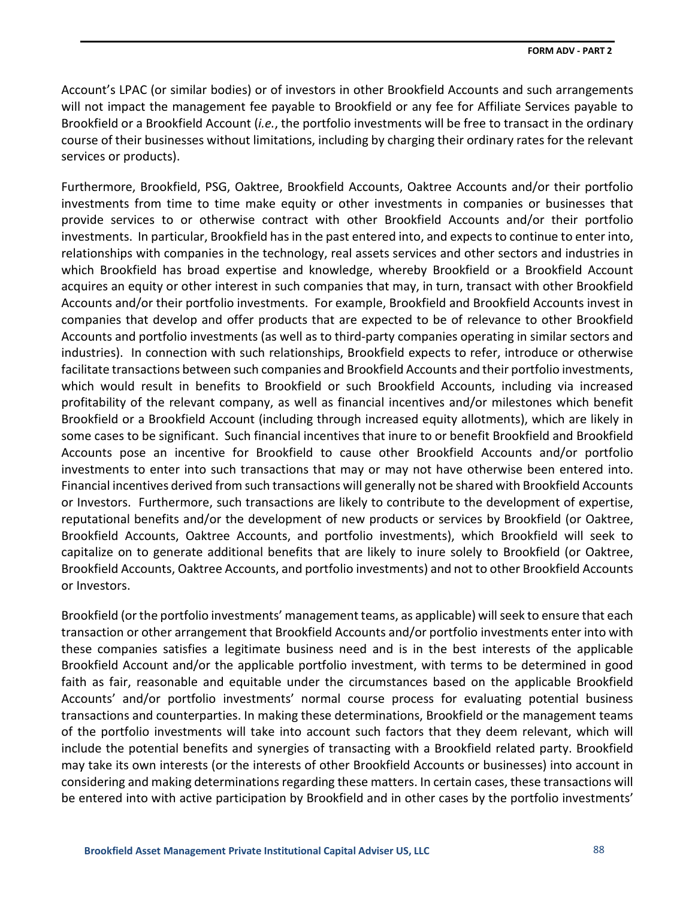Account's LPAC (or similar bodies) or of investors in other Brookfield Accounts and such arrangements will not impact the management fee payable to Brookfield or any fee for Affiliate Services payable to Brookfield or a Brookfield Account (*i.e.*, the portfolio investments will be free to transact in the ordinary course of their businesses without limitations, including by charging their ordinary rates for the relevant services or products).

Furthermore, Brookfield, PSG, Oaktree, Brookfield Accounts, Oaktree Accounts and/or their portfolio investments from time to time make equity or other investments in companies or businesses that provide services to or otherwise contract with other Brookfield Accounts and/or their portfolio investments. In particular, Brookfield has in the past entered into, and expects to continue to enter into, relationships with companies in the technology, real assets services and other sectors and industries in which Brookfield has broad expertise and knowledge, whereby Brookfield or a Brookfield Account acquires an equity or other interest in such companies that may, in turn, transact with other Brookfield Accounts and/or their portfolio investments. For example, Brookfield and Brookfield Accounts invest in companies that develop and offer products that are expected to be of relevance to other Brookfield Accounts and portfolio investments (as well as to third-party companies operating in similar sectors and industries). In connection with such relationships, Brookfield expects to refer, introduce or otherwise facilitate transactions between such companies and Brookfield Accounts and their portfolio investments, which would result in benefits to Brookfield or such Brookfield Accounts, including via increased profitability of the relevant company, as well as financial incentives and/or milestones which benefit Brookfield or a Brookfield Account (including through increased equity allotments), which are likely in some cases to be significant. Such financial incentives that inure to or benefit Brookfield and Brookfield Accounts pose an incentive for Brookfield to cause other Brookfield Accounts and/or portfolio investments to enter into such transactions that may or may not have otherwise been entered into. Financial incentives derived from such transactions will generally not be shared with Brookfield Accounts or Investors. Furthermore, such transactions are likely to contribute to the development of expertise, reputational benefits and/or the development of new products or services by Brookfield (or Oaktree, Brookfield Accounts, Oaktree Accounts, and portfolio investments), which Brookfield will seek to capitalize on to generate additional benefits that are likely to inure solely to Brookfield (or Oaktree, Brookfield Accounts, Oaktree Accounts, and portfolio investments) and not to other Brookfield Accounts or Investors.

Brookfield (or the portfolio investments' management teams, as applicable) will seek to ensure that each transaction or other arrangement that Brookfield Accounts and/or portfolio investments enter into with these companies satisfies a legitimate business need and is in the best interests of the applicable Brookfield Account and/or the applicable portfolio investment, with terms to be determined in good faith as fair, reasonable and equitable under the circumstances based on the applicable Brookfield Accounts' and/or portfolio investments' normal course process for evaluating potential business transactions and counterparties. In making these determinations, Brookfield or the management teams of the portfolio investments will take into account such factors that they deem relevant, which will include the potential benefits and synergies of transacting with a Brookfield related party. Brookfield may take its own interests (or the interests of other Brookfield Accounts or businesses) into account in considering and making determinations regarding these matters. In certain cases, these transactions will be entered into with active participation by Brookfield and in other cases by the portfolio investments'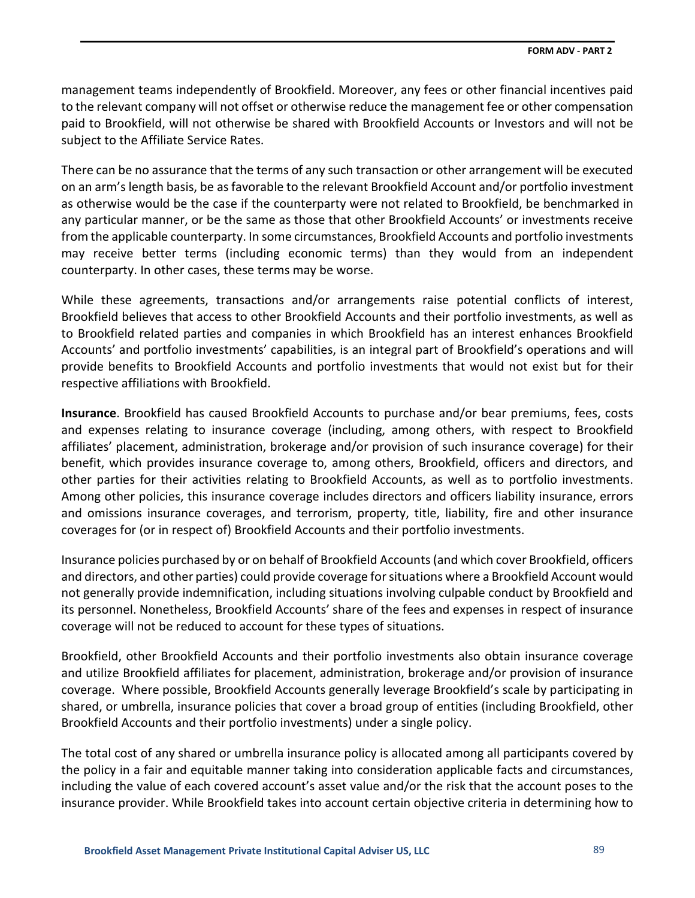management teams independently of Brookfield. Moreover, any fees or other financial incentives paid to the relevant company will not offset or otherwise reduce the management fee or other compensation paid to Brookfield, will not otherwise be shared with Brookfield Accounts or Investors and will not be subject to the Affiliate Service Rates.

There can be no assurance that the terms of any such transaction or other arrangement will be executed on an arm's length basis, be as favorable to the relevant Brookfield Account and/or portfolio investment as otherwise would be the case if the counterparty were not related to Brookfield, be benchmarked in any particular manner, or be the same as those that other Brookfield Accounts' or investments receive from the applicable counterparty. In some circumstances, Brookfield Accounts and portfolio investments may receive better terms (including economic terms) than they would from an independent counterparty. In other cases, these terms may be worse.

While these agreements, transactions and/or arrangements raise potential conflicts of interest, Brookfield believes that access to other Brookfield Accounts and their portfolio investments, as well as to Brookfield related parties and companies in which Brookfield has an interest enhances Brookfield Accounts' and portfolio investments' capabilities, is an integral part of Brookfield's operations and will provide benefits to Brookfield Accounts and portfolio investments that would not exist but for their respective affiliations with Brookfield.

**Insurance**. Brookfield has caused Brookfield Accounts to purchase and/or bear premiums, fees, costs and expenses relating to insurance coverage (including, among others, with respect to Brookfield affiliates' placement, administration, brokerage and/or provision of such insurance coverage) for their benefit, which provides insurance coverage to, among others, Brookfield, officers and directors, and other parties for their activities relating to Brookfield Accounts, as well as to portfolio investments. Among other policies, this insurance coverage includes directors and officers liability insurance, errors and omissions insurance coverages, and terrorism, property, title, liability, fire and other insurance coverages for (or in respect of) Brookfield Accounts and their portfolio investments.

Insurance policies purchased by or on behalf of Brookfield Accounts (and which cover Brookfield, officers and directors, and other parties) could provide coverage for situations where a Brookfield Account would not generally provide indemnification, including situations involving culpable conduct by Brookfield and its personnel. Nonetheless, Brookfield Accounts' share of the fees and expenses in respect of insurance coverage will not be reduced to account for these types of situations.

Brookfield, other Brookfield Accounts and their portfolio investments also obtain insurance coverage and utilize Brookfield affiliates for placement, administration, brokerage and/or provision of insurance coverage. Where possible, Brookfield Accounts generally leverage Brookfield's scale by participating in shared, or umbrella, insurance policies that cover a broad group of entities (including Brookfield, other Brookfield Accounts and their portfolio investments) under a single policy.

The total cost of any shared or umbrella insurance policy is allocated among all participants covered by the policy in a fair and equitable manner taking into consideration applicable facts and circumstances, including the value of each covered account's asset value and/or the risk that the account poses to the insurance provider. While Brookfield takes into account certain objective criteria in determining how to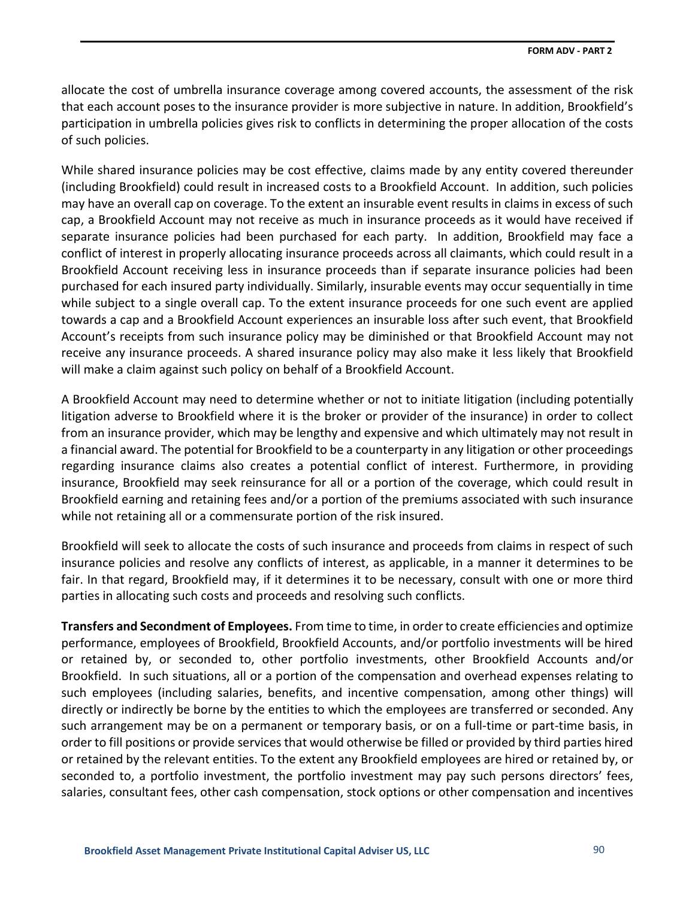allocate the cost of umbrella insurance coverage among covered accounts, the assessment of the risk that each account poses to the insurance provider is more subjective in nature. In addition, Brookfield's participation in umbrella policies gives risk to conflicts in determining the proper allocation of the costs of such policies.

While shared insurance policies may be cost effective, claims made by any entity covered thereunder (including Brookfield) could result in increased costs to a Brookfield Account. In addition, such policies may have an overall cap on coverage. To the extent an insurable event results in claims in excess of such cap, a Brookfield Account may not receive as much in insurance proceeds as it would have received if separate insurance policies had been purchased for each party. In addition, Brookfield may face a conflict of interest in properly allocating insurance proceeds across all claimants, which could result in a Brookfield Account receiving less in insurance proceeds than if separate insurance policies had been purchased for each insured party individually. Similarly, insurable events may occur sequentially in time while subject to a single overall cap. To the extent insurance proceeds for one such event are applied towards a cap and a Brookfield Account experiences an insurable loss after such event, that Brookfield Account's receipts from such insurance policy may be diminished or that Brookfield Account may not receive any insurance proceeds. A shared insurance policy may also make it less likely that Brookfield will make a claim against such policy on behalf of a Brookfield Account.

A Brookfield Account may need to determine whether or not to initiate litigation (including potentially litigation adverse to Brookfield where it is the broker or provider of the insurance) in order to collect from an insurance provider, which may be lengthy and expensive and which ultimately may not result in a financial award. The potential for Brookfield to be a counterparty in any litigation or other proceedings regarding insurance claims also creates a potential conflict of interest. Furthermore, in providing insurance, Brookfield may seek reinsurance for all or a portion of the coverage, which could result in Brookfield earning and retaining fees and/or a portion of the premiums associated with such insurance while not retaining all or a commensurate portion of the risk insured.

Brookfield will seek to allocate the costs of such insurance and proceeds from claims in respect of such insurance policies and resolve any conflicts of interest, as applicable, in a manner it determines to be fair. In that regard, Brookfield may, if it determines it to be necessary, consult with one or more third parties in allocating such costs and proceeds and resolving such conflicts.

**Transfers and Secondment of Employees.** From time to time, in order to create efficiencies and optimize performance, employees of Brookfield, Brookfield Accounts, and/or portfolio investments will be hired or retained by, or seconded to, other portfolio investments, other Brookfield Accounts and/or Brookfield. In such situations, all or a portion of the compensation and overhead expenses relating to such employees (including salaries, benefits, and incentive compensation, among other things) will directly or indirectly be borne by the entities to which the employees are transferred or seconded. Any such arrangement may be on a permanent or temporary basis, or on a full-time or part-time basis, in order to fill positions or provide services that would otherwise be filled or provided by third parties hired or retained by the relevant entities. To the extent any Brookfield employees are hired or retained by, or seconded to, a portfolio investment, the portfolio investment may pay such persons directors' fees, salaries, consultant fees, other cash compensation, stock options or other compensation and incentives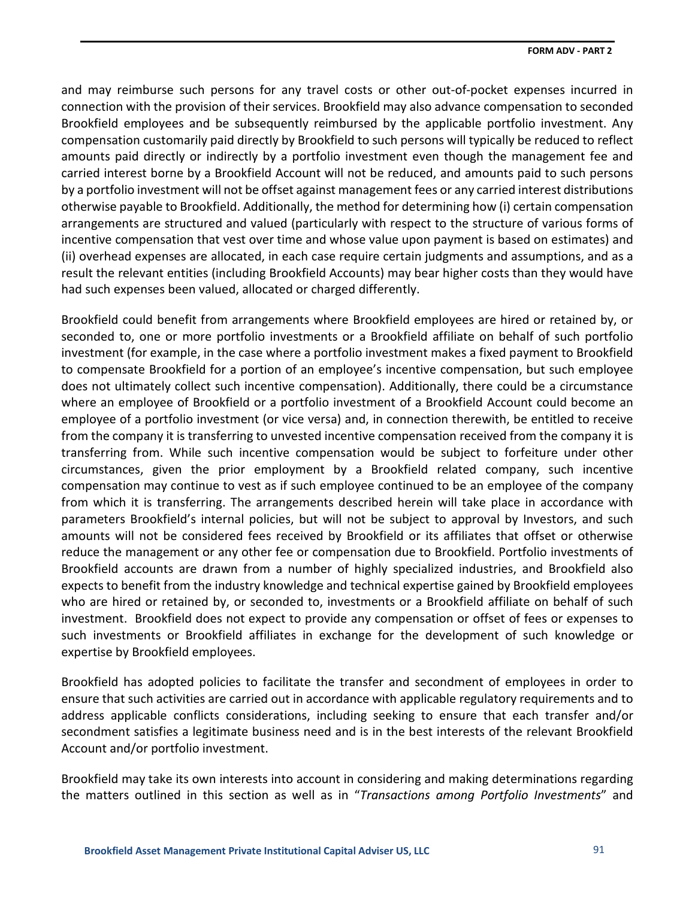and may reimburse such persons for any travel costs or other out-of-pocket expenses incurred in connection with the provision of their services. Brookfield may also advance compensation to seconded Brookfield employees and be subsequently reimbursed by the applicable portfolio investment. Any compensation customarily paid directly by Brookfield to such persons will typically be reduced to reflect amounts paid directly or indirectly by a portfolio investment even though the management fee and carried interest borne by a Brookfield Account will not be reduced, and amounts paid to such persons by a portfolio investment will not be offset against management fees or any carried interest distributions otherwise payable to Brookfield. Additionally, the method for determining how (i) certain compensation arrangements are structured and valued (particularly with respect to the structure of various forms of incentive compensation that vest over time and whose value upon payment is based on estimates) and (ii) overhead expenses are allocated, in each case require certain judgments and assumptions, and as a result the relevant entities (including Brookfield Accounts) may bear higher costs than they would have had such expenses been valued, allocated or charged differently.

Brookfield could benefit from arrangements where Brookfield employees are hired or retained by, or seconded to, one or more portfolio investments or a Brookfield affiliate on behalf of such portfolio investment (for example, in the case where a portfolio investment makes a fixed payment to Brookfield to compensate Brookfield for a portion of an employee's incentive compensation, but such employee does not ultimately collect such incentive compensation). Additionally, there could be a circumstance where an employee of Brookfield or a portfolio investment of a Brookfield Account could become an employee of a portfolio investment (or vice versa) and, in connection therewith, be entitled to receive from the company it is transferring to unvested incentive compensation received from the company it is transferring from. While such incentive compensation would be subject to forfeiture under other circumstances, given the prior employment by a Brookfield related company, such incentive compensation may continue to vest as if such employee continued to be an employee of the company from which it is transferring. The arrangements described herein will take place in accordance with parameters Brookfield's internal policies, but will not be subject to approval by Investors, and such amounts will not be considered fees received by Brookfield or its affiliates that offset or otherwise reduce the management or any other fee or compensation due to Brookfield. Portfolio investments of Brookfield accounts are drawn from a number of highly specialized industries, and Brookfield also expects to benefit from the industry knowledge and technical expertise gained by Brookfield employees who are hired or retained by, or seconded to, investments or a Brookfield affiliate on behalf of such investment. Brookfield does not expect to provide any compensation or offset of fees or expenses to such investments or Brookfield affiliates in exchange for the development of such knowledge or expertise by Brookfield employees.

Brookfield has adopted policies to facilitate the transfer and secondment of employees in order to ensure that such activities are carried out in accordance with applicable regulatory requirements and to address applicable conflicts considerations, including seeking to ensure that each transfer and/or secondment satisfies a legitimate business need and is in the best interests of the relevant Brookfield Account and/or portfolio investment.

Brookfield may take its own interests into account in considering and making determinations regarding the matters outlined in this section as well as in "*Transactions among Portfolio Investments*" and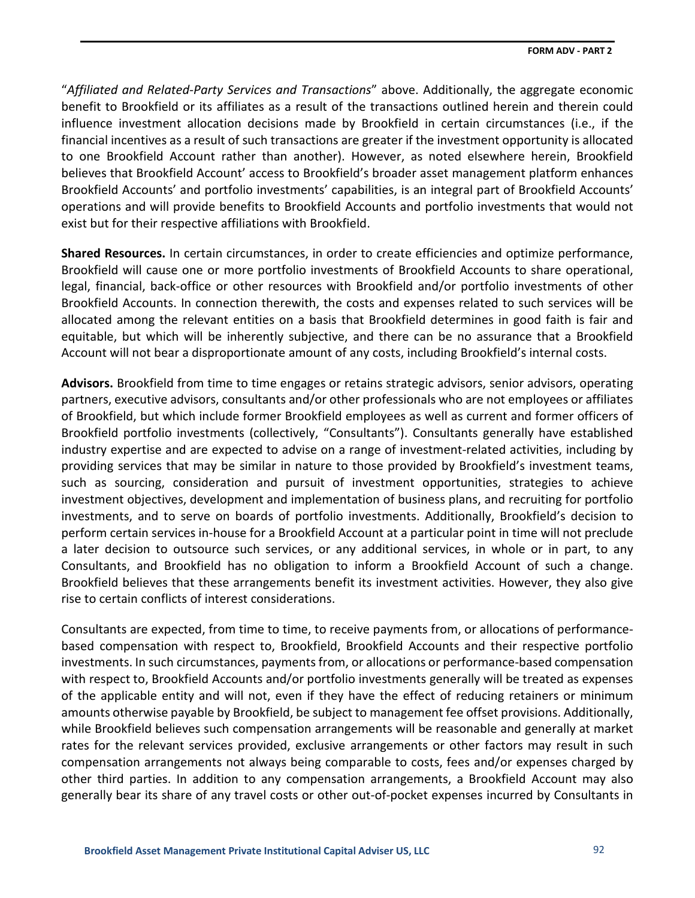"*Affiliated and Related-Party Services and Transactions*" above. Additionally, the aggregate economic benefit to Brookfield or its affiliates as a result of the transactions outlined herein and therein could influence investment allocation decisions made by Brookfield in certain circumstances (i.e., if the financial incentives as a result of such transactions are greater if the investment opportunity is allocated to one Brookfield Account rather than another). However, as noted elsewhere herein, Brookfield believes that Brookfield Account' access to Brookfield's broader asset management platform enhances Brookfield Accounts' and portfolio investments' capabilities, is an integral part of Brookfield Accounts' operations and will provide benefits to Brookfield Accounts and portfolio investments that would not exist but for their respective affiliations with Brookfield.

**Shared Resources.** In certain circumstances, in order to create efficiencies and optimize performance, Brookfield will cause one or more portfolio investments of Brookfield Accounts to share operational, legal, financial, back-office or other resources with Brookfield and/or portfolio investments of other Brookfield Accounts. In connection therewith, the costs and expenses related to such services will be allocated among the relevant entities on a basis that Brookfield determines in good faith is fair and equitable, but which will be inherently subjective, and there can be no assurance that a Brookfield Account will not bear a disproportionate amount of any costs, including Brookfield's internal costs.

**Advisors.** Brookfield from time to time engages or retains strategic advisors, senior advisors, operating partners, executive advisors, consultants and/or other professionals who are not employees or affiliates of Brookfield, but which include former Brookfield employees as well as current and former officers of Brookfield portfolio investments (collectively, "Consultants"). Consultants generally have established industry expertise and are expected to advise on a range of investment-related activities, including by providing services that may be similar in nature to those provided by Brookfield's investment teams, such as sourcing, consideration and pursuit of investment opportunities, strategies to achieve investment objectives, development and implementation of business plans, and recruiting for portfolio investments, and to serve on boards of portfolio investments. Additionally, Brookfield's decision to perform certain services in-house for a Brookfield Account at a particular point in time will not preclude a later decision to outsource such services, or any additional services, in whole or in part, to any Consultants, and Brookfield has no obligation to inform a Brookfield Account of such a change. Brookfield believes that these arrangements benefit its investment activities. However, they also give rise to certain conflicts of interest considerations.

Consultants are expected, from time to time, to receive payments from, or allocations of performancebased compensation with respect to, Brookfield, Brookfield Accounts and their respective portfolio investments. In such circumstances, payments from, or allocations or performance-based compensation with respect to, Brookfield Accounts and/or portfolio investments generally will be treated as expenses of the applicable entity and will not, even if they have the effect of reducing retainers or minimum amounts otherwise payable by Brookfield, be subject to management fee offset provisions. Additionally, while Brookfield believes such compensation arrangements will be reasonable and generally at market rates for the relevant services provided, exclusive arrangements or other factors may result in such compensation arrangements not always being comparable to costs, fees and/or expenses charged by other third parties. In addition to any compensation arrangements, a Brookfield Account may also generally bear its share of any travel costs or other out-of-pocket expenses incurred by Consultants in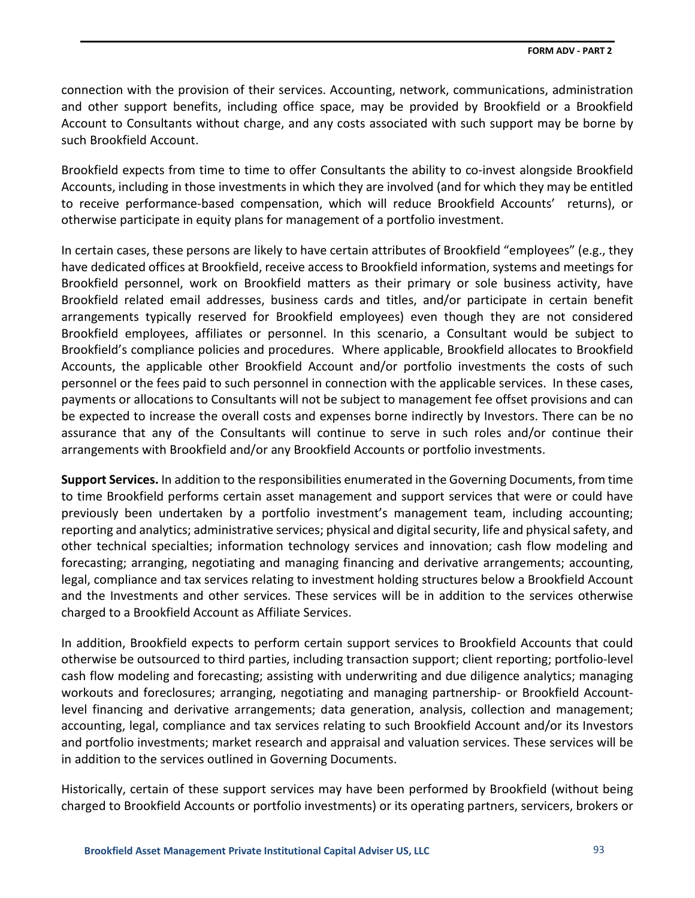connection with the provision of their services. Accounting, network, communications, administration and other support benefits, including office space, may be provided by Brookfield or a Brookfield Account to Consultants without charge, and any costs associated with such support may be borne by such Brookfield Account.

Brookfield expects from time to time to offer Consultants the ability to co-invest alongside Brookfield Accounts, including in those investments in which they are involved (and for which they may be entitled to receive performance-based compensation, which will reduce Brookfield Accounts' returns), or otherwise participate in equity plans for management of a portfolio investment.

In certain cases, these persons are likely to have certain attributes of Brookfield "employees" (e.g., they have dedicated offices at Brookfield, receive access to Brookfield information, systems and meetings for Brookfield personnel, work on Brookfield matters as their primary or sole business activity, have Brookfield related email addresses, business cards and titles, and/or participate in certain benefit arrangements typically reserved for Brookfield employees) even though they are not considered Brookfield employees, affiliates or personnel. In this scenario, a Consultant would be subject to Brookfield's compliance policies and procedures. Where applicable, Brookfield allocates to Brookfield Accounts, the applicable other Brookfield Account and/or portfolio investments the costs of such personnel or the fees paid to such personnel in connection with the applicable services. In these cases, payments or allocations to Consultants will not be subject to management fee offset provisions and can be expected to increase the overall costs and expenses borne indirectly by Investors. There can be no assurance that any of the Consultants will continue to serve in such roles and/or continue their arrangements with Brookfield and/or any Brookfield Accounts or portfolio investments.

**Support Services.** In addition to the responsibilities enumerated in the Governing Documents, from time to time Brookfield performs certain asset management and support services that were or could have previously been undertaken by a portfolio investment's management team, including accounting; reporting and analytics; administrative services; physical and digital security, life and physical safety, and other technical specialties; information technology services and innovation; cash flow modeling and forecasting; arranging, negotiating and managing financing and derivative arrangements; accounting, legal, compliance and tax services relating to investment holding structures below a Brookfield Account and the Investments and other services. These services will be in addition to the services otherwise charged to a Brookfield Account as Affiliate Services.

In addition, Brookfield expects to perform certain support services to Brookfield Accounts that could otherwise be outsourced to third parties, including transaction support; client reporting; portfolio-level cash flow modeling and forecasting; assisting with underwriting and due diligence analytics; managing workouts and foreclosures; arranging, negotiating and managing partnership- or Brookfield Accountlevel financing and derivative arrangements; data generation, analysis, collection and management; accounting, legal, compliance and tax services relating to such Brookfield Account and/or its Investors and portfolio investments; market research and appraisal and valuation services. These services will be in addition to the services outlined in Governing Documents.

Historically, certain of these support services may have been performed by Brookfield (without being charged to Brookfield Accounts or portfolio investments) or its operating partners, servicers, brokers or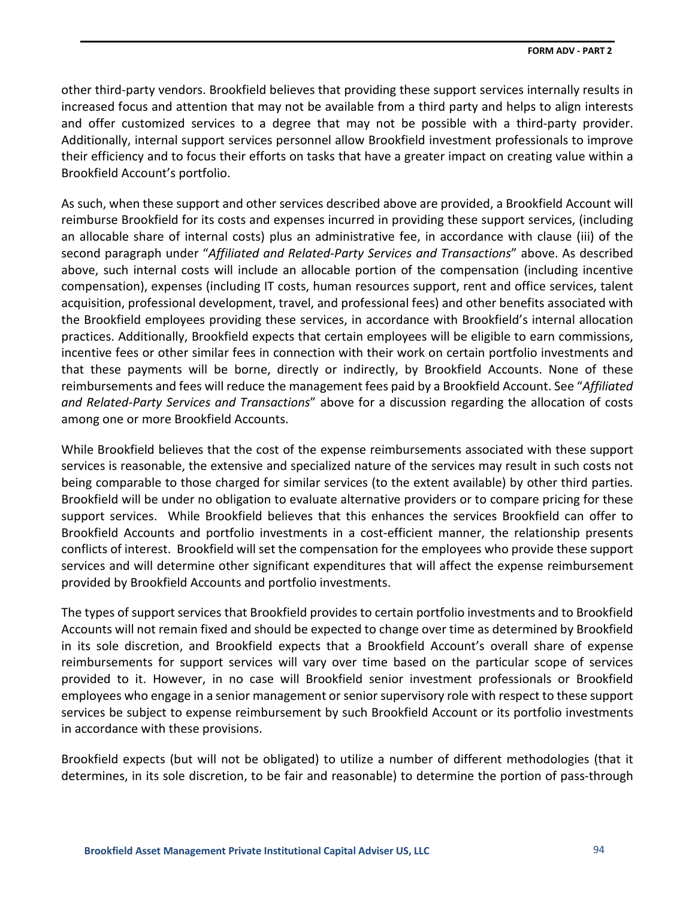other third-party vendors. Brookfield believes that providing these support services internally results in increased focus and attention that may not be available from a third party and helps to align interests and offer customized services to a degree that may not be possible with a third-party provider. Additionally, internal support services personnel allow Brookfield investment professionals to improve their efficiency and to focus their efforts on tasks that have a greater impact on creating value within a Brookfield Account's portfolio.

As such, when these support and other services described above are provided, a Brookfield Account will reimburse Brookfield for its costs and expenses incurred in providing these support services, (including an allocable share of internal costs) plus an administrative fee, in accordance with clause (iii) of the second paragraph under "*Affiliated and Related-Party Services and Transactions*" above. As described above, such internal costs will include an allocable portion of the compensation (including incentive compensation), expenses (including IT costs, human resources support, rent and office services, talent acquisition, professional development, travel, and professional fees) and other benefits associated with the Brookfield employees providing these services, in accordance with Brookfield's internal allocation practices. Additionally, Brookfield expects that certain employees will be eligible to earn commissions, incentive fees or other similar fees in connection with their work on certain portfolio investments and that these payments will be borne, directly or indirectly, by Brookfield Accounts. None of these reimbursements and fees will reduce the management fees paid by a Brookfield Account. See "*Affiliated and Related-Party Services and Transactions*" above for a discussion regarding the allocation of costs among one or more Brookfield Accounts.

While Brookfield believes that the cost of the expense reimbursements associated with these support services is reasonable, the extensive and specialized nature of the services may result in such costs not being comparable to those charged for similar services (to the extent available) by other third parties. Brookfield will be under no obligation to evaluate alternative providers or to compare pricing for these support services. While Brookfield believes that this enhances the services Brookfield can offer to Brookfield Accounts and portfolio investments in a cost-efficient manner, the relationship presents conflicts of interest. Brookfield will set the compensation for the employees who provide these support services and will determine other significant expenditures that will affect the expense reimbursement provided by Brookfield Accounts and portfolio investments.

The types of support services that Brookfield provides to certain portfolio investments and to Brookfield Accounts will not remain fixed and should be expected to change over time as determined by Brookfield in its sole discretion, and Brookfield expects that a Brookfield Account's overall share of expense reimbursements for support services will vary over time based on the particular scope of services provided to it. However, in no case will Brookfield senior investment professionals or Brookfield employees who engage in a senior management or senior supervisory role with respect to these support services be subject to expense reimbursement by such Brookfield Account or its portfolio investments in accordance with these provisions.

Brookfield expects (but will not be obligated) to utilize a number of different methodologies (that it determines, in its sole discretion, to be fair and reasonable) to determine the portion of pass-through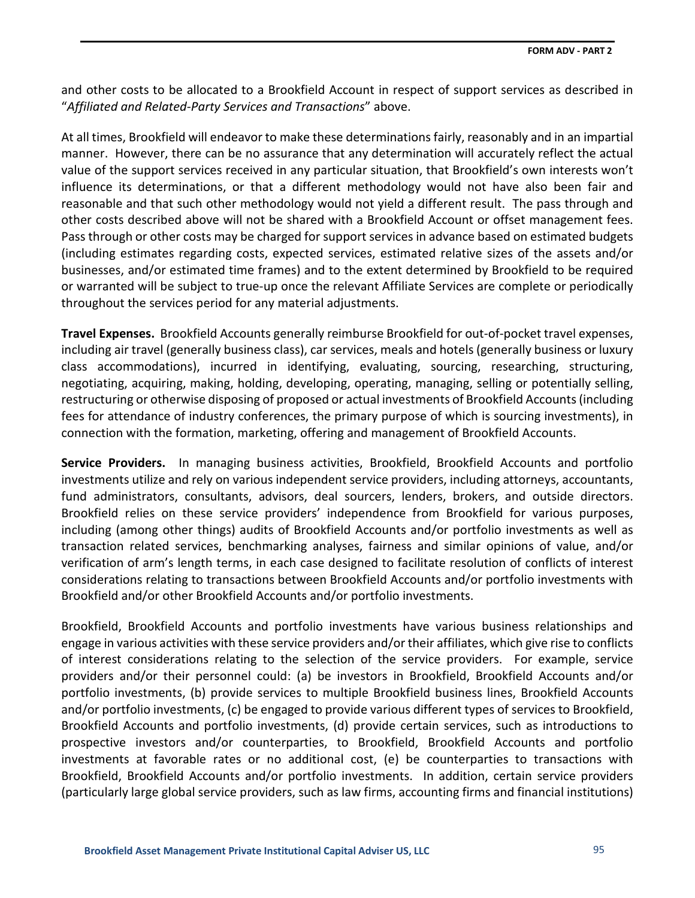and other costs to be allocated to a Brookfield Account in respect of support services as described in "*Affiliated and Related-Party Services and Transactions*" above.

At all times, Brookfield will endeavor to make these determinations fairly, reasonably and in an impartial manner. However, there can be no assurance that any determination will accurately reflect the actual value of the support services received in any particular situation, that Brookfield's own interests won't influence its determinations, or that a different methodology would not have also been fair and reasonable and that such other methodology would not yield a different result. The pass through and other costs described above will not be shared with a Brookfield Account or offset management fees. Pass through or other costs may be charged for support services in advance based on estimated budgets (including estimates regarding costs, expected services, estimated relative sizes of the assets and/or businesses, and/or estimated time frames) and to the extent determined by Brookfield to be required or warranted will be subject to true-up once the relevant Affiliate Services are complete or periodically throughout the services period for any material adjustments.

**Travel Expenses.** Brookfield Accounts generally reimburse Brookfield for out-of-pocket travel expenses, including air travel (generally business class), car services, meals and hotels (generally business or luxury class accommodations), incurred in identifying, evaluating, sourcing, researching, structuring, negotiating, acquiring, making, holding, developing, operating, managing, selling or potentially selling, restructuring or otherwise disposing of proposed or actual investments of Brookfield Accounts(including fees for attendance of industry conferences, the primary purpose of which is sourcing investments), in connection with the formation, marketing, offering and management of Brookfield Accounts.

**Service Providers.** In managing business activities, Brookfield, Brookfield Accounts and portfolio investments utilize and rely on various independent service providers, including attorneys, accountants, fund administrators, consultants, advisors, deal sourcers, lenders, brokers, and outside directors. Brookfield relies on these service providers' independence from Brookfield for various purposes, including (among other things) audits of Brookfield Accounts and/or portfolio investments as well as transaction related services, benchmarking analyses, fairness and similar opinions of value, and/or verification of arm's length terms, in each case designed to facilitate resolution of conflicts of interest considerations relating to transactions between Brookfield Accounts and/or portfolio investments with Brookfield and/or other Brookfield Accounts and/or portfolio investments.

Brookfield, Brookfield Accounts and portfolio investments have various business relationships and engage in various activities with these service providers and/or their affiliates, which give rise to conflicts of interest considerations relating to the selection of the service providers. For example, service providers and/or their personnel could: (a) be investors in Brookfield, Brookfield Accounts and/or portfolio investments, (b) provide services to multiple Brookfield business lines, Brookfield Accounts and/or portfolio investments, (c) be engaged to provide various different types of services to Brookfield, Brookfield Accounts and portfolio investments, (d) provide certain services, such as introductions to prospective investors and/or counterparties, to Brookfield, Brookfield Accounts and portfolio investments at favorable rates or no additional cost, (e) be counterparties to transactions with Brookfield, Brookfield Accounts and/or portfolio investments. In addition, certain service providers (particularly large global service providers, such as law firms, accounting firms and financial institutions)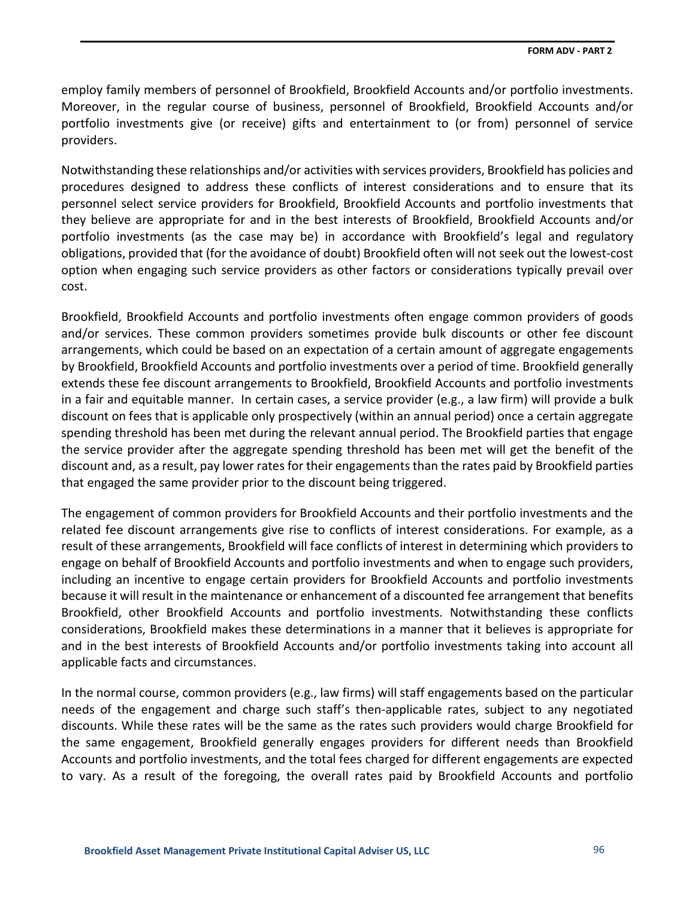employ family members of personnel of Brookfield, Brookfield Accounts and/or portfolio investments. Moreover, in the regular course of business, personnel of Brookfield, Brookfield Accounts and/or portfolio investments give (or receive) gifts and entertainment to (or from) personnel of service providers.

Notwithstanding these relationships and/or activities with services providers, Brookfield has policies and procedures designed to address these conflicts of interest considerations and to ensure that its personnel select service providers for Brookfield, Brookfield Accounts and portfolio investments that they believe are appropriate for and in the best interests of Brookfield, Brookfield Accounts and/or portfolio investments (as the case may be) in accordance with Brookfield's legal and regulatory obligations, provided that (for the avoidance of doubt) Brookfield often will not seek out the lowest-cost option when engaging such service providers as other factors or considerations typically prevail over cost.

Brookfield, Brookfield Accounts and portfolio investments often engage common providers of goods and/or services. These common providers sometimes provide bulk discounts or other fee discount arrangements, which could be based on an expectation of a certain amount of aggregate engagements by Brookfield, Brookfield Accounts and portfolio investments over a period of time. Brookfield generally extends these fee discount arrangements to Brookfield, Brookfield Accounts and portfolio investments in a fair and equitable manner. In certain cases, a service provider (e.g., a law firm) will provide a bulk discount on fees that is applicable only prospectively (within an annual period) once a certain aggregate spending threshold has been met during the relevant annual period. The Brookfield parties that engage the service provider after the aggregate spending threshold has been met will get the benefit of the discount and, as a result, pay lower rates for their engagements than the rates paid by Brookfield parties that engaged the same provider prior to the discount being triggered.

The engagement of common providers for Brookfield Accounts and their portfolio investments and the related fee discount arrangements give rise to conflicts of interest considerations. For example, as a result of these arrangements, Brookfield will face conflicts of interest in determining which providers to engage on behalf of Brookfield Accounts and portfolio investments and when to engage such providers, including an incentive to engage certain providers for Brookfield Accounts and portfolio investments because it will result in the maintenance or enhancement of a discounted fee arrangement that benefits Brookfield, other Brookfield Accounts and portfolio investments. Notwithstanding these conflicts considerations, Brookfield makes these determinations in a manner that it believes is appropriate for and in the best interests of Brookfield Accounts and/or portfolio investments taking into account all applicable facts and circumstances.

In the normal course, common providers (e.g., law firms) will staff engagements based on the particular needs of the engagement and charge such staff's then-applicable rates, subject to any negotiated discounts. While these rates will be the same as the rates such providers would charge Brookfield for the same engagement, Brookfield generally engages providers for different needs than Brookfield Accounts and portfolio investments, and the total fees charged for different engagements are expected to vary. As a result of the foregoing, the overall rates paid by Brookfield Accounts and portfolio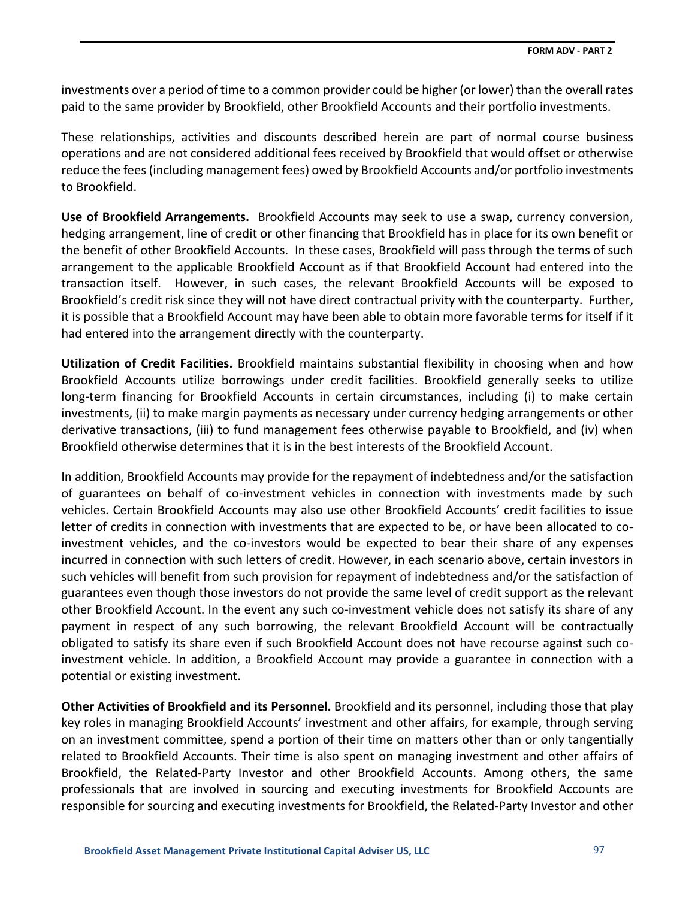investments over a period of time to a common provider could be higher (or lower) than the overall rates paid to the same provider by Brookfield, other Brookfield Accounts and their portfolio investments.

These relationships, activities and discounts described herein are part of normal course business operations and are not considered additional fees received by Brookfield that would offset or otherwise reduce the fees (including management fees) owed by Brookfield Accounts and/or portfolio investments to Brookfield.

**Use of Brookfield Arrangements.** Brookfield Accounts may seek to use a swap, currency conversion, hedging arrangement, line of credit or other financing that Brookfield has in place for its own benefit or the benefit of other Brookfield Accounts. In these cases, Brookfield will pass through the terms of such arrangement to the applicable Brookfield Account as if that Brookfield Account had entered into the transaction itself. However, in such cases, the relevant Brookfield Accounts will be exposed to Brookfield's credit risk since they will not have direct contractual privity with the counterparty. Further, it is possible that a Brookfield Account may have been able to obtain more favorable terms for itself if it had entered into the arrangement directly with the counterparty.

**Utilization of Credit Facilities.** Brookfield maintains substantial flexibility in choosing when and how Brookfield Accounts utilize borrowings under credit facilities. Brookfield generally seeks to utilize long-term financing for Brookfield Accounts in certain circumstances, including (i) to make certain investments, (ii) to make margin payments as necessary under currency hedging arrangements or other derivative transactions, (iii) to fund management fees otherwise payable to Brookfield, and (iv) when Brookfield otherwise determines that it is in the best interests of the Brookfield Account.

In addition, Brookfield Accounts may provide for the repayment of indebtedness and/or the satisfaction of guarantees on behalf of co-investment vehicles in connection with investments made by such vehicles. Certain Brookfield Accounts may also use other Brookfield Accounts' credit facilities to issue letter of credits in connection with investments that are expected to be, or have been allocated to coinvestment vehicles, and the co-investors would be expected to bear their share of any expenses incurred in connection with such letters of credit. However, in each scenario above, certain investors in such vehicles will benefit from such provision for repayment of indebtedness and/or the satisfaction of guarantees even though those investors do not provide the same level of credit support as the relevant other Brookfield Account. In the event any such co-investment vehicle does not satisfy its share of any payment in respect of any such borrowing, the relevant Brookfield Account will be contractually obligated to satisfy its share even if such Brookfield Account does not have recourse against such coinvestment vehicle. In addition, a Brookfield Account may provide a guarantee in connection with a potential or existing investment.

**Other Activities of Brookfield and its Personnel.** Brookfield and its personnel, including those that play key roles in managing Brookfield Accounts' investment and other affairs, for example, through serving on an investment committee, spend a portion of their time on matters other than or only tangentially related to Brookfield Accounts. Their time is also spent on managing investment and other affairs of Brookfield, the Related-Party Investor and other Brookfield Accounts. Among others, the same professionals that are involved in sourcing and executing investments for Brookfield Accounts are responsible for sourcing and executing investments for Brookfield, the Related-Party Investor and other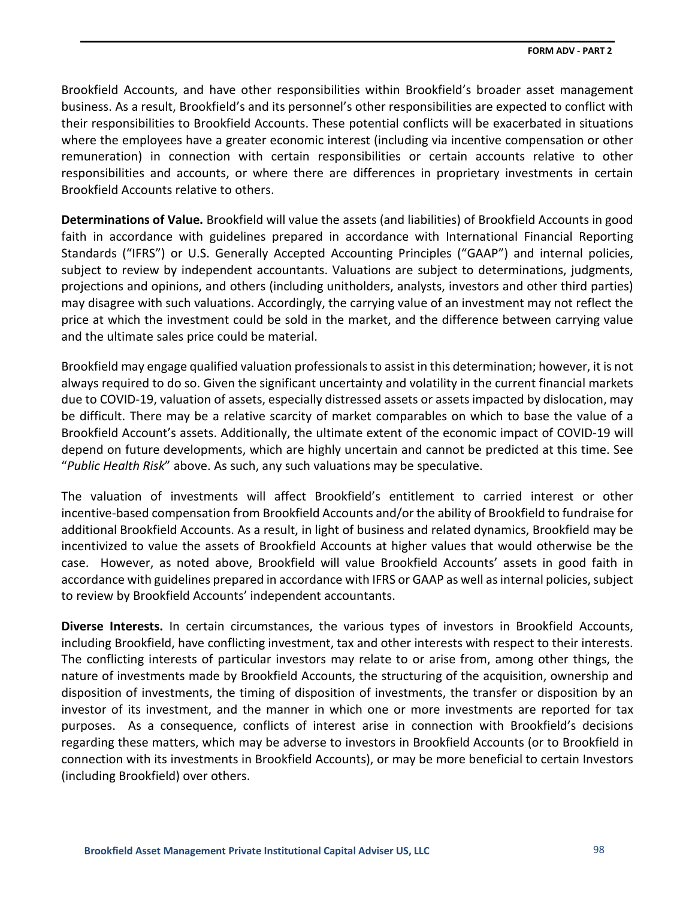Brookfield Accounts, and have other responsibilities within Brookfield's broader asset management business. As a result, Brookfield's and its personnel's other responsibilities are expected to conflict with their responsibilities to Brookfield Accounts. These potential conflicts will be exacerbated in situations where the employees have a greater economic interest (including via incentive compensation or other remuneration) in connection with certain responsibilities or certain accounts relative to other responsibilities and accounts, or where there are differences in proprietary investments in certain Brookfield Accounts relative to others.

**Determinations of Value.** Brookfield will value the assets (and liabilities) of Brookfield Accounts in good faith in accordance with guidelines prepared in accordance with International Financial Reporting Standards ("IFRS") or U.S. Generally Accepted Accounting Principles ("GAAP") and internal policies, subject to review by independent accountants. Valuations are subject to determinations, judgments, projections and opinions, and others (including unitholders, analysts, investors and other third parties) may disagree with such valuations. Accordingly, the carrying value of an investment may not reflect the price at which the investment could be sold in the market, and the difference between carrying value and the ultimate sales price could be material.

Brookfield may engage qualified valuation professionals to assist in this determination; however, it is not always required to do so. Given the significant uncertainty and volatility in the current financial markets due to COVID-19, valuation of assets, especially distressed assets or assets impacted by dislocation, may be difficult. There may be a relative scarcity of market comparables on which to base the value of a Brookfield Account's assets. Additionally, the ultimate extent of the economic impact of COVID-19 will depend on future developments, which are highly uncertain and cannot be predicted at this time. See "*Public Health Risk*" above. As such, any such valuations may be speculative.

The valuation of investments will affect Brookfield's entitlement to carried interest or other incentive-based compensation from Brookfield Accounts and/or the ability of Brookfield to fundraise for additional Brookfield Accounts. As a result, in light of business and related dynamics, Brookfield may be incentivized to value the assets of Brookfield Accounts at higher values that would otherwise be the case. However, as noted above, Brookfield will value Brookfield Accounts' assets in good faith in accordance with guidelines prepared in accordance with IFRS or GAAP as well as internal policies, subject to review by Brookfield Accounts' independent accountants.

**Diverse Interests.** In certain circumstances, the various types of investors in Brookfield Accounts, including Brookfield, have conflicting investment, tax and other interests with respect to their interests. The conflicting interests of particular investors may relate to or arise from, among other things, the nature of investments made by Brookfield Accounts, the structuring of the acquisition, ownership and disposition of investments, the timing of disposition of investments, the transfer or disposition by an investor of its investment, and the manner in which one or more investments are reported for tax purposes. As a consequence, conflicts of interest arise in connection with Brookfield's decisions regarding these matters, which may be adverse to investors in Brookfield Accounts (or to Brookfield in connection with its investments in Brookfield Accounts), or may be more beneficial to certain Investors (including Brookfield) over others.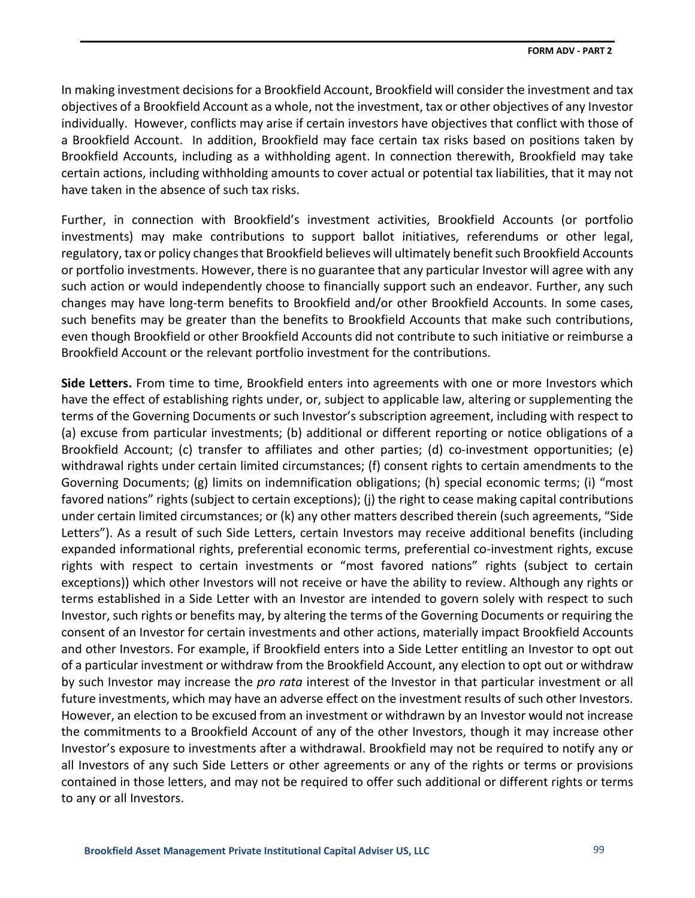In making investment decisions for a Brookfield Account, Brookfield will consider the investment and tax objectives of a Brookfield Account as a whole, not the investment, tax or other objectives of any Investor individually. However, conflicts may arise if certain investors have objectives that conflict with those of a Brookfield Account. In addition, Brookfield may face certain tax risks based on positions taken by Brookfield Accounts, including as a withholding agent. In connection therewith, Brookfield may take certain actions, including withholding amounts to cover actual or potential tax liabilities, that it may not have taken in the absence of such tax risks.

Further, in connection with Brookfield's investment activities, Brookfield Accounts (or portfolio investments) may make contributions to support ballot initiatives, referendums or other legal, regulatory, tax or policy changes that Brookfield believes will ultimately benefit such Brookfield Accounts or portfolio investments. However, there is no guarantee that any particular Investor will agree with any such action or would independently choose to financially support such an endeavor. Further, any such changes may have long-term benefits to Brookfield and/or other Brookfield Accounts. In some cases, such benefits may be greater than the benefits to Brookfield Accounts that make such contributions, even though Brookfield or other Brookfield Accounts did not contribute to such initiative or reimburse a Brookfield Account or the relevant portfolio investment for the contributions.

**Side Letters.** From time to time, Brookfield enters into agreements with one or more Investors which have the effect of establishing rights under, or, subject to applicable law, altering or supplementing the terms of the Governing Documents or such Investor's subscription agreement, including with respect to (a) excuse from particular investments; (b) additional or different reporting or notice obligations of a Brookfield Account; (c) transfer to affiliates and other parties; (d) co-investment opportunities; (e) withdrawal rights under certain limited circumstances; (f) consent rights to certain amendments to the Governing Documents; (g) limits on indemnification obligations; (h) special economic terms; (i) "most favored nations" rights (subject to certain exceptions); (j) the right to cease making capital contributions under certain limited circumstances; or (k) any other matters described therein (such agreements, "Side Letters"). As a result of such Side Letters, certain Investors may receive additional benefits (including expanded informational rights, preferential economic terms, preferential co-investment rights, excuse rights with respect to certain investments or "most favored nations" rights (subject to certain exceptions)) which other Investors will not receive or have the ability to review. Although any rights or terms established in a Side Letter with an Investor are intended to govern solely with respect to such Investor, such rights or benefits may, by altering the terms of the Governing Documents or requiring the consent of an Investor for certain investments and other actions, materially impact Brookfield Accounts and other Investors. For example, if Brookfield enters into a Side Letter entitling an Investor to opt out of a particular investment or withdraw from the Brookfield Account, any election to opt out or withdraw by such Investor may increase the *pro rata* interest of the Investor in that particular investment or all future investments, which may have an adverse effect on the investment results of such other Investors. However, an election to be excused from an investment or withdrawn by an Investor would not increase the commitments to a Brookfield Account of any of the other Investors, though it may increase other Investor's exposure to investments after a withdrawal. Brookfield may not be required to notify any or all Investors of any such Side Letters or other agreements or any of the rights or terms or provisions contained in those letters, and may not be required to offer such additional or different rights or terms to any or all Investors.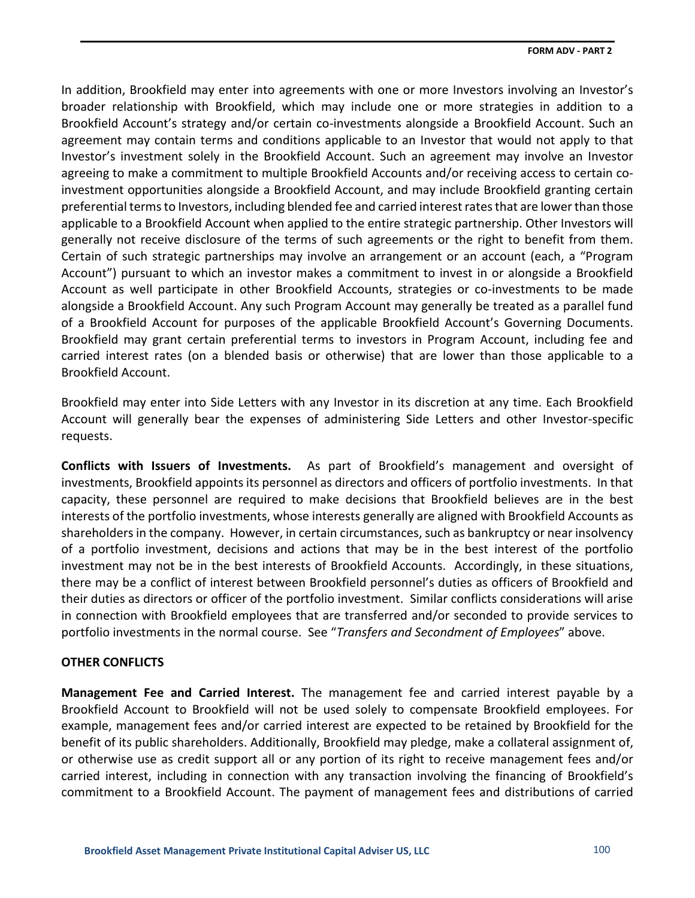In addition, Brookfield may enter into agreements with one or more Investors involving an Investor's broader relationship with Brookfield, which may include one or more strategies in addition to a Brookfield Account's strategy and/or certain co-investments alongside a Brookfield Account. Such an agreement may contain terms and conditions applicable to an Investor that would not apply to that Investor's investment solely in the Brookfield Account. Such an agreement may involve an Investor agreeing to make a commitment to multiple Brookfield Accounts and/or receiving access to certain coinvestment opportunities alongside a Brookfield Account, and may include Brookfield granting certain preferential terms to Investors, including blended fee and carried interest rates that are lower than those applicable to a Brookfield Account when applied to the entire strategic partnership. Other Investors will generally not receive disclosure of the terms of such agreements or the right to benefit from them. Certain of such strategic partnerships may involve an arrangement or an account (each, a "Program Account") pursuant to which an investor makes a commitment to invest in or alongside a Brookfield Account as well participate in other Brookfield Accounts, strategies or co-investments to be made alongside a Brookfield Account. Any such Program Account may generally be treated as a parallel fund of a Brookfield Account for purposes of the applicable Brookfield Account's Governing Documents. Brookfield may grant certain preferential terms to investors in Program Account, including fee and carried interest rates (on a blended basis or otherwise) that are lower than those applicable to a Brookfield Account.

Brookfield may enter into Side Letters with any Investor in its discretion at any time. Each Brookfield Account will generally bear the expenses of administering Side Letters and other Investor-specific requests.

**Conflicts with Issuers of Investments.** As part of Brookfield's management and oversight of investments, Brookfield appoints its personnel as directors and officers of portfolio investments. In that capacity, these personnel are required to make decisions that Brookfield believes are in the best interests of the portfolio investments, whose interests generally are aligned with Brookfield Accounts as shareholders in the company. However, in certain circumstances, such as bankruptcy or near insolvency of a portfolio investment, decisions and actions that may be in the best interest of the portfolio investment may not be in the best interests of Brookfield Accounts. Accordingly, in these situations, there may be a conflict of interest between Brookfield personnel's duties as officers of Brookfield and their duties as directors or officer of the portfolio investment. Similar conflicts considerations will arise in connection with Brookfield employees that are transferred and/or seconded to provide services to portfolio investments in the normal course. See "*Transfers and Secondment of Employees*" above.

## **OTHER CONFLICTS**

**Management Fee and Carried Interest.** The management fee and carried interest payable by a Brookfield Account to Brookfield will not be used solely to compensate Brookfield employees. For example, management fees and/or carried interest are expected to be retained by Brookfield for the benefit of its public shareholders. Additionally, Brookfield may pledge, make a collateral assignment of, or otherwise use as credit support all or any portion of its right to receive management fees and/or carried interest, including in connection with any transaction involving the financing of Brookfield's commitment to a Brookfield Account. The payment of management fees and distributions of carried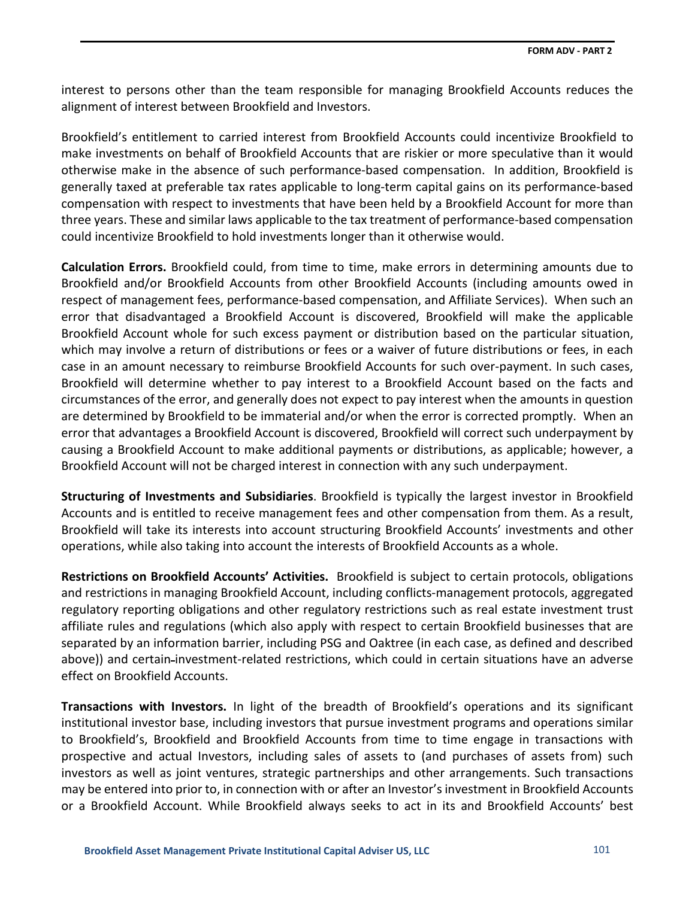interest to persons other than the team responsible for managing Brookfield Accounts reduces the alignment of interest between Brookfield and Investors.

Brookfield's entitlement to carried interest from Brookfield Accounts could incentivize Brookfield to make investments on behalf of Brookfield Accounts that are riskier or more speculative than it would otherwise make in the absence of such performance-based compensation. In addition, Brookfield is generally taxed at preferable tax rates applicable to long-term capital gains on its performance-based compensation with respect to investments that have been held by a Brookfield Account for more than three years. These and similar laws applicable to the tax treatment of performance-based compensation could incentivize Brookfield to hold investments longer than it otherwise would.

**Calculation Errors.** Brookfield could, from time to time, make errors in determining amounts due to Brookfield and/or Brookfield Accounts from other Brookfield Accounts (including amounts owed in respect of management fees, performance-based compensation, and Affiliate Services). When such an error that disadvantaged a Brookfield Account is discovered, Brookfield will make the applicable Brookfield Account whole for such excess payment or distribution based on the particular situation, which may involve a return of distributions or fees or a waiver of future distributions or fees, in each case in an amount necessary to reimburse Brookfield Accounts for such over-payment. In such cases, Brookfield will determine whether to pay interest to a Brookfield Account based on the facts and circumstances of the error, and generally does not expect to pay interest when the amounts in question are determined by Brookfield to be immaterial and/or when the error is corrected promptly. When an error that advantages a Brookfield Account is discovered, Brookfield will correct such underpayment by causing a Brookfield Account to make additional payments or distributions, as applicable; however, a Brookfield Account will not be charged interest in connection with any such underpayment.

**Structuring of Investments and Subsidiaries**. Brookfield is typically the largest investor in Brookfield Accounts and is entitled to receive management fees and other compensation from them. As a result, Brookfield will take its interests into account structuring Brookfield Accounts' investments and other operations, while also taking into account the interests of Brookfield Accounts as a whole.

**Restrictions on Brookfield Accounts' Activities.** Brookfield is subject to certain protocols, obligations and restrictions in managing Brookfield Account, including conflicts-management protocols, aggregated regulatory reporting obligations and other regulatory restrictions such as real estate investment trust affiliate rules and regulations (which also apply with respect to certain Brookfield businesses that are separated by an information barrier, including PSG and Oaktree (in each case, as defined and described above)) and certain-investment-related restrictions, which could in certain situations have an adverse effect on Brookfield Accounts.

**Transactions with Investors.** In light of the breadth of Brookfield's operations and its significant institutional investor base, including investors that pursue investment programs and operations similar to Brookfield's, Brookfield and Brookfield Accounts from time to time engage in transactions with prospective and actual Investors, including sales of assets to (and purchases of assets from) such investors as well as joint ventures, strategic partnerships and other arrangements. Such transactions may be entered into prior to, in connection with or after an Investor's investment in Brookfield Accounts or a Brookfield Account. While Brookfield always seeks to act in its and Brookfield Accounts' best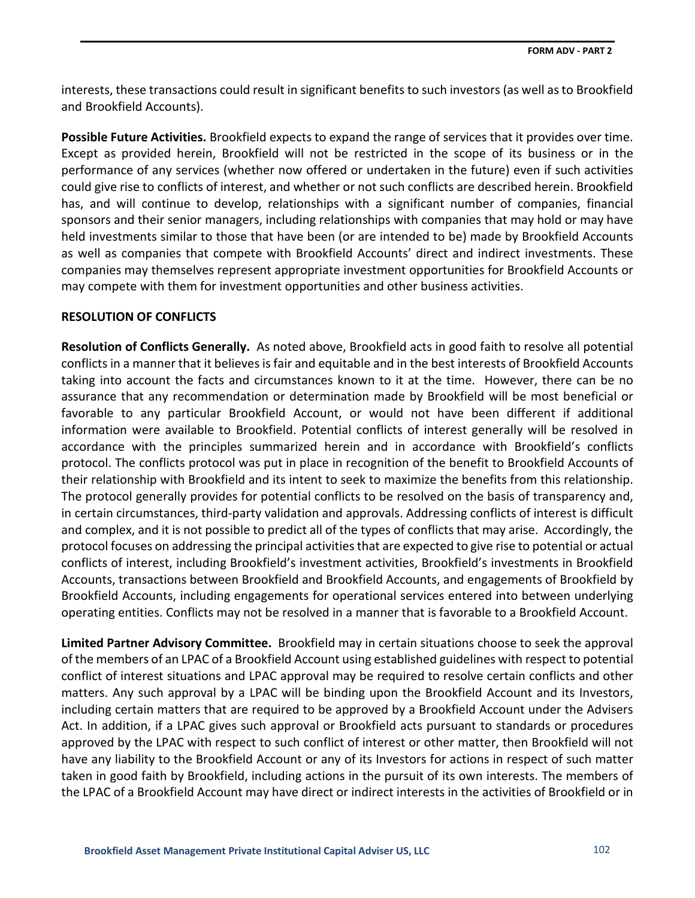interests, these transactions could result in significant benefits to such investors (as well as to Brookfield and Brookfield Accounts).

**Possible Future Activities.** Brookfield expects to expand the range of services that it provides over time. Except as provided herein, Brookfield will not be restricted in the scope of its business or in the performance of any services (whether now offered or undertaken in the future) even if such activities could give rise to conflicts of interest, and whether or not such conflicts are described herein. Brookfield has, and will continue to develop, relationships with a significant number of companies, financial sponsors and their senior managers, including relationships with companies that may hold or may have held investments similar to those that have been (or are intended to be) made by Brookfield Accounts as well as companies that compete with Brookfield Accounts' direct and indirect investments. These companies may themselves represent appropriate investment opportunities for Brookfield Accounts or may compete with them for investment opportunities and other business activities.

## **RESOLUTION OF CONFLICTS**

**Resolution of Conflicts Generally.** As noted above, Brookfield acts in good faith to resolve all potential conflicts in a manner that it believes is fair and equitable and in the best interests of Brookfield Accounts taking into account the facts and circumstances known to it at the time. However, there can be no assurance that any recommendation or determination made by Brookfield will be most beneficial or favorable to any particular Brookfield Account, or would not have been different if additional information were available to Brookfield. Potential conflicts of interest generally will be resolved in accordance with the principles summarized herein and in accordance with Brookfield's conflicts protocol. The conflicts protocol was put in place in recognition of the benefit to Brookfield Accounts of their relationship with Brookfield and its intent to seek to maximize the benefits from this relationship. The protocol generally provides for potential conflicts to be resolved on the basis of transparency and, in certain circumstances, third-party validation and approvals. Addressing conflicts of interest is difficult and complex, and it is not possible to predict all of the types of conflicts that may arise. Accordingly, the protocol focuses on addressing the principal activities that are expected to give rise to potential or actual conflicts of interest, including Brookfield's investment activities, Brookfield's investments in Brookfield Accounts, transactions between Brookfield and Brookfield Accounts, and engagements of Brookfield by Brookfield Accounts, including engagements for operational services entered into between underlying operating entities. Conflicts may not be resolved in a manner that is favorable to a Brookfield Account.

**Limited Partner Advisory Committee.** Brookfield may in certain situations choose to seek the approval of the members of an LPAC of a Brookfield Account using established guidelines with respect to potential conflict of interest situations and LPAC approval may be required to resolve certain conflicts and other matters. Any such approval by a LPAC will be binding upon the Brookfield Account and its Investors, including certain matters that are required to be approved by a Brookfield Account under the Advisers Act. In addition, if a LPAC gives such approval or Brookfield acts pursuant to standards or procedures approved by the LPAC with respect to such conflict of interest or other matter, then Brookfield will not have any liability to the Brookfield Account or any of its Investors for actions in respect of such matter taken in good faith by Brookfield, including actions in the pursuit of its own interests. The members of the LPAC of a Brookfield Account may have direct or indirect interests in the activities of Brookfield or in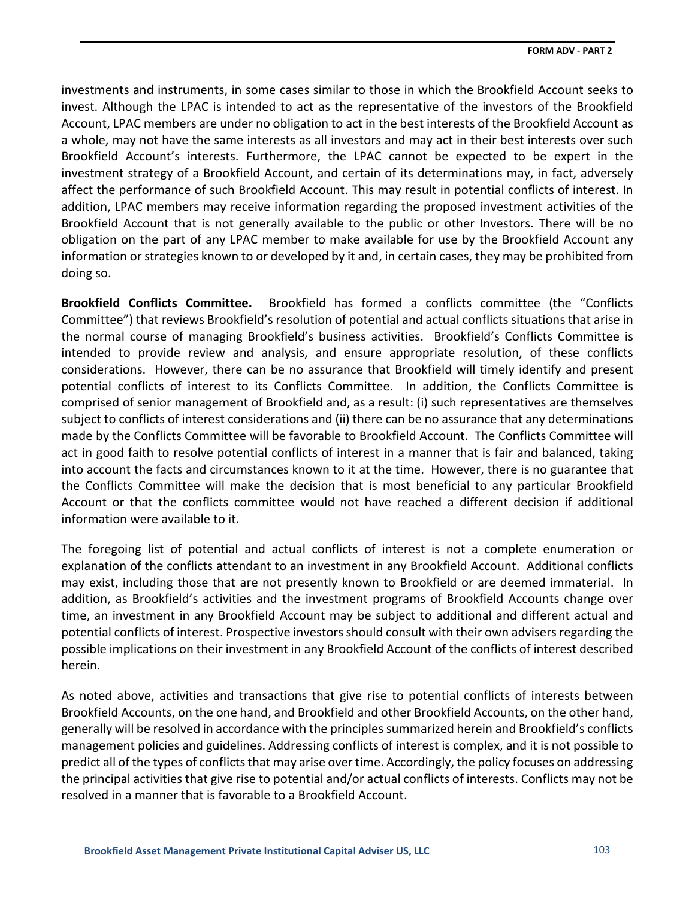investments and instruments, in some cases similar to those in which the Brookfield Account seeks to invest. Although the LPAC is intended to act as the representative of the investors of the Brookfield Account, LPAC members are under no obligation to act in the best interests of the Brookfield Account as a whole, may not have the same interests as all investors and may act in their best interests over such Brookfield Account's interests. Furthermore, the LPAC cannot be expected to be expert in the investment strategy of a Brookfield Account, and certain of its determinations may, in fact, adversely affect the performance of such Brookfield Account. This may result in potential conflicts of interest. In addition, LPAC members may receive information regarding the proposed investment activities of the Brookfield Account that is not generally available to the public or other Investors. There will be no obligation on the part of any LPAC member to make available for use by the Brookfield Account any information or strategies known to or developed by it and, in certain cases, they may be prohibited from doing so.

**Brookfield Conflicts Committee.** Brookfield has formed a conflicts committee (the "Conflicts Committee") that reviews Brookfield's resolution of potential and actual conflicts situations that arise in the normal course of managing Brookfield's business activities. Brookfield's Conflicts Committee is intended to provide review and analysis, and ensure appropriate resolution, of these conflicts considerations. However, there can be no assurance that Brookfield will timely identify and present potential conflicts of interest to its Conflicts Committee. In addition, the Conflicts Committee is comprised of senior management of Brookfield and, as a result: (i) such representatives are themselves subject to conflicts of interest considerations and (ii) there can be no assurance that any determinations made by the Conflicts Committee will be favorable to Brookfield Account. The Conflicts Committee will act in good faith to resolve potential conflicts of interest in a manner that is fair and balanced, taking into account the facts and circumstances known to it at the time. However, there is no guarantee that the Conflicts Committee will make the decision that is most beneficial to any particular Brookfield Account or that the conflicts committee would not have reached a different decision if additional information were available to it.

The foregoing list of potential and actual conflicts of interest is not a complete enumeration or explanation of the conflicts attendant to an investment in any Brookfield Account. Additional conflicts may exist, including those that are not presently known to Brookfield or are deemed immaterial. In addition, as Brookfield's activities and the investment programs of Brookfield Accounts change over time, an investment in any Brookfield Account may be subject to additional and different actual and potential conflicts of interest. Prospective investors should consult with their own advisers regarding the possible implications on their investment in any Brookfield Account of the conflicts of interest described herein.

As noted above, activities and transactions that give rise to potential conflicts of interests between Brookfield Accounts, on the one hand, and Brookfield and other Brookfield Accounts, on the other hand, generally will be resolved in accordance with the principles summarized herein and Brookfield's conflicts management policies and guidelines. Addressing conflicts of interest is complex, and it is not possible to predict all of the types of conflicts that may arise over time. Accordingly, the policy focuses on addressing the principal activities that give rise to potential and/or actual conflicts of interests. Conflicts may not be resolved in a manner that is favorable to a Brookfield Account.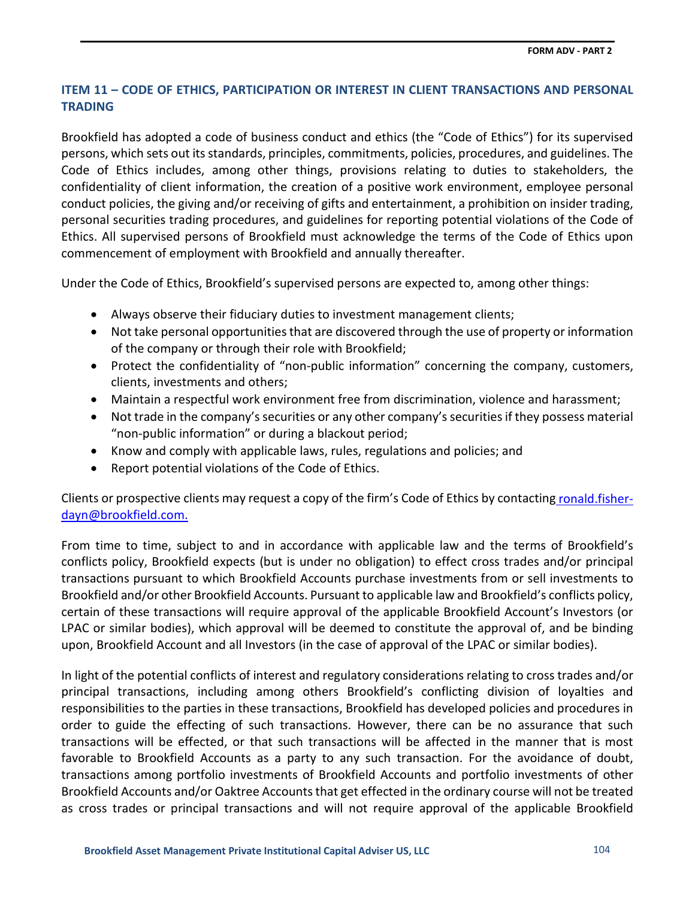## **ITEM 11 – CODE OF ETHICS, PARTICIPATION OR INTEREST IN CLIENT TRANSACTIONS AND PERSONAL TRADING**

Brookfield has adopted a code of business conduct and ethics (the "Code of Ethics") for its supervised persons, which sets out itsstandards, principles, commitments, policies, procedures, and guidelines. The Code of Ethics includes, among other things, provisions relating to duties to stakeholders, the confidentiality of client information, the creation of a positive work environment, employee personal conduct policies, the giving and/or receiving of gifts and entertainment, a prohibition on insider trading, personal securities trading procedures, and guidelines for reporting potential violations of the Code of Ethics. All supervised persons of Brookfield must acknowledge the terms of the Code of Ethics upon commencement of employment with Brookfield and annually thereafter.

Under the Code of Ethics, Brookfield's supervised persons are expected to, among other things:

- Always observe their fiduciary duties to investment management clients;
- Not take personal opportunities that are discovered through the use of property or information of the company or through their role with Brookfield;
- Protect the confidentiality of "non-public information" concerning the company, customers, clients, investments and others;
- Maintain a respectful work environment free from discrimination, violence and harassment;
- Not trade in the company's securities or any other company's securities if they possess material "non-public information" or during a blackout period;
- Know and comply with applicable laws, rules, regulations and policies; and
- Report potential violations of the Code of Ethics.

Clients or prospective clients may request a copy of the firm's Code of Ethics by contacting [ronald.fisher](mailto:%20ronald.fisher-dayn@brookfield.com.)[dayn@brookfield.com.](mailto:%20ronald.fisher-dayn@brookfield.com.)

From time to time, subject to and in accordance with applicable law and the terms of Brookfield's conflicts policy, Brookfield expects (but is under no obligation) to effect cross trades and/or principal transactions pursuant to which Brookfield Accounts purchase investments from or sell investments to Brookfield and/or other Brookfield Accounts. Pursuant to applicable law and Brookfield's conflicts policy, certain of these transactions will require approval of the applicable Brookfield Account's Investors (or LPAC or similar bodies), which approval will be deemed to constitute the approval of, and be binding upon, Brookfield Account and all Investors (in the case of approval of the LPAC or similar bodies).

In light of the potential conflicts of interest and regulatory considerations relating to cross trades and/or principal transactions, including among others Brookfield's conflicting division of loyalties and responsibilities to the parties in these transactions, Brookfield has developed policies and procedures in order to guide the effecting of such transactions. However, there can be no assurance that such transactions will be effected, or that such transactions will be affected in the manner that is most favorable to Brookfield Accounts as a party to any such transaction. For the avoidance of doubt, transactions among portfolio investments of Brookfield Accounts and portfolio investments of other Brookfield Accounts and/or Oaktree Accounts that get effected in the ordinary course will not be treated as cross trades or principal transactions and will not require approval of the applicable Brookfield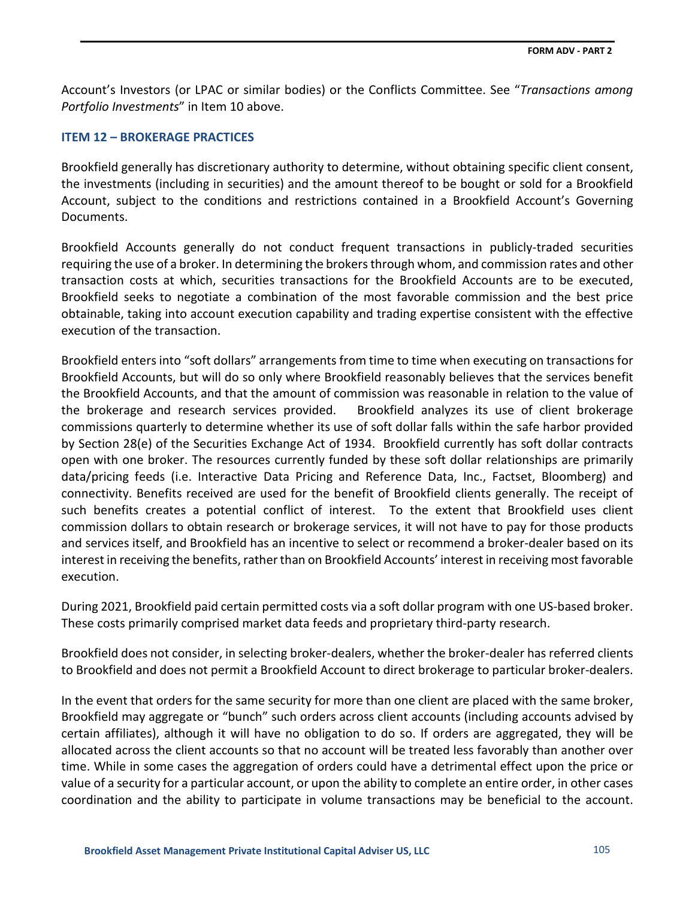Account's Investors (or LPAC or similar bodies) or the Conflicts Committee. See "*Transactions among Portfolio Investments*" in Item 10 above.

### **ITEM 12 – BROKERAGE PRACTICES**

Brookfield generally has discretionary authority to determine, without obtaining specific client consent, the investments (including in securities) and the amount thereof to be bought or sold for a Brookfield Account, subject to the conditions and restrictions contained in a Brookfield Account's Governing Documents.

Brookfield Accounts generally do not conduct frequent transactions in publicly-traded securities requiring the use of a broker. In determining the brokers through whom, and commission rates and other transaction costs at which, securities transactions for the Brookfield Accounts are to be executed, Brookfield seeks to negotiate a combination of the most favorable commission and the best price obtainable, taking into account execution capability and trading expertise consistent with the effective execution of the transaction.

Brookfield enters into "soft dollars" arrangements from time to time when executing on transactions for Brookfield Accounts, but will do so only where Brookfield reasonably believes that the services benefit the Brookfield Accounts, and that the amount of commission was reasonable in relation to the value of the brokerage and research services provided. Brookfield analyzes its use of client brokerage commissions quarterly to determine whether its use of soft dollar falls within the safe harbor provided by Section 28(e) of the Securities Exchange Act of 1934. Brookfield currently has soft dollar contracts open with one broker. The resources currently funded by these soft dollar relationships are primarily data/pricing feeds (i.e. Interactive Data Pricing and Reference Data, Inc., Factset, Bloomberg) and connectivity. Benefits received are used for the benefit of Brookfield clients generally. The receipt of such benefits creates a potential conflict of interest. To the extent that Brookfield uses client commission dollars to obtain research or brokerage services, it will not have to pay for those products and services itself, and Brookfield has an incentive to select or recommend a broker-dealer based on its interest in receiving the benefits, rather than on Brookfield Accounts' interest in receiving most favorable execution.

During 2021, Brookfield paid certain permitted costs via a soft dollar program with one US-based broker. These costs primarily comprised market data feeds and proprietary third-party research.

Brookfield does not consider, in selecting broker-dealers, whether the broker-dealer has referred clients to Brookfield and does not permit a Brookfield Account to direct brokerage to particular broker-dealers.

In the event that orders for the same security for more than one client are placed with the same broker, Brookfield may aggregate or "bunch" such orders across client accounts (including accounts advised by certain affiliates), although it will have no obligation to do so. If orders are aggregated, they will be allocated across the client accounts so that no account will be treated less favorably than another over time. While in some cases the aggregation of orders could have a detrimental effect upon the price or value of a security for a particular account, or upon the ability to complete an entire order, in other cases coordination and the ability to participate in volume transactions may be beneficial to the account.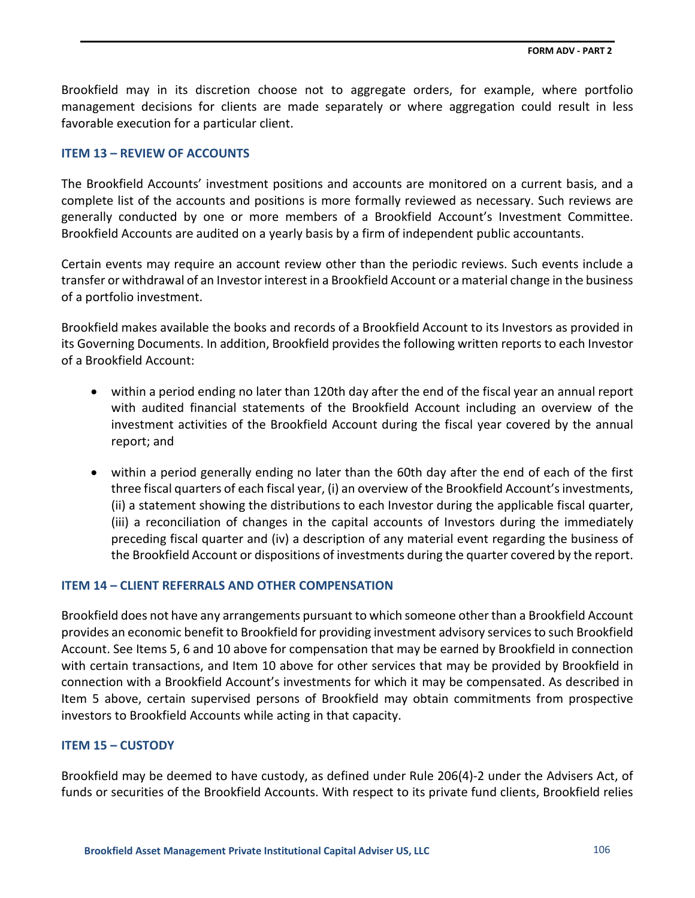Brookfield may in its discretion choose not to aggregate orders, for example, where portfolio management decisions for clients are made separately or where aggregation could result in less favorable execution for a particular client.

# **ITEM 13 – REVIEW OF ACCOUNTS**

The Brookfield Accounts' investment positions and accounts are monitored on a current basis, and a complete list of the accounts and positions is more formally reviewed as necessary. Such reviews are generally conducted by one or more members of a Brookfield Account's Investment Committee. Brookfield Accounts are audited on a yearly basis by a firm of independent public accountants.

Certain events may require an account review other than the periodic reviews. Such events include a transfer or withdrawal of an Investor interest in a Brookfield Account or a material change in the business of a portfolio investment.

Brookfield makes available the books and records of a Brookfield Account to its Investors as provided in its Governing Documents. In addition, Brookfield provides the following written reports to each Investor of a Brookfield Account:

- within a period ending no later than 120th day after the end of the fiscal year an annual report with audited financial statements of the Brookfield Account including an overview of the investment activities of the Brookfield Account during the fiscal year covered by the annual report; and
- within a period generally ending no later than the 60th day after the end of each of the first three fiscal quarters of each fiscal year, (i) an overview of the Brookfield Account's investments, (ii) a statement showing the distributions to each Investor during the applicable fiscal quarter, (iii) a reconciliation of changes in the capital accounts of Investors during the immediately preceding fiscal quarter and (iv) a description of any material event regarding the business of the Brookfield Account or dispositions of investments during the quarter covered by the report.

# **ITEM 14 – CLIENT REFERRALS AND OTHER COMPENSATION**

Brookfield does not have any arrangements pursuant to which someone other than a Brookfield Account provides an economic benefit to Brookfield for providing investment advisory services to such Brookfield Account. See Items 5, 6 and 10 above for compensation that may be earned by Brookfield in connection with certain transactions, and Item 10 above for other services that may be provided by Brookfield in connection with a Brookfield Account's investments for which it may be compensated. As described in Item 5 above, certain supervised persons of Brookfield may obtain commitments from prospective investors to Brookfield Accounts while acting in that capacity.

# **ITEM 15 – CUSTODY**

Brookfield may be deemed to have custody, as defined under Rule 206(4)-2 under the Advisers Act, of funds or securities of the Brookfield Accounts. With respect to its private fund clients, Brookfield relies